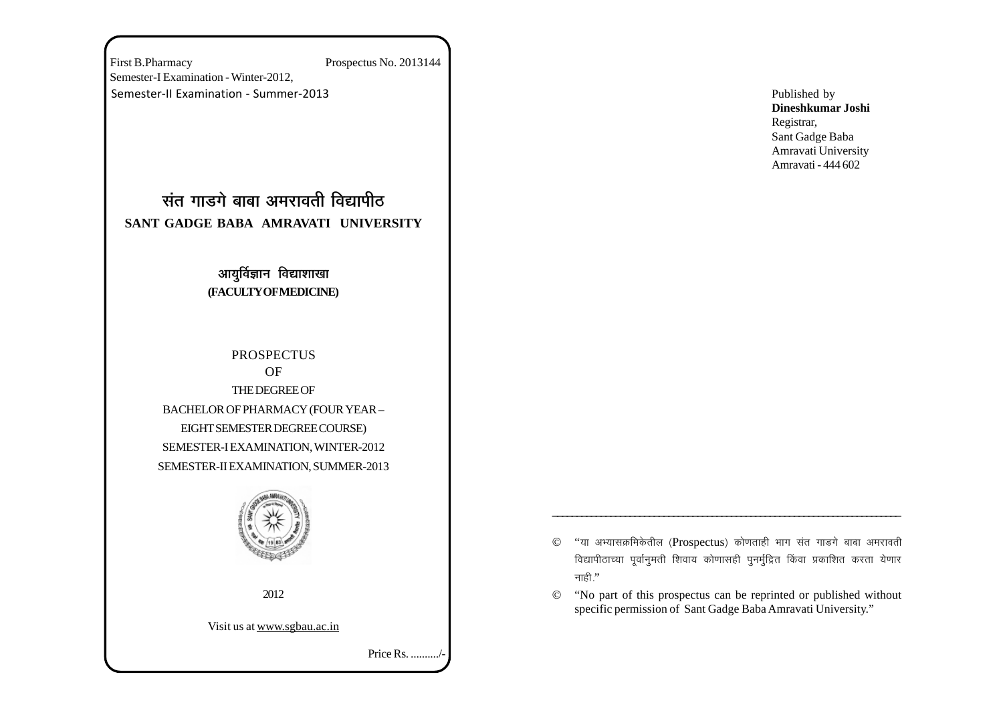First B.Pharmacy Prospectus No. 2013144 Semester-I Examination - Winter-2012, Semester-II Examination - Summer-2013

# <u>संत गाडगे बाबा अमरावती विद्यापीठ</u> **SANT GADGE BABA AMRAVATI UNIVERSITY**

## आयुर्विज्ञान विद्याशाखा **(FACULTY OF MEDICINE)**

**PROSPECTUS** OF THE DEGREE OF BACHELOR OF PHARMACY (FOUR YEAR – EIGHT SEMESTER DEGREE COURSE) SEMESTER-I EXAMINATION, WINTER-2012 SEMESTER-II EXAMINATION, SUMMER-2013



2012

Visit us at www.sgbau.ac.in

Price Rs. ........../-

Published by **Dineshkumar Joshi** Registrar, Sant Gadge Baba Amravati University Amravati - 444 602

 $©$  "या अभ्यासक्रमिकेतील (Prospectus) कोणताही भाग संत गाडगे बाबा अमरावती विद्यापीठाच्या पूर्वानुमती शिवाय कोणासही पुनर्मुद्रित किंवा प्रकाशित करता येणार नाही."

\_\_\_\_\_\_\_\_\_\_\_\_\_\_\_\_\_\_\_\_\_\_\_\_\_\_\_\_\_\_\_\_\_\_\_\_\_\_\_\_\_\_\_\_\_\_\_\_\_\_\_\_\_\_\_\_\_\_\_\_\_\_\_\_\_\_\_\_\_\_\_\_

© "No part of this prospectus can be reprinted or published without specific permission of Sant Gadge Baba Amravati University."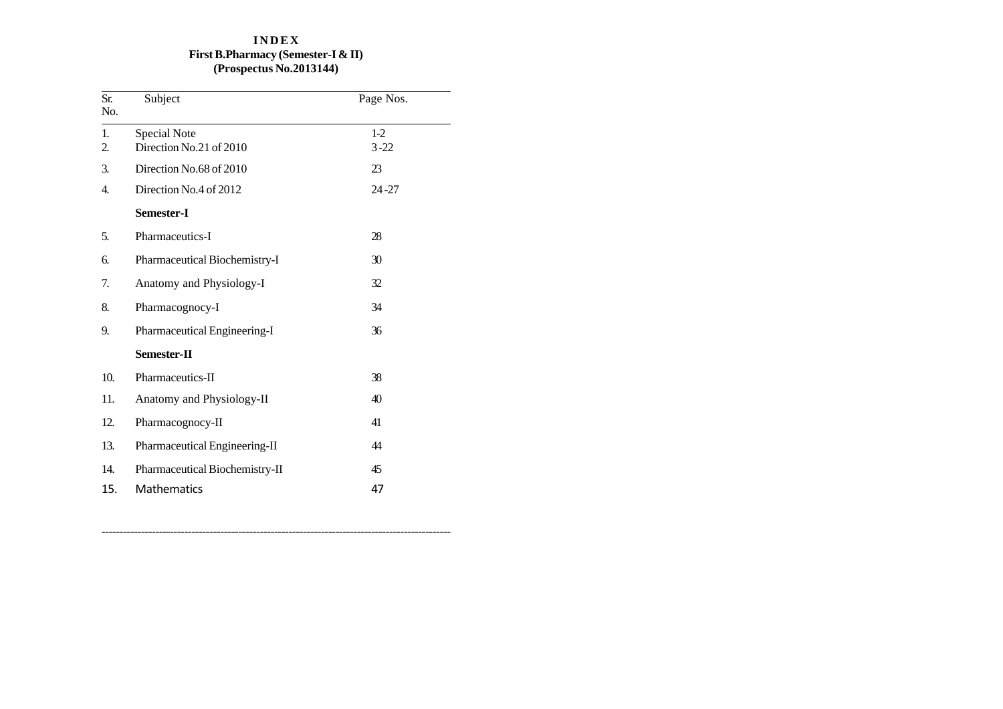## **I N D E X First B.Pharmacy (Semester-I & II) (Prospectus No.2013144)**

--

| Sr.<br>No. | Subject                        | Page Nos. |
|------------|--------------------------------|-----------|
| 1.         | Special Note                   | $1-2$     |
| 2.         | Direction No.21 of 2010        | $3 - 22$  |
| 3.         | Direction No.68 of 2010        | 23        |
| 4.         | Direction No.4 of 2012         | $24 - 27$ |
|            | Semester-I                     |           |
| 5.         | Pharmaceutics-I                | 28        |
| 6.         | Pharmaceutical Biochemistry-I  | 30        |
| 7.         | Anatomy and Physiology-I       | 32        |
| 8.         | Pharmacognocy-I                | 34        |
| 9.         | Pharmaceutical Engineering-I   | 36        |
|            | Semester-II                    |           |
| 10.        | Pharmaceutics-II               | 38        |
| 11.        | Anatomy and Physiology-II      | 40        |
| 12.        | Pharmacognocy-II               | 41        |
| 13.        | Pharmaceutical Engineering-II  | 44        |
| 14.        | Pharmaceutical Biochemistry-II | 45        |
| 15.        | Mathematics                    | 47        |

-------------------------------------------------------------------------------------------------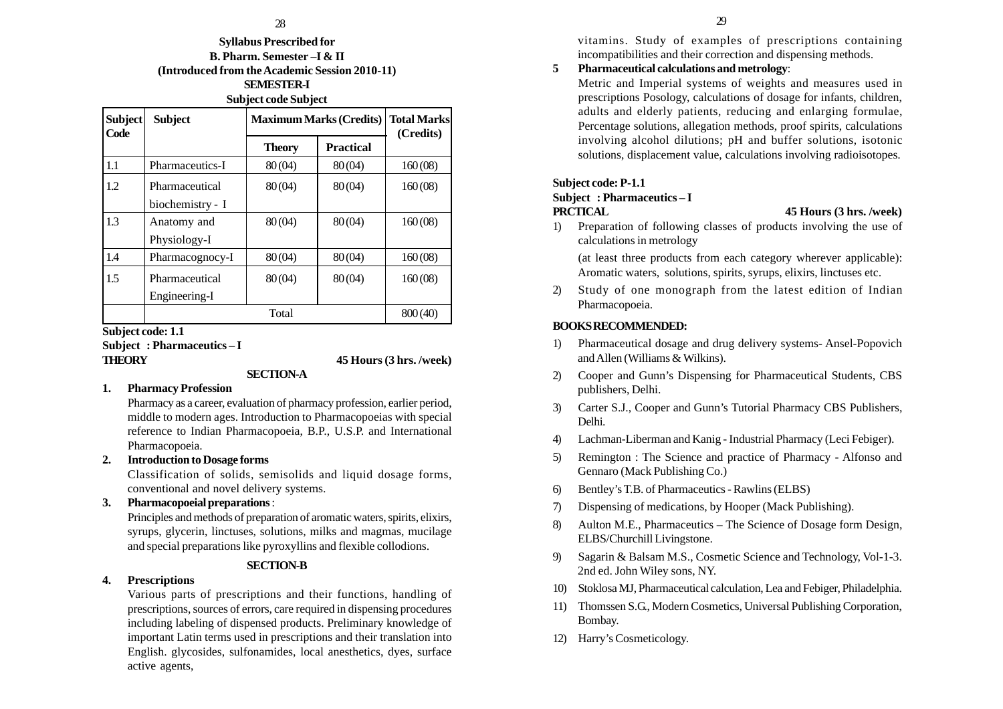## 28 29

**Syllabus Prescribed for B. Pharm. Semester –I & II (Introduced from the Academic Session 2010-11) SEMESTER-I Subject code Subject**

| Subject<br>Code | <b>Subject</b>   | <b>Maximum Marks (Credits)</b> |           | <b>Total Marks</b><br>(Credits) |
|-----------------|------------------|--------------------------------|-----------|---------------------------------|
|                 |                  | <b>Theory</b>                  | Practical |                                 |
| 1.1             | Pharmaceutics-I  | 80(04)                         | 80(04)    | 160(08)                         |
| 1.2             | Pharmaceutical   | 80(04)                         | 80(04)    | 160(08)                         |
|                 | biochemistry - I |                                |           |                                 |
| 1.3             | Anatomy and      | 80(04)                         | 80(04)    | 160(08)                         |
|                 | Physiology-I     |                                |           |                                 |
| 1.4             | Pharmacognocy-I  | 80(04)                         | 80(04)    | 160(08)                         |
| 1.5             | Pharmaceutical   | 80(04)                         | 80(04)    | 160(08)                         |
|                 | Engineering-I    |                                |           |                                 |
|                 | Total            |                                |           | 800 (40)                        |

**Subject code: 1.1**

**Subject : Pharmaceutics – I**

**THEORY 45 Hours (3 hrs. /week)**

## **1. Pharmacy Profession**

Pharmacy as a career, evaluation of pharmacy profession, earlier period, middle to modern ages. Introduction to Pharmacopoeias with special reference to Indian Pharmacopoeia, B.P., U.S.P. and International Pharmacopoeia.

**SECTION-A**

## **2. Introduction to Dosage forms**

Classification of solids, semisolids and liquid dosage forms, conventional and novel delivery systems.

## **3. Pharmacopoeial preparations** :

Principles and methods of preparation of aromatic waters, spirits, elixirs, syrups, glycerin, linctuses, solutions, milks and magmas, mucilage and special preparations like pyroxyllins and flexible collodions.

## **SECTION-B**

## **4. Prescriptions**

Various parts of prescriptions and their functions, handling of prescriptions, sources of errors, care required in dispensing procedures including labeling of dispensed products. Preliminary knowledge of important Latin terms used in prescriptions and their translation into English. glycosides, sulfonamides, local anesthetics, dyes, surface active agents,

vitamins. Study of examples of prescriptions containing incompatibilities and their correction and dispensing methods.

## **5 Pharmaceutical calculations and metrology**:

Metric and Imperial systems of weights and measures used in prescriptions Posology, calculations of dosage for infants, children, adults and elderly patients, reducing and enlarging formulae, Percentage solutions, allegation methods, proof spirits, calculations involving alcohol dilutions; pH and buffer solutions, isotonic solutions, displacement value, calculations involving radioisotopes.

## **Subject code: P-1.1**

## **Subject : Pharmaceutics – I**

#### **PRCTICAL 45 Hours (3 hrs. /week)**

1) Preparation of following classes of products involving the use of calculations in metrology

(at least three products from each category wherever applicable): Aromatic waters, solutions, spirits, syrups, elixirs, linctuses etc.

2) Study of one monograph from the latest edition of Indian Pharmacopoeia.

## **BOOKS RECOMMENDED:**

- 1) Pharmaceutical dosage and drug delivery systems- Ansel-Popovich and Allen (Williams & Wilkins).
- 2) Cooper and Gunn's Dispensing for Pharmaceutical Students, CBS publishers, Delhi.
- 3) Carter S.J., Cooper and Gunn's Tutorial Pharmacy CBS Publishers, Delhi.
- 4) Lachman-Liberman and Kanig Industrial Pharmacy (Leci Febiger).
- 5) Remington : The Science and practice of Pharmacy Alfonso and Gennaro (Mack Publishing Co.)
- 6) Bentley's T.B. of Pharmaceutics Rawlins (ELBS)
- 7) Dispensing of medications, by Hooper (Mack Publishing).
- 8) Aulton M.E., Pharmaceutics The Science of Dosage form Design, ELBS/Churchill Livingstone.
- 9) Sagarin & Balsam M.S., Cosmetic Science and Technology, Vol-1-3. 2nd ed. John Wiley sons, NY.
- 10) Stoklosa MJ, Pharmaceutical calculation, Lea and Febiger, Philadelphia.
- 11) Thomssen S.G., Modern Cosmetics, Universal Publishing Corporation, Bombay.
- 12) Harry's Cosmeticology.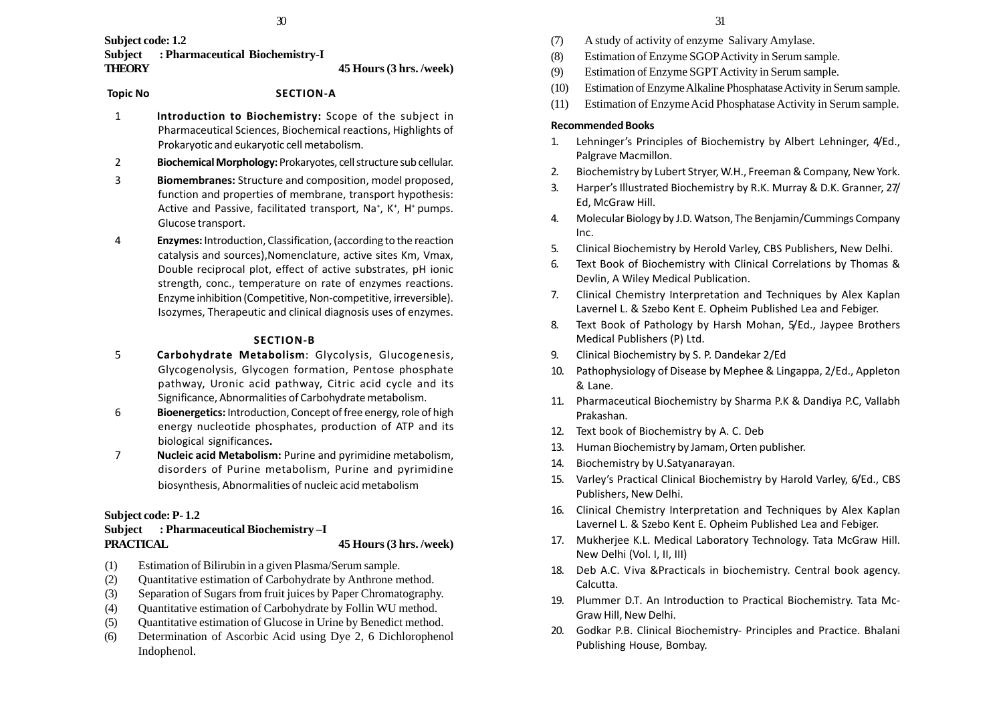**Subject code: 1.2 Subject : Pharmaceutical Biochemistry-I THEORY 45 Hours (3 hrs. /week)**

## **Topic No SECTION-A**

- 1 **Introduction to Biochemistry:** Scope of the subject in Pharmaceutical Sciences, Biochemical reactions, Highlights of Prokaryotic and eukaryotic cell metabolism.
- 2 **Biochemical Morphology:** Prokaryotes, cell structure sub cellular.
- 3 **Biomembranes:** Structure and composition, model proposed, function and properties of membrane, transport hypothesis: Active and Passive, facilitated transport, Na<sup>+</sup>, K<sup>+</sup>, H<sup>+</sup> pumps. Glucose transport.
- 4 **Enzymes:** Introduction, Classification, (according to the reaction catalysis and sources),Nomenclature, active sites Km, Vmax, Double reciprocal plot, effect of active substrates, pH ionic strength, conc., temperature on rate of enzymes reactions. Enzyme inhibition (Competitive, Non-competitive, irreversible). Isozymes, Therapeutic and clinical diagnosis uses of enzymes.

### **SECTION-B**

- 5 **Carbohydrate Metabolism**: Glycolysis, Glucogenesis, Glycogenolysis, Glycogen formation, Pentose phosphate pathway, Uronic acid pathway, Citric acid cycle and its Significance, Abnormalities of Carbohydrate metabolism.
- 6 **Bioenergetics:** Introduction, Concept of free energy, role of high energy nucleotide phosphates, production of ATP and its biological significances**.**
- 7 **Nucleic acid Metabolism:** Purine and pyrimidine metabolism, disorders of Purine metabolism, Purine and pyrimidine biosynthesis, Abnormalities of nucleic acid metabolism

### **Subject code: P- 1.2**

## **Subject : Pharmaceutical Biochemistry –I PRACTICAL 45 Hours (3 hrs. /week)**

- (1) Estimation of Bilirubin in a given Plasma/Serum sample.
- (2) Quantitative estimation of Carbohydrate by Anthrone method.
- (3) Separation of Sugars from fruit juices by Paper Chromatography.
- (4) Quantitative estimation of Carbohydrate by Follin WU method.
- (5) Quantitative estimation of Glucose in Urine by Benedict method.
- (6) Determination of Ascorbic Acid using Dye 2, 6 Dichlorophenol Indophenol.
- (7) A study of activity of enzyme Salivary Amylase.
- (8) Estimation of Enzyme SGOP Activity in Serum sample.
- (9) Estimation of Enzyme SGPT Activity in Serum sample.
- (10) Estimation of Enzyme Alkaline Phosphatase Activity in Serum sample.
- (11) Estimation of Enzyme Acid Phosphatase Activity in Serum sample.

### **Recommended Books**

- 1. Lehninger's Principles of Biochemistry by Albert Lehninger, 4/Ed., Palgrave Macmillon.
- 2. Biochemistry by Lubert Stryer, W.H., Freeman & Company, New York.
- 3. Harper's Illustrated Biochemistry by R.K. Murray & D.K. Granner, 27/ Ed, McGraw Hill.
- 4. Molecular Biology by J.D. Watson, The Benjamin/Cummings Company Inc.
- 5. Clinical Biochemistry by Herold Varley, CBS Publishers, New Delhi.
- 6. Text Book of Biochemistry with Clinical Correlations by Thomas & Devlin, A Wiley Medical Publication.
- 7. Clinical Chemistry Interpretation and Techniques by Alex Kaplan Lavernel L. & Szebo Kent E. Opheim Published Lea and Febiger.
- 8. Text Book of Pathology by Harsh Mohan, 5/Ed., Jaypee Brothers Medical Publishers (P) Ltd.
- 9. Clinical Biochemistry by S. P. Dandekar 2/Ed
- 10. Pathophysiology of Disease by Mephee & Lingappa, 2/Ed., Appleton & Lane.
- 11. Pharmaceutical Biochemistry by Sharma P.K & Dandiya P.C, Vallabh Prakashan.
- 12. Text book of Biochemistry by A. C. Deb
- 13. Human Biochemistry by Jamam, Orten publisher.
- 14. Biochemistry by U.Satyanarayan.
- 15. Varley's Practical Clinical Biochemistry by Harold Varley, 6/Ed., CBS Publishers, New Delhi.
- 16. Clinical Chemistry Interpretation and Techniques by Alex Kaplan Lavernel L. & Szebo Kent E. Opheim Published Lea and Febiger.
- 17. Mukherjee K.L. Medical Laboratory Technology. Tata McGraw Hill. New Delhi (Vol. I, II, III)
- 18. Deb A.C. Viva &Practicals in biochemistry. Central book agency. Calcutta.
- 19. Plummer D.T. An Introduction to Practical Biochemistry. Tata Mc-Graw Hill, New Delhi.
- 20. Godkar P.B. Clinical Biochemistry- Principles and Practice. Bhalani Publishing House, Bombay.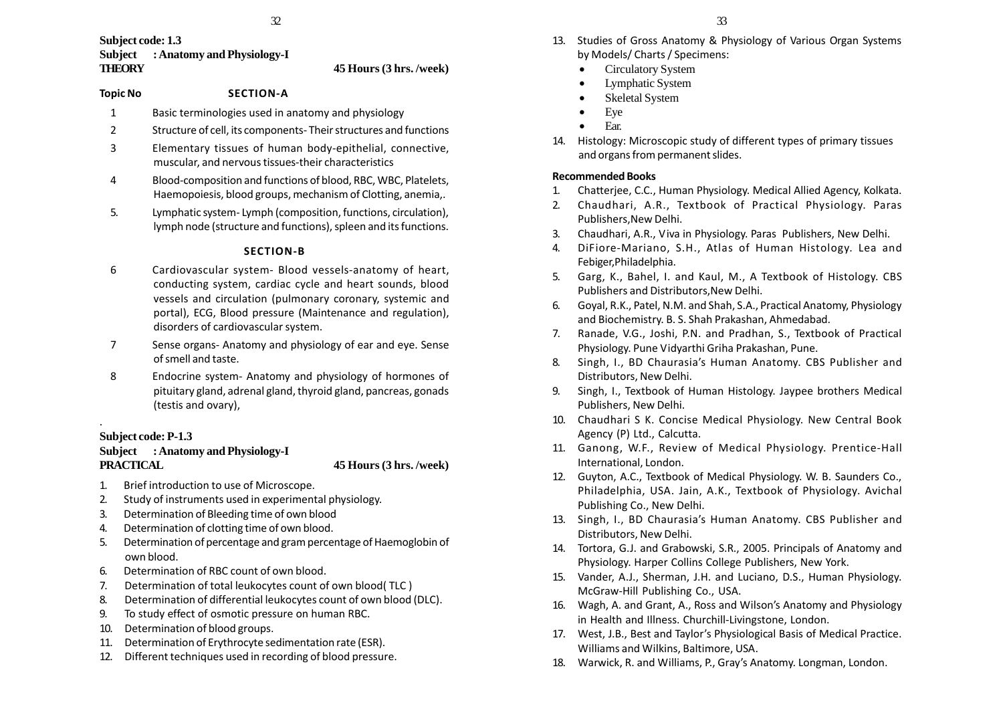32

## **Subject code: 1.3 Subject : Anatomy and Physiology-I THEORY 45 Hours (3 hrs. /week)**

#### **Topic No SECTION-A**

- 1 Basic terminologies used in anatomy and physiology
- 2 Structure of cell, its components- Their structures and functions
- 3 Elementary tissues of human body-epithelial, connective, muscular, and nervous tissues-their characteristics
- 4 Blood-composition and functions of blood, RBC, WBC, Platelets, Haemopoiesis, blood groups, mechanism of Clotting, anemia,.
- 5. Lymphatic system- Lymph (composition, functions, circulation), lymph node (structure and functions), spleen and its functions.

## **SECTION-B**

- 6 Cardiovascular system- Blood vessels-anatomy of heart, conducting system, cardiac cycle and heart sounds, blood vessels and circulation (pulmonary coronary, systemic and portal), ECG, Blood pressure (Maintenance and regulation), disorders of cardiovascular system.
- 7 Sense organs- Anatomy and physiology of ear and eye. Sense of smell and taste.
- 8 Endocrine system- Anatomy and physiology of hormones of pituitary gland, adrenal gland, thyroid gland, pancreas, gonads (testis and ovary),

## **Subject code: P-1.3**

.

## **Subject : Anatomy and Physiology-I PRACTICAL 45 Hours (3 hrs. /week)**

- 1. Brief introduction to use of Microscope.
- 2. Study of instruments used in experimental physiology.
- 3. Determination of Bleeding time of own blood
- 4. Determination of clotting time of own blood.
- 5. Determination of percentage and gram percentage of Haemoglobin of own blood.
- 6. Determination of RBC count of own blood.
- 7. Determination of total leukocytes count of own blood( TLC )
- 8. Determination of differential leukocytes count of own blood (DLC).
- 9. To study effect of osmotic pressure on human RBC.
- 10. Determination of blood groups.
- 11. Determination of Erythrocyte sedimentation rate (ESR).
- 12. Different techniques used in recording of blood pressure.
- 13. Studies of Gross Anatomy & Physiology of Various Organ Systems by Models/ Charts / Specimens:
	- •Circulatory System
	- •Lymphatic System
	- •Skeletal System
	- •Eye
	- •Ear.
- 14. Histology: Microscopic study of different types of primary tissues and organs from permanent slides.

## **Recommended Books**

- 1. Chatterjee, C.C., Human Physiology. Medical Allied Agency, Kolkata.
- 2. Chaudhari, A.R., Textbook of Practical Physiology. Paras Publishers,New Delhi.
- 3. Chaudhari, A.R., Viva in Physiology. Paras Publishers, New Delhi.
- 4. DiFiore-Mariano, S.H., Atlas of Human Histology. Lea and Febiger,Philadelphia.
- 5. Garg, K., Bahel, I. and Kaul, M., A Textbook of Histology. CBS Publishers and Distributors,New Delhi.
- 6. Goyal, R.K., Patel, N.M. and Shah, S.A., Practical Anatomy, Physiology and Biochemistry. B. S. Shah Prakashan, Ahmedabad.
- 7. Ranade, V.G., Joshi, P.N. and Pradhan, S., Textbook of Practical Physiology. Pune Vidyarthi Griha Prakashan, Pune.
- 8. Singh, I., BD Chaurasia's Human Anatomy. CBS Publisher and Distributors, New Delhi.
- 9. Singh, I., Textbook of Human Histology. Jaypee brothers Medical Publishers, New Delhi.
- 10. Chaudhari S K. Concise Medical Physiology. New Central Book Agency (P) Ltd., Calcutta.
- 11. Ganong, W.F., Review of Medical Physiology. Prentice-Hall International, London.
- 12. Guyton, A.C., Textbook of Medical Physiology. W. B. Saunders Co., Philadelphia, USA. Jain, A.K., Textbook of Physiology. Avichal Publishing Co., New Delhi.
- 13. Singh, I., BD Chaurasia's Human Anatomy. CBS Publisher and Distributors, New Delhi.
- 14. Tortora, G.J. and Grabowski, S.R., 2005. Principals of Anatomy and Physiology. Harper Collins College Publishers, New York.
- 15. Vander, A.J., Sherman, J.H. and Luciano, D.S., Human Physiology. McGraw-Hill Publishing Co., USA.
- 16. Wagh, A. and Grant, A., Ross and Wilson's Anatomy and Physiology in Health and Illness. Churchill-Livingstone, London.
- 17. West, J.B., Best and Taylor's Physiological Basis of Medical Practice. Williams and Wilkins, Baltimore, USA.
- 18. Warwick, R. and Williams, P., Gray's Anatomy. Longman, London.

33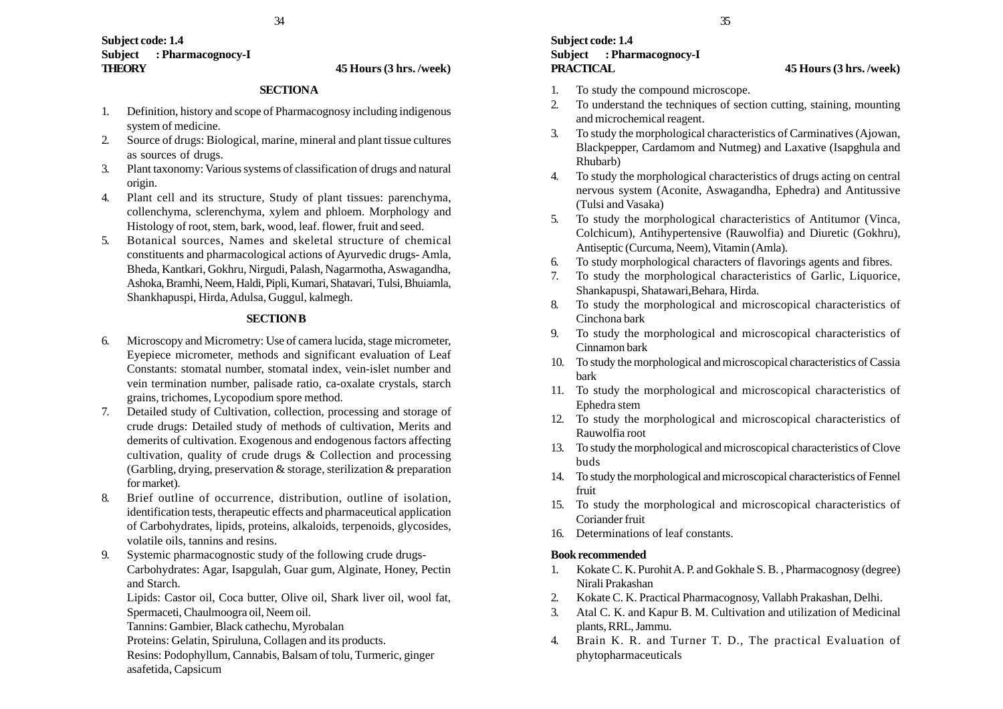## **Subject code: 1.4 Subject : Pharmacognocy-I THEORY 45 Hours (3 hrs. /week)**

## **SECTIONA**

- 1. Definition, history and scope of Pharmacognosy including indigenous system of medicine.
- 2. Source of drugs: Biological, marine, mineral and plant tissue cultures as sources of drugs.
- 3. Plant taxonomy: Various systems of classification of drugs and natural origin.
- 4. Plant cell and its structure, Study of plant tissues: parenchyma, collenchyma, sclerenchyma, xylem and phloem. Morphology and Histology of root, stem, bark, wood, leaf. flower, fruit and seed.
- 5. Botanical sources, Names and skeletal structure of chemical constituents and pharmacological actions of Ayurvedic drugs- Amla, Bheda, Kantkari, Gokhru, Nirgudi, Palash, Nagarmotha, Aswagandha, Ashoka, Bramhi, Neem, Haldi, Pipli, Kumari, Shatavari, Tulsi, Bhuiamla, Shankhapuspi, Hirda, Adulsa, Guggul, kalmegh.

## **SECTION B**

- 6. Microscopy and Micrometry: Use of camera lucida, stage micrometer, Eyepiece micrometer, methods and significant evaluation of Leaf Constants: stomatal number, stomatal index, vein-islet number and vein termination number, palisade ratio, ca-oxalate crystals, starch grains, trichomes, Lycopodium spore method.
- 7. Detailed study of Cultivation, collection, processing and storage of crude drugs: Detailed study of methods of cultivation, Merits and demerits of cultivation. Exogenous and endogenous factors affecting cultivation, quality of crude drugs & Collection and processing (Garbling, drying, preservation & storage, sterilization & preparation for market).
- 8. Brief outline of occurrence, distribution, outline of isolation, identification tests, therapeutic effects and pharmaceutical application of Carbohydrates, lipids, proteins, alkaloids, terpenoids, glycosides, volatile oils, tannins and resins.
- 9. Systemic pharmacognostic study of the following crude drugs-Carbohydrates: Agar, Isapgulah, Guar gum, Alginate, Honey, Pectin and Starch.

Lipids: Castor oil, Coca butter, Olive oil, Shark liver oil, wool fat, Spermaceti, Chaulmoogra oil, Neem oil.

- Tannins: Gambier, Black cathechu, Myrobalan
- Proteins: Gelatin, Spiruluna, Collagen and its products.
- Resins: Podophyllum, Cannabis, Balsam of tolu, Turmeric, ginger asafetida, Capsicum

## **Subject code: 1.4 Subject : Pharmacognocy-I PRACTICAL 45 Hours (3 hrs. /week)**

- 1. To study the compound microscope.
- 2. To understand the techniques of section cutting, staining, mounting and microchemical reagent.
- 3. To study the morphological characteristics of Carminatives (Ajowan, Blackpepper, Cardamom and Nutmeg) and Laxative (Isapghula and Rhubarb)
- 4. To study the morphological characteristics of drugs acting on central nervous system (Aconite, Aswagandha, Ephedra) and Antitussive (Tulsi and Vasaka)
- 5. To study the morphological characteristics of Antitumor (Vinca, Colchicum), Antihypertensive (Rauwolfia) and Diuretic (Gokhru), Antiseptic (Curcuma, Neem), Vitamin (Amla).
- 6. To study morphological characters of flavorings agents and fibres.
- 7. To study the morphological characteristics of Garlic, Liquorice, Shankapuspi, Shatawari,Behara, Hirda.
- 8. To study the morphological and microscopical characteristics of Cinchona bark
- 9. To study the morphological and microscopical characteristics of Cinnamon bark
- 10. To study the morphological and microscopical characteristics of Cassia bark
- 11. To study the morphological and microscopical characteristics of Ephedra stem
- 12. To study the morphological and microscopical characteristics of Rauwolfia root
- 13. To study the morphological and microscopical characteristics of Clove buds
- 14. To study the morphological and microscopical characteristics of Fennel fruit
- 15. To study the morphological and microscopical characteristics of Coriander fruit
- 16. Determinations of leaf constants.

## **Book recommended**

- 1. Kokate C. K. Purohit A. P. and Gokhale S. B. , Pharmacognosy (degree) Nirali Prakashan
- 2. Kokate C. K. Practical Pharmacognosy, Vallabh Prakashan, Delhi.
- 3. Atal C. K. and Kapur B. M. Cultivation and utilization of Medicinal plants, RRL, Jammu.
- 4. Brain K. R. and Turner T. D., The practical Evaluation of phytopharmaceuticals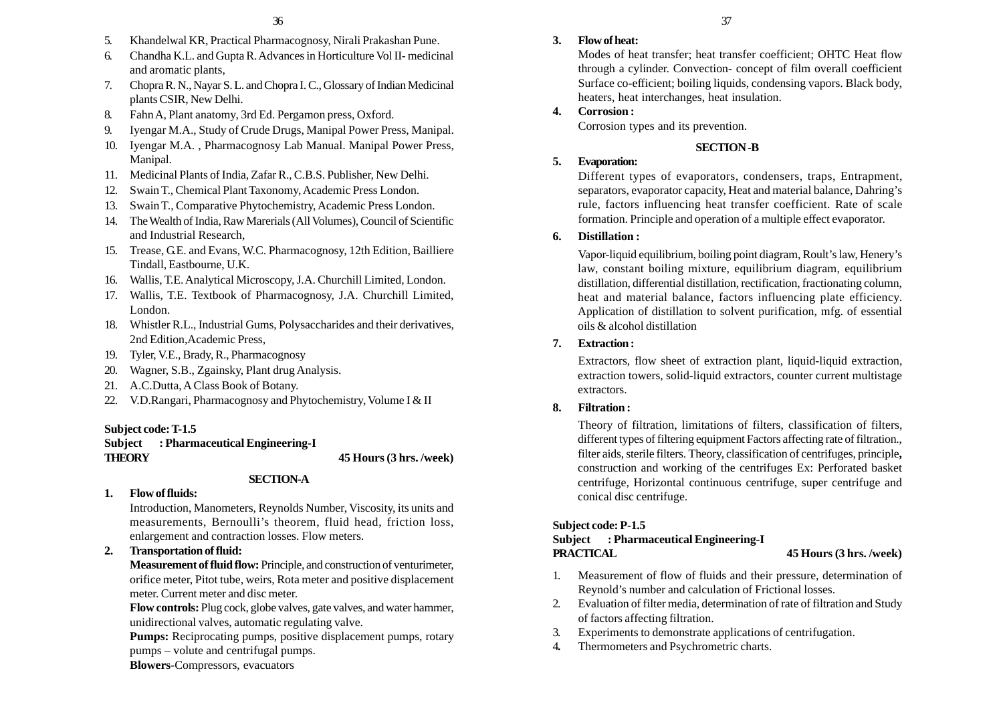- 5. Khandelwal KR, Practical Pharmacognosy, Nirali Prakashan Pune.
- 6. Chandha K.L. and Gupta R. Advances in Horticulture Vol II- medicinal and aromatic plants,
- 7. Chopra R. N., Nayar S. L. and Chopra I. C., Glossary of Indian Medicinal plants CSIR, New Delhi.
- 8. Fahn A, Plant anatomy, 3rd Ed. Pergamon press, Oxford.
- 9. Iyengar M.A., Study of Crude Drugs, Manipal Power Press, Manipal.
- 10. Iyengar M.A. , Pharmacognosy Lab Manual. Manipal Power Press, Manipal.
- 11. Medicinal Plants of India, Zafar R., C.B.S. Publisher, New Delhi.
- 12. Swain T., Chemical Plant Taxonomy, Academic Press London.
- 13. Swain T., Comparative Phytochemistry, Academic Press London.
- 14. The Wealth of India, Raw Marerials (All Volumes), Council of Scientific and Industrial Research,
- 15. Trease, G.E. and Evans, W.C. Pharmacognosy, 12th Edition, Bailliere Tindall, Eastbourne, U.K.
- 16. Wallis, T.E. Analytical Microscopy, J.A. Churchill Limited, London.
- 17. Wallis, T.E. Textbook of Pharmacognosy, J.A. Churchill Limited, London.
- 18. Whistler R.L., Industrial Gums, Polysaccharides and their derivatives, 2nd Edition,Academic Press,
- 19. Tyler, V.E., Brady, R., Pharmacognosy
- 20. Wagner, S.B., Zgainsky, Plant drug Analysis.
- 21. A.C.Dutta, A Class Book of Botany.
- 22. V.D.Rangari, Pharmacognosy and Phytochemistry, Volume I & II

## **Subject code: T-1.5**

**Subject : Pharmaceutical Engineering-I THEORY 45 Hours (3 hrs. /week)**

## **SECTION-A**

**1. Flow of fluids:**

Introduction, Manometers, Reynolds Number, Viscosity, its units and measurements, Bernoulli's theorem, fluid head, friction loss, enlargement and contraction losses. Flow meters.

## **2. Transportation of fluid:**

**Measurement of fluid flow:** Principle, and construction of venturimeter, orifice meter, Pitot tube, weirs, Rota meter and positive displacement meter. Current meter and disc meter.

**Flow controls:** Plug cock, globe valves, gate valves, and water hammer, unidirectional valves, automatic regulating valve.

**Pumps:** Reciprocating pumps, positive displacement pumps, rotary pumps – volute and centrifugal pumps.

**Blowers**-Compressors, evacuators

## **3. Flow of heat:**

Modes of heat transfer; heat transfer coefficient; OHTC Heat flow through a cylinder. Convection- concept of film overall coefficient Surface co-efficient; boiling liquids, condensing vapors. Black body, heaters, heat interchanges, heat insulation.

## **4. Corrosion :**

Corrosion types and its prevention.

## **SECTION -B**

## **5. Evaporation:**

Different types of evaporators, condensers, traps, Entrapment, separators, evaporator capacity, Heat and material balance, Dahring's rule, factors influencing heat transfer coefficient. Rate of scale formation. Principle and operation of a multiple effect evaporator.

## **6. Distillation :**

Vapor-liquid equilibrium, boiling point diagram, Roult's law, Henery's law, constant boiling mixture, equilibrium diagram, equilibrium distillation, differential distillation, rectification, fractionating column, heat and material balance, factors influencing plate efficiency. Application of distillation to solvent purification, mfg. of essential oils & alcohol distillation

## **7. Extraction :**

Extractors, flow sheet of extraction plant, liquid-liquid extraction, extraction towers, solid-liquid extractors, counter current multistage extractors.

### **8. Filtration :**

Theory of filtration, limitations of filters, classification of filters, different types of filtering equipment Factors affecting rate of filtration., filter aids, sterile filters. Theory, classification of centrifuges, principle**,** construction and working of the centrifuges Ex: Perforated basket centrifuge, Horizontal continuous centrifuge, super centrifuge and conical disc centrifuge.

## **Subject code: P-1.5**

## **Subject : Pharmaceutical Engineering-I PRACTICAL 45 Hours (3 hrs. /week)**

- 1. Measurement of flow of fluids and their pressure, determination of Reynold's number and calculation of Frictional losses.
- 2. Evaluation of filter media, determination of rate of filtration and Study of factors affecting filtration.
- 3. Experiments to demonstrate applications of centrifugation.
- 4**.** Thermometers and Psychrometric charts.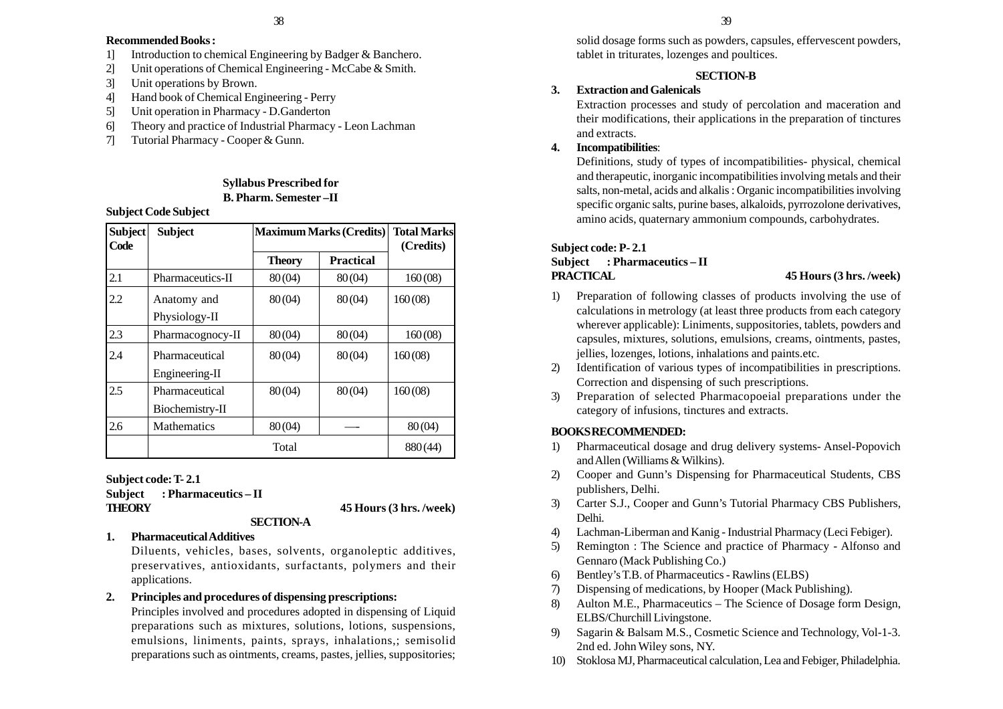## **Recommended Books :**

- 1] Introduction to chemical Engineering by Badger & Banchero.
- 2] Unit operations of Chemical Engineering McCabe & Smith.
- 3] Unit operations by Brown.
- 4] Hand book of Chemical Engineering Perry
- 5] Unit operation in Pharmacy D.Ganderton
- 6] Theory and practice of Industrial Pharmacy Leon Lachman
- 7] Tutorial Pharmacy Cooper & Gunn.

## **Syllabus Prescribed for B. Pharm. Semester –II**

## **Subject Code Subject**

| <b>Subject</b><br>Code | <b>Subject</b>                    | <b>Maximum Marks (Credits)</b> |                  | <b>Total Marks</b><br>(Credits) |
|------------------------|-----------------------------------|--------------------------------|------------------|---------------------------------|
|                        |                                   | <b>Theory</b>                  | <b>Practical</b> |                                 |
| 2.1                    | Pharmaceutics-II                  | 80(04)                         | 80(04)           | 160(08)                         |
| 2.2                    | Anatomy and<br>Physiology-II      | 80(04)                         | 80(04)           | 160(08)                         |
| 2.3                    | Pharmacognocy-II                  | 80(04)                         | 80(04)           | 160(08)                         |
| 2.4                    | Pharmaceutical<br>Engineering-II  | 80(04)                         | 80(04)           | 160(08)                         |
| 2.5                    | Pharmaceutical<br>Biochemistry-II | 80(04)                         | 80(04)           | 160(08)                         |
| 2.6                    | <b>Mathematics</b>                | 80(04)                         |                  | 80(04)                          |
|                        | Total                             |                                | 880(44)          |                                 |

**Subject code: T- 2.1 Subject : Pharmaceutics – II THEORY 45 Hours (3 hrs. /week)**

## **1. Pharmaceutical Additives**

Diluents, vehicles, bases, solvents, organoleptic additives, preservatives, antioxidants, surfactants, polymers and their applications.

**SECTION-A**

## **2. Principles and procedures of dispensing prescriptions:**

Principles involved and procedures adopted in dispensing of Liquid preparations such as mixtures, solutions, lotions, suspensions, emulsions, liniments, paints, sprays, inhalations,; semisolid preparations such as ointments, creams, pastes, jellies, suppositories; solid dosage forms such as powders, capsules, effervescent powders, tablet in triturates, lozenges and poultices.

## **SECTION-B**

## **3. Extraction and Galenicals**

Extraction processes and study of percolation and maceration and their modifications, their applications in the preparation of tinctures and extracts.

## **4. Incompatibilities**:

Definitions, study of types of incompatibilities- physical, chemical and therapeutic, inorganic incompatibilities involving metals and their salts, non-metal, acids and alkalis : Organic incompatibilities involving specific organic salts, purine bases, alkaloids, pyrrozolone derivatives, amino acids, quaternary ammonium compounds, carbohydrates.

## **Subject code: P- 2.1 Subject : Pharmaceutics – II PRACTICAL 45 Hours (3 hrs. /week)**

- 1) Preparation of following classes of products involving the use of calculations in metrology (at least three products from each category wherever applicable): Liniments, suppositories, tablets, powders and capsules, mixtures, solutions, emulsions, creams, ointments, pastes, jellies, lozenges, lotions, inhalations and paints.etc.
- 2) Identification of various types of incompatibilities in prescriptions. Correction and dispensing of such prescriptions.
- 3) Preparation of selected Pharmacopoeial preparations under the category of infusions, tinctures and extracts.

## **BOOKS RECOMMENDED:**

- 1) Pharmaceutical dosage and drug delivery systems- Ansel-Popovich and Allen (Williams & Wilkins).
- 2) Cooper and Gunn's Dispensing for Pharmaceutical Students, CBS publishers, Delhi.
- 3) Carter S.J., Cooper and Gunn's Tutorial Pharmacy CBS Publishers, Delhi.
- 4) Lachman-Liberman and Kanig Industrial Pharmacy (Leci Febiger).
- 5) Remington : The Science and practice of Pharmacy Alfonso and Gennaro (Mack Publishing Co.)
- 6) Bentley's T.B. of Pharmaceutics Rawlins (ELBS)
- 7) Dispensing of medications, by Hooper (Mack Publishing).
- 8) Aulton M.E., Pharmaceutics The Science of Dosage form Design, ELBS/Churchill Livingstone.
- 9) Sagarin & Balsam M.S., Cosmetic Science and Technology, Vol-1-3. 2nd ed. John Wiley sons, NY.
- 10) Stoklosa MJ, Pharmaceutical calculation, Lea and Febiger, Philadelphia.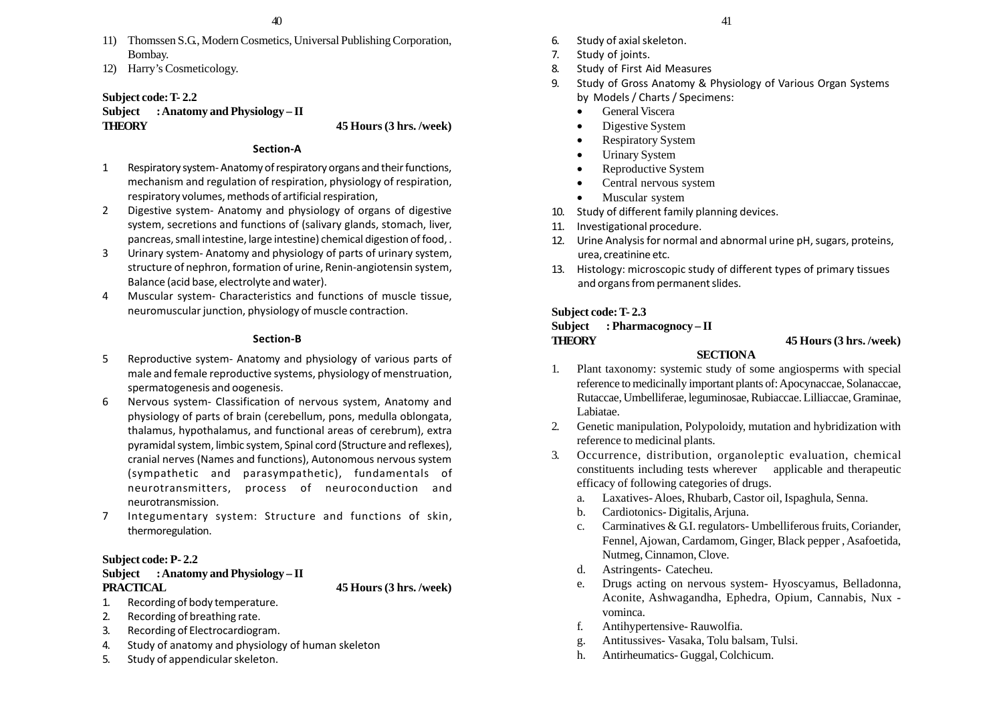- 11) Thomssen S.G., Modern Cosmetics, Universal Publishing Corporation, Bombay.
- 12) Harry's Cosmeticology.

## **Subject code: T- 2.2**

## **Subject : Anatomy and Physiology – II THEORY 45 Hours (3 hrs. /week)**

### **Section-A**

- 1 Respiratory system- Anatomy of respiratory organs and their functions, mechanism and regulation of respiration, physiology of respiration, respiratory volumes, methods of artificial respiration,
- 2 Digestive system- Anatomy and physiology of organs of digestive system, secretions and functions of (salivary glands, stomach, liver, pancreas, small intestine, large intestine) chemical digestion of food, .
- 3 Urinary system- Anatomy and physiology of parts of urinary system, structure of nephron, formation of urine, Renin-angiotensin system, Balance (acid base, electrolyte and water).
- 4 Muscular system- Characteristics and functions of muscle tissue, neuromuscular junction, physiology of muscle contraction.

### **Section-B**

- 5 Reproductive system- Anatomy and physiology of various parts of male and female reproductive systems, physiology of menstruation, spermatogenesis and oogenesis.
- 6 Nervous system- Classification of nervous system, Anatomy and physiology of parts of brain (cerebellum, pons, medulla oblongata, thalamus, hypothalamus, and functional areas of cerebrum), extra pyramidal system, limbic system, Spinal cord (Structure and reflexes), cranial nerves (Names and functions), Autonomous nervous system (sympathetic and parasympathetic), fundamentals of neurotransmitters, process of neuroconduction and neurotransmission.
- 7 Integumentary system: Structure and functions of skin, thermoregulation.

## **Subject code: P- 2.2**

## **Subject : Anatomy and Physiology – II PRACTICAL 45 Hours (3 hrs. /week)**

- 1. Recording of body temperature.
- 2. Recording of breathing rate.
- 3. Recording of Electrocardiogram.
- 4. Study of anatomy and physiology of human skeleton
- 5. Study of appendicular skeleton.
- 6. Study of axial skeleton.
- 7. Study of joints.
- 8. Study of First Aid Measures
- 9. Study of Gross Anatomy & Physiology of Various Organ Systems by Models / Charts / Specimens:
	- •General Viscera
	- •Digestive System
	- •Respiratory System
	- •Urinary System
	- •Reproductive System
	- •Central nervous system
	- $\bullet$ Muscular system
- 10. Study of different family planning devices.
- 11. Investigational procedure.
- 12. Urine Analysis for normal and abnormal urine pH, sugars, proteins, urea, creatinine etc.
- 13. Histology: microscopic study of different types of primary tissues and organs from permanent slides.

## **Subject code: T- 2.3**

# **Subject : Pharmacognocy – II**

## **THEORY 45 Hours (3 hrs. /week)**

## **SECTIONA**

- 1. Plant taxonomy: systemic study of some angiosperms with special reference to medicinally important plants of: Apocynaccae, Solanaccae, Rutaccae, Umbelliferae, leguminosae, Rubiaccae. Lilliaccae, Graminae, Labiatae.
- 2. Genetic manipulation, Polypoloidy, mutation and hybridization with reference to medicinal plants.
- 3. Occurrence, distribution, organoleptic evaluation, chemical constituents including tests wherever applicable and therapeutic efficacy of following categories of drugs.
	- a. Laxatives- Aloes, Rhubarb, Castor oil, Ispaghula, Senna.
	- b. Cardiotonics- Digitalis, Arjuna.
	- c. Carminatives & G.I. regulators- Umbelliferous fruits, Coriander, Fennel, Ajowan, Cardamom, Ginger, Black pepper , Asafoetida, Nutmeg, Cinnamon, Clove.
	- d. Astringents- Catecheu.
	- e. Drugs acting on nervous system- Hyoscyamus, Belladonna, Aconite, Ashwagandha, Ephedra, Opium, Cannabis, Nux vominca.
	- f. Antihypertensive- Rauwolfia.
	- g. Antitussives- Vasaka, Tolu balsam, Tulsi.
	- h. Antirheumatics- Guggal, Colchicum.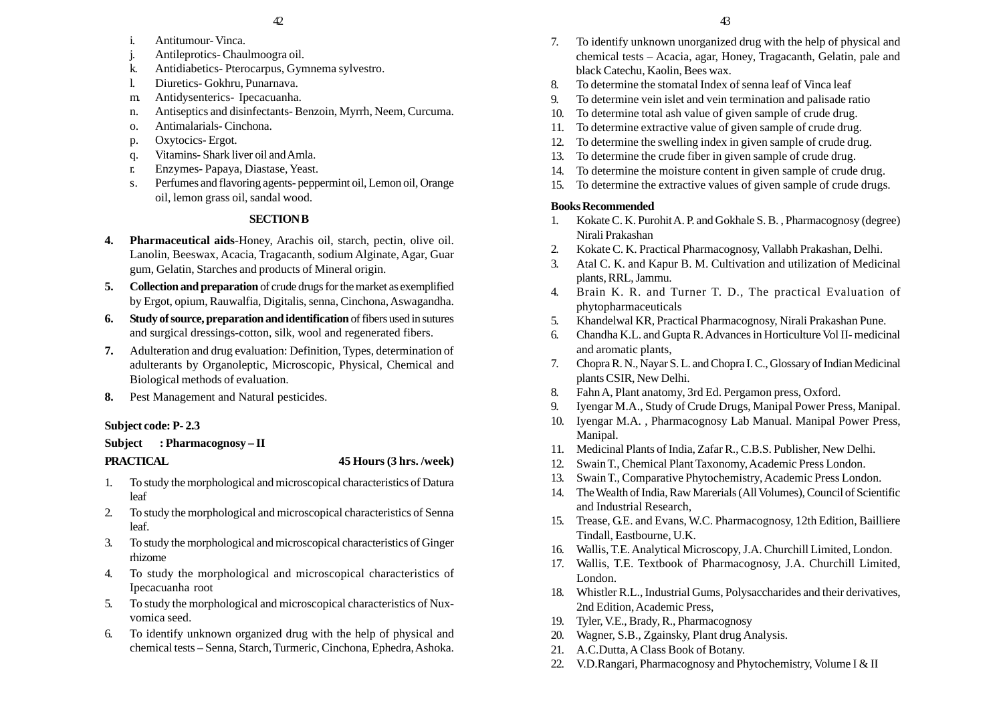- i. Antitumour- Vinca.
- j. Antileprotics- Chaulmoogra oil.
- k. Antidiabetics- Pterocarpus, Gymnema sylvestro.
- l. Diuretics- Gokhru, Punarnava.
- m. Antidysenterics- Ipecacuanha.
- n. Antiseptics and disinfectants- Benzoin, Myrrh, Neem, Curcuma.
- o. Antimalarials- Cinchona.
- p. Oxytocics- Ergot.
- q. Vitamins- Shark liver oil and Amla.
- r. Enzymes- Papaya, Diastase, Yeast.
- s. Perfumes and flavoring agents- peppermint oil, Lemon oil, Orange oil, lemon grass oil, sandal wood.

## **SECTION B**

- **4. Pharmaceutical aids**-Honey, Arachis oil, starch, pectin, olive oil. Lanolin, Beeswax, Acacia, Tragacanth, sodium Alginate, Agar, Guar gum, Gelatin, Starches and products of Mineral origin.
- **5. Collection and preparation** of crude drugs for the market as exemplified by Ergot, opium, Rauwalfia, Digitalis, senna, Cinchona, Aswagandha.
- **6. Study of source, preparation and identification** of fibers used in sutures and surgical dressings-cotton, silk, wool and regenerated fibers.
- **7.** Adulteration and drug evaluation: Definition, Types, determination of adulterants by Organoleptic, Microscopic, Physical, Chemical and Biological methods of evaluation.
- **8.** Pest Management and Natural pesticides.

## **Subject code: P- 2.3**

## **Subject : Pharmacognosy – II**

**PRACTICAL 45 Hours (3 hrs. /week)**

- 1. To study the morphological and microscopical characteristics of Datura leaf
- 2. To study the morphological and microscopical characteristics of Senna leaf.
- 3. To study the morphological and microscopical characteristics of Ginger rhizome
- 4. To study the morphological and microscopical characteristics of Ipecacuanha root
- 5. To study the morphological and microscopical characteristics of Nuxvomica seed.
- 6. To identify unknown organized drug with the help of physical and chemical tests – Senna, Starch, Turmeric, Cinchona, Ephedra, Ashoka.
- 7. To identify unknown unorganized drug with the help of physical and chemical tests – Acacia, agar, Honey, Tragacanth, Gelatin, pale and black Catechu, Kaolin, Bees wax.
- 8. To determine the stomatal Index of senna leaf of Vinca leaf
- 9. To determine vein islet and vein termination and palisade ratio
- 10. To determine total ash value of given sample of crude drug.
- 11. To determine extractive value of given sample of crude drug.
- 12. To determine the swelling index in given sample of crude drug.
- 13. To determine the crude fiber in given sample of crude drug.
- 14. To determine the moisture content in given sample of crude drug.
- 15. To determine the extractive values of given sample of crude drugs.

## **Books Recommended**

- 1. Kokate C. K. Purohit A. P. and Gokhale S. B. , Pharmacognosy (degree) Nirali Prakashan
- 2. Kokate C. K. Practical Pharmacognosy, Vallabh Prakashan, Delhi.
- 3. Atal C. K. and Kapur B. M. Cultivation and utilization of Medicinal plants, RRL, Jammu.
- 4. Brain K. R. and Turner T. D., The practical Evaluation of phytopharmaceuticals
- 5. Khandelwal KR, Practical Pharmacognosy, Nirali Prakashan Pune.
- 6. Chandha K.L. and Gupta R. Advances in Horticulture Vol II- medicinal and aromatic plants,
- 7. Chopra R. N., Nayar S. L. and Chopra I. C., Glossary of Indian Medicinal plants CSIR, New Delhi.
- 8. Fahn A, Plant anatomy, 3rd Ed. Pergamon press, Oxford.
- 9. Iyengar M.A., Study of Crude Drugs, Manipal Power Press, Manipal.
- 10. Iyengar M.A. , Pharmacognosy Lab Manual. Manipal Power Press, Manipal.
- 11. Medicinal Plants of India, Zafar R., C.B.S. Publisher, New Delhi.
- 12. Swain T., Chemical Plant Taxonomy, Academic Press London.
- 13. Swain T., Comparative Phytochemistry, Academic Press London.
- 14. The Wealth of India, Raw Marerials (All Volumes), Council of Scientific and Industrial Research,
- 15. Trease, G.E. and Evans, W.C. Pharmacognosy, 12th Edition, Bailliere Tindall, Eastbourne, U.K.
- 16. Wallis, T.E. Analytical Microscopy, J.A. Churchill Limited, London.
- 17. Wallis, T.E. Textbook of Pharmacognosy, J.A. Churchill Limited, London.
- 18. Whistler R.L., Industrial Gums, Polysaccharides and their derivatives, 2nd Edition, Academic Press,
- 19. Tyler, V.E., Brady, R., Pharmacognosy
- 20. Wagner, S.B., Zgainsky, Plant drug Analysis.
- 21. A.C.Dutta, A Class Book of Botany.
- 22. V.D.Rangari, Pharmacognosy and Phytochemistry, Volume I & II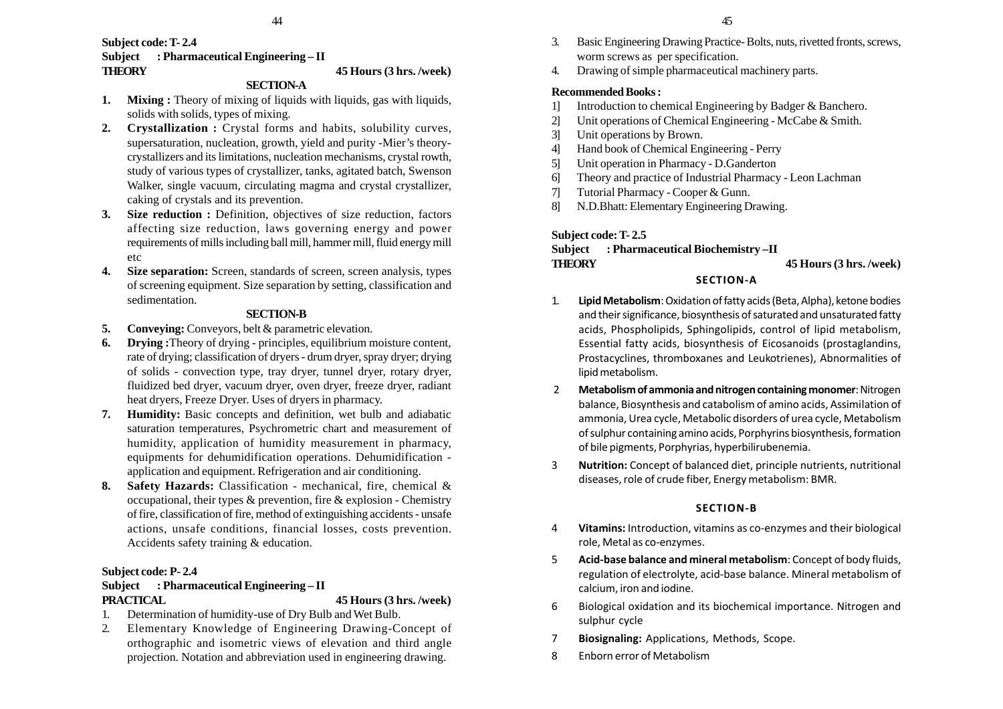## **Subject code: T- 2.4 Subject : Pharmaceutical Engineering – II THEORY 45 Hours (3 hrs. /week)**

## **SECTION-A**

- **1. Mixing :** Theory of mixing of liquids with liquids, gas with liquids, solids with solids, types of mixing.
- **2. Crystallization :** Crystal forms and habits, solubility curves, supersaturation, nucleation, growth, yield and purity -Mier's theorycrystallizers and its limitations, nucleation mechanisms, crystal rowth, study of various types of crystallizer, tanks, agitated batch, Swenson Walker, single vacuum, circulating magma and crystal crystallizer, caking of crystals and its prevention.
- **3. Size reduction :** Definition, objectives of size reduction, factors affecting size reduction, laws governing energy and power requirements of mills including ball mill, hammer mill, fluid energy mill etc
- **4. Size separation:** Screen, standards of screen, screen analysis, types of screening equipment. Size separation by setting, classification and sedimentation.

## **SECTION-B**

- **5. Conveying:** Conveyors, belt & parametric elevation.
- **6. Drying :**Theory of drying principles, equilibrium moisture content, rate of drying; classification of dryers - drum dryer, spray dryer; drying of solids - convection type, tray dryer, tunnel dryer, rotary dryer, fluidized bed dryer, vacuum dryer, oven dryer, freeze dryer, radiant heat dryers, Freeze Dryer. Uses of dryers in pharmacy.
- **7. Humidity:** Basic concepts and definition, wet bulb and adiabatic saturation temperatures, Psychrometric chart and measurement of humidity, application of humidity measurement in pharmacy, equipments for dehumidification operations. Dehumidification application and equipment. Refrigeration and air conditioning.
- **8. Safety Hazards:** Classification mechanical, fire, chemical & occupational, their types & prevention, fire & explosion - Chemistry of fire, classification of fire, method of extinguishing accidents - unsafe actions, unsafe conditions, financial losses, costs prevention. Accidents safety training & education.

## **Subject code: P- 2.4**

## **Subject : Pharmaceutical Engineering – II PRACTICAL 45 Hours (3 hrs. /week)**

- 1. Determination of humidity-use of Dry Bulb and Wet Bulb.
- 2. Elementary Knowledge of Engineering Drawing-Concept of orthographic and isometric views of elevation and third angle projection. Notation and abbreviation used in engineering drawing.
- 3. Basic Engineering Drawing Practice- Bolts, nuts, rivetted fronts, screws, worm screws as per specification.
- 4. Drawing of simple pharmaceutical machinery parts.

### **Recommended Books :**

- 1] Introduction to chemical Engineering by Badger & Banchero.
- 2] Unit operations of Chemical Engineering McCabe & Smith.
- 3] Unit operations by Brown.
- 4] Hand book of Chemical Engineering Perry
- 5] Unit operation in Pharmacy D.Ganderton
- 6] Theory and practice of Industrial Pharmacy Leon Lachman
- 7] Tutorial Pharmacy Cooper & Gunn.
- 8] N.D.Bhatt: Elementary Engineering Drawing.

## **Subject code: T- 2.5**

## **Subject : Pharmaceutical Biochemistry –II THEORY 45 Hours (3 hrs. /week)**

## **SECTION-A**

- 1. **Lipid Metabolism**: Oxidation of fatty acids (Beta, Alpha), ketone bodies and their significance, biosynthesis of saturated and unsaturated fatty acids, Phospholipids, Sphingolipids, control of lipid metabolism, Essential fatty acids, biosynthesis of Eicosanoids (prostaglandins, Prostacyclines, thromboxanes and Leukotrienes), Abnormalities of lipid metabolism.
- 2 **Metabolism of ammonia and nitrogen containing monomer**: Nitrogen balance, Biosynthesis and catabolism of amino acids, Assimilation of ammonia, Urea cycle, Metabolic disorders of urea cycle, Metabolism of sulphur containing amino acids, Porphyrins biosynthesis, formation of bile pigments, Porphyrias, hyperbilirubenemia.
- 3 **Nutrition:** Concept of balanced diet, principle nutrients, nutritional diseases, role of crude fiber, Energy metabolism: BMR.

## **SECTION-B**

- 4 **Vitamins:** Introduction, vitamins as co-enzymes and their biological role, Metal as co-enzymes.
- 5 **Acid-base balance and mineral metabolism**: Concept of body fluids, regulation of electrolyte, acid-base balance. Mineral metabolism of calcium, iron and iodine.
- 6 Biological oxidation and its biochemical importance. Nitrogen and sulphur cycle
- 7 **Biosignaling:** Applications, Methods, Scope.
- 8 Enborn error of Metabolism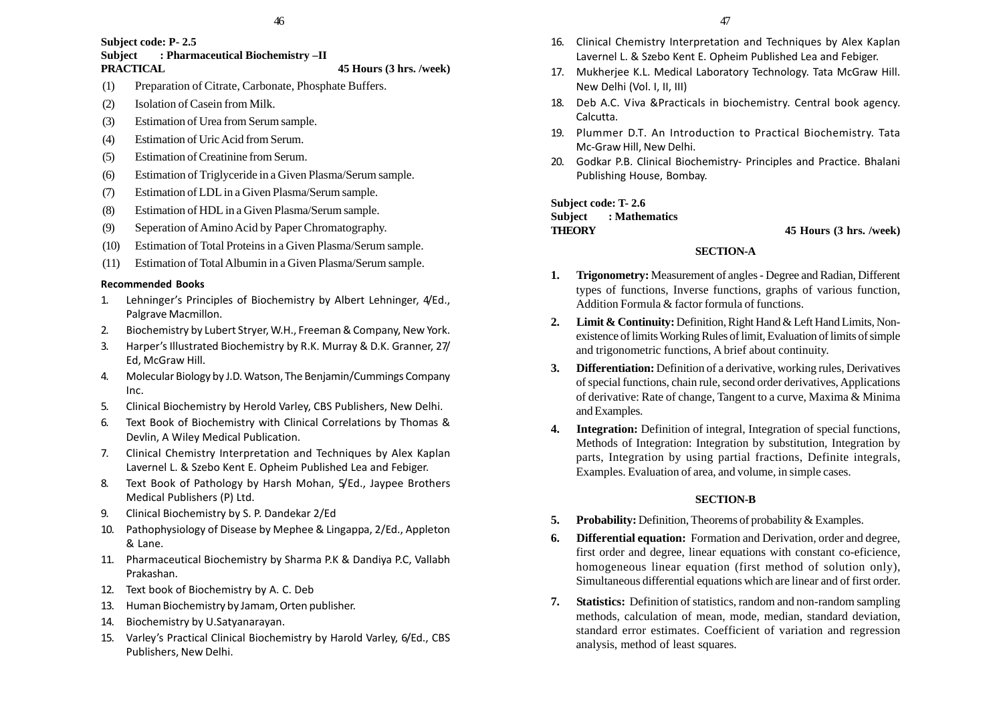### **Subject code: P- 2.5 Subject : Pharmaceutical Biochemistry –II**

## **PRACTICAL 45 Hours (3 hrs. /week)**

- (1) Preparation of Citrate, Carbonate, Phosphate Buffers.
- (2) Isolation of Casein from Milk.
- (3) Estimation of Urea from Serum sample.
- (4) Estimation of Uric Acid from Serum.
- (5) Estimation of Creatinine from Serum.
- (6) Estimation of Triglyceride in a Given Plasma/Serum sample.
- (7) Estimation of LDL in a Given Plasma/Serum sample.
- (8) Estimation of HDL in a Given Plasma/Serum sample.
- (9) Seperation of Amino Acid by Paper Chromatography.
- (10) Estimation of Total Proteins in a Given Plasma/Serum sample.
- (11) Estimation of Total Albumin in a Given Plasma/Serum sample.

## **Recommended Books**

- 1. Lehninger's Principles of Biochemistry by Albert Lehninger, 4/Ed., Palgrave Macmillon.
- 2. Biochemistry by Lubert Stryer, W.H., Freeman & Company, New York.
- 3. Harper's Illustrated Biochemistry by R.K. Murray & D.K. Granner, 27/ Ed, McGraw Hill.
- 4. Molecular Biology by J.D. Watson, The Benjamin/Cummings Company Inc.
- 5. Clinical Biochemistry by Herold Varley, CBS Publishers, New Delhi.
- 6. Text Book of Biochemistry with Clinical Correlations by Thomas & Devlin, A Wiley Medical Publication.
- 7. Clinical Chemistry Interpretation and Techniques by Alex Kaplan Lavernel L. & Szebo Kent E. Opheim Published Lea and Febiger.
- 8. Text Book of Pathology by Harsh Mohan, 5/Ed., Jaypee Brothers Medical Publishers (P) Ltd.
- 9. Clinical Biochemistry by S. P. Dandekar 2/Ed
- 10. Pathophysiology of Disease by Mephee & Lingappa, 2/Ed., Appleton & Lane.
- 11. Pharmaceutical Biochemistry by Sharma P.K & Dandiya P.C, Vallabh Prakashan.
- 12. Text book of Biochemistry by A. C. Deb
- 13. Human Biochemistry by Jamam, Orten publisher.
- 14. Biochemistry by U.Satyanarayan.
- 15. Varley's Practical Clinical Biochemistry by Harold Varley, 6/Ed., CBS Publishers, New Delhi.
- 16. Clinical Chemistry Interpretation and Techniques by Alex Kaplan Lavernel L. & Szebo Kent E. Opheim Published Lea and Febiger.
- 17. Mukherjee K.L. Medical Laboratory Technology. Tata McGraw Hill. New Delhi (Vol. I, II, III)
- 18. Deb A.C. Viva &Practicals in biochemistry. Central book agency. Calcutta.
- 19. Plummer D.T. An Introduction to Practical Biochemistry. Tata Mc-Graw Hill, New Delhi.
- 20. Godkar P.B. Clinical Biochemistry- Principles and Practice. Bhalani Publishing House, Bombay.

# **Subject code: T- 2.6 Subject : Mathematics**

**THEORY 45 Hours (3 hrs. /week)**

## **SECTION-A**

- **1. Trigonometry:** Measurement of angles Degree and Radian, Different types of functions, Inverse functions, graphs of various function, Addition Formula & factor formula of functions.
- **2. Limit & Continuity:** Definition, Right Hand & Left Hand Limits, Nonexistence of limits Working Rules of limit, Evaluation of limits of simple and trigonometric functions, A brief about continuity.
- **3. Differentiation:** Definition of a derivative, working rules, Derivatives of special functions, chain rule, second order derivatives, Applications of derivative: Rate of change, Tangent to a curve, Maxima & Minima and Examples.
- **4. Integration:** Definition of integral, Integration of special functions, Methods of Integration: Integration by substitution, Integration by parts, Integration by using partial fractions, Definite integrals, Examples. Evaluation of area, and volume, in simple cases.

## **SECTION-B**

- **5. Probability:** Definition, Theorems of probability & Examples.
- **6. Differential equation:** Formation and Derivation, order and degree, first order and degree, linear equations with constant co-eficience, homogeneous linear equation (first method of solution only), Simultaneous differential equations which are linear and of first order.
- **7. Statistics:** Definition of statistics, random and non-random sampling methods, calculation of mean, mode, median, standard deviation, standard error estimates. Coefficient of variation and regression analysis, method of least squares.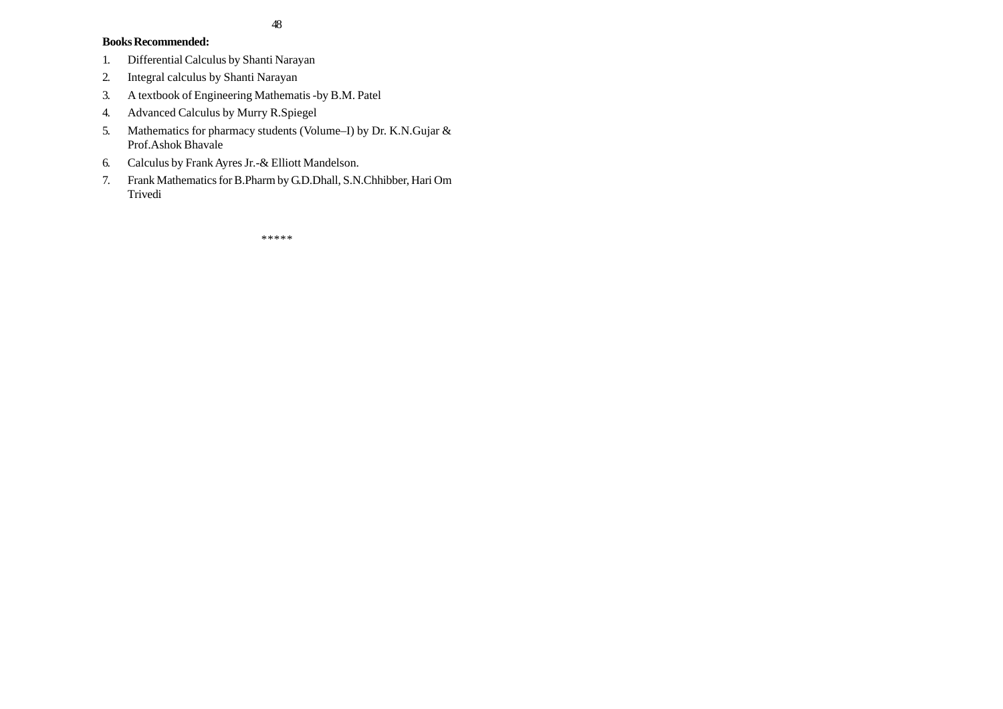## **Books Recommended:**

- 1. Differential Calculus by Shanti Narayan
- 2. Integral calculus by Shanti Narayan
- 3. A textbook of Engineering Mathematis -by B.M. Patel
- 4. Advanced Calculus by Murry R.Spiegel
- 5. Mathematics for pharmacy students (Volume–I) by Dr. K.N.Gujar & Prof.Ashok Bhavale
- 6. Calculus by Frank Ayres Jr.-& Elliott Mandelson.
- 7. Frank Mathematics for B.Pharm by G.D.Dhall, S.N.Chhibber, Hari Om Trivedi

\*\*\*\*\*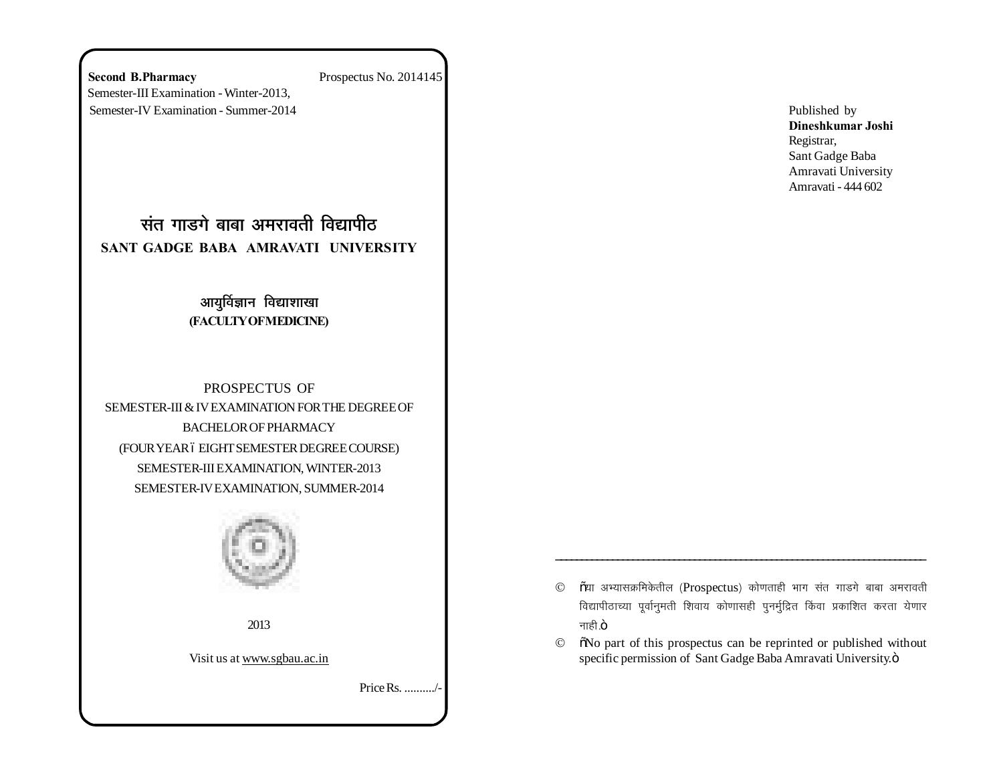**Second B.Pharmacy** Prospectus No. 2014145 Semester-III Examination - Winter-2013, Semester-IV Examination - Summer-2014

<u>संत गाडगे बाबा अमरावती विद्यापीठ</u> **SANT GADGE BABA AMRAVATI UNIVERSITY**

## आयुर्विज्ञान विद्याशाखा **(FACULTY OF MEDICINE)**

PROSPECTUS OF SEMESTER-III & IV EXAMINATION FOR THE DEGREE OF BACHELOR OF PHARMACY (FOUR YEAR 6 EIGHT SEMESTER DEGREE COURSE) SEMESTER-III EXAMINATION, WINTER-2013 SEMESTER-IV EXAMINATION, SUMMER-2014



2013

Visit us at www.sgbau.ac.in

Price Rs. ........../-

Published by **Dineshkumar Joshi** Registrar, Sant Gadge Baba Amravati University Amravati - 444 602

 $\odot$   $\rm$   $\rm \tilde{o}$ या अभ्यासक्रमिकेतील (Prospectus) कोणताही भाग संत गाडगे बाबा अमरावती विद्यापीठाच्या पूर्वानुमती शिवाय कोणासही पुनर्मुद्रित किंवा प्रकाशित करता येणार नाही $.$ ö

\_\_\_\_\_\_\_\_\_\_\_\_\_\_\_\_\_\_\_\_\_\_\_\_\_\_\_\_\_\_\_\_\_\_\_\_\_\_\_\_\_\_\_\_\_\_\_\_\_\_\_\_\_\_\_\_\_\_\_\_\_\_\_\_\_\_\_\_\_\_\_\_

 $\circ$   $\circ$   $\circ$  No part of this prospectus can be reprinted or published without specific permission of Sant Gadge Baba Amravati University. $\ddot{o}$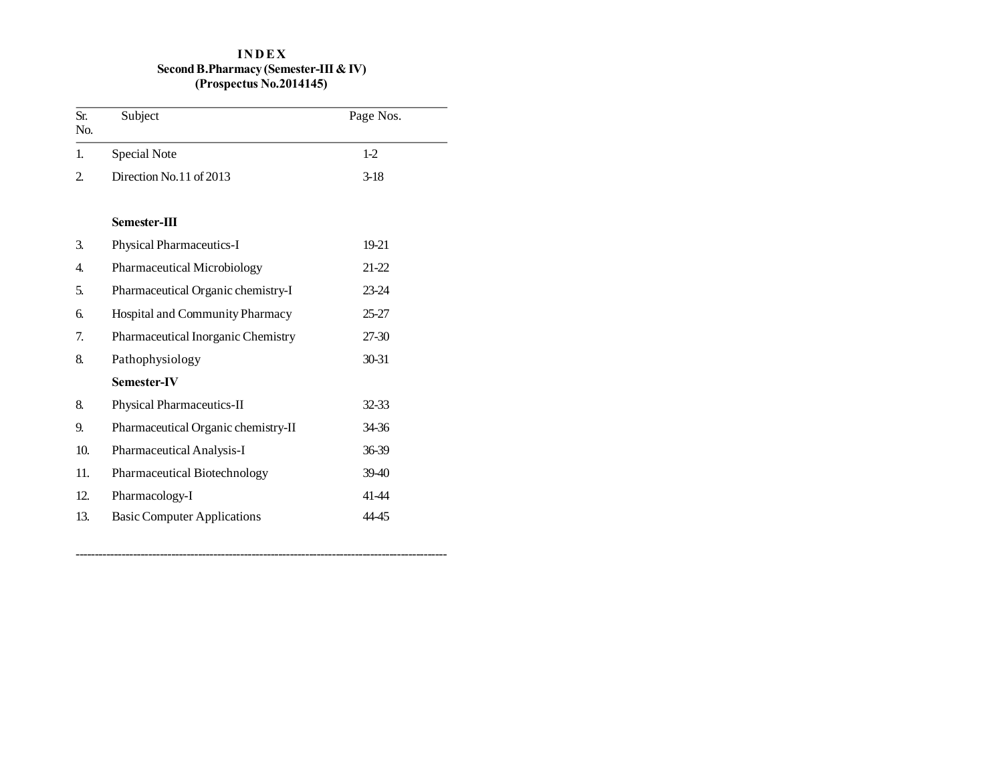## **I N D E X Second B.Pharmacy (Semester-III & IV) (Prospectus No.2014145)**

| Sr.<br>No.     | Subject                             | Page Nos. |
|----------------|-------------------------------------|-----------|
| 1.             | <b>Special Note</b>                 | $1-2$     |
| $\overline{2}$ | Direction No.11 of 2013             | $3-18$    |
|                | Semester-III                        |           |
| 3.             | <b>Physical Pharmaceutics-I</b>     | 19-21     |
| 4.             | Pharmaceutical Microbiology         | 21-22     |
| 5.             | Pharmaceutical Organic chemistry-I  | 23-24     |
| б.             | Hospital and Community Pharmacy     | $25 - 27$ |
| 7.             | Pharmaceutical Inorganic Chemistry  | 27-30     |
| 8.             | Pathophysiology                     | 30-31     |
|                | <b>Semester-IV</b>                  |           |
| 8.             | Physical Pharmaceutics-II           | 32-33     |
| 9.             | Pharmaceutical Organic chemistry-II | 34-36     |
| 10.            | Pharmaceutical Analysis-I           | 36-39     |
| 11.            | Pharmaceutical Biotechnology        | 39-40     |
| 12.            | Pharmacology-I                      | 41-44     |
| 13.            | <b>Basic Computer Applications</b>  | 44-45     |

-------------------------------------------------------------------------------------------------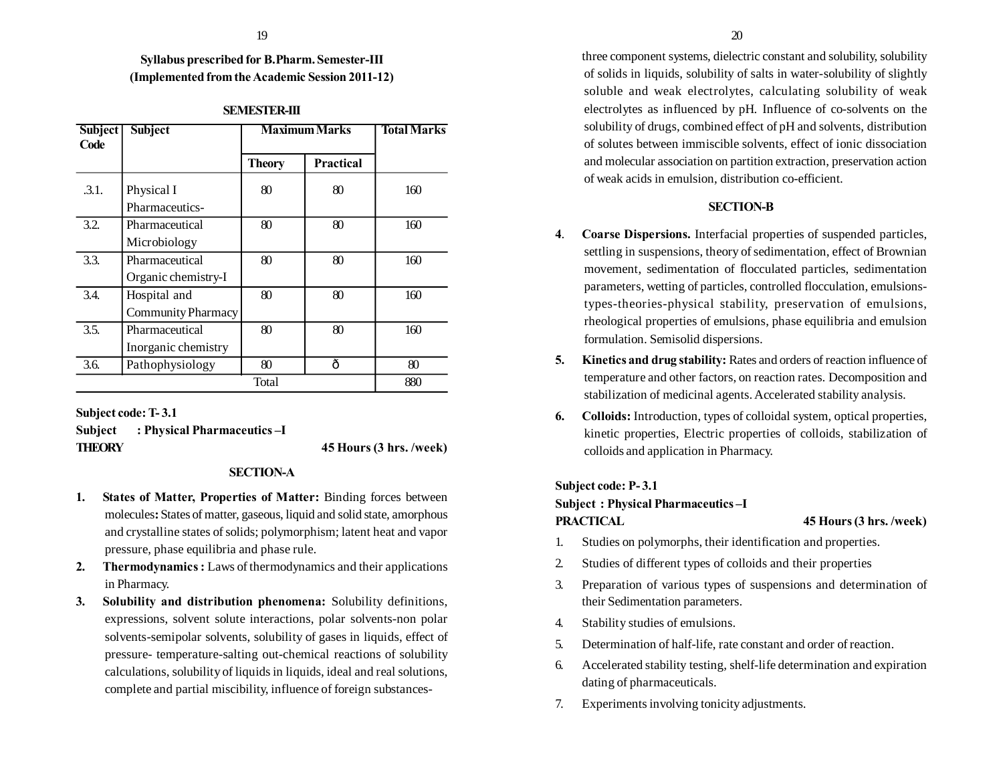## **Syllabus prescribed for B.Pharm. Semester-III (Implemented from the Academic Session 2011-12)**

| <b>Subject</b><br>Code | <b>Subject</b>                            | <b>Maximum Marks</b> |           | <b>Total Marks</b> |
|------------------------|-------------------------------------------|----------------------|-----------|--------------------|
|                        |                                           | <b>Theory</b>        | Practical |                    |
| .3.1.                  | Physical I<br>Pharmaceutics-              | 80                   | 80        | 160                |
| 3.2.                   | Pharmaceutical<br>Microbiology            | 80                   | 80        | 160                |
| 3.3.                   | Pharmaceutical<br>Organic chemistry-I     | 80                   | 80        | 160                |
| 3.4.                   | Hospital and<br><b>Community Pharmacy</b> | 80                   | 80        | 160                |
| 3.5.                   | Pharmaceutical<br>Inorganic chemistry     | 80                   | 80        | 160                |
| 3.6.                   | Pathophysiology                           | 80                   | ô         | 80                 |
|                        |                                           | Total                |           | 880                |

### **SEMESTER-III**

**Subject code: T- 3.1 Subject : Physical Pharmaceutics –I THEORY 45 Hours (3 hrs. /week)**

## **SECTION-A**

- **1. States of Matter, Properties of Matter:** Binding forces between molecules**:** States of matter, gaseous, liquid and solid state, amorphous and crystalline states of solids; polymorphism; latent heat and vapor pressure, phase equilibria and phase rule.
- **2. Thermodynamics :** Laws of thermodynamics and their applications in Pharmacy.
- **3. Solubility and distribution phenomena:** Solubility definitions, expressions, solvent solute interactions, polar solvents-non polar solvents-semipolar solvents, solubility of gases in liquids, effect of pressure- temperature-salting out-chemical reactions of solubility calculations, solubility of liquids in liquids, ideal and real solutions, complete and partial miscibility, influence of foreign substances-

three component systems, dielectric constant and solubility, solubility of solids in liquids, solubility of salts in water-solubility of slightly soluble and weak electrolytes, calculating solubility of weak electrolytes as influenced by pH. Influence of co-solvents on the solubility of drugs, combined effect of pH and solvents, distribution of solutes between immiscible solvents, effect of ionic dissociation and molecular association on partition extraction, preservation action of weak acids in emulsion, distribution co-efficient.

### **SECTION-B**

- **4**. **Coarse Dispersions.** Interfacial properties of suspended particles, settling in suspensions, theory of sedimentation, effect of Brownian movement, sedimentation of flocculated particles, sedimentation parameters, wetting of particles, controlled flocculation, emulsionstypes-theories-physical stability, preservation of emulsions, rheological properties of emulsions, phase equilibria and emulsion formulation. Semisolid dispersions.
- **5. Kinetics and drug stability:** Rates and orders of reaction influence of temperature and other factors, on reaction rates. Decomposition and stabilization of medicinal agents. Accelerated stability analysis.
- **6. Colloids:** Introduction, types of colloidal system, optical properties, kinetic properties, Electric properties of colloids, stabilization of colloids and application in Pharmacy.

## **Subject code: P- 3.1**

## **Subject : Physical Pharmaceutics –I PRACTICAL 45 Hours (3 hrs. /week)**

- 1. Studies on polymorphs, their identification and properties.
- 2. Studies of different types of colloids and their properties
- 3. Preparation of various types of suspensions and determination of their Sedimentation parameters.
- 4. Stability studies of emulsions.
- 5. Determination of half-life, rate constant and order of reaction.
- 6. Accelerated stability testing, shelf-life determination and expiration dating of pharmaceuticals.
- 7. Experiments involving tonicity adjustments.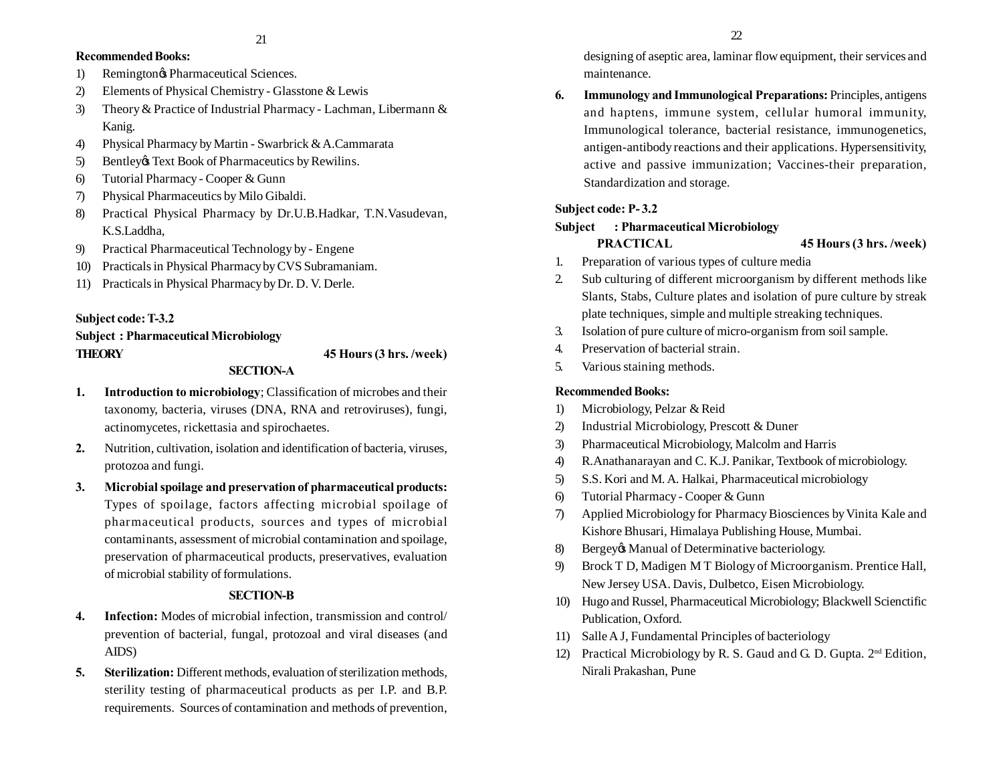## **Recommended Books:**

- 1) Remington& Pharmaceutical Sciences.
- 2) Elements of Physical Chemistry Glasstone & Lewis
- 3) Theory & Practice of Industrial Pharmacy Lachman, Libermann & Kanig.
- 4) Physical Pharmacy by Martin Swarbrick & A.Cammarata
- 5) Bentley Text Book of Pharmaceutics by Rewilins.
- 6) Tutorial Pharmacy Cooper & Gunn
- 7) Physical Pharmaceutics by Milo Gibaldi.
- 8) Practical Physical Pharmacy by Dr.U.B.Hadkar, T.N.Vasudevan, K.S.Laddha,
- 9) Practical Pharmaceutical Technology by Engene
- 10) Practicals in Physical Pharmacy by CVS Subramaniam.
- 11) Practicals in Physical Pharmacy by Dr. D. V. Derle.

## **Subject code: T-3.2**

**Subject : Pharmaceutical Microbiology THEORY 45 Hours (3 hrs. /week)**

## **SECTION-A**

- **1. Introduction to microbiology**; Classification of microbes and their taxonomy, bacteria, viruses (DNA, RNA and retroviruses), fungi, actinomycetes, rickettasia and spirochaetes.
- **2.** Nutrition, cultivation, isolation and identification of bacteria, viruses, protozoa and fungi.
- **3. Microbial spoilage and preservation of pharmaceutical products:** Types of spoilage, factors affecting microbial spoilage of pharmaceutical products, sources and types of microbial contaminants, assessment of microbial contamination and spoilage, preservation of pharmaceutical products, preservatives, evaluation of microbial stability of formulations.

## **SECTION-B**

- **4. Infection:** Modes of microbial infection, transmission and control/ prevention of bacterial, fungal, protozoal and viral diseases (and AIDS)
- **5. Sterilization:** Different methods, evaluation of sterilization methods, sterility testing of pharmaceutical products as per I.P. and B.P. requirements. Sources of contamination and methods of prevention,

designing of aseptic area, laminar flow equipment, their services and maintenance.

**6. Immunology and Immunological Preparations:** Principles, antigens and haptens, immune system, cellular humoral immunity, Immunological tolerance, bacterial resistance, immunogenetics, antigen-antibody reactions and their applications. Hypersensitivity, active and passive immunization; Vaccines-their preparation, Standardization and storage.

## **Subject code: P- 3.2**

## **Subject : Pharmaceutical Microbiology**

**PRACTICAL 45 Hours (3 hrs. /week)**

- 1. Preparation of various types of culture media
- 2. Sub culturing of different microorganism by different methods like Slants, Stabs, Culture plates and isolation of pure culture by streak plate techniques, simple and multiple streaking techniques.
- 3. Isolation of pure culture of micro-organism from soil sample.
- 4. Preservation of bacterial strain.
- 5. Various staining methods.

## **Recommended Books:**

- 1) Microbiology, Pelzar & Reid
- 2) Industrial Microbiology, Prescott & Duner
- 3) Pharmaceutical Microbiology, Malcolm and Harris
- 4) R.Anathanarayan and C. K.J. Panikar, Textbook of microbiology.
- 5) S.S. Kori and M. A. Halkai, Pharmaceutical microbiology
- 6) Tutorial Pharmacy Cooper & Gunn
- 7) Applied Microbiology for Pharmacy Biosciences by Vinita Kale and Kishore Bhusari, Himalaya Publishing House, Mumbai.
- 8) Bergey& Manual of Determinative bacteriology.
- 9) Brock T D, Madigen M T Biology of Microorganism. Prentice Hall, New Jersey USA. Davis, Dulbetco, Eisen Microbiology.
- 10) Hugo and Russel, Pharmaceutical Microbiology; Blackwell Scienctific Publication, Oxford.
- 11) Salle A J, Fundamental Principles of bacteriology
- 12) Practical Microbiology by R. S. Gaud and G. D. Gupta.  $2<sup>nd</sup>$  Edition, Nirali Prakashan, Pune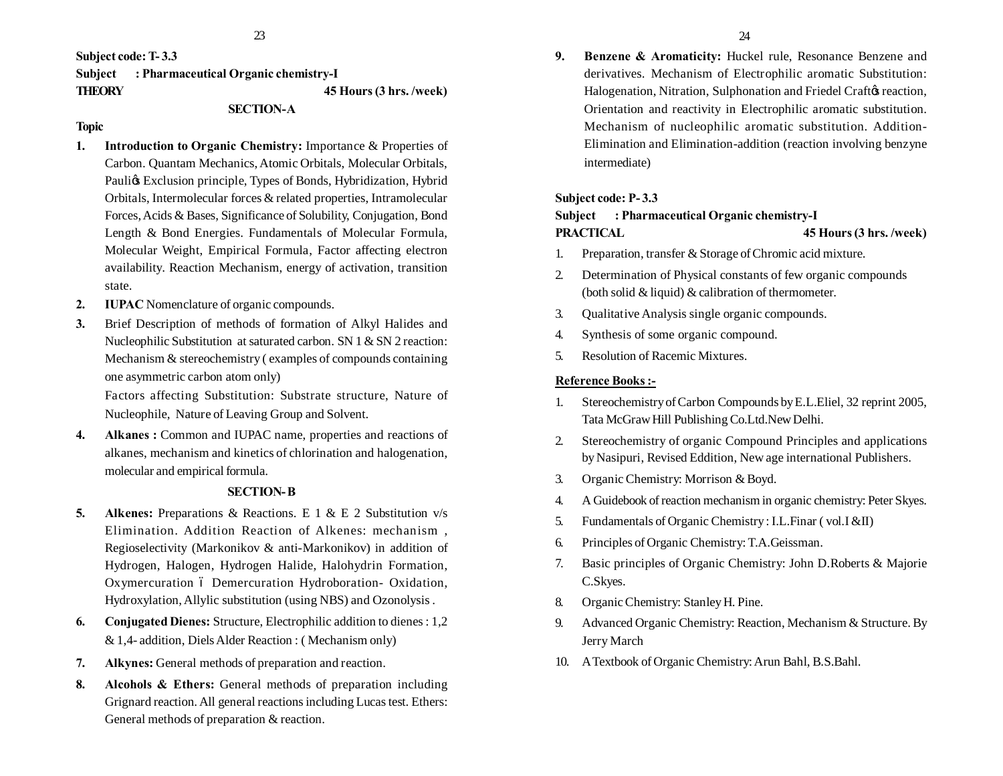**Subject code: T- 3.3**

**Subject : Pharmaceutical Organic chemistry-I**

**THEORY 45 Hours (3 hrs. /week)**

## **SECTION-A**

#### **Topic**

- **1. Introduction to Organic Chemistry:** Importance & Properties of Carbon. Quantam Mechanics, Atomic Orbitals, Molecular Orbitals, Paulios Exclusion principle, Types of Bonds, Hybridization, Hybrid Orbitals, Intermolecular forces & related properties, Intramolecular Forces, Acids & Bases, Significance of Solubility, Conjugation, Bond Length & Bond Energies. Fundamentals of Molecular Formula, Molecular Weight, Empirical Formula, Factor affecting electron availability. Reaction Mechanism, energy of activation, transition state.
- **2. IUPAC** Nomenclature of organic compounds.
- **3.** Brief Description of methods of formation of Alkyl Halides and Nucleophilic Substitution at saturated carbon. SN 1 & SN 2 reaction: Mechanism & stereochemistry ( examples of compounds containing one asymmetric carbon atom only)

Factors affecting Substitution: Substrate structure, Nature of Nucleophile, Nature of Leaving Group and Solvent.

**4. Alkanes :** Common and IUPAC name, properties and reactions of alkanes, mechanism and kinetics of chlorination and halogenation, molecular and empirical formula.

#### **SECTION- B**

- **5. Alkenes:** Preparations & Reactions. E 1 & E 2 Substitution v/s Elimination. Addition Reaction of Alkenes: mechanism , Regioselectivity (Markonikov & anti-Markonikov) in addition of Hydrogen, Halogen, Hydrogen Halide, Halohydrin Formation, Oxymercuration 6 Demercuration Hydroboration- Oxidation, Hydroxylation, Allylic substitution (using NBS) and Ozonolysis .
- **6. Conjugated Dienes:** Structure, Electrophilic addition to dienes : 1,2 & 1,4- addition, Diels Alder Reaction : ( Mechanism only)
- **7. Alkynes:** General methods of preparation and reaction.
- **8. Alcohols & Ethers:** General methods of preparation including Grignard reaction. All general reactions including Lucas test. Ethers: General methods of preparation & reaction.

**9. Benzene & Aromaticity:** Huckel rule, Resonance Benzene and derivatives. Mechanism of Electrophilic aromatic Substitution: Halogenation, Nitration, Sulphonation and Friedel Craft ts reaction, Orientation and reactivity in Electrophilic aromatic substitution. Mechanism of nucleophilic aromatic substitution. Addition-Elimination and Elimination-addition (reaction involving benzyne intermediate)

### **Subject code: P- 3.3**

## **Subject : Pharmaceutical Organic chemistry-I PRACTICAL 45 Hours (3 hrs. /week)**

- 1. Preparation, transfer & Storage of Chromic acid mixture.
- 2. Determination of Physical constants of few organic compounds (both solid & liquid) & calibration of thermometer.
- 3. Qualitative Analysis single organic compounds.
- 4. Synthesis of some organic compound.
- 5. Resolution of Racemic Mixtures.

### **Reference Books :-**

- 1. Stereochemistry of Carbon Compounds by E.L.Eliel, 32 reprint 2005, Tata McGraw Hill Publishing Co.Ltd.New Delhi.
- 2. Stereochemistry of organic Compound Principles and applications by Nasipuri, Revised Eddition, New age international Publishers.
- 3. Organic Chemistry: Morrison & Boyd.
- 4. A Guidebook of reaction mechanism in organic chemistry: Peter Skyes.
- 5. Fundamentals of Organic Chemistry : I.L.Finar ( vol.I &II)
- 6. Principles of Organic Chemistry: T.A.Geissman.
- 7. Basic principles of Organic Chemistry: John D.Roberts & Majorie C.Skyes.
- 8. Organic Chemistry: Stanley H. Pine.
- 9. Advanced Organic Chemistry: Reaction, Mechanism & Structure. By Jerry March
- 10. A Textbook of Organic Chemistry: Arun Bahl, B.S.Bahl.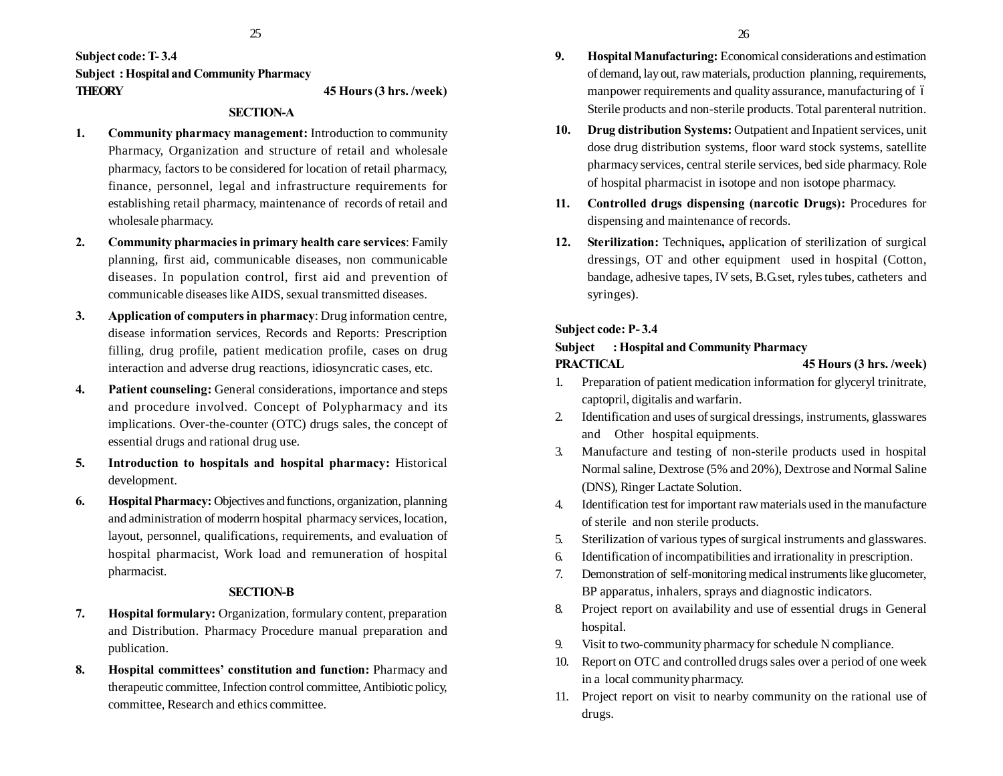## **Subject code: T- 3.4 Subject : Hospital and Community Pharmacy THEORY 45 Hours (3 hrs. /week)**

## **SECTION-A**

- **1. Community pharmacy management:** Introduction to community Pharmacy, Organization and structure of retail and wholesale pharmacy, factors to be considered for location of retail pharmacy, finance, personnel, legal and infrastructure requirements for establishing retail pharmacy, maintenance of records of retail and wholesale pharmacy.
- **2. Community pharmacies in primary health care services**: Family planning, first aid, communicable diseases, non communicable diseases. In population control, first aid and prevention of communicable diseases like AIDS, sexual transmitted diseases.
- **3. Application of computers in pharmacy**: Drug information centre, disease information services, Records and Reports: Prescription filling, drug profile, patient medication profile, cases on drug interaction and adverse drug reactions, idiosyncratic cases, etc.
- **4. Patient counseling:** General considerations, importance and steps and procedure involved. Concept of Polypharmacy and its implications. Over-the-counter (OTC) drugs sales, the concept of essential drugs and rational drug use.
- **5. Introduction to hospitals and hospital pharmacy:** Historical development.
- **6. Hospital Pharmacy:** Objectives and functions, organization, planning and administration of moderrn hospital pharmacy services, location, layout, personnel, qualifications, requirements, and evaluation of hospital pharmacist, Work load and remuneration of hospital pharmacist.

## **SECTION-B**

- **7. Hospital formulary:** Organization, formulary content, preparation and Distribution. Pharmacy Procedure manual preparation and publication.
- **8. Hospital committees' constitution and function:** Pharmacy and therapeutic committee, Infection control committee, Antibiotic policy, committee, Research and ethics committee.
- **9. Hospital Manufacturing:** Economical considerations and estimation of demand, lay out, raw materials, production planning, requirements, manpower requirements and quality assurance, manufacturing of 6 Sterile products and non-sterile products. Total parenteral nutrition.
- **10. Drug distribution Systems:** Outpatient and Inpatient services, unit dose drug distribution systems, floor ward stock systems, satellite pharmacy services, central sterile services, bed side pharmacy. Role of hospital pharmacist in isotope and non isotope pharmacy.
- **11. Controlled drugs dispensing (narcotic Drugs):** Procedures for dispensing and maintenance of records.
- **12. Sterilization:** Techniques**,** application of sterilization of surgical dressings, OT and other equipment used in hospital (Cotton, bandage, adhesive tapes, IV sets, B.G.set, ryles tubes, catheters and syringes).

## **Subject code: P- 3.4**

## **Subject : Hospital and Community Pharmacy PRACTICAL 45 Hours (3 hrs. /week)**

- 1. Preparation of patient medication information for glyceryl trinitrate, captopril, digitalis and warfarin.
- 2. Identification and uses of surgical dressings, instruments, glasswares and Other hospital equipments.
- 3. Manufacture and testing of non-sterile products used in hospital Normal saline, Dextrose (5% and 20%), Dextrose and Normal Saline (DNS), Ringer Lactate Solution.
- 4. Identification test for important raw materials used in the manufacture of sterile and non sterile products.
- 5. Sterilization of various types of surgical instruments and glasswares.
- 6. Identification of incompatibilities and irrationality in prescription.
- 7. Demonstration of self-monitoring medical instruments like glucometer, BP apparatus, inhalers, sprays and diagnostic indicators.
- 8. Project report on availability and use of essential drugs in General hospital.
- 9. Visit to two-community pharmacy for schedule N compliance.
- 10. Report on OTC and controlled drugs sales over a period of one week in a local community pharmacy.
- 11. Project report on visit to nearby community on the rational use of drugs.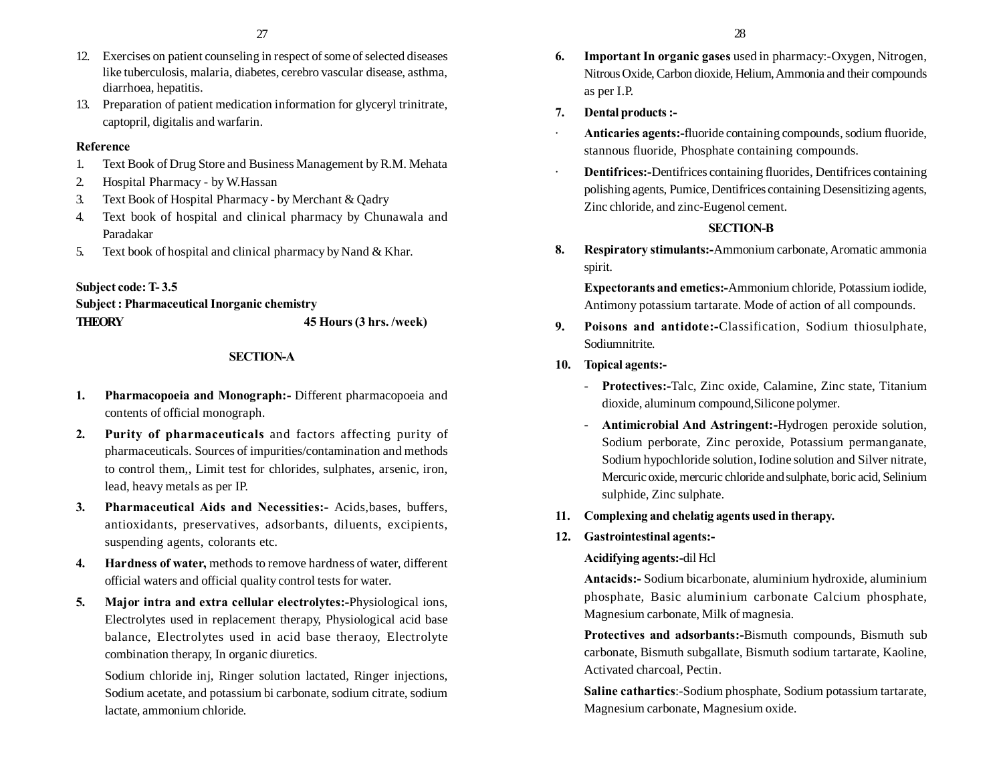- 12. Exercises on patient counseling in respect of some of selected diseases like tuberculosis, malaria, diabetes, cerebro vascular disease, asthma, diarrhoea, hepatitis.
- 13. Preparation of patient medication information for glyceryl trinitrate, captopril, digitalis and warfarin.

## **Reference**

- 1. Text Book of Drug Store and Business Management by R.M. Mehata
- 2. Hospital Pharmacy by W.Hassan
- 3. Text Book of Hospital Pharmacy by Merchant & Qadry
- 4. Text book of hospital and clinical pharmacy by Chunawala and Paradakar
- 5. Text book of hospital and clinical pharmacy by Nand & Khar.

## **Subject code: T- 3.5**

## **Subject : Pharmaceutical Inorganic chemistry THEORY 45 Hours (3 hrs. /week)**

## **SECTION-A**

- **1. Pharmacopoeia and Monograph:-** Different pharmacopoeia and contents of official monograph.
- **2. Purity of pharmaceuticals** and factors affecting purity of pharmaceuticals. Sources of impurities/contamination and methods to control them,, Limit test for chlorides, sulphates, arsenic, iron, lead, heavy metals as per IP.
- **3. Pharmaceutical Aids and Necessities:-** Acids,bases, buffers, antioxidants, preservatives, adsorbants, diluents, excipients, suspending agents, colorants etc.
- **4. Hardness of water,** methods to remove hardness of water, different official waters and official quality control tests for water.
- **5. Major intra and extra cellular electrolytes:-**Physiological ions, Electrolytes used in replacement therapy, Physiological acid base balance, Electrolytes used in acid base theraoy, Electrolyte combination therapy, In organic diuretics.

Sodium chloride inj, Ringer solution lactated, Ringer injections, Sodium acetate, and potassium bi carbonate, sodium citrate, sodium lactate, ammonium chloride.

- **6. Important In organic gases** used in pharmacy:-Oxygen, Nitrogen, Nitrous Oxide, Carbon dioxide, Helium, Ammonia and their compounds as per I.P.
- **7. Dental products :-**
- · **Anticaries agents:-**fluoride containing compounds, sodium fluoride, stannous fluoride, Phosphate containing compounds.
- · **Dentifrices:-**Dentifrices containing fluorides, Dentifrices containing polishing agents, Pumice, Dentifrices containing Desensitizing agents, Zinc chloride, and zinc-Eugenol cement.

## **SECTION-B**

**8. Respiratory stimulants:-**Ammonium carbonate, Aromatic ammonia spirit.

**Expectorants and emetics:-**Ammonium chloride, Potassium iodide, Antimony potassium tartarate. Mode of action of all compounds.

- **9. Poisons and antidote:-**Classification, Sodium thiosulphate, Sodiumnitrite.
- **10. Topical agents:-**
	- **Protectives:-**Talc, Zinc oxide, Calamine, Zinc state, Titanium dioxide, aluminum compound,Silicone polymer.
	- **Antimicrobial And Astringent:-**Hydrogen peroxide solution, Sodium perborate, Zinc peroxide, Potassium permanganate, Sodium hypochloride solution, Iodine solution and Silver nitrate, Mercuric oxide, mercuric chloride and sulphate, boric acid, Selinium sulphide, Zinc sulphate.

## **11. Complexing and chelatig agents used in therapy.**

## **12. Gastrointestinal agents:-**

## **Acidifying agents:-**dil Hcl

**Antacids:-** Sodium bicarbonate, aluminium hydroxide, aluminium phosphate, Basic aluminium carbonate Calcium phosphate, Magnesium carbonate, Milk of magnesia.

**Protectives and adsorbants:-**Bismuth compounds, Bismuth sub carbonate, Bismuth subgallate, Bismuth sodium tartarate, Kaoline, Activated charcoal, Pectin.

**Saline cathartics**:-Sodium phosphate, Sodium potassium tartarate, Magnesium carbonate, Magnesium oxide.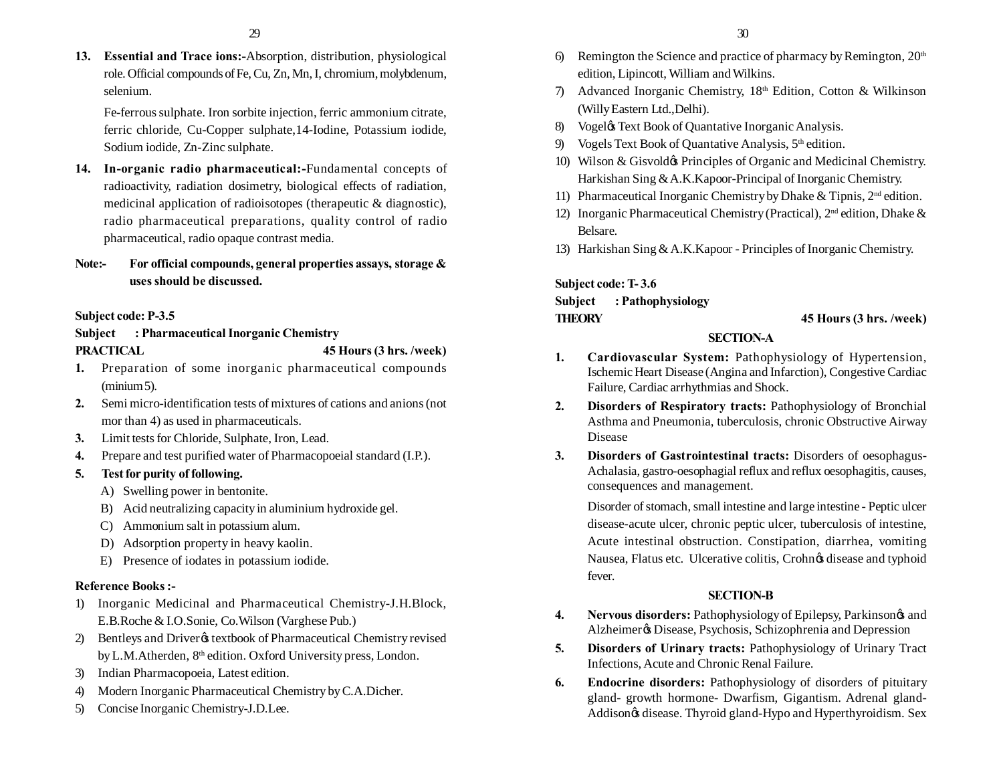**13. Essential and Trace ions:-**Absorption, distribution, physiological role. Official compounds of Fe, Cu, Zn, Mn, I, chromium, molybdenum, selenium.

Fe-ferrous sulphate. Iron sorbite injection, ferric ammonium citrate, ferric chloride, Cu-Copper sulphate,14-Iodine, Potassium iodide, Sodium iodide, Zn-Zinc sulphate.

**14. In-organic radio pharmaceutical:-**Fundamental concepts of radioactivity, radiation dosimetry, biological effects of radiation, medicinal application of radioisotopes (therapeutic & diagnostic), radio pharmaceutical preparations, quality control of radio pharmaceutical, radio opaque contrast media.

## **Note:- For official compounds, general properties assays, storage & uses should be discussed.**

## **Subject code: P-3.5**

## **Subject : Pharmaceutical Inorganic Chemistry PRACTICAL 45 Hours (3 hrs. /week)**

- 
- **1.** Preparation of some inorganic pharmaceutical compounds (minium 5).
- **2.** Semi micro-identification tests of mixtures of cations and anions (not mor than 4) as used in pharmaceuticals.
- **3.** Limit tests for Chloride, Sulphate, Iron, Lead.
- **4.** Prepare and test purified water of Pharmacopoeial standard (I.P.).

## **5. Test for purity of following.**

- A) Swelling power in bentonite.
- B) Acid neutralizing capacity in aluminium hydroxide gel.
- C) Ammonium salt in potassium alum.
- D) Adsorption property in heavy kaolin.
- E) Presence of iodates in potassium iodide.

## **Reference Books :-**

- 1) Inorganic Medicinal and Pharmaceutical Chemistry-J.H.Block, E.B.Roche & I.O.Sonie, Co.Wilson (Varghese Pub.)
- 2) Bentleys and Driver & textbook of Pharmaceutical Chemistry revised by L.M.Atherden, 8<sup>th</sup> edition. Oxford University press, London.
- 3) Indian Pharmacopoeia, Latest edition.
- 4) Modern Inorganic Pharmaceutical Chemistry by C.A.Dicher.
- 5) Concise Inorganic Chemistry-J.D.Lee.
- 6) Remington the Science and practice of pharmacy by Remington,  $20<sup>th</sup>$ edition, Lipincott, William and Wilkins.
- 7) Advanced Inorganic Chemistry, 18th Edition, Cotton & Wilkinson (Willy Eastern Ltd.,Delhi).
- 8) Vogel & Text Book of Quantative Inorganic Analysis.
- 9) Vogels Text Book of Quantative Analysis,  $5<sup>th</sup>$  edition.
- 10) Wilson & Gisvold $\phi$  Principles of Organic and Medicinal Chemistry. Harkishan Sing & A.K.Kapoor-Principal of Inorganic Chemistry.
- 11) Pharmaceutical Inorganic Chemistry by Dhake & Tipnis,  $2<sup>nd</sup>$  edition.
- 12) Inorganic Pharmaceutical Chemistry (Practical),  $2<sup>nd</sup>$  edition, Dhake & Belsare.
- 13) Harkishan Sing & A.K.Kapoor Principles of Inorganic Chemistry.

**Subject code: T- 3.6 Subject : Pathophysiology**

## **THEORY 45 Hours (3 hrs. /week)**

## **SECTION-A**

- **1. Cardiovascular System:** Pathophysiology of Hypertension, Ischemic Heart Disease (Angina and Infarction), Congestive Cardiac Failure, Cardiac arrhythmias and Shock.
- **2. Disorders of Respiratory tracts:** Pathophysiology of Bronchial Asthma and Pneumonia, tuberculosis, chronic Obstructive Airway Disease
- **3. Disorders of Gastrointestinal tracts:** Disorders of oesophagus-Achalasia, gastro-oesophagial reflux and reflux oesophagitis, causes, consequences and management.

Disorder of stomach, small intestine and large intestine - Peptic ulcer disease-acute ulcer, chronic peptic ulcer, tuberculosis of intestine, Acute intestinal obstruction. Constipation, diarrhea, vomiting Nausea, Flatus etc. Ulcerative colitis, Crohnøs disease and typhoid fever.

## **SECTION-B**

- **4. Nervous disorders:** Pathophysiology of Epilepsy, Parkinsongs and Alzheimer $\alpha$  Disease, Psychosis, Schizophrenia and Depression
- **5. Disorders of Urinary tracts:** Pathophysiology of Urinary Tract Infections, Acute and Chronic Renal Failure.
- **6. Endocrine disorders:** Pathophysiology of disorders of pituitary gland- growth hormone- Dwarfism, Gigantism. Adrenal gland-Addison $\phi$  disease. Thyroid gland-Hypo and Hyperthyroidism. Sex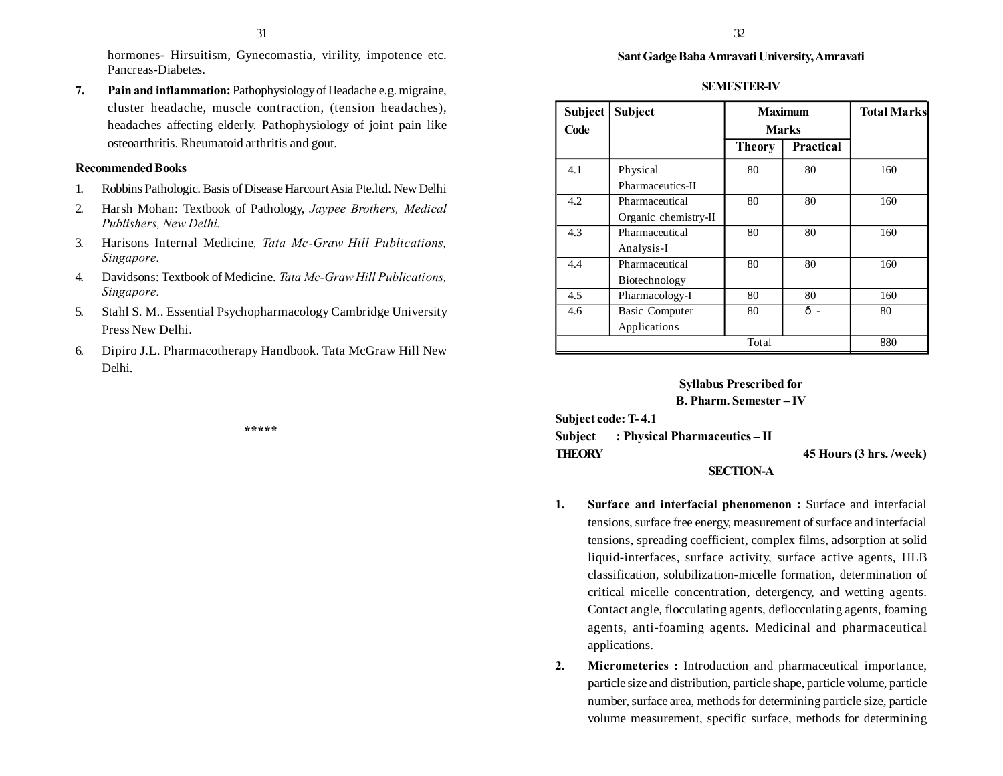hormones- Hirsuitism, Gynecomastia, virility, impotence etc. Pancreas-Diabetes.

**7. Pain and inflammation:** Pathophysiology of Headache e.g. migraine, cluster headache, muscle contraction, (tension headaches), headaches affecting elderly. Pathophysiology of joint pain like osteoarthritis. Rheumatoid arthritis and gout.

### **Recommended Books**

- 1. Robbins Pathologic. Basis of Disease Harcourt Asia Pte.ltd. New Delhi
- 2. Harsh Mohan: Textbook of Pathology, *Jaypee Brothers, Medical Publishers, New Delhi.*
- 3. Harisons Internal Medicine*, Tata Mc-Graw Hill Publications, Singapore.*
- 4. Davidsons: Textbook of Medicine. *Tata Mc-Graw Hill Publications, Singapore.*
- 5. Stahl S. M.. Essential Psychopharmacology Cambridge University Press New Delhi.
- 6. Dipiro J.L. Pharmacotherapy Handbook. Tata McGraw Hill New Delhi.

**\*\*\*\*\***

## **Sant Gadge Baba Amravati University, Amravati**

#### **SEMESTER-IV**

| Subject<br>Code | <b>Subject</b>        | <b>Maximum</b><br><b>Marks</b> |           | <b>Total Marks</b> |
|-----------------|-----------------------|--------------------------------|-----------|--------------------|
|                 |                       | <b>Theory</b>                  | Practical |                    |
| 4.1             | Physical              | 80                             | 80        | 160                |
|                 | Pharmaceutics-II      |                                |           |                    |
| 4.2             | Pharmaceutical        | 80                             | 80        | 160                |
|                 | Organic chemistry-II  |                                |           |                    |
| 4.3             | Pharmaceutical        | 80                             | 80        | 160                |
|                 | Analysis-I            |                                |           |                    |
| 4.4             | Pharmaceutical        | 80                             | 80        | 160                |
|                 | Biotechnology         |                                |           |                    |
| 4.5             | Pharmacology-I        | 80                             | 80        | 160                |
| 4.6             | <b>Basic Computer</b> | 80                             | ô-        | 80                 |
|                 | Applications          |                                |           |                    |
| Total           |                       |                                | 880       |                    |

## **Syllabus Prescribed for**

#### **B. Pharm. Semester – IV**

**Subject code: T- 4.1**

**Subject : Physical Pharmaceutics – II THEORY 45 Hours (3 hrs. /week)**

**SECTION-A**

- **1. Surface and interfacial phenomenon :** Surface and interfacial tensions, surface free energy, measurement of surface and interfacial tensions, spreading coefficient, complex films, adsorption at solid liquid-interfaces, surface activity, surface active agents, HLB classification, solubilization-micelle formation, determination of critical micelle concentration, detergency, and wetting agents. Contact angle, flocculating agents, deflocculating agents, foaming agents, anti-foaming agents. Medicinal and pharmaceutical applications.
- **2. Micrometerics :** Introduction and pharmaceutical importance, particle size and distribution, particle shape, particle volume, particle number, surface area, methods for determining particle size, particle volume measurement, specific surface, methods for determining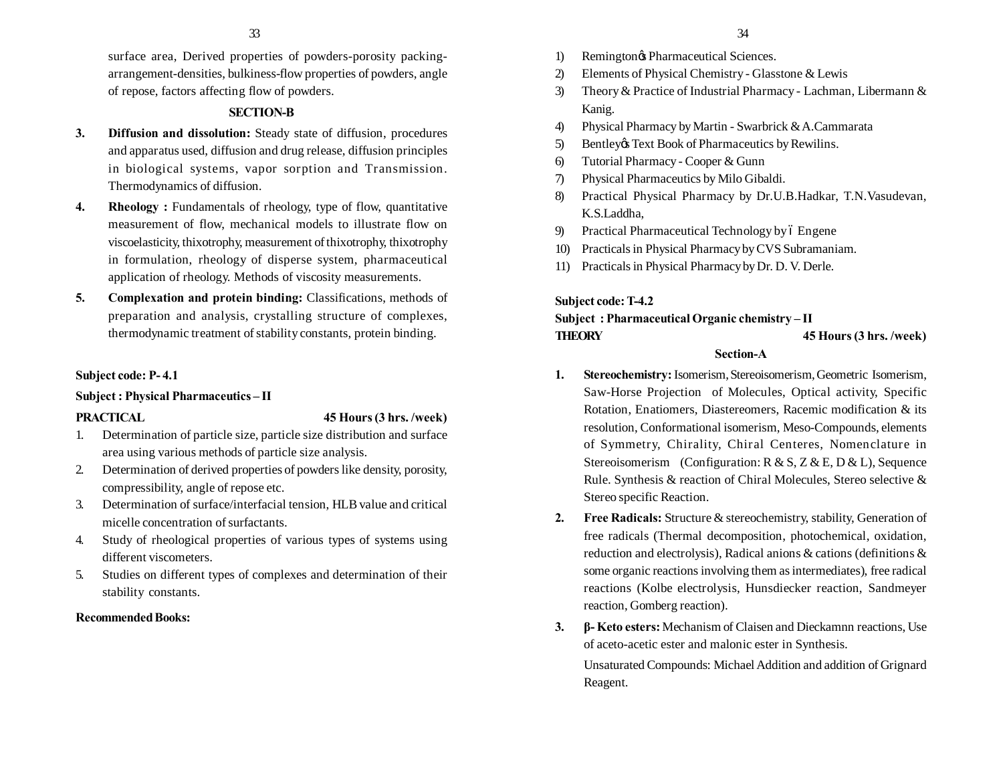surface area, Derived properties of powders-porosity packingarrangement-densities, bulkiness-flow properties of powders, angle of repose, factors affecting flow of powders.

## **SECTION-B**

- **3. Diffusion and dissolution:** Steady state of diffusion, procedures and apparatus used, diffusion and drug release, diffusion principles in biological systems, vapor sorption and Transmission. Thermodynamics of diffusion.
- **4. Rheology**: Fundamentals of rheology, type of flow, quantitative measurement of flow, mechanical models to illustrate flow on viscoelasticity, thixotrophy, measurement of thixotrophy, thixotrophy in formulation, rheology of disperse system, pharmaceutical application of rheology. Methods of viscosity measurements.
- **5. Complexation and protein binding:** Classifications, methods of preparation and analysis, crystalling structure of complexes, thermodynamic treatment of stability constants, protein binding.

## **Subject code: P- 4.1**

## **Subject : Physical Pharmaceutics – II**

## **PRACTICAL 45 Hours (3 hrs. /week)**

- 1. Determination of particle size, particle size distribution and surface area using various methods of particle size analysis.
- 2. Determination of derived properties of powders like density, porosity, compressibility, angle of repose etc.
- 3. Determination of surface/interfacial tension, HLB value and critical micelle concentration of surfactants.
- 4. Study of rheological properties of various types of systems using different viscometers.
- 5. Studies on different types of complexes and determination of their stability constants.

## **Recommended Books:**

- 1) Remington<sub> $\circ$ </sub> Pharmaceutical Sciences.
- 2) Elements of Physical Chemistry Glasstone & Lewis
- 3) Theory & Practice of Industrial Pharmacy Lachman, Libermann & Kanig.
- 4) Physical Pharmacy by Martin Swarbrick & A.Cammarata
- 5) Bentley's Text Book of Pharmaceutics by Rewilins.
- 6) Tutorial Pharmacy Cooper & Gunn
- 7) Physical Pharmaceutics by Milo Gibaldi.
- 8) Practical Physical Pharmacy by Dr.U.B.Hadkar, T.N.Vasudevan, K.S.Laddha,
- 9) Practical Pharmaceutical Technology by 6 Engene
- 10) Practicals in Physical Pharmacy by CVS Subramaniam.
- 11) Practicals in Physical Pharmacy by Dr. D. V. Derle.

## **Subject code: T-4.2**

## **Subject : Pharmaceutical Organic chemistry – II THEORY 45 Hours (3 hrs. /week)**

## **Section-A**

- 1. **Stereochemistry:** Isomerism, Stereoisomerism, Geometric Isomerism, Saw-Horse Projection of Molecules, Optical activity, Specific Rotation, Enatiomers, Diastereomers, Racemic modification & its resolution, Conformational isomerism, Meso-Compounds, elements of Symmetry, Chirality, Chiral Centeres, Nomenclature in Stereoisomerism (Configuration: R & S, Z & E, D & L), Sequence Rule. Synthesis & reaction of Chiral Molecules, Stereo selective & Stereo specific Reaction.
- **2. Free Radicals:** Structure & stereochemistry, stability, Generation of free radicals (Thermal decomposition, photochemical, oxidation, reduction and electrolysis), Radical anions & cations (definitions & some organic reactions involving them as intermediates), free radical reactions (Kolbe electrolysis, Hunsdiecker reaction, Sandmeyer reaction, Gomberg reaction).
- **3. β Keto esters:** Mechanism of Claisen and Dieckamnn reactions, Use of aceto-acetic ester and malonic ester in Synthesis.

Unsaturated Compounds: Michael Addition and addition of Grignard Reagent.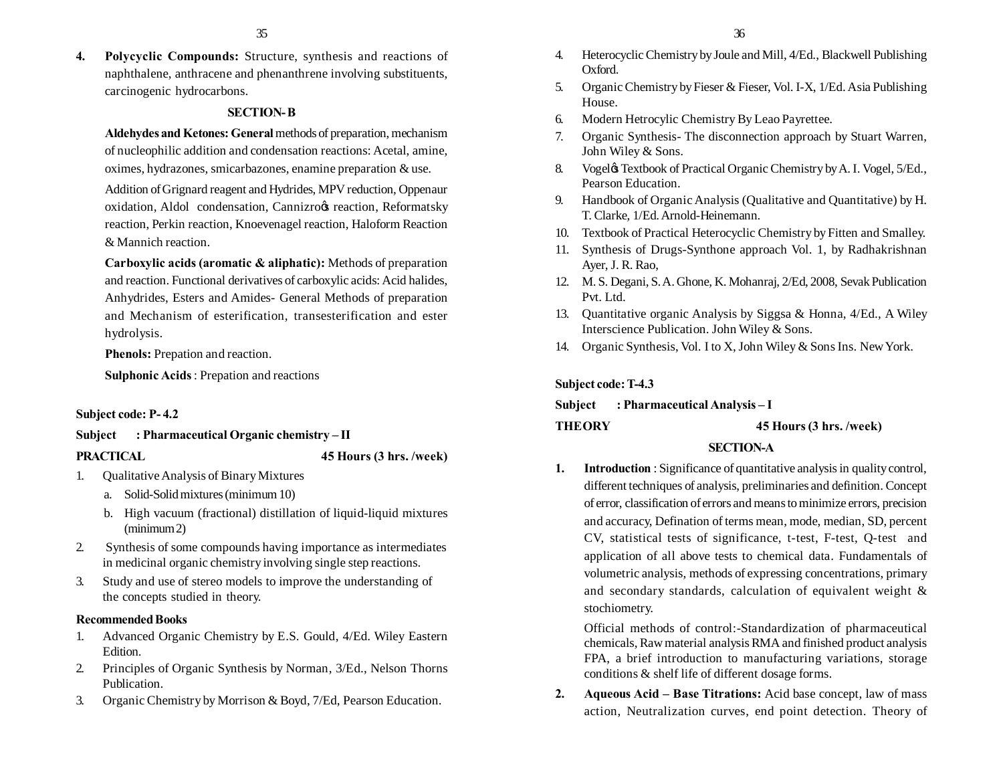**4. Polycyclic Compounds:** Structure, synthesis and reactions of naphthalene, anthracene and phenanthrene involving substituents, carcinogenic hydrocarbons.

## **SECTION- B**

**Aldehydes and Ketones: General** methods of preparation, mechanism of nucleophilic addition and condensation reactions: Acetal, amine, oximes, hydrazones, smicarbazones, enamine preparation & use.

Addition of Grignard reagent and Hydrides, MPV reduction, Oppenaur oxidation, Aldol condensation, Cannizroos reaction, Reformatsky reaction, Perkin reaction, Knoevenagel reaction, Haloform Reaction & Mannich reaction.

**Carboxylic acids (aromatic & aliphatic):** Methods of preparation and reaction. Functional derivatives of carboxylic acids: Acid halides, Anhydrides, Esters and Amides- General Methods of preparation and Mechanism of esterification, transesterification and ester hydrolysis.

**Phenols:** Prepation and reaction.

**Sulphonic Acids** : Prepation and reactions

#### **Subject code: P- 4.2**

**Subject : Pharmaceutical Organic chemistry – II**

#### **PRACTICAL 45 Hours (3 hrs. /week)**

- 1. Qualitative Analysis of Binary Mixtures
	- a. Solid-Solid mixtures (minimum 10)
	- b. High vacuum (fractional) distillation of liquid-liquid mixtures (minimum 2)
- 2. Synthesis of some compounds having importance as intermediates in medicinal organic chemistry involving single step reactions.
- 3. Study and use of stereo models to improve the understanding of the concepts studied in theory.

## **Recommended Books**

- 1. Advanced Organic Chemistry by E.S. Gould, 4/Ed. Wiley Eastern Edition.
- 2. Principles of Organic Synthesis by Norman, 3/Ed., Nelson Thorns Publication.
- 3. Organic Chemistry by Morrison & Boyd, 7/Ed, Pearson Education.
- 4. Heterocyclic Chemistry by Joule and Mill, 4/Ed., Blackwell Publishing Oxford.
- 5. Organic Chemistry by Fieser & Fieser, Vol. I-X, 1/Ed. Asia Publishing House.
- 6. Modern Hetrocylic Chemistry By Leao Payrettee.
- 7. Organic Synthesis- The disconnection approach by Stuart Warren, John Wiley & Sons.
- 8. Vogel & Textbook of Practical Organic Chemistry by A. I. Vogel, 5/Ed., Pearson Education.
- 9. Handbook of Organic Analysis (Qualitative and Quantitative) by H. T. Clarke, 1/Ed. Arnold-Heinemann.
- 10. Textbook of Practical Heterocyclic Chemistry by Fitten and Smalley.
- 11. Synthesis of Drugs-Synthone approach Vol. 1, by Radhakrishnan Ayer, J. R. Rao,
- 12. M. S. Degani, S. A. Ghone, K. Mohanraj, 2/Ed, 2008, Sevak Publication Pvt. Ltd.
- 13. Quantitative organic Analysis by Siggsa & Honna, 4/Ed., A Wiley Interscience Publication. John Wiley & Sons.
- 14. Organic Synthesis, Vol. I to X, John Wiley & Sons Ins. New York.

## **Subject code: T-4.3**

## **Subject : Pharmaceutical Analysis – I**

**THEORY 45 Hours (3 hrs. /week)**

## **SECTION-A**

**1. Introduction** : Significance of quantitative analysis in quality control, different techniques of analysis, preliminaries and definition. Concept of error, classification of errors and means to minimize errors, precision and accuracy, Defination of terms mean, mode, median, SD, percent CV, statistical tests of significance, t-test, F-test, Q-test and application of all above tests to chemical data. Fundamentals of volumetric analysis, methods of expressing concentrations, primary and secondary standards, calculation of equivalent weight & stochiometry.

Official methods of control:-Standardization of pharmaceutical chemicals, Raw material analysis RMA and finished product analysis FPA, a brief introduction to manufacturing variations, storage conditions & shelf life of different dosage forms.

**2. Aqueous Acid – Base Titrations:** Acid base concept, law of mass action, Neutralization curves, end point detection. Theory of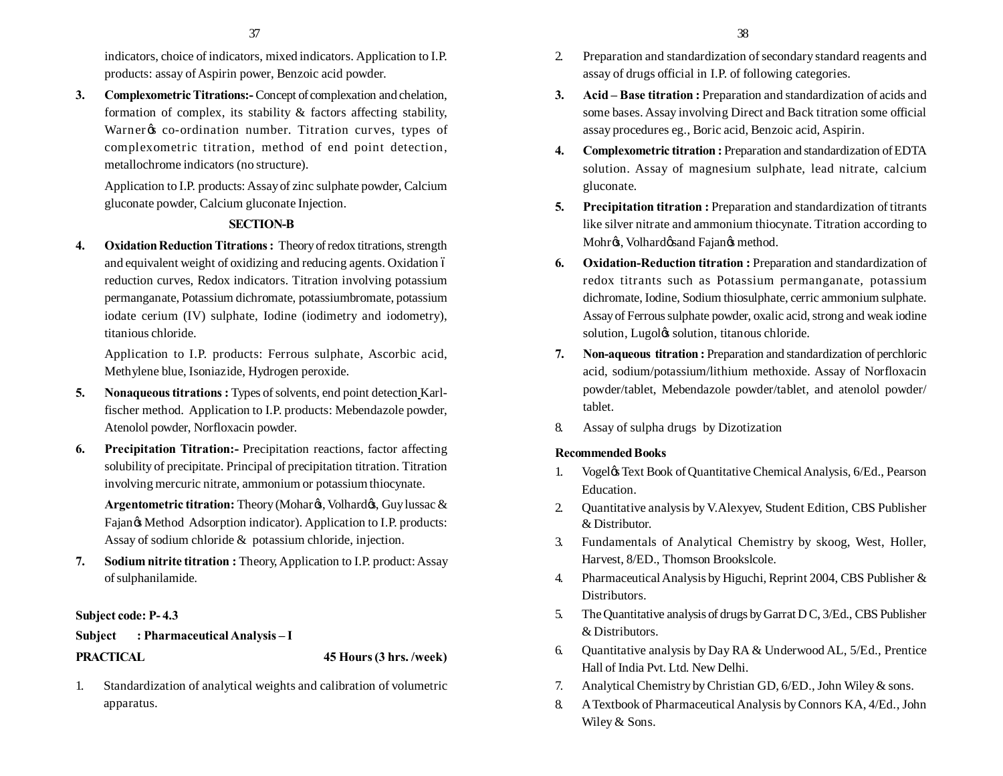indicators, choice of indicators, mixed indicators. Application to I.P. products: assay of Aspirin power, Benzoic acid powder.

**3. Complexometric Titrations:-** Concept of complexation and chelation, formation of complex, its stability & factors affecting stability, Warner & co-ordination number. Titration curves, types of complexometric titration, method of end point detection, metallochrome indicators (no structure).

Application to I.P. products: Assay of zinc sulphate powder, Calcium gluconate powder, Calcium gluconate Injection.

## **SECTION-B**

**4. Oxidation Reduction Titrations :** Theory of redox titrations, strength and equivalent weight of oxidizing and reducing agents. Oxidation 6 reduction curves, Redox indicators. Titration involving potassium permanganate, Potassium dichromate, potassiumbromate, potassium iodate cerium (IV) sulphate, Iodine (iodimetry and iodometry), titanious chloride.

Application to I.P. products: Ferrous sulphate, Ascorbic acid, Methylene blue, Isoniazide, Hydrogen peroxide.

- **5. Nonaqueous titrations :** Types of solvents, end point detection Karlfischer method. Application to I.P. products: Mebendazole powder, Atenolol powder, Norfloxacin powder.
- **6. Precipitation Titration:-** Precipitation reactions, factor affecting solubility of precipitate. Principal of precipitation titration. Titration involving mercuric nitrate, ammonium or potassium thiocynate.

Argentometric titration: Theory (Mohar<sup>og</sup>, Volhardog, Guy lussac & Fajan $\otimes$  Method Adsorption indicator). Application to I.P. products: Assay of sodium chloride & potassium chloride, injection.

**7. Sodium nitrite titration :** Theory, Application to I.P. product: Assay of sulphanilamide.

## **Subject code: P- 4.3**

# **Subject : Pharmaceutical Analysis – I**

**PRACTICAL 45 Hours (3 hrs. /week)**

1. Standardization of analytical weights and calibration of volumetric apparatus.

- 2. Preparation and standardization of secondary standard reagents and assay of drugs official in I.P. of following categories.
- **3. Acid – Base titration :** Preparation and standardization of acids and some bases. Assay involving Direct and Back titration some official assay procedures eg., Boric acid, Benzoic acid, Aspirin.
- **4. Complexometric titration :** Preparation and standardization of EDTA solution. Assay of magnesium sulphate, lead nitrate, calcium gluconate.
- **5. Precipitation titration :** Preparation and standardization of titrants like silver nitrate and ammonium thiocynate. Titration according to Mohrøs, Volhardøsand Fajanøs method.
- **6. Oxidation-Reduction titration :** Preparation and standardization of redox titrants such as Potassium permanganate, potassium dichromate, Iodine, Sodium thiosulphate, cerric ammonium sulphate. Assay of Ferrous sulphate powder, oxalic acid, strong and weak iodine solution, Lugol $\alpha$  solution, titanous chloride.
- **7. Non-aqueous titration :** Preparation and standardization of perchloric acid, sodium/potassium/lithium methoxide. Assay of Norfloxacin powder/tablet, Mebendazole powder/tablet, and atenolol powder/ tablet.
- 8. Assay of sulpha drugs by Dizotization

## **Recommended Books**

- 1. Vogeløs Text Book of Quantitative Chemical Analysis, 6/Ed., Pearson Education.
- 2. Quantitative analysis by V.Alexyev, Student Edition, CBS Publisher & Distributor.
- 3. Fundamentals of Analytical Chemistry by skoog, West, Holler, Harvest, 8/ED., Thomson Brookslcole.
- 4. Pharmaceutical Analysis by Higuchi, Reprint 2004, CBS Publisher & Distributors.
- 5. The Quantitative analysis of drugs by Garrat D C, 3/Ed., CBS Publisher & Distributors.
- 6. Quantitative analysis by Day RA & Underwood AL, 5/Ed., Prentice Hall of India Pvt. Ltd. New Delhi.
- 7. Analytical Chemistry by Christian GD, 6/ED., John Wiley & sons.
- 8. A Textbook of Pharmaceutical Analysis by Connors KA, 4/Ed., John Wiley & Sons.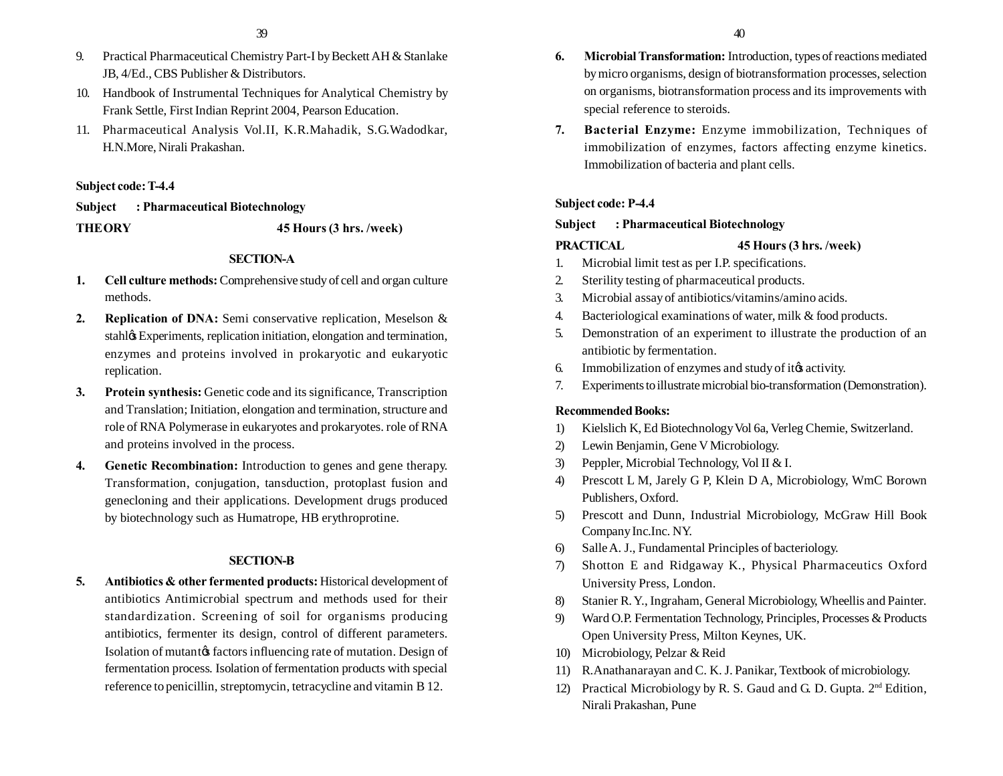- 9. Practical Pharmaceutical Chemistry Part-I by Beckett AH & Stanlake JB, 4/Ed., CBS Publisher & Distributors.
- 10. Handbook of Instrumental Techniques for Analytical Chemistry by Frank Settle, First Indian Reprint 2004, Pearson Education.
- 11. Pharmaceutical Analysis Vol.II, K.R.Mahadik, S.G.Wadodkar, H.N.More, Nirali Prakashan.

## **Subject code: T-4.4**

**Subject : Pharmaceutical Biotechnology THEORY 45 Hours (3 hrs. /week)**

### **SECTION-A**

- **1. Cell culture methods:** Comprehensive study of cell and organ culture methods.
- **2. Replication of DNA:** Semi conservative replication, Meselson & stahløs Experiments, replication initiation, elongation and termination, enzymes and proteins involved in prokaryotic and eukaryotic replication.
- **3. Protein synthesis:** Genetic code and its significance, Transcription and Translation; Initiation, elongation and termination, structure and role of RNA Polymerase in eukaryotes and prokaryotes. role of RNA and proteins involved in the process.
- **4. Genetic Recombination:** Introduction to genes and gene therapy. Transformation, conjugation, tansduction, protoplast fusion and genecloning and their applications. Development drugs produced by biotechnology such as Humatrope, HB erythroprotine.

## **SECTION-B**

**5. Antibiotics & other fermented products:** Historical development of antibiotics Antimicrobial spectrum and methods used for their standardization. Screening of soil for organisms producing antibiotics, fermenter its design, control of different parameters. Isolation of mutantos factors influencing rate of mutation. Design of fermentation process. Isolation of fermentation products with special reference to penicillin, streptomycin, tetracycline and vitamin B 12.

- **6. Microbial Transformation:** Introduction, types of reactions mediated by micro organisms, design of biotransformation processes, selection on organisms, biotransformation process and its improvements with special reference to steroids.
- **7. Bacterial Enzyme:** Enzyme immobilization, Techniques of immobilization of enzymes, factors affecting enzyme kinetics. Immobilization of bacteria and plant cells.

## **Subject code: P-4.4**

### **Subject : Pharmaceutical Biotechnology**

#### **PRACTICAL 45 Hours (3 hrs. /week)**

- 1. Microbial limit test as per I.P. specifications.
- 2. Sterility testing of pharmaceutical products.
- 3. Microbial assay of antibiotics/vitamins/amino acids.
- 4. Bacteriological examinations of water, milk & food products.
- 5. Demonstration of an experiment to illustrate the production of an antibiotic by fermentation.
- 6. Immobilization of enzymes and study of its activity.
- 7. Experiments to illustrate microbial bio-transformation (Demonstration).

### **Recommended Books:**

- 1) Kielslich K, Ed Biotechnology Vol 6a, Verleg Chemie, Switzerland.
- 2) Lewin Benjamin, Gene V Microbiology.
- 3) Peppler, Microbial Technology, Vol II & I.
- 4) Prescott L M, Jarely G P, Klein D A, Microbiology, WmC Borown Publishers, Oxford.
- 5) Prescott and Dunn, Industrial Microbiology, McGraw Hill Book Company Inc.Inc. NY.
- 6) Salle A. J., Fundamental Principles of bacteriology.
- 7) Shotton E and Ridgaway K., Physical Pharmaceutics Oxford University Press, London.
- 8) Stanier R. Y., Ingraham, General Microbiology, Wheellis and Painter.
- 9) Ward O.P. Fermentation Technology, Principles, Processes & Products Open University Press, Milton Keynes, UK.
- 10) Microbiology, Pelzar & Reid
- 11) R.Anathanarayan and C. K. J. Panikar, Textbook of microbiology.
- 12) Practical Microbiology by R. S. Gaud and G. D. Gupta.  $2<sup>nd</sup>$  Edition, Nirali Prakashan, Pune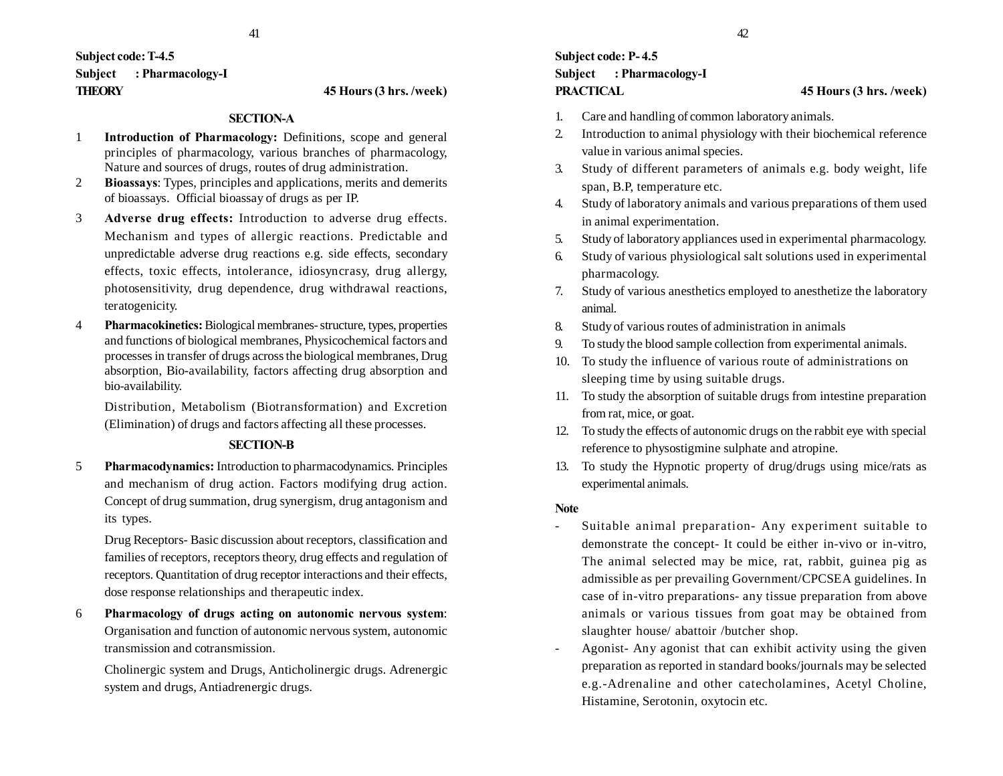## **Subject code: T-4.5 Subject : Pharmacology-I THEORY 45 Hours (3 hrs. /week)**

### **SECTION-A**

- 1 **Introduction of Pharmacology:** Definitions, scope and general principles of pharmacology, various branches of pharmacology, Nature and sources of drugs, routes of drug administration.
- 2 **Bioassays**: Types, principles and applications, merits and demerits of bioassays. Official bioassay of drugs as per IP.
- 3 **Adverse drug effects:** Introduction to adverse drug effects. Mechanism and types of allergic reactions. Predictable and unpredictable adverse drug reactions e.g. side effects, secondary effects, toxic effects, intolerance, idiosyncrasy, drug allergy, photosensitivity, drug dependence, drug withdrawal reactions, teratogenicity.
- 4 **Pharmacokinetics:** Biological membranes- structure, types, properties and functions of biological membranes, Physicochemical factors and processes in transfer of drugs across the biological membranes, Drug absorption, Bio-availability, factors affecting drug absorption and bio-availability.

Distribution, Metabolism (Biotransformation) and Excretion (Elimination) of drugs and factors affecting all these processes.

#### **SECTION-B**

5 **Pharmacodynamics:** Introduction to pharmacodynamics. Principles and mechanism of drug action. Factors modifying drug action. Concept of drug summation, drug synergism, drug antagonism and its types.

Drug Receptors- Basic discussion about receptors, classification and families of receptors, receptors theory, drug effects and regulation of receptors. Quantitation of drug receptor interactions and their effects, dose response relationships and therapeutic index.

6 **Pharmacology of drugs acting on autonomic nervous system**: Organisation and function of autonomic nervous system, autonomic transmission and cotransmission.

Cholinergic system and Drugs, Anticholinergic drugs. Adrenergic system and drugs, Antiadrenergic drugs.

## **Subject code: P- 4.5 Subject : Pharmacology-I PRACTICAL 45 Hours (3 hrs. /week)**

- 1. Care and handling of common laboratory animals.
- 2. Introduction to animal physiology with their biochemical reference value in various animal species.
- 3. Study of different parameters of animals e.g. body weight, life span, B.P, temperature etc.
- 4. Study of laboratory animals and various preparations of them used in animal experimentation.
- 5. Study of laboratory appliances used in experimental pharmacology.
- 6. Study of various physiological salt solutions used in experimental pharmacology.
- 7. Study of various anesthetics employed to anesthetize the laboratory animal.
- 8. Study of various routes of administration in animals
- 9. To study the blood sample collection from experimental animals.
- 10. To study the influence of various route of administrations on sleeping time by using suitable drugs.
- 11. To study the absorption of suitable drugs from intestine preparation from rat, mice, or goat.
- 12. To study the effects of autonomic drugs on the rabbit eye with special reference to physostigmine sulphate and atropine.
- 13. To study the Hypnotic property of drug/drugs using mice/rats as experimental animals.

#### **Note**

- Suitable animal preparation- Any experiment suitable to demonstrate the concept- It could be either in-vivo or in-vitro, The animal selected may be mice, rat, rabbit, guinea pig as admissible as per prevailing Government/CPCSEA guidelines. In case of in-vitro preparations- any tissue preparation from above animals or various tissues from goat may be obtained from slaughter house/ abattoir /butcher shop.
- Agonist- Any agonist that can exhibit activity using the given preparation as reported in standard books/journals may be selected e.g.-Adrenaline and other catecholamines, Acetyl Choline, Histamine, Serotonin, oxytocin etc.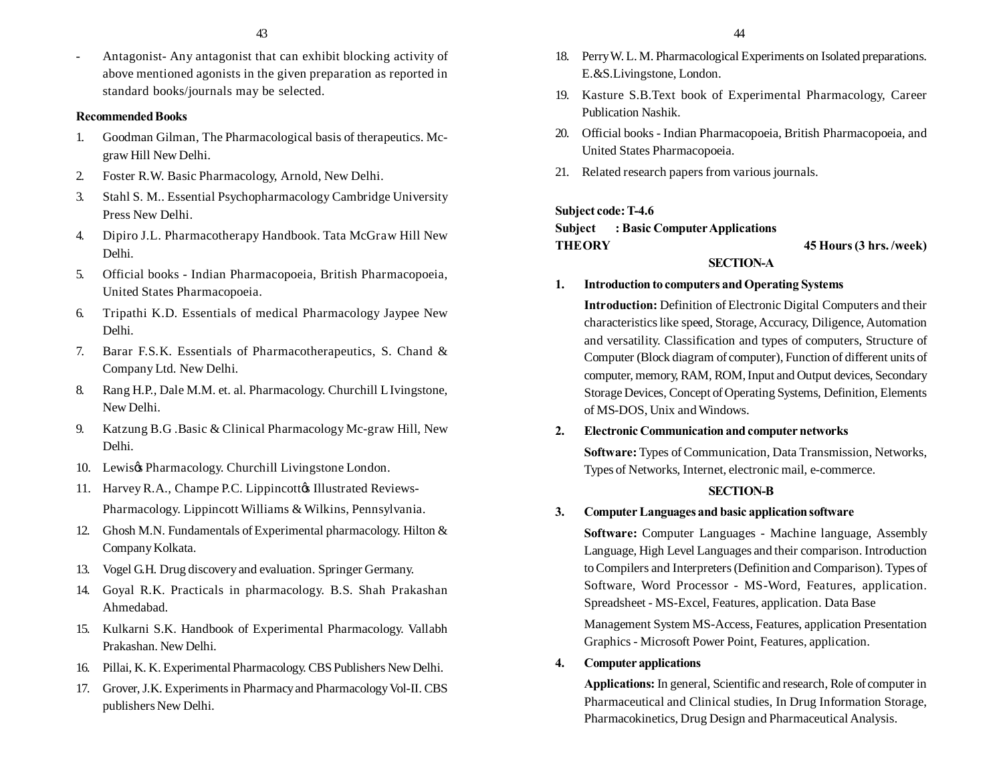- Antagonist- Any antagonist that can exhibit blocking activity of above mentioned agonists in the given preparation as reported in standard books/journals may be selected.

## **Recommended Books**

- 1. Goodman Gilman, The Pharmacological basis of therapeutics. Mcgraw Hill New Delhi.
- 2. Foster R.W. Basic Pharmacology, Arnold, New Delhi.
- 3. Stahl S. M.. Essential Psychopharmacology Cambridge University Press New Delhi.
- 4. Dipiro J.L. Pharmacotherapy Handbook. Tata McGraw Hill New Delhi.
- 5. Official books Indian Pharmacopoeia, British Pharmacopoeia, United States Pharmacopoeia.
- 6. Tripathi K.D. Essentials of medical Pharmacology Jaypee New Delhi.
- 7. Barar F.S.K. Essentials of Pharmacotherapeutics, S. Chand & Company Ltd. New Delhi.
- 8. Rang H.P., Dale M.M. et. al. Pharmacology. Churchill L Ivingstone, New Delhi.
- 9. Katzung B.G .Basic & Clinical Pharmacology Mc-graw Hill, New Delhi.
- 10. Lewis $\alpha$  Pharmacology. Churchill Livingstone London.
- 11. Harvey R.A., Champe P.C. Lippincottø Illustrated Reviews-Pharmacology. Lippincott Williams & Wilkins, Pennsylvania.
- 12. Ghosh M.N. Fundamentals of Experimental pharmacology. Hilton & Company Kolkata.
- 13. Vogel G.H. Drug discovery and evaluation. Springer Germany.
- 14. Goyal R.K. Practicals in pharmacology. B.S. Shah Prakashan Ahmedabad.
- 15. Kulkarni S.K. Handbook of Experimental Pharmacology. Vallabh Prakashan. New Delhi.
- 16. Pillai, K. K. Experimental Pharmacology. CBS Publishers New Delhi.
- 17. Grover, J.K. Experiments in Pharmacy and Pharmacology Vol-II. CBS publishers New Delhi.
- 18. Perry W. L. M. Pharmacological Experiments on Isolated preparations. E.&S.Livingstone, London.
- 19. Kasture S.B.Text book of Experimental Pharmacology, Career Publication Nashik.
- 20. Official books Indian Pharmacopoeia, British Pharmacopoeia, and United States Pharmacopoeia.
- 21. Related research papers from various journals.

## **Subject code: T-4.6**

**Subject : Basic Computer Applications THEORY 45 Hours (3 hrs. /week)**

## **SECTION-A**

## **1. Introduction to computers and Operating Systems**

**Introduction:** Definition of Electronic Digital Computers and their characteristics like speed, Storage, Accuracy, Diligence, Automation and versatility. Classification and types of computers, Structure of Computer (Block diagram of computer), Function of different units of computer, memory, RAM, ROM, Input and Output devices, Secondary Storage Devices, Concept of Operating Systems, Definition, Elements of MS-DOS, Unix and Windows.

## **2. Electronic Communication and computer networks**

**Software:** Types of Communication, Data Transmission, Networks, Types of Networks, Internet, electronic mail, e-commerce.

## **SECTION-B**

## **3. Computer Languages and basic application software**

**Software:** Computer Languages - Machine language, Assembly Language, High Level Languages and their comparison. Introduction to Compilers and Interpreters (Definition and Comparison). Types of Software, Word Processor - MS-Word, Features, application. Spreadsheet - MS-Excel, Features, application. Data Base

Management System MS-Access, Features, application Presentation Graphics - Microsoft Power Point, Features, application.

## **4. Computer applications**

**Applications:** In general, Scientific and research, Role of computer in Pharmaceutical and Clinical studies, In Drug Information Storage, Pharmacokinetics, Drug Design and Pharmaceutical Analysis.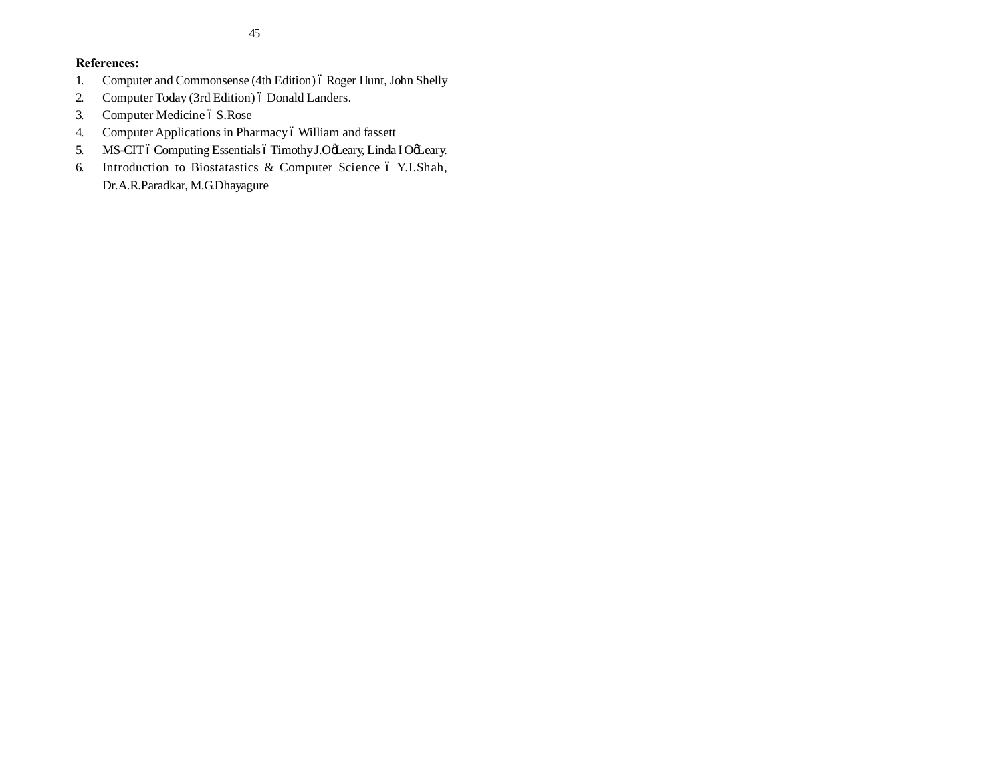## **References:**

- 1. Computer and Commonsense (4th Edition) 6 Roger Hunt, John Shelly
- 2. Computer Today (3rd Edition) 6 Donald Landers.
- 3. Computer Medicine ó S.Rose
- 4. Computer Applications in Pharmacy ó William and fassett
- 5. MS-CIT ó Computing Essentials ó Timothy J.OgLeary, Linda I OgLeary.
- 6. Introduction to Biostatastics & Computer Science 6 Y.I.Shah, Dr.A.R.Paradkar, M.G.Dhayagure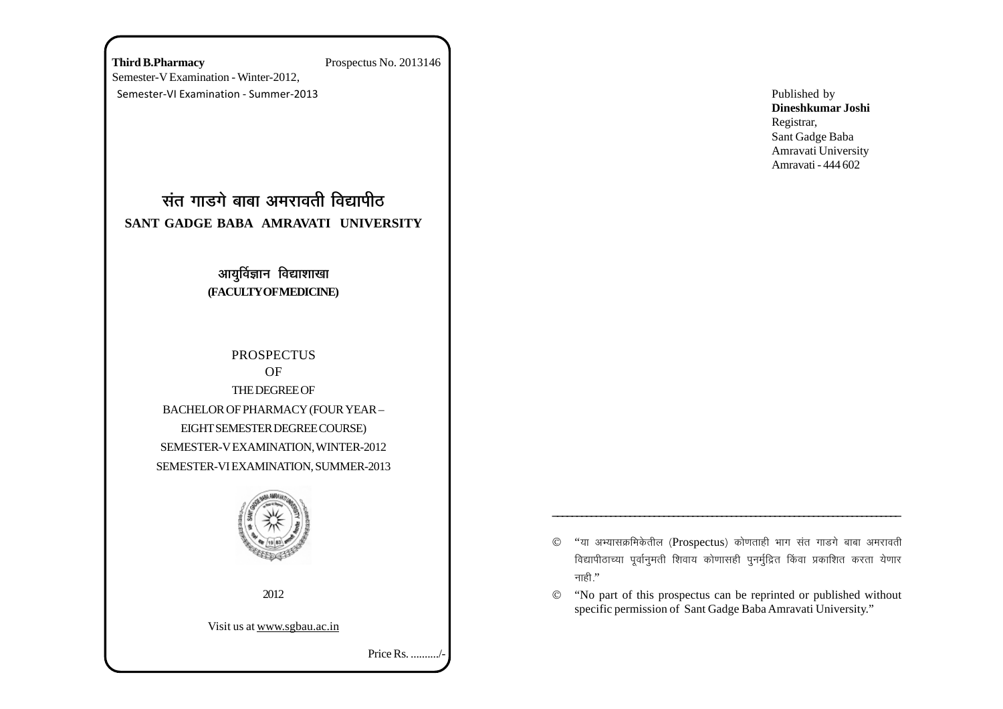**Third B.Pharmacy** Prospectus No. 2013146 Semester-V Examination - Winter-2012, Semester-VI Examination - Summer-2013

# <u>संत गाडगे बाबा अमरावती विद्यापीठ</u> **SANT GADGE BABA AMRAVATI UNIVERSITY**

## आयुर्विज्ञान विद्याशाखा **(FACULTY OF MEDICINE)**

**PROSPECTUS** OF THE DEGREE OF BACHELOR OF PHARMACY (FOUR YEAR – EIGHT SEMESTER DEGREE COURSE) SEMESTER-V EXAMINATION, WINTER-2012 SEMESTER-VI EXAMINATION, SUMMER-2013



2012

Visit us at www.sgbau.ac.in

Price Rs. ........../-

Published by **Dineshkumar Joshi** Registrar, Sant Gadge Baba Amravati University Amravati - 444 602

 $©$  "या अभ्यासक्रमिकेतील (Prospectus) कोणताही भाग संत गाडगे बाबा अमरावती विद्यापीठाच्या पूर्वानुमती शिवाय कोणासही पुनर्मुद्रित किंवा प्रकाशित करता येणार नाही."

\_\_\_\_\_\_\_\_\_\_\_\_\_\_\_\_\_\_\_\_\_\_\_\_\_\_\_\_\_\_\_\_\_\_\_\_\_\_\_\_\_\_\_\_\_\_\_\_\_\_\_\_\_\_\_\_\_\_\_\_\_\_\_\_\_\_\_\_\_\_\_\_

© "No part of this prospectus can be reprinted or published without specific permission of Sant Gadge Baba Amravati University."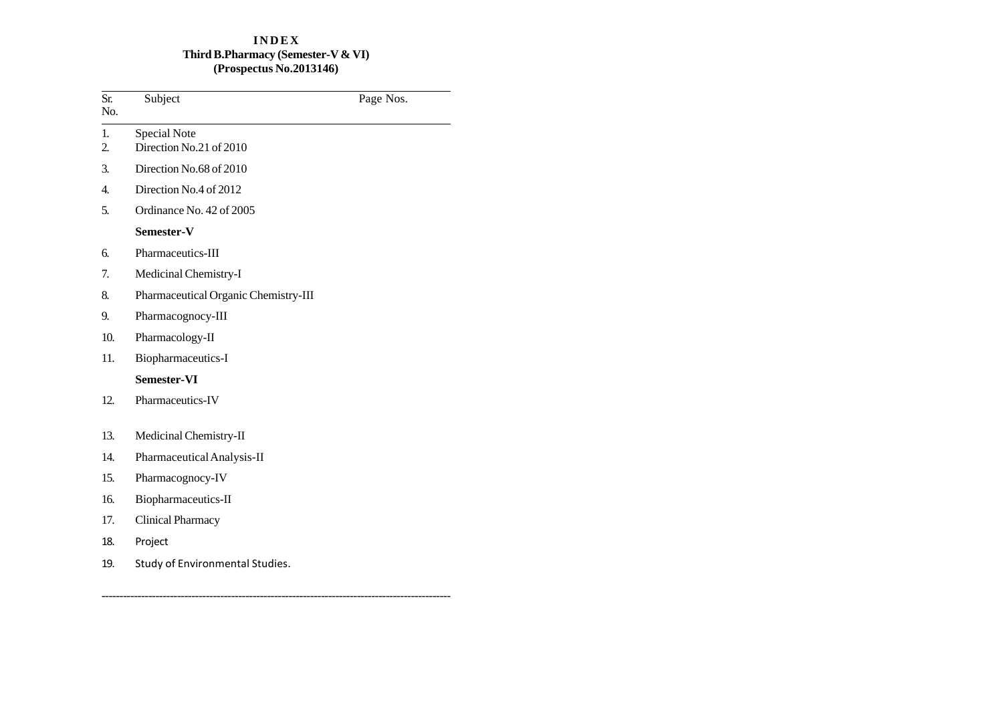## **I N D E X Third B.Pharmacy (Semester-V & VI) (Prospectus No.2013146)**

| Sr.<br>No.           | Subject                                 | Page Nos. |
|----------------------|-----------------------------------------|-----------|
| 1.<br>$\overline{2}$ | Special Note<br>Direction No.21 of 2010 |           |
| 3.                   | Direction No.68 of 2010                 |           |
| 4.                   | Direction No.4 of 2012                  |           |
| 5.                   | Ordinance No. 42 of 2005                |           |
|                      | Semester-V                              |           |
| б.                   | Pharmaceutics-III                       |           |
| 7.                   | Medicinal Chemistry-I                   |           |
| 8.                   | Pharmaceutical Organic Chemistry-III    |           |
| 9.                   | Pharmacognocy-III                       |           |
| 10.                  | Pharmacology-II                         |           |
| 11.                  | Biopharmaceutics-I                      |           |
|                      | Semester-VI                             |           |
| 12.                  | Pharmaceutics-IV                        |           |
| 13.                  | Medicinal Chemistry-II                  |           |
| 14.                  | Pharmaceutical Analysis-II              |           |
| 15.                  | Pharmacognocy-IV                        |           |
| 16.                  | Biopharmaceutics-II                     |           |
| 17.                  | <b>Clinical Pharmacy</b>                |           |
| 18.                  | Project                                 |           |
| 19.                  | Study of Environmental Studies.         |           |

-------------------------------------------------------------------------------------------------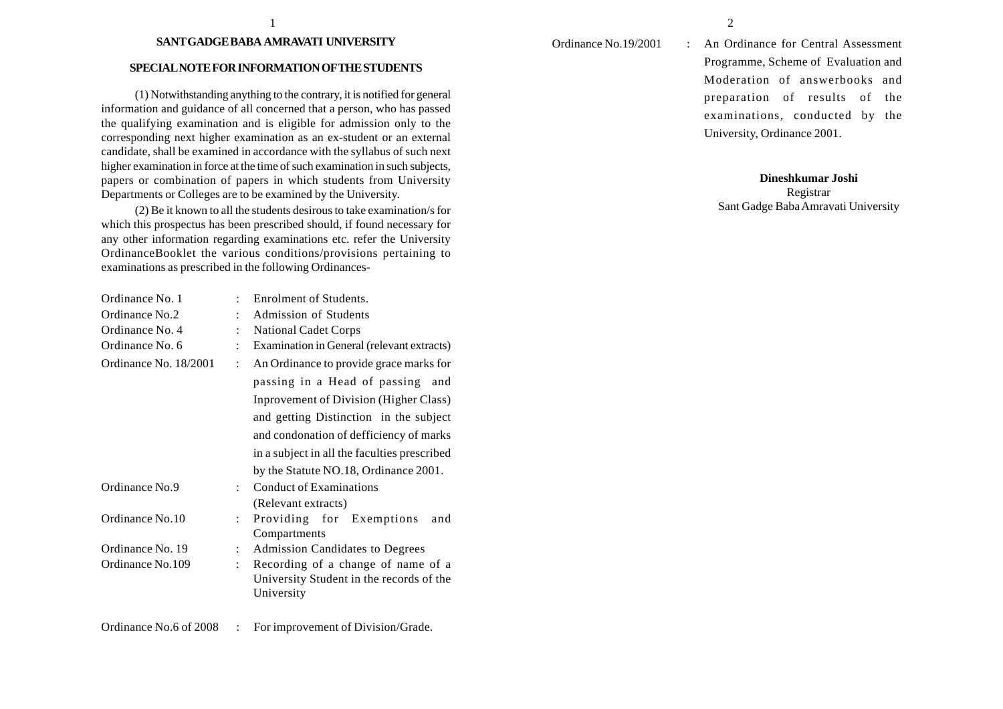#### **SANT GADGE BABA AMRAVATI UNIVERSITY**

#### **SPECIAL NOTE FOR INFORMATION OF THE STUDENTS**

(1) Notwithstanding anything to the contrary, it is notified for general information and guidance of all concerned that a person, who has passed the qualifying examination and is eligible for admission only to the corresponding next higher examination as an ex-student or an external candidate, shall be examined in accordance with the syllabus of such next higher examination in force at the time of such examination in such subjects, papers or combination of papers in which students from University Departments or Colleges are to be examined by the University.

(2) Be it known to all the students desirous to take examination/s for which this prospectus has been prescribed should, if found necessary for any other information regarding examinations etc. refer the University OrdinanceBooklet the various conditions/provisions pertaining to examinations as prescribed in the following Ordinances-

| Ordinance No. 1       |                      | Enrolment of Students.                       |  |  |
|-----------------------|----------------------|----------------------------------------------|--|--|
| Ordinance No.2        |                      | Admission of Students                        |  |  |
| Ordinance No. 4       |                      | <b>National Cadet Corps</b>                  |  |  |
| Ordinance No. 6       | $\ddot{\cdot}$       | Examination in General (relevant extracts)   |  |  |
| Ordinance No. 18/2001 | $\ddot{\cdot}$       | An Ordinance to provide grace marks for      |  |  |
|                       |                      | passing in a Head of passing<br>and          |  |  |
|                       |                      | Inprovement of Division (Higher Class)       |  |  |
|                       |                      | and getting Distinction in the subject       |  |  |
|                       |                      | and condonation of defficiency of marks      |  |  |
|                       |                      | in a subject in all the faculties prescribed |  |  |
|                       |                      | by the Statute NO.18, Ordinance 2001.        |  |  |
| Ordinance No.9        | $\ddot{\phantom{a}}$ | <b>Conduct of Examinations</b>               |  |  |
|                       |                      | (Relevant extracts)                          |  |  |
| Ordinance No.10       | $\ddot{\phantom{a}}$ | Providing for Exemptions<br>and              |  |  |
|                       |                      | Compartments                                 |  |  |
| Ordinance No. 19      | $\ddot{\phantom{0}}$ | Admission Candidates to Degrees              |  |  |
| Ordinance No.109      | $\ddot{\cdot}$       | Recording of a change of name of a           |  |  |
|                       |                      | University Student in the records of the     |  |  |
|                       |                      | University                                   |  |  |
|                       |                      |                                              |  |  |
|                       |                      |                                              |  |  |

Ordinance No.6 of 2008 : For improvement of Division/Grade.

Ordinance No.19/2001 : An Ordinance for Central Assessment Programme, Scheme of Evaluation and Moderation of answerbooks and preparation of results of the examinations, conducted by the University, Ordinance 2001.

## **Dineshkumar Joshi**

Registrar Sant Gadge Baba Amravati University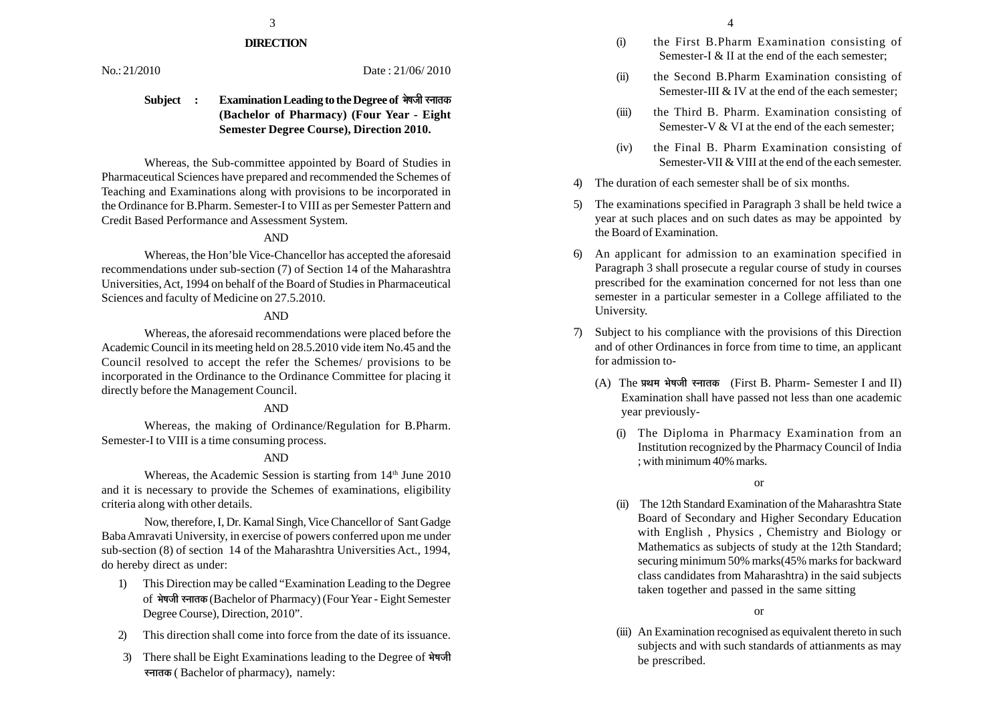## $\frac{3}{4}$

## **DIRECTION**

No.: 21/2010 Date: 21/06/2010

## **Subject : Examination Leading to the Degree of ¦Éä¹ÉVÉÒ ºxÉÉiÉEò (Bachelor of Pharmacy) (Four Year - Eight Semester Degree Course), Direction 2010.**

Whereas, the Sub-committee appointed by Board of Studies in Pharmaceutical Sciences have prepared and recommended the Schemes of Teaching and Examinations along with provisions to be incorporated in the Ordinance for B.Pharm. Semester-I to VIII as per Semester Pattern and Credit Based Performance and Assessment System.

## AND

Whereas, the Hon'ble Vice-Chancellor has accepted the aforesaid recommendations under sub-section (7) of Section 14 of the Maharashtra Universities, Act, 1994 on behalf of the Board of Studies in Pharmaceutical Sciences and faculty of Medicine on 27.5.2010.

### AND

Whereas, the aforesaid recommendations were placed before the Academic Council in its meeting held on 28.5.2010 vide item No.45 and the Council resolved to accept the refer the Schemes/ provisions to be incorporated in the Ordinance to the Ordinance Committee for placing it directly before the Management Council.

#### AND

Whereas, the making of Ordinance/Regulation for B.Pharm. Semester-I to VIII is a time consuming process.

### AND

Whereas, the Academic Session is starting from  $14<sup>th</sup>$  June 2010 and it is necessary to provide the Schemes of examinations, eligibility criteria along with other details.

Now, therefore, I, Dr. Kamal Singh, Vice Chancellor of Sant Gadge Baba Amravati University, in exercise of powers conferred upon me under sub-section (8) of section 14 of the Maharashtra Universities Act., 1994, do hereby direct as under:

- 1) This Direction may be called "Examination Leading to the Degree of **¦Éä¹ÉVÉÒ ºxÉÉiÉEò** (Bachelor of Pharmacy) (Four Year - Eight Semester Degree Course), Direction, 2010".
- 2) This direction shall come into force from the date of its issuance.
- 3) There shall be Eight Examinations leading to the Degree of भेषजी **स्नातक ( Bachelor of pharmacy), namely:**
- (i) the First B.Pharm Examination consisting of Semester-I & II at the end of the each semester:
- (ii) the Second B.Pharm Examination consisting of Semester-III & IV at the end of the each semester:
- (iii) the Third B. Pharm. Examination consisting of Semester-V & VI at the end of the each semester:
- (iv) the Final B. Pharm Examination consisting of Semester-VII & VIII at the end of the each semester.
- The duration of each semester shall be of six months.
- 5) The examinations specified in Paragraph 3 shall be held twice a year at such places and on such dates as may be appointed by the Board of Examination.
- 6) An applicant for admission to an examination specified in Paragraph 3 shall prosecute a regular course of study in courses prescribed for the examination concerned for not less than one semester in a particular semester in a College affiliated to the University.
- 7) Subject to his compliance with the provisions of this Direction and of other Ordinances in force from time to time, an applicant for admission to-
	- (A) The **|ÉlÉ¨É ¦Éä¹ÉVÉÒ ºxÉÉiÉEò** (First B. Pharm- Semester I and II) Examination shall have passed not less than one academic year previously-
		- (i) The Diploma in Pharmacy Examination from an Institution recognized by the Pharmacy Council of India ; with minimum 40% marks.

(ii) The 12th Standard Examination of the Maharashtra State Board of Secondary and Higher Secondary Education with English , Physics , Chemistry and Biology or Mathematics as subjects of study at the 12th Standard; securing minimum 50% marks(45% marks for backward class candidates from Maharashtra) in the said subjects taken together and passed in the same sitting

or

(iii) An Examination recognised as equivalent thereto in such subjects and with such standards of attianments as may be prescribed.

or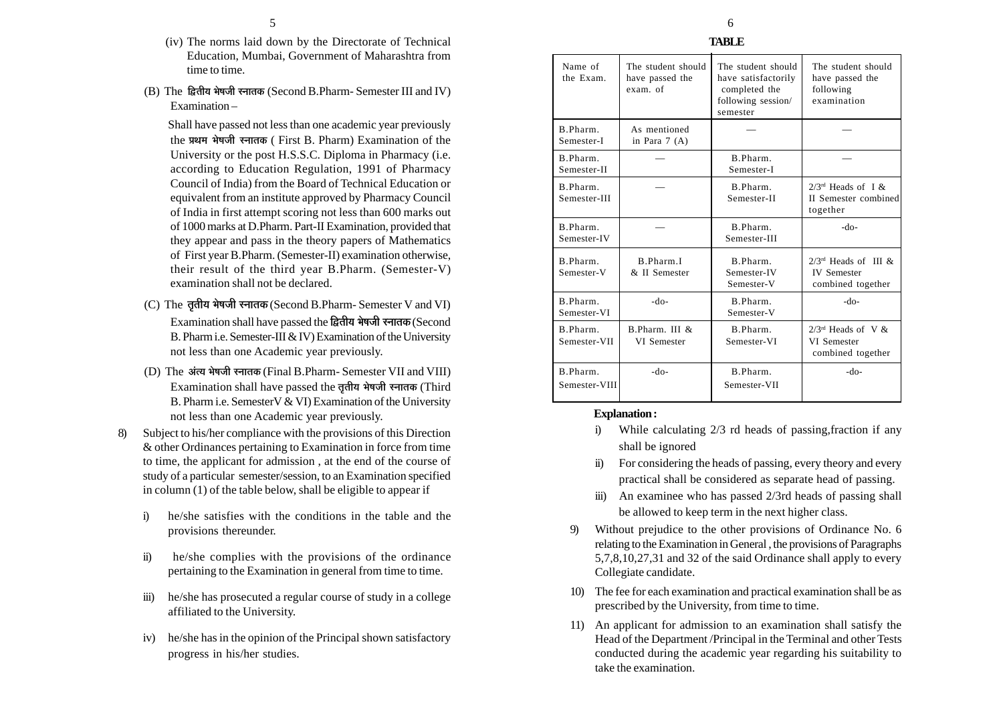- (iv) The norms laid down by the Directorate of Technical Education, Mumbai, Government of Maharashtra from time to time.
- (B) The **ÊuùiÉÒªÉ ¦Éä¹ÉVÉÒ ºxÉÉiÉEò** (Second B.Pharm- Semester III and IV) Examination –

Shall have passed not less than one academic year previously the प्रथम भेषजी स्नातक ( First B. Pharm) Examination of the University or the post H.S.S.C. Diploma in Pharmacy (i.e. according to Education Regulation, 1991 of Pharmacy Council of India) from the Board of Technical Education or equivalent from an institute approved by Pharmacy Council of India in first attempt scoring not less than 600 marks out of 1000 marks at D.Pharm. Part-II Examination, provided that they appear and pass in the theory papers of Mathematics of First year B.Pharm. (Semester-II) examination otherwise, their result of the third year B.Pharm. (Semester-V) examination shall not be declared.

- (C) The **iÉÞiÉÒªÉ ¦Éä¹ÉVÉÒ ºxÉÉiÉEò** (Second B.Pharm- Semester V and VI) Examination shall have passed the द्वितीय भेषजी रनातक (Second B. Pharm i.e. Semester-III & IV) Examination of the University not less than one Academic year previously.
- (D) The अंत्य भेषजी स्नातक (Final B.Pharm- Semester VII and VIII) Examination shall have passed the तृतीय भेषजी स्नातक (Third B. Pharm i.e. SemesterV & VI) Examination of the University not less than one Academic year previously.
- 8) Subject to his/her compliance with the provisions of this Direction & other Ordinances pertaining to Examination in force from time to time, the applicant for admission , at the end of the course of study of a particular semester/session, to an Examination specified in column (1) of the table below, shall be eligible to appear if
	- i) he/she satisfies with the conditions in the table and the provisions thereunder.
	- ii) he/she complies with the provisions of the ordinance pertaining to the Examination in general from time to time.
	- iii) he/she has prosecuted a regular course of study in a college affiliated to the University.
	- iv) he/she has in the opinion of the Principal shown satisfactory progress in his/her studies.

| Name of<br>the Exam.      | The student should<br>have passed the<br>exam. of | The student should<br>have satisfactorily<br>completed the<br>following session/<br>semester | The student should<br>have passed the<br>following<br>examination    |
|---------------------------|---------------------------------------------------|----------------------------------------------------------------------------------------------|----------------------------------------------------------------------|
| B.Pharm.<br>Semester-I    | As mentioned<br>in Para $7(A)$                    |                                                                                              |                                                                      |
| B.Pharm.<br>Semester-II   |                                                   | B. Pharm<br>Semester-I                                                                       |                                                                      |
| B.Pharm.<br>Semester-III  |                                                   | B.Pharm.<br>Semester-II                                                                      | $2/3^{rd}$ Heads of I &<br>II Semester combined<br>together          |
| B.Pharm.<br>Semester-IV   |                                                   | B.Pharm.<br>Semester-III                                                                     | -do-                                                                 |
| B.Pharm.<br>Semester-V    | B.Pharm.I<br>& II Semester                        | B.Pharm.<br>Semester-IV<br>Semester-V                                                        | $2/3^{rd}$ Heads of III &<br><b>IV</b> Semester<br>combined together |
| B.Pharm.<br>Semester-VI   | -do-                                              | B.Pharm.<br>Semester-V                                                                       | $-do-$                                                               |
| B.Pharm.<br>Semester-VII  | B.Pharm. III &<br>VI Semester                     | B.Pharm.<br>Semester-VI                                                                      | $2/3^{rd}$ Heads of V &<br>VI Semester<br>combined together          |
| B.Pharm.<br>Semester-VIII | -do-                                              | B.Pharm.<br>Semester-VII                                                                     | -do-                                                                 |

## **Explanation :**

- i) While calculating 2/3 rd heads of passing,fraction if any shall be ignored
- ii) For considering the heads of passing, every theory and every practical shall be considered as separate head of passing.
- iii) An examinee who has passed 2/3rd heads of passing shall be allowed to keep term in the next higher class.
- 9) Without prejudice to the other provisions of Ordinance No. 6 relating to the Examination in General , the provisions of Paragraphs 5,7,8,10,27,31 and 32 of the said Ordinance shall apply to every Collegiate candidate.
- 10) The fee for each examination and practical examination shall be as prescribed by the University, from time to time.
- 11) An applicant for admission to an examination shall satisfy the Head of the Department /Principal in the Terminal and other Tests conducted during the academic year regarding his suitability to take the examination.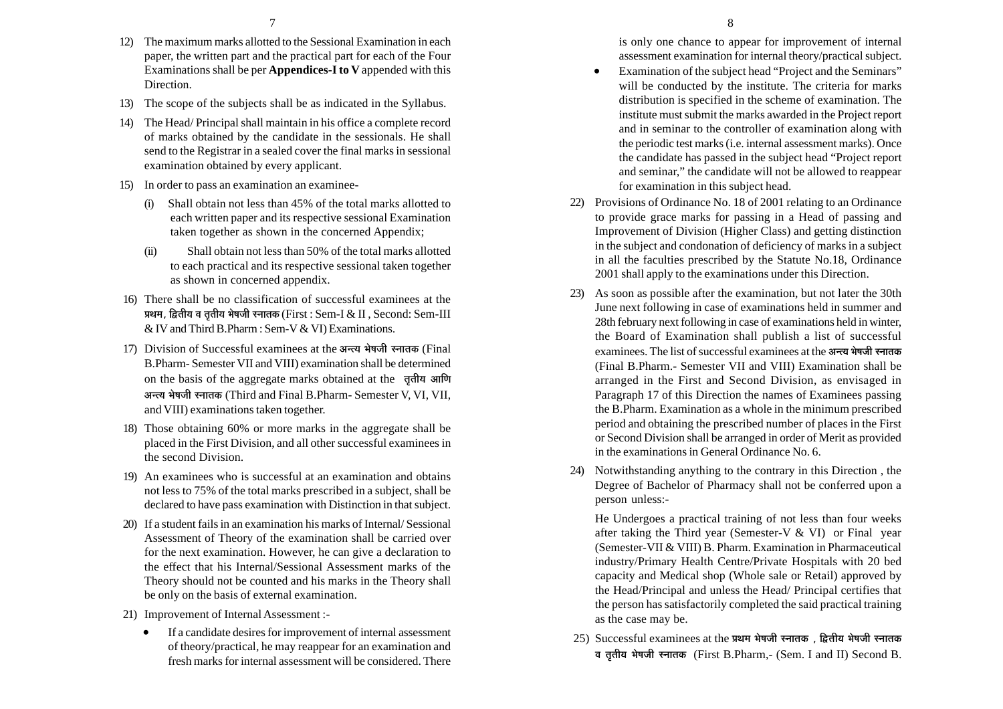- 12) The maximum marks allotted to the Sessional Examination in each paper, the written part and the practical part for each of the Four Examinations shall be per **Appendices-I to V** appended with this Direction.
- 13) The scope of the subjects shall be as indicated in the Syllabus.
- 14) The Head/ Principal shall maintain in his office a complete record of marks obtained by the candidate in the sessionals. He shall send to the Registrar in a sealed cover the final marks in sessional examination obtained by every applicant.
- 15) In order to pass an examination an examinee-
	- (i) Shall obtain not less than 45% of the total marks allotted to each written paper and its respective sessional Examination taken together as shown in the concerned Appendix;
	- (ii) Shall obtain not less than 50% of the total marks allotted to each practical and its respective sessional taken together as shown in concerned appendix.
- 16) There shall be no classification of successful examinees at the प्रथम, द्वितीय व तृतीय भेषजी स्नातक (First : Sem-I & II, Second: Sem-III & IV and Third B.Pharm : Sem-V & VI) Examinations.
- 17) Division of Successful examinees at the अन्त्य भेषजी स्नातक (Final B.Pharm- Semester VII and VIII) examination shall be determined on the basis of the aggregate marks obtained at the **तृतीय आणि +xiªÉ ¦Éä¹ÉVÉÒ ºxÉÉiÉEò** (Third and Final B.Pharm- Semester V, VI, VII, and VIII) examinations taken together.
- 18) Those obtaining 60% or more marks in the aggregate shall be placed in the First Division, and all other successful examinees in the second Division.
- 19) An examinees who is successful at an examination and obtains not less to 75% of the total marks prescribed in a subject, shall be declared to have pass examination with Distinction in that subject.
- 20) If a student fails in an examination his marks of Internal/ Sessional Assessment of Theory of the examination shall be carried over for the next examination. However, he can give a declaration to the effect that his Internal/Sessional Assessment marks of the Theory should not be counted and his marks in the Theory shall be only on the basis of external examination.
- 21) Improvement of Internal Assessment :-
	- $\bullet$  If a candidate desires for improvement of internal assessment of theory/practical, he may reappear for an examination and fresh marks for internal assessment will be considered. There

is only one chance to appear for improvement of internal assessment examination for internal theory/practical subject.

- • Examination of the subject head "Project and the Seminars" will be conducted by the institute. The criteria for marks distribution is specified in the scheme of examination. The institute must submit the marks awarded in the Project report and in seminar to the controller of examination along with the periodic test marks (i.e. internal assessment marks). Once the candidate has passed in the subject head "Project report and seminar," the candidate will not be allowed to reappear for examination in this subject head.
- 22) Provisions of Ordinance No. 18 of 2001 relating to an Ordinance to provide grace marks for passing in a Head of passing and Improvement of Division (Higher Class) and getting distinction in the subject and condonation of deficiency of marks in a subject in all the faculties prescribed by the Statute No.18, Ordinance 2001 shall apply to the examinations under this Direction.
- 23) As soon as possible after the examination, but not later the 30th June next following in case of examinations held in summer and 28th february next following in case of examinations held in winter, the Board of Examination shall publish a list of successful examinees. The list of successful examinees at the अन्त्य भेषजी स्नातक (Final B.Pharm.- Semester VII and VIII) Examination shall be arranged in the First and Second Division, as envisaged in Paragraph 17 of this Direction the names of Examinees passing the B.Pharm. Examination as a whole in the minimum prescribed period and obtaining the prescribed number of places in the First or Second Division shall be arranged in order of Merit as provided in the examinations in General Ordinance No. 6.
- 24) Notwithstanding anything to the contrary in this Direction , the Degree of Bachelor of Pharmacy shall not be conferred upon a person unless:-

He Undergoes a practical training of not less than four weeks after taking the Third year (Semester-V & VI) or Final year (Semester-VII & VIII) B. Pharm. Examination in Pharmaceutical industry/Primary Health Centre/Private Hospitals with 20 bed capacity and Medical shop (Whole sale or Retail) approved by the Head/Principal and unless the Head/ Principal certifies that the person has satisfactorily completed the said practical training as the case may be.

25) Successful examinees at the प्रथम भेषजी स्नातक, द्वितीय भेषजी स्नातक **´É iÉÞiÉÒªÉ ¦Éä¹ÉVÉÒ ºxÉÉiÉEò** (First B.Pharm,- (Sem. I and II) Second B.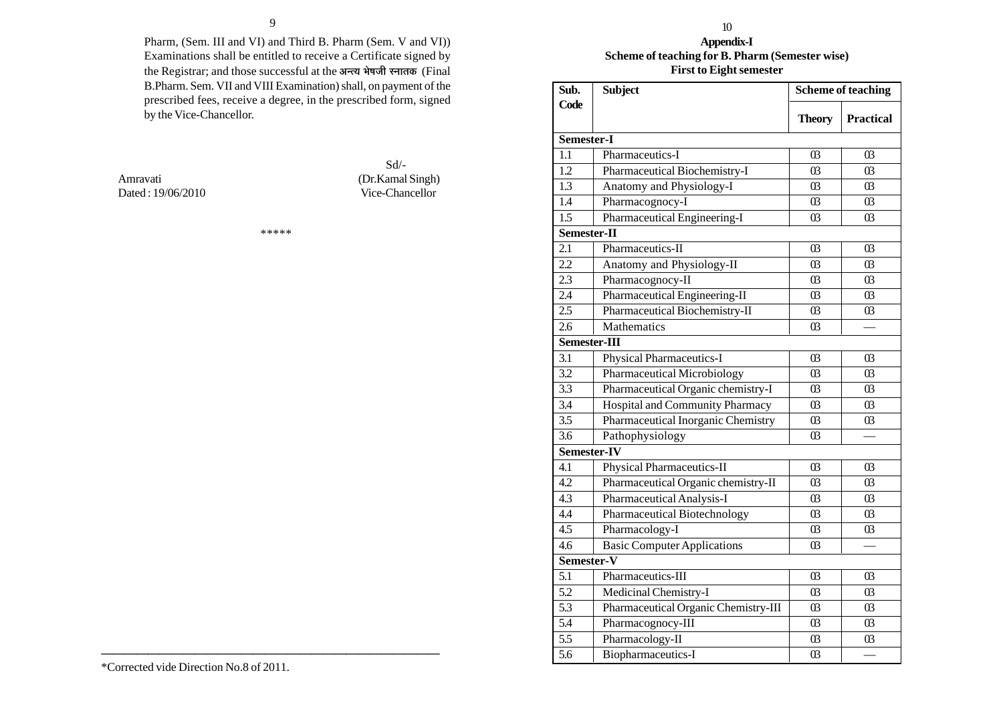Pharm, (Sem. III and VI) and Third B. Pharm (Sem. V and VI)) Examinations shall be entitled to receive a Certificate signed by the Registrar; and those successful at the अन्त्य भेषजी स्नातक (Final B.Pharm. Sem. VII and VIII Examination) shall, on payment of the prescribed fees, receive a degree, in the prescribed form, signed by the Vice-Chancellor.

Dated : 19/06/2010 Vice-Chancellor

 Sd/- Amravati (Dr.Kamal Singh)

\*\*\*\*\*

## **Appendix-I Scheme of teaching for B. Pharm (Semester wise) First to Eight semester** 10

| Sub.             | <b>Subject</b>                       | <b>Scheme of teaching</b> |                       |  |  |  |  |
|------------------|--------------------------------------|---------------------------|-----------------------|--|--|--|--|
| Code             |                                      | <b>Theory</b>             | <b>Practical</b>      |  |  |  |  |
| Semester-I       |                                      |                           |                       |  |  |  |  |
| 1.1              | Pharmaceutics-I                      | 03                        | 03                    |  |  |  |  |
| 1.2              | Pharmaceutical Biochemistry-I        | 03                        | $\boldsymbol{0}$      |  |  |  |  |
| 1.3              | Anatomy and Physiology-I             | 03                        | 03                    |  |  |  |  |
| 1.4              | Pharmacognocy-I                      | $\Omega$                  | $\overline{03}$       |  |  |  |  |
| 1.5              | Pharmaceutical Engineering-I         | 0 <sub>3</sub>            | 0 <sub>3</sub>        |  |  |  |  |
| Semester-II      |                                      |                           |                       |  |  |  |  |
| 2.1              | Pharmaceutics-II                     | 03                        | $\boldsymbol{\omega}$ |  |  |  |  |
| 2.2              | Anatomy and Physiology-II            | $\boldsymbol{\omega}$     | $\boldsymbol{0}$      |  |  |  |  |
| 2.3              | Pharmacognocy-II                     | $\overline{03}$           | $\overline{03}$       |  |  |  |  |
| 2.4              | Pharmaceutical Engineering-II        | ß                         | $\boldsymbol{0}$ 3    |  |  |  |  |
| 2.5              | Pharmaceutical Biochemistry-II       | 03                        | $\overline{03}$       |  |  |  |  |
| 2.6              | Mathematics                          | $\overline{03}$           |                       |  |  |  |  |
| Semester-III     |                                      |                           |                       |  |  |  |  |
| 3.1              | Physical Pharmaceutics-I             | 03                        | 03                    |  |  |  |  |
| 3.2              | Pharmaceutical Microbiology          | $\overline{03}$           | $\mathfrak{B}$        |  |  |  |  |
| 3.3              | Pharmaceutical Organic chemistry-I   | 03                        | $\boldsymbol{0}$      |  |  |  |  |
| 3.4              | Hospital and Community Pharmacy      | $\overline{03}$           | $\overline{03}$       |  |  |  |  |
| 3.5              | Pharmaceutical Inorganic Chemistry   | ß                         | 0 <sub>3</sub>        |  |  |  |  |
| 3.6              | Pathophysiology                      | ß                         |                       |  |  |  |  |
| Semester-IV      |                                      |                           |                       |  |  |  |  |
| 4.1              | Physical Pharmaceutics-II            | $\boldsymbol{\omega}$     | $\boldsymbol{0}$      |  |  |  |  |
| 4.2              | Pharmaceutical Organic chemistry-II  | $\boldsymbol{\omega}$     | $\boldsymbol{0}$      |  |  |  |  |
| 4.3              | Pharmaceutical Analysis-I            | $\overline{03}$           | $\boldsymbol{0}$      |  |  |  |  |
| 4.4              | Pharmaceutical Biotechnology         | $\boldsymbol{\omega}$     | $\boldsymbol{0}$      |  |  |  |  |
| 4.5              | Pharmacology-I                       | $\overline{03}$           | 03                    |  |  |  |  |
| 4.6              | <b>Basic Computer Applications</b>   | $\overline{03}$           |                       |  |  |  |  |
| Semester-V       |                                      |                           |                       |  |  |  |  |
| 5.1              | Pharmaceutics-III                    | 03                        | 03                    |  |  |  |  |
| 5.2              | Medicinal Chemistry-I                | 03                        | $\boldsymbol{\omega}$ |  |  |  |  |
| 5.3              | Pharmaceutical Organic Chemistry-III | $\boldsymbol{\omega}$     | $\boldsymbol{0}$      |  |  |  |  |
| 5.4              | Pharmacognocy-III                    | $\overline{03}$           | $\overline{03}$       |  |  |  |  |
| 5.5              | Pharmacology-II                      | $\boldsymbol{\omega}$     | $\boldsymbol{\omega}$ |  |  |  |  |
| $\overline{5.6}$ | Biopharmaceutics-I                   | $\boldsymbol{\omega}$     |                       |  |  |  |  |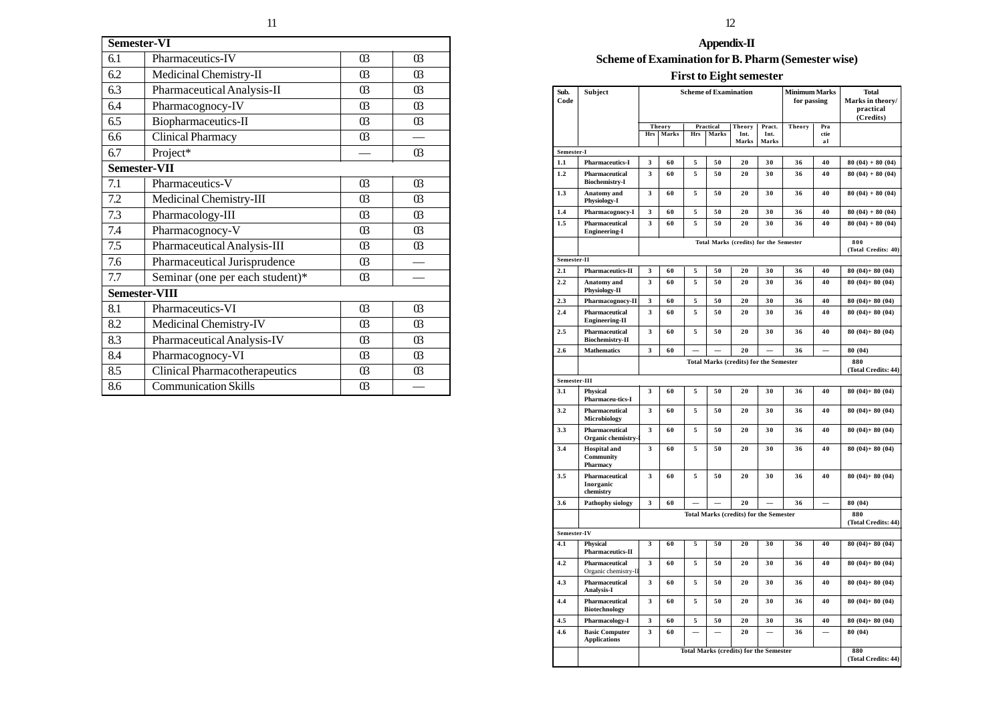| <b>Semester-VI</b> |                                      |                       |                       |  |  |
|--------------------|--------------------------------------|-----------------------|-----------------------|--|--|
| 6.1                | Pharmaceutics-IV                     | 0 <sub>3</sub>        | 0 <sub>3</sub>        |  |  |
| 6.2                | Medicinal Chemistry-II               | 03                    | 0 <sub>3</sub>        |  |  |
| 6.3                | Pharmaceutical Analysis-II           | $\overline{03}$       | $\overline{03}$       |  |  |
| 6.4                | Pharmacognocy-IV                     | $\overline{03}$       | $\overline{03}$       |  |  |
| 6.5                | Biopharmaceutics-II                  | $\boldsymbol{\omega}$ | $\boldsymbol{\omega}$ |  |  |
| 6.6                | Clinical Pharmacy                    | $\overline{03}$       |                       |  |  |
| 6.7                | Project*                             |                       | $\overline{03}$       |  |  |
| Semester-VII       |                                      |                       |                       |  |  |
| 7.1                | Pharmaceutics-V                      | 03                    | 03                    |  |  |
| 7.2                | Medicinal Chemistry-III              | $\boldsymbol{03}$     | $\overline{03}$       |  |  |
| 7.3                | Pharmacology-III                     | $\overline{03}$       | $\overline{03}$       |  |  |
| 7.4                | Pharmacognocy-V                      | $\overline{03}$       | $\Omega$              |  |  |
| 7.5                | Pharmaceutical Analysis-III          | $\overline{03}$       | 03                    |  |  |
| 7.6                | Pharmaceutical Jurisprudence         | $\boldsymbol{\omega}$ |                       |  |  |
| 7.7                | Seminar (one per each student)*      | $\overline{03}$       |                       |  |  |
|                    | Semester-VIII                        |                       |                       |  |  |
| 8.1                | Pharmaceutics-VI                     | 03                    | $\overline{03}$       |  |  |
| 8.2                | Medicinal Chemistry-IV               | $\overline{03}$       | $\overline{03}$       |  |  |
| 8.3                | Pharmaceutical Analysis-IV           | 03                    | $\Omega$              |  |  |
| 8.4                | Pharmacognocy-VI                     | 0 <sub>3</sub>        | $\boldsymbol{\omega}$ |  |  |
| 8.5                | <b>Clinical Pharmacotherapeutics</b> | $\boldsymbol{\omega}$ | $\boldsymbol{\omega}$ |  |  |
| 8.6                | Communication Skills                 | $\boldsymbol{\omega}$ |                       |  |  |

# **Appendix-II**

# **Scheme of Examination for B. Pharm (Semester wise)**

# **First to Eight semester**

| Sub.<br>Code | Subject                                             |     | <b>Scheme of Examination</b>                  |            | <b>Minimum Marks</b><br>for passing |                                               | <b>Total</b><br>Marks in theory/<br>practical<br>(Credits) |               |            |                            |
|--------------|-----------------------------------------------------|-----|-----------------------------------------------|------------|-------------------------------------|-----------------------------------------------|------------------------------------------------------------|---------------|------------|----------------------------|
|              |                                                     |     | Theory                                        |            | Practical                           | Theory                                        | Pract.                                                     | <b>Theory</b> | Pra        |                            |
|              |                                                     | Hrs | Marks                                         | <b>Hrs</b> | <b>Marks</b>                        | Int.<br>Marks                                 | Int.<br>Marks                                              |               | ctie<br>al |                            |
| Semester-I   |                                                     |     |                                               |            |                                     |                                               |                                                            |               |            |                            |
| 1.1          | <b>Pharmaceutics-I</b>                              | 3   | 60                                            | 5          | 50                                  | 20                                            | 30                                                         | 36            | 40         | $80(04) + 80(04)$          |
| 1.2          | Pharmaceutical<br><b>Biochemistry-I</b>             | 3   | 60                                            | 5          | 50                                  | 20                                            | 30                                                         | 36            | 40         | $80(04) + 80(04)$          |
| 1.3          | <b>Anatomy</b> and<br><b>Physiology-I</b>           | 3   | 60                                            | 5          | 50                                  | 20                                            | 30                                                         | 36            | 40         | $80(04) + 80(04)$          |
| 1.4          | Pharmacognocy-I                                     | 3   | 60                                            | 5          | 50                                  | 20                                            | 30                                                         | 36            | 40         | $80(04) + 80(04)$          |
| 1.5          | Pharmaceutical<br><b>Engineering-I</b>              | 3   | 60                                            | 5          | 50                                  | 20                                            | 30                                                         | 36            | 40         | $80(04) + 80(04)$          |
|              |                                                     |     |                                               |            |                                     | Total Marks (credits) for the Semester        |                                                            |               |            | 800<br>(Total Credits: 40) |
| Semester-II  |                                                     |     |                                               |            |                                     |                                               |                                                            |               |            |                            |
| 2.1          | <b>Pharmaceutics-II</b>                             | 3   | 60                                            | 5          | 50                                  | 20                                            | 30                                                         | 36            | 40         | $80(04) + 80(04)$          |
| 2.2          | <b>Anatomy</b> and<br>Physiology-II                 | 3   | 60                                            | 5          | 50                                  | 20                                            | 30                                                         | 36            | 40         | $80(04) + 80(04)$          |
| 2.3          | Pharmacognocy-II                                    | 3   | 60                                            | 5          | 50                                  | 20                                            | 30                                                         | 36            | 40         | $80(04) + 80(04)$          |
| 2.4          | Pharmaceutical<br><b>Engineering-II</b>             | 3   | 60                                            | 5          | 50                                  | 20                                            | 30                                                         | 36            | 40         | $80(04) + 80(04)$          |
| 2.5          | Pharmaceutical<br><b>Biochemistry-II</b>            | 3   | 60                                            | 5          | 50                                  | 20                                            | 30                                                         | 36            | 40         | $80(04) + 80(04)$          |
| 2.6          | <b>Mathematics</b>                                  | 3   | 60                                            |            |                                     | 20                                            |                                                            | 36            |            | 80 (04)                    |
|              |                                                     |     |                                               |            |                                     | <b>Total Marks (credits) for the Semester</b> |                                                            |               |            | 880<br>(Total Credits: 44) |
| Semester-III |                                                     |     |                                               |            |                                     |                                               |                                                            |               |            |                            |
| 3.1          | <b>Physical</b><br><b>Pharmaceu-tics-I</b>          | 3   | 60                                            | 5          | 50                                  | 20                                            | 30                                                         | 36            | 40         | $80(04) + 80(04)$          |
| 3.2          | Pharmaceutical<br>Microbiology                      | 3   | 60                                            | 5          | 50                                  | 20                                            | 30                                                         | 36            | 40         | $80(04) + 80(04)$          |
| 3.3          | Pharmaceutical<br>Organic chemistry-1               | 3   | 60                                            | 5          | 50                                  | 20                                            | 30                                                         | 36            | 40         | $80(04) + 80(04)$          |
| 3.4          | <b>Hospital</b> and<br><b>Community</b><br>Pharmacy | 3   | 60                                            | 5          | 50                                  | 20                                            | 30                                                         | 36            | 40         | $80(04) + 80(04)$          |
| 3.5          | Pharmaceutical<br>Inorganic<br>chemistry            | 3   | 60                                            | 5          | 50                                  | 20                                            | 30                                                         | 36            | 40         | $80(04) + 80(04)$          |
| 3.6          | <b>Pathophy siology</b>                             | 3   | 60                                            |            |                                     | 20                                            |                                                            | 36            |            | 80 (04)                    |
|              |                                                     |     | <b>Total Marks (credits) for the Semester</b> |            |                                     |                                               | 880<br>(Total Credits: 44)                                 |               |            |                            |
| Semester-IV  |                                                     |     |                                               |            |                                     |                                               |                                                            |               |            |                            |
| 4.1          | <b>Physical</b><br>Pharmaceutics-II                 | 3   | 60                                            | 5          | 50                                  | 20                                            | 30                                                         | 36            | 40         | $80(04) + 80(04)$          |
| 4.2          | Pharmaceutical<br>Organic chemistry-II              | 3   | 60                                            | 5          | 50                                  | 20                                            | 30                                                         | 36            | 40         | $80(04) + 80(04)$          |
| 4.3          | Pharmaceutical<br><b>Analysis-I</b>                 | 3   | 60                                            | 5          | 50                                  | 20                                            | 30                                                         | 36            | 40         | $80(04) + 80(04)$          |
| 4.4          | Pharmaceutical<br><b>Biotechnology</b>              | 3   | 60                                            | 5          | 50                                  | 20                                            | 30                                                         | 36            | 40         | $80(04) + 80(04)$          |
| 4.5          | Pharmacology-I                                      | 3   | 60                                            | 5          | 50                                  | 20                                            | 30                                                         | 36            | 40         | $80(04) + 80(04)$          |
| 4.6          | <b>Basic Computer</b><br><b>Applications</b>        | 3   | 60                                            |            |                                     | 20                                            |                                                            | 36            |            | 80 (04)                    |
|              |                                                     |     | <b>Total Marks (credits) for the Semester</b> |            |                                     |                                               | 880<br>(Total Credits: 44)                                 |               |            |                            |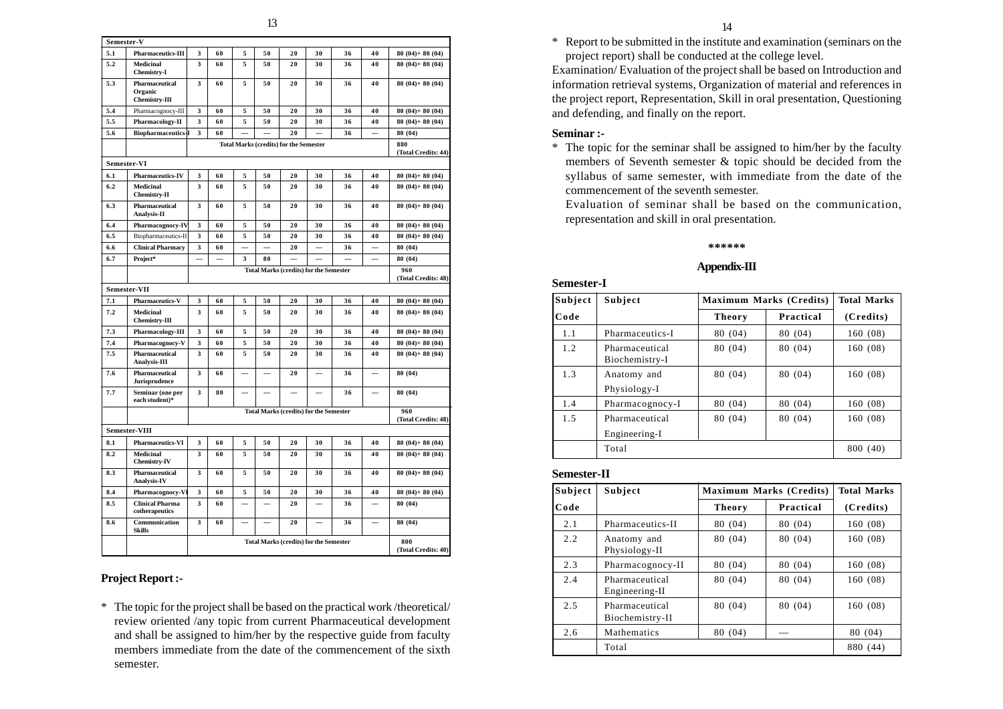| Semester-V |                                                   |   |                                                                             |   |    |                                               |    |                            |    |                            |
|------------|---------------------------------------------------|---|-----------------------------------------------------------------------------|---|----|-----------------------------------------------|----|----------------------------|----|----------------------------|
| 5.1        | <b>Pharmaceutics-III</b>                          | 3 | 60                                                                          | 5 | 50 | 20                                            | 30 | 36                         | 40 | $80(04) + 80(04)$          |
| 5.2        | <b>Medicinal</b><br><b>Chemistry-I</b>            | 3 | 60                                                                          | 5 | 50 | 20                                            | 30 | 36                         | 40 | $80(04) + 80(04)$          |
| 5.3        | Pharmaceutical<br>Organic<br><b>Chemistry-III</b> | 3 | 60                                                                          | 5 | 50 | 20                                            | 30 | 36                         | 40 | $80(04) + 80(04)$          |
| 5.4        | Pharmacognocy-III                                 | 3 | 60                                                                          | 5 | 50 | 20                                            | 30 | 36                         | 40 | $80(04) + 80(04)$          |
| 5.5        | <b>Pharmacology-II</b>                            | 3 | 60                                                                          | 5 | 50 | 20                                            | 30 | 36                         | 40 | $80(04) + 80(04)$          |
| 5.6        | <b>Biopharmaceutics-I</b>                         | 3 | 60                                                                          |   |    | 20                                            |    | 36                         |    | 80 (04)                    |
|            |                                                   |   |                                                                             |   |    | <b>Total Marks (credits) for the Semester</b> |    |                            |    | 880<br>(Total Credits: 44) |
|            | Semester-VI                                       |   |                                                                             |   |    |                                               |    |                            |    |                            |
| 6.1        | <b>Pharmaceutics-IV</b>                           | 3 | 60                                                                          | 5 | 50 | 20                                            | 30 | 36                         | 40 | $80(04) + 80(04)$          |
| 6.2        | Medicinal<br><b>Chemistry-II</b>                  | 3 | 60                                                                          | 5 | 50 | 20                                            | 30 | 36                         | 40 | $80(04) + 80(04)$          |
| 6.3        | Pharmaceutical<br>Analysis-II                     | 3 | 60                                                                          | 5 | 50 | 20                                            | 30 | 36                         | 40 | $80(04) + 80(04)$          |
| 6.4        | Pharmacognocy-IV                                  | 3 | 60                                                                          | 5 | 50 | 20                                            | 30 | 36                         | 40 | $80(04) + 80(04)$          |
| 6.5        | Biopharmaceutics-II                               | 3 | 60                                                                          | 5 | 50 | 20                                            | 30 | 36                         | 40 | $80(04) + 80(04)$          |
| 6.6        | <b>Clinical Pharmacy</b>                          | 3 | 60                                                                          |   |    | 20                                            |    | 36                         |    | 80 (04)                    |
| 6.7        | Project*                                          |   |                                                                             | 3 | 80 |                                               |    |                            | -  | 80 (04)                    |
|            |                                                   |   |                                                                             |   |    | <b>Total Marks (credits) for the Semester</b> |    |                            |    | 960<br>(Total Credits: 48) |
|            | Semester-VII                                      |   |                                                                             |   |    |                                               |    |                            |    |                            |
| 7.1        | <b>Pharmaceutics-V</b>                            | 3 | 60                                                                          | 5 | 50 | 20                                            | 30 | 36                         | 40 | $80(04) + 80(04)$          |
| 7.2        | <b>Medicinal</b><br><b>Chemistry-III</b>          | 3 | 60                                                                          | 5 | 50 | 20                                            | 30 | 36                         | 40 | $80(04) + 80(04)$          |
| 7.3        | Pharmacology-III                                  | 3 | 60                                                                          | 5 | 50 | 20                                            | 30 | 36                         | 40 | $80(04) + 80(04)$          |
| 7.4        | Pharmacognocy-V                                   | 3 | 60                                                                          | 5 | 50 | 20                                            | 30 | 36                         | 40 | $80(04) + 80(04)$          |
| 7.5        | Pharmaceutical<br>Analysis-III                    | 3 | 60                                                                          | 5 | 50 | 20                                            | 30 | 36                         | 40 | $80(04) + 80(04)$          |
| 7.6        | Pharmaceutical<br>Jurisprudence                   | 3 | 60                                                                          |   |    | 20                                            |    | 36                         |    | 80 (04)                    |
| 7.7        | Seminar (one per<br>each student)*                | 3 | 80                                                                          |   |    |                                               |    | 36                         |    | 80 (04)                    |
|            |                                                   |   | <b>Total Marks (credits) for the Semester</b>                               |   |    |                                               |    | 960<br>(Total Credits: 48) |    |                            |
|            | Semester-VIII                                     |   |                                                                             |   |    |                                               |    |                            |    |                            |
| 8.1        | <b>Pharmaceutics-VI</b>                           | 3 | 60                                                                          | 5 | 50 | 20                                            | 30 | 36                         | 40 | $80(04) + 80(04)$          |
| 8.2        | <b>Medicinal</b><br><b>Chemistry-IV</b>           | 3 | 60                                                                          | 5 | 50 | 20                                            | 30 | 36                         | 40 | $80(04) + 80(04)$          |
| 8.3        | Pharmaceutical<br><b>Analysis-IV</b>              | 3 | 60                                                                          | 5 | 50 | 20                                            | 30 | 36                         | 40 | $80(04) + 80(04)$          |
| 8.4        | Pharmacognocy-V.                                  | 3 | 60                                                                          | 5 | 50 | 20                                            | 30 | 36                         | 40 | $80(04) + 80(04)$          |
| 8.5        | <b>Clinical Pharma</b><br>cotherapeutics          | 3 | 60                                                                          |   |    | 20                                            |    | 36                         |    | 80 (04)                    |
| 8.6        | Communication<br><b>Skills</b>                    | 3 | 60                                                                          |   |    | 20                                            |    | 36                         |    | 80 (04)                    |
|            |                                                   |   | <b>Total Marks (credits) for the Semester</b><br>800<br>(Total Credits: 40) |   |    |                                               |    |                            |    |                            |

# **Project Report :-**

\* The topic for the project shall be based on the practical work /theoretical/ review oriented /any topic from current Pharmaceutical development and shall be assigned to him/her by the respective guide from faculty members immediate from the date of the commencement of the sixth semester.

\* Report to be submitted in the institute and examination (seminars on the project report) shall be conducted at the college level.

Examination/ Evaluation of the project shall be based on Introduction and information retrieval systems, Organization of material and references in the project report, Representation, Skill in oral presentation, Questioning and defending, and finally on the report.

#### **Seminar :-**

\* The topic for the seminar shall be assigned to him/her by the faculty members of Seventh semester & topic should be decided from the syllabus of same semester, with immediate from the date of the commencement of the seventh semester.

Evaluation of seminar shall be based on the communication, representation and skill in oral presentation.

#### **\*\*\*\*\*\***

#### **Appendix-III**

#### **Semester-I**

| Subject | Subject                          |               | <b>Maximum Marks (Credits)</b> | <b>Total Marks</b> |
|---------|----------------------------------|---------------|--------------------------------|--------------------|
| Code    |                                  | <b>Theory</b> | Practical                      | (Credits)          |
| 1.1     | Pharmaceutics-I                  | 80 (04)       | 80 (04)                        | 160(08)            |
| 1.2     | Pharmaceutical<br>Biochemistry-I | 80 (04)       | 80 (04)                        | 160 (08)           |
| 1.3     | Anatomy and<br>Physiology-I      | 80 (04)       | 80 (04)                        | 160(08)            |
| 1.4     | Pharmacognocy-I                  | 80 (04)       | 80 (04)                        | 160(08)            |
| 1.5     | Pharmaceutical<br>Engineering-I  | 80 (04)       | 80 (04)                        | 160(08)            |
|         | Total                            |               |                                | 800 (40)           |

#### **Semester-II**

| Subject | Subject                           |               | <b>Maximum Marks (Credits)</b> | <b>Total Marks</b> |
|---------|-----------------------------------|---------------|--------------------------------|--------------------|
| Code    |                                   | <b>Theory</b> | Practical                      | (Credits)          |
| 2.1     | Pharmaceutics-II                  | 80 (04)       | 80 (04)                        | 160(08)            |
| 2.2     | Anatomy and<br>Physiology-II      | 80 (04)       | 80 (04)                        | 160(08)            |
| 2.3     | Pharmacognocy-II                  | 80 (04)       | 80 (04)                        | 160(08)            |
| 2.4     | Pharmaceutical<br>Engineering-II  | 80 (04)       | 80 (04)                        | 160 (08)           |
| 2.5     | Pharmaceutical<br>Biochemistry-II | 80 (04)       | 80 (04)                        | 160(08)            |
| 2.6     | <b>Mathematics</b>                | 80 (04)       |                                | 80 (04)            |
|         | Total                             |               |                                | 880 (44)           |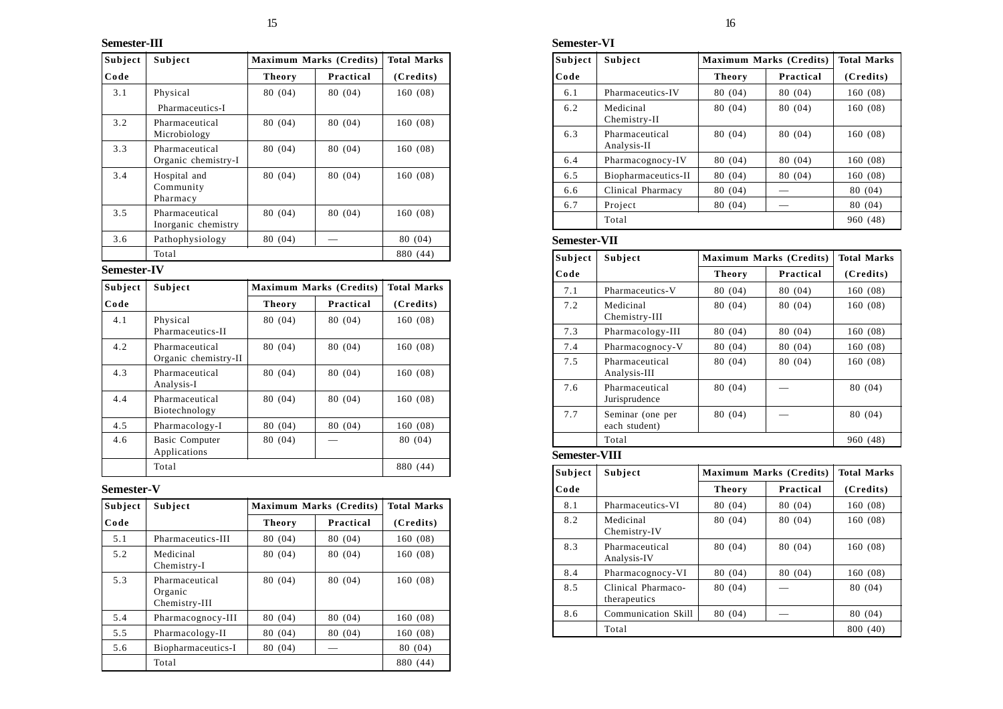# **Semester-III**

| Subject | Subject                               |               | <b>Maximum Marks (Credits)</b> | <b>Total Marks</b> |
|---------|---------------------------------------|---------------|--------------------------------|--------------------|
| Code    |                                       | <b>Theory</b> | Practical                      | (Credits)          |
| 3.1     | Physical<br>Pharmaceutics-I           | 80 (04)       | 80 (04)                        | 160(08)            |
| 3.2     | Pharmaceutical<br>Microbiology        | 80 (04)       | 80 (04)                        | 160(08)            |
| 3.3     | Pharmaceutical<br>Organic chemistry-I | 80 (04)       | 80 (04)                        | 160(08)            |
| 3.4     | Hospital and<br>Community<br>Pharmacy | 80 (04)       | 80 (04)                        | 160(08)            |
| 3.5     | Pharmaceutical<br>Inorganic chemistry | 80 (04)       | 80 (04)                        | 160(08)            |
| 3.6     | Pathophysiology                       | 80 (04)       |                                | 80 (04)            |
|         | Total                                 |               |                                | 880 (44)           |

# **Semester-IV**

| Subject | Subject                                |               | <b>Maximum Marks (Credits)</b> |           |  |
|---------|----------------------------------------|---------------|--------------------------------|-----------|--|
| Code    |                                        | <b>Theory</b> | Practical                      | (Credits) |  |
| 4.1     | Physical<br>Pharmaceutics-II           | 80 (04)       | 80 (04)                        | 160(08)   |  |
| 4.2     | Pharmaceutical<br>Organic chemistry-II | 80 (04)       | 80 (04)                        | 160(08)   |  |
| 4.3     | Pharmaceutical<br>Analysis-I           | 80 (04)       | 80 (04)                        | 160(08)   |  |
| 4.4     | Pharmaceutical<br>Biotechnology        | 80 (04)       | 80 (04)                        | 160(08)   |  |
| 4.5     | Pharmacology-I                         | 80 (04)       | 80 (04)                        | 160(08)   |  |
| 4.6     | <b>Basic Computer</b><br>Applications  | 80 (04)       |                                | 80 (04)   |  |
|         | Total                                  |               |                                | 880 (44)  |  |

# **Semester-V**

| Subject | Subject                                    |               | <b>Maximum Marks (Credits)</b> |           |  |
|---------|--------------------------------------------|---------------|--------------------------------|-----------|--|
| Code    |                                            | <b>Theory</b> | Practical                      | (Credits) |  |
| 5.1     | Pharmaceutics-III                          | 80 (04)       | 80 (04)                        | 160(08)   |  |
| 5.2     | Medicinal<br>Chemistry-I                   | 80 (04)       | 80 (04)                        | 160(08)   |  |
| 5.3     | Pharmaceutical<br>Organic<br>Chemistry-III | 80 (04)       | 80 (04)                        | 160(08)   |  |
| 5.4     | Pharmacognocy-III                          | 80 (04)       | 80 (04)                        | 160(08)   |  |
| 5.5     | Pharmacology-II                            | 80 (04)       | 80 (04)                        | 160(08)   |  |
| 5.6     | Biopharmaceutics-I                         | 80 (04)       |                                | 80 (04)   |  |
|         | Total                                      |               |                                | 880 (44)  |  |

# **Semester-VI**

| Subject | Subject                       |               | <b>Maximum Marks (Credits)</b> |           |
|---------|-------------------------------|---------------|--------------------------------|-----------|
| Code    |                               | <b>Theory</b> | Practical                      | (Credits) |
| 6.1     | Pharmaceutics-IV              | 80 (04)       | 80 (04)                        | 160(08)   |
| 6.2     | Medicinal<br>Chemistry-II     | 80 (04)       | 80 (04)                        | 160(08)   |
| 6.3     | Pharmaceutical<br>Analysis-II | 80 (04)       | 80 (04)                        | 160(08)   |
| 6.4     | Pharmacognocy-IV              | 80 (04)       | 80 (04)                        | 160(08)   |
| 6.5     | Biopharmaceutics-II           | 80 (04)       | 80 (04)                        | 160(08)   |
| 6.6     | Clinical Pharmacy             | 80 (04)       |                                | 80 (04)   |
| 6.7     | Project                       | 80 (04)       |                                | 80 (04)   |
|         | Total                         |               |                                | 960 (48)  |

# **Semester-VII**

| Subject              | Subject                            | <b>Maximum Marks (Credits)</b> |                         | <b>Total Marks</b> |
|----------------------|------------------------------------|--------------------------------|-------------------------|--------------------|
| Code                 |                                    | <b>Theory</b>                  | Practical               | (Credits)          |
| 7.1                  | Pharmaceutics-V                    | 80 (04)                        | 80 (04)                 | 160(08)            |
| 7.2                  | Medicinal<br>Chemistry-III         | 80 (04)                        | 80 (04)                 | 160(08)            |
| 7.3                  | Pharmacology-III                   | 80 (04)                        | 80 (04)                 | 160(08)            |
| 7.4                  | Pharmacognocy-V                    | 80 (04)                        | 80 (04)                 | 160(08)            |
| 7.5                  | Pharmaceutical<br>Analysis-III     | 80 (04)                        | 80 (04)                 | 160 (08)           |
| 7.6                  | Pharmaceutical<br>Jurisprudence    | 80 (04)                        |                         | 80 (04)            |
| 7.7                  | Seminar (one per<br>each student)  | 80 (04)                        |                         | 80 (04)            |
|                      | Total                              |                                |                         | 960 (48)           |
| <b>Semester-VIII</b> |                                    |                                |                         |                    |
| Subject              | Subject                            |                                | Maximum Marks (Credits) | <b>Total Marks</b> |
| Code                 |                                    | <b>Theory</b>                  | Practical               | (Credits)          |
| 8.1                  | Pharmaceutics-VI                   | 80 (04)                        | 80 (04)                 | 160(08)            |
| 8.2                  | Medicinal<br>Chemistry-IV          | 80 (04)                        | 80 (04)                 | 160(08)            |
| 8.3                  | Pharmaceutical<br>Analysis-IV      | 80 (04)                        | 80 (04)                 | 160(08)            |
| 8.4                  | Pharmacognocy-VI                   | 80 (04)                        | 80 (04)                 | 160(08)            |
| 8.5                  | Clinical Pharmaco-<br>therapeutics | 80 (04)                        |                         | 80 (04)            |
| 8.6                  | Communication Skill                | 80 (04)                        |                         | 80 (04)            |
|                      | Total                              |                                |                         | 800 (40)           |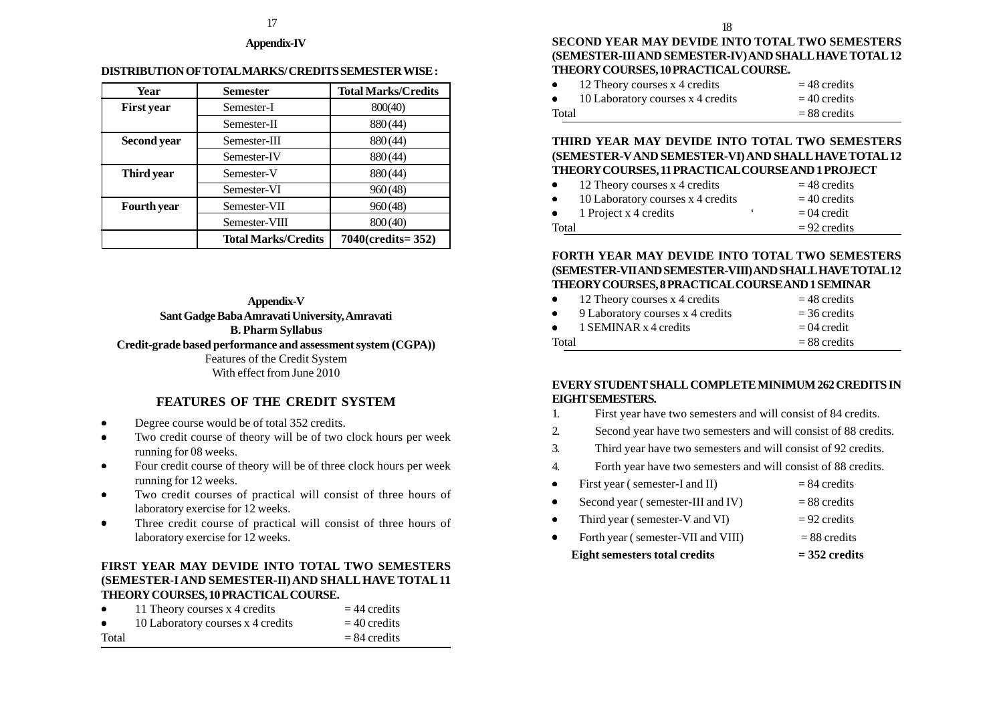#### **Appendix-IV**

#### **DISTRIBUTION OF TOTAL MARKS/ CREDITS SEMESTER WISE :**

| Year               | <b>Semester</b>            | <b>Total Marks/Credits</b> |
|--------------------|----------------------------|----------------------------|
| <b>First year</b>  | Semester-I                 | 800(40)                    |
|                    | Semester-II                | 880(44)                    |
| <b>Second year</b> | Semester-III               | 880(44)                    |
|                    | Semester-IV                | 880(44)                    |
| Third year         | Semester-V                 | 880(44)                    |
|                    | Semester-VI                | 960(48)                    |
| <b>Fourth</b> year | Semester-VII               | 960(48)                    |
|                    | Semester-VIII              | 800(40)                    |
|                    | <b>Total Marks/Credits</b> | 7040(credits=352)          |

**Appendix-V Sant Gadge Baba Amravati University, Amravati B. Pharm Syllabus Credit-grade based performance and assessment system (CGPA))** Features of the Credit System With effect from June 2010

# **FEATURES OF THE CREDIT SYSTEM**

- •Degree course would be of total 352 credits.
- • Two credit course of theory will be of two clock hours per week running for 08 weeks.
- • Four credit course of theory will be of three clock hours per week running for 12 weeks.
- • Two credit courses of practical will consist of three hours of laboratory exercise for 12 weeks.
- • Three credit course of practical will consist of three hours of laboratory exercise for 12 weeks.

# **FIRST YEAR MAY DEVIDE INTO TOTAL TWO SEMESTERS (SEMESTER-I AND SEMESTER-II) AND SHALL HAVE TOTAL 11 THEORY COURSES, 10 PRACTICAL COURSE.**

| $\bullet$ | 11 Theory courses x 4 credits     | $=$ 44 credits |
|-----------|-----------------------------------|----------------|
| $\bullet$ | 10 Laboratory courses x 4 credits | $=$ 40 credits |
| Total     |                                   | $= 84$ credits |

**SECOND YEAR MAY DEVIDE INTO TOTAL TWO SEMESTERS (SEMESTER-III AND SEMESTER-IV) AND SHALL HAVE TOTAL 12 THEORY COURSES, 10 PRACTICAL COURSE.**

| $\bullet$ | 12 Theory courses x 4 credits     | $=$ 48 credits |
|-----------|-----------------------------------|----------------|
| $\bullet$ | 10 Laboratory courses x 4 credits | $=$ 40 credits |
| Total     |                                   | $= 88$ credits |

# **THIRD YEAR MAY DEVIDE INTO TOTAL TWO SEMESTERS (SEMESTER-V AND SEMESTER-VI) AND SHALL HAVE TOTAL 12 THEORY COURSES, 11 PRACTICAL COURSE AND 1 PROJECT**

| $\bullet$ | 12 Theory courses x 4 credits     | $=$ 48 credits |
|-----------|-----------------------------------|----------------|
| $\bullet$ | 10 Laboratory courses x 4 credits | $=$ 40 credits |
| $\bullet$ | 1 Project x 4 credits             | $= 04$ credit  |
| Total     |                                   | $= 92$ credits |

#### **FORTH YEAR MAY DEVIDE INTO TOTAL TWO SEMESTERS (SEMESTER-VII AND SEMESTER-VIII) AND SHALL HAVE TOTAL 12 THEORY COURSES, 8 PRACTICAL COURSE AND 1 SEMINAR**

| $\bullet$ | 12 Theory courses x 4 credits    | $=$ 48 credits |
|-----------|----------------------------------|----------------|
| $\bullet$ | 9 Laboratory courses x 4 credits | $=$ 36 credits |
| $\bullet$ | 1 SEMINAR x 4 credits            | $= 04$ credit  |
| Total     |                                  | $= 88$ credits |

# **EVERY STUDENT SHALL COMPLETE MINIMUM 262 CREDITS IN EIGHT SEMESTERS.**

- 1. First year have two semesters and will consist of 84 credits.
- 2. Second year have two semesters and will consist of 88 credits.
- 3. Third year have two semesters and will consist of 92 credits.
- 4. Forth year have two semesters and will consist of 88 credits.
- •First year ( semester-I and II)  $= 84$  credits
- •Second year ( semester-III and IV)  $= 88$  credits
- •Third year ( semester-V and VI)  $= 92$  credits
- •Forth year ( semester-VII and VIII)  $= 88$  credits  **Eight semesters total credits = 352 credits**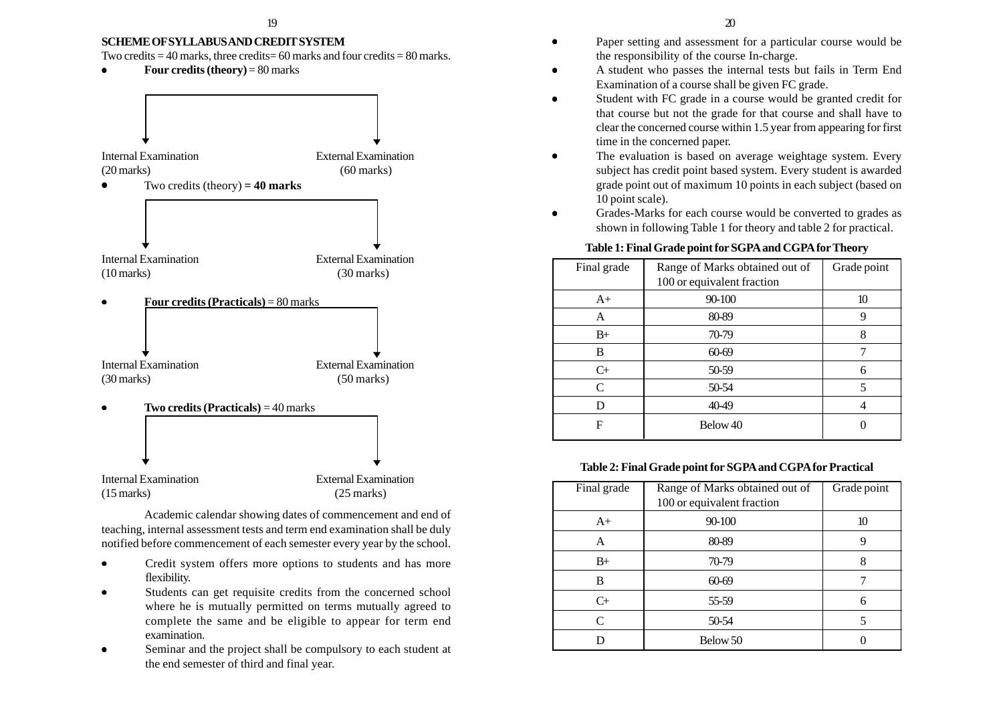#### **SCHEME OF SYLLABUS AND CREDIT SYSTEM**

Two credits  $= 40$  marks, three credits  $= 60$  marks and four credits  $= 80$  marks.

•**Four credits (theory)** = 80 marks



Internal Examination External Examination (15 marks) (25 marks)

Academic calendar showing dates of commencement and end of teaching, internal assessment tests and term end examination shall be duly notified before commencement of each semester every year by the school.

- • Credit system offers more options to students and has more flexibility.
- • Students can get requisite credits from the concerned school where he is mutually permitted on terms mutually agreed to complete the same and be eligible to appear for term end examination.
- • Seminar and the project shall be compulsory to each student at the end semester of third and final year.
- • Paper setting and assessment for a particular course would be the responsibility of the course In-charge.
- • A student who passes the internal tests but fails in Term End Examination of a course shall be given FC grade.
- • Student with FC grade in a course would be granted credit for that course but not the grade for that course and shall have to clear the concerned course within 1.5 year from appearing for first time in the concerned paper.
- • The evaluation is based on average weightage system. Every subject has credit point based system. Every student is awarded grade point out of maximum 10 points in each subject (based on 10 point scale).
- • Grades-Marks for each course would be converted to grades as shown in following Table 1 for theory and table 2 for practical.

#### **Table 1: Final Grade point for SGPA and CGPA for Theory**

| Final grade | Range of Marks obtained out of<br>100 or equivalent fraction | Grade point |
|-------------|--------------------------------------------------------------|-------------|
| $A+$        | 90-100                                                       | 10          |
| A           | 80-89                                                        | 9           |
| $B+$        | 70-79                                                        | 8           |
| В           | 60-69                                                        |             |
| $C_{+}$     | 50-59                                                        | 6           |
| C           | 50-54                                                        | 5           |
| D           | 40-49                                                        |             |
| F           | Below 40                                                     |             |

#### **Table 2: Final Grade point for SGPA and CGPA for Practical**

| Final grade | Range of Marks obtained out of | Grade point |
|-------------|--------------------------------|-------------|
|             | 100 or equivalent fraction     |             |
| $A+$        | 90-100                         | 10          |
| A           | 80-89                          |             |
| $B+$        | 70-79                          | 8           |
| B           | 60-69                          |             |
| $C_{+}$     | 55-59                          | 6           |
| C           | 50-54                          |             |
|             | Below 50                       |             |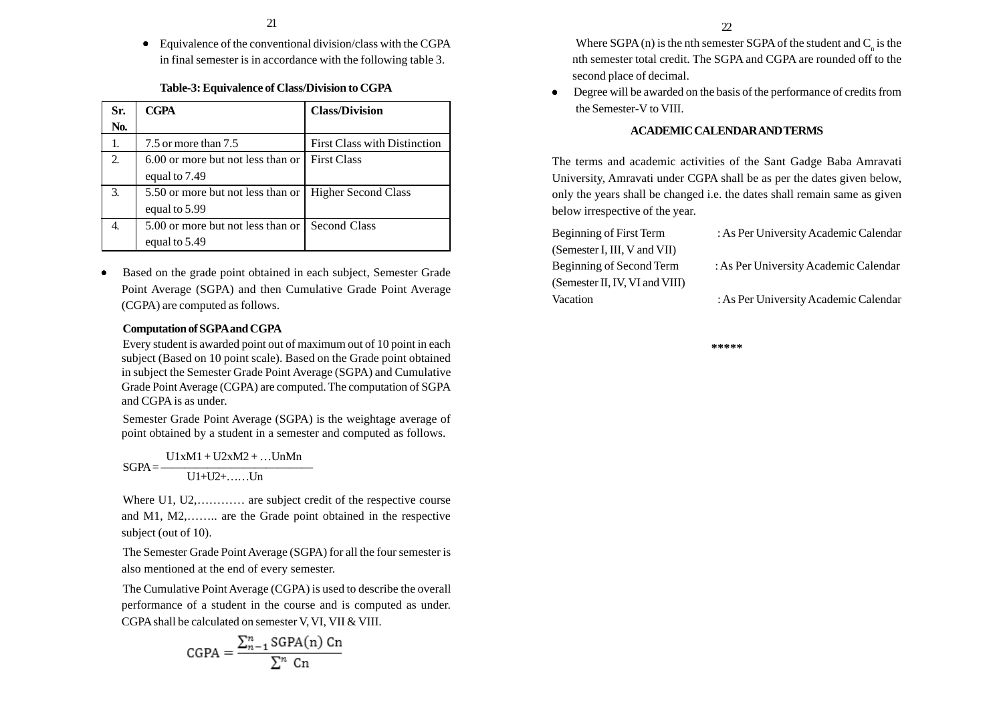• Equivalence of the conventional division/class with the CGPA in final semester is in accordance with the following table 3.

# **Table-3: Equivalence of Class/Division to CGPA**

| Sr. | <b>CGPA</b>                       | <b>Class/Division</b>               |
|-----|-----------------------------------|-------------------------------------|
| No. |                                   |                                     |
|     | 7.5 or more than 7.5              | <b>First Class with Distinction</b> |
| 2.  | 6.00 or more but not less than or | <b>First Class</b>                  |
|     | equal to 7.49                     |                                     |
| 3.  | 5.50 or more but not less than or | <b>Higher Second Class</b>          |
|     | equal to 5.99                     |                                     |
|     | 5.00 or more but not less than or | <b>Second Class</b>                 |
|     | equal to 5.49                     |                                     |

• Based on the grade point obtained in each subject, Semester Grade Point Average (SGPA) and then Cumulative Grade Point Average (CGPA) are computed as follows.

### **Computation of SGPA and CGPA**

Every student is awarded point out of maximum out of 10 point in each subject (Based on 10 point scale). Based on the Grade point obtained in subject the Semester Grade Point Average (SGPA) and Cumulative Grade Point Average (CGPA) are computed. The computation of SGPA and CGPA is as under.

Semester Grade Point Average (SGPA) is the weightage average of point obtained by a student in a semester and computed as follows.

 $U1xM1 + U2xM2 + \dots UnMn$  $SGPA =$  $U1+U2+$ …… $Un$ 

Where U1, U2,............ are subject credit of the respective course and M1, M2,…….. are the Grade point obtained in the respective subject (out of 10).

The Semester Grade Point Average (SGPA) for all the four semester is also mentioned at the end of every semester.

The Cumulative Point Average (CGPA) is used to describe the overall performance of a student in the course and is computed as under. CGPA shall be calculated on semester V, VI, VII & VIII.

$$
CGPA = \frac{\sum_{n=1}^{n} SGPA(n) Cn}{\sum_{n}^{n} Cn}
$$

Where  $SGPA(n)$  is the nth semester  $SGPA$  of the student and  $C<sub>n</sub>$  is the nth semester total credit. The SGPA and CGPA are rounded off to the second place of decimal.

• Degree will be awarded on the basis of the performance of credits from the Semester-V to VIII.

#### **ACADEMIC CALENDAR AND TERMS**

The terms and academic activities of the Sant Gadge Baba Amravati University, Amravati under CGPA shall be as per the dates given below, only the years shall be changed i.e. the dates shall remain same as given below irrespective of the year.

| : As Per University Academic Calendar |
|---------------------------------------|
|                                       |
| : As Per University Academic Calendar |
|                                       |
| : As Per University Academic Calendar |
|                                       |

**\*\*\*\*\***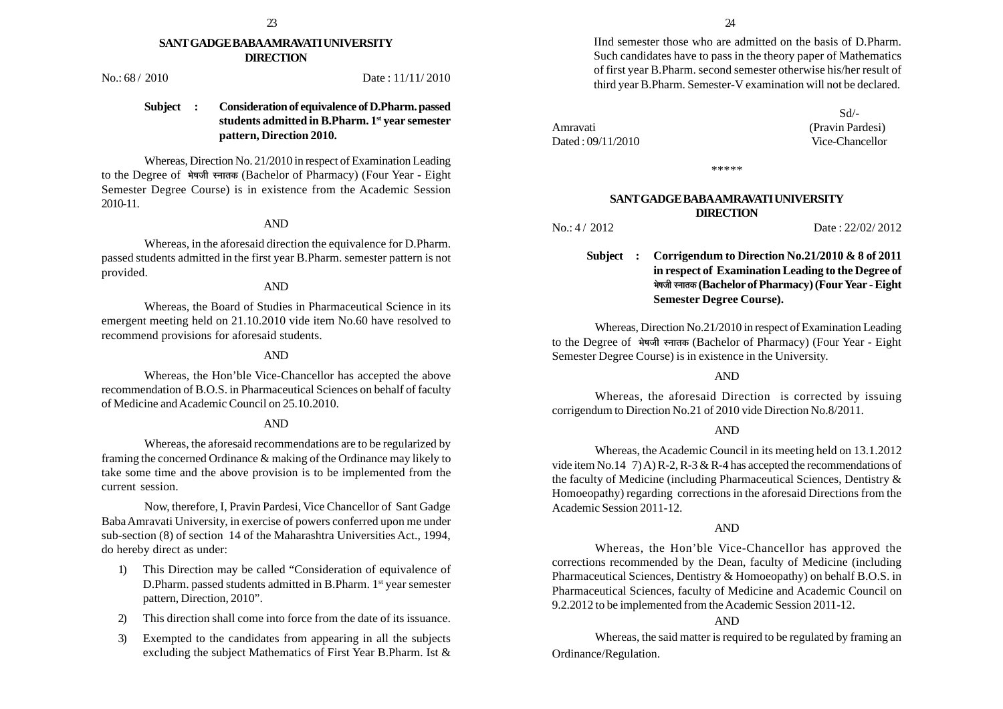#### **SANT GADGE BABA AMRAVATI UNIVERSITY DIRECTION**

No.: 68 / 2010 Date : 11/11/2010

# **Subject : Consideration of equivalence of D.Pharm. passed students admitted in B.Pharm. 1st year semester pattern, Direction 2010.**

Whereas, Direction No. 21/2010 in respect of Examination Leading to the Degree of भेषजी स्नातक (Bachelor of Pharmacy) (Four Year - Eight Semester Degree Course) is in existence from the Academic Session 2010-11.

#### AND

Whereas, in the aforesaid direction the equivalence for D.Pharm. passed students admitted in the first year B.Pharm. semester pattern is not provided.

#### AND

Whereas, the Board of Studies in Pharmaceutical Science in its emergent meeting held on 21.10.2010 vide item No.60 have resolved to recommend provisions for aforesaid students.

#### AND

Whereas, the Hon'ble Vice-Chancellor has accepted the above recommendation of B.O.S. in Pharmaceutical Sciences on behalf of faculty of Medicine and Academic Council on 25.10.2010.

#### AND

Whereas, the aforesaid recommendations are to be regularized by framing the concerned Ordinance & making of the Ordinance may likely to take some time and the above provision is to be implemented from the current session.

Now, therefore, I, Pravin Pardesi, Vice Chancellor of Sant Gadge Baba Amravati University, in exercise of powers conferred upon me under sub-section (8) of section 14 of the Maharashtra Universities Act., 1994, do hereby direct as under:

- 1) This Direction may be called "Consideration of equivalence of D.Pharm. passed students admitted in B.Pharm. 1<sup>st</sup> year semester pattern, Direction, 2010".
- 2) This direction shall come into force from the date of its issuance.
- 3) Exempted to the candidates from appearing in all the subjects excluding the subject Mathematics of First Year B.Pharm. Ist &

IInd semester those who are admitted on the basis of D.Pharm. Such candidates have to pass in the theory paper of Mathematics of first year B.Pharm. second semester otherwise his/her result of third year B.Pharm. Semester-V examination will not be declared.

Amravati (Pravin Pardesi) Dated : 09/11/2010 Vice-Chancellor

Sd/-

\*\*\*\*\*

#### **SANT GADGE BABA AMRAVATI UNIVERSITY DIRECTION**

No.: 4/2012 Date: 22/02/2012

# **Subject : Corrigendum to Direction No.21/2010 & 8 of 2011 in respect of Examination Leading to the Degree of ¦Éä¹ÉVÉÒ ºxÉÉiÉEò (Bachelor of Pharmacy) (Four Year - Eight Semester Degree Course).**

Whereas, Direction No.21/2010 in respect of Examination Leading to the Degree of भेषजी स्नातक (Bachelor of Pharmacy) (Four Year - Eight Semester Degree Course) is in existence in the University.

#### AND

Whereas, the aforesaid Direction is corrected by issuing corrigendum to Direction No.21 of 2010 vide Direction No.8/2011.

#### AND

Whereas, the Academic Council in its meeting held on 13.1.2012 vide item No.14 7) A) R-2, R-3 & R-4 has accepted the recommendations of the faculty of Medicine (including Pharmaceutical Sciences, Dentistry & Homoeopathy) regarding corrections in the aforesaid Directions from the Academic Session 2011-12.

#### AND

Whereas, the Hon'ble Vice-Chancellor has approved the corrections recommended by the Dean, faculty of Medicine (including Pharmaceutical Sciences, Dentistry & Homoeopathy) on behalf B.O.S. in Pharmaceutical Sciences, faculty of Medicine and Academic Council on 9.2.2012 to be implemented from the Academic Session 2011-12.

#### AND

Whereas, the said matter is required to be regulated by framing an Ordinance/Regulation.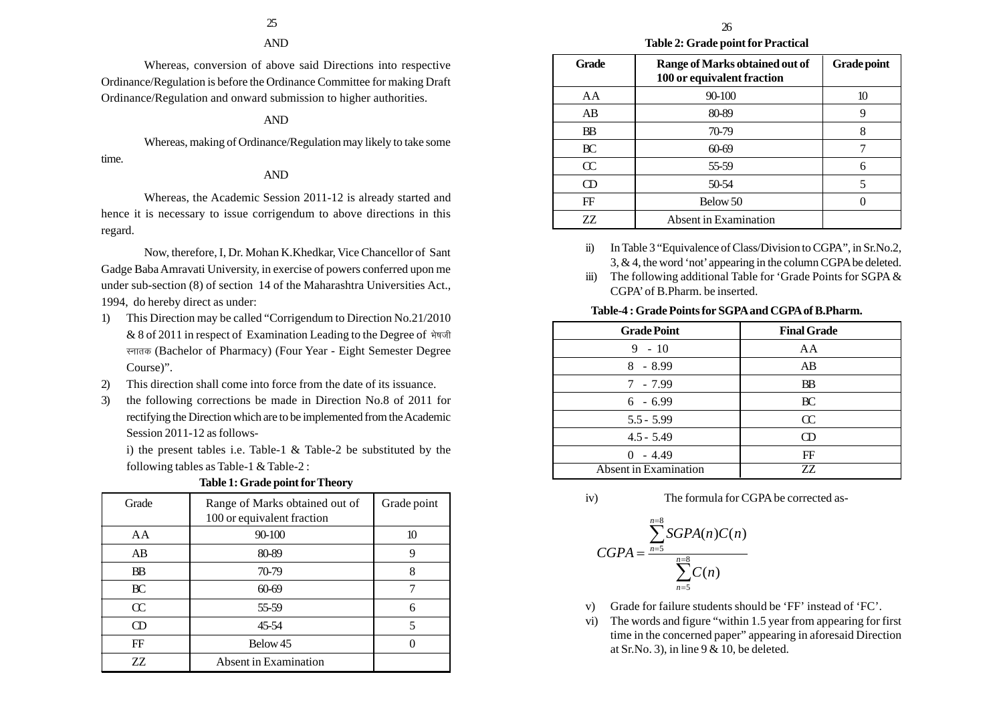#### AND

Whereas, conversion of above said Directions into respective Ordinance/Regulation is before the Ordinance Committee for making Draft Ordinance/Regulation and onward submission to higher authorities.

#### AND

Whereas, making of Ordinance/Regulation may likely to take some time.

#### AND

Whereas, the Academic Session 2011-12 is already started and hence it is necessary to issue corrigendum to above directions in this regard.

Now, therefore, I, Dr. Mohan K.Khedkar, Vice Chancellor of Sant Gadge Baba Amravati University, in exercise of powers conferred upon me under sub-section (8) of section 14 of the Maharashtra Universities Act., 1994, do hereby direct as under:

- 1) This Direction may be called "Corrigendum to Direction No.21/2010  $& 8$  of 2011 in respect of Examination Leading to the Degree of  $\frac{4}{9}$ स्नातक (Bachelor of Pharmacy) (Four Year - Eight Semester Degree Course)".
- 2) This direction shall come into force from the date of its issuance.
- 3) the following corrections be made in Direction No.8 of 2011 for rectifying the Direction which are to be implemented from the Academic Session 2011-12 as follows-

i) the present tables i.e. Table-1 & Table-2 be substituted by the following tables as Table-1 & Table-2 :

| Grade     | Range of Marks obtained out of<br>100 or equivalent fraction | Grade point |
|-----------|--------------------------------------------------------------|-------------|
| AA        | 90-100                                                       | 10          |
| AB        | 80-89                                                        | 9           |
| <b>BB</b> | 70-79                                                        | 8           |
| BC        | 60-69                                                        |             |
| $\alpha$  | 55-59                                                        | 6           |
| <b>CD</b> | 45-54                                                        | 5           |
| FF        | Below 45                                                     |             |
| ZZ        | Absent in Examination                                        |             |

#### **Table 1: Grade point for Theory**

**Table 2: Grade point for Practical**

| <b>Grade</b>               | Range of Marks obtained out of<br>100 or equivalent fraction | <b>Grade point</b> |
|----------------------------|--------------------------------------------------------------|--------------------|
| AA                         | $90 - 100$                                                   | 10                 |
| AB                         | 80-89                                                        |                    |
| <b>BB</b>                  | 70-79                                                        | 8                  |
| BC                         | 60-69                                                        |                    |
| $\alpha$                   | 55-59                                                        | 6                  |
| $\boldsymbol{\mathrm{CD}}$ | 50-54                                                        | 5                  |
| FF                         | Below 50                                                     |                    |
| ZZ.                        | Absent in Examination                                        |                    |

ii) In Table 3 "Equivalence of Class/Division to CGPA", in Sr.No.2, 3, & 4, the word 'not' appearing in the column CGPA be deleted.

iii) The following additional Table for 'Grade Points for SGPA & CGPA' of B.Pharm. be inserted.

#### **Table-4 : Grade Points for SGPA and CGPA of B.Pharm.**

| <b>Grade Point</b>           | <b>Final Grade</b> |
|------------------------------|--------------------|
| $9 - 10$                     | AA                 |
| $8 - 8.99$                   | AB                 |
| $7 - 7.99$                   | <b>BB</b>          |
| $6 - 6.99$                   | BC                 |
| $5.5 - 5.99$                 | $\alpha$           |
| $4.5 - 5.49$                 | M                  |
| $0 - 4.49$                   | FF                 |
| <b>Absent</b> in Examination | 77.                |

iv) The formula for CGPA be corrected as-

$$
CGPA = \frac{\sum_{n=5}^{n=8} SGPA(n)C(n)}{\sum_{n=5}^{n=8} C(n)}
$$

- v) Grade for failure students should be 'FF' instead of 'FC'.
- vi) The words and figure "within 1.5 year from appearing for first time in the concerned paper" appearing in aforesaid Direction at Sr.No. 3), in line  $9 < 10$ , be deleted.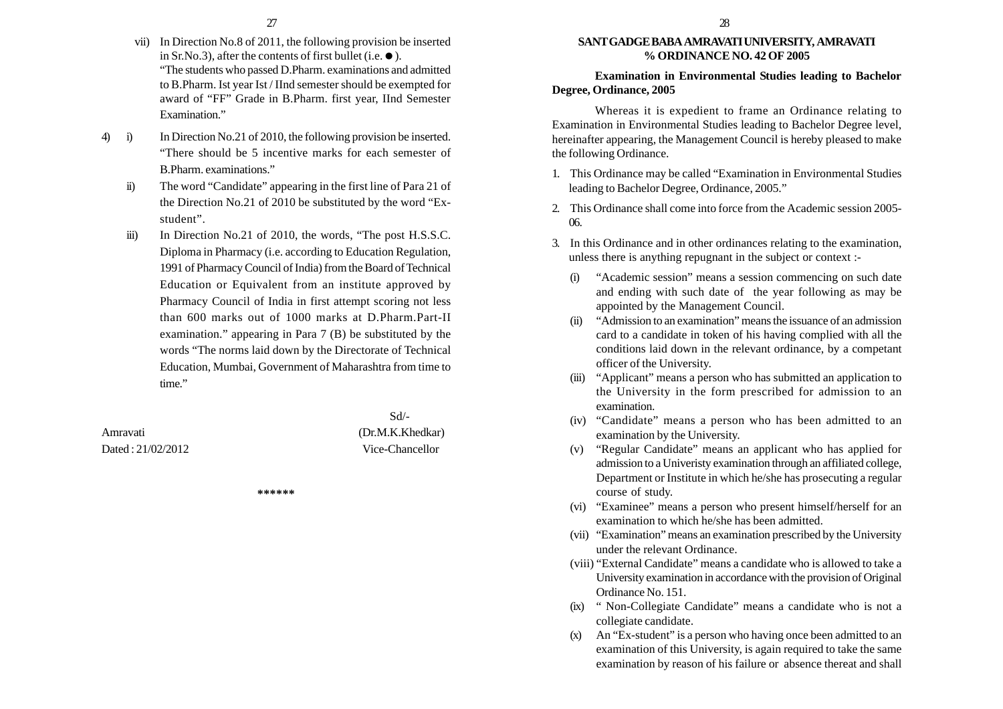- vii) In Direction No.8 of 2011, the following provision be inserted in Sr.No.3), after the contents of first bullet (i.e.  $\bullet$ ). "The students who passed D.Pharm. examinations and admitted to B.Pharm. Ist year Ist / IInd semester should be exempted for award of "FF" Grade in B.Pharm. first year, IInd Semester Examination."
- 4) i) In Direction No.21 of 2010, the following provision be inserted. "There should be 5 incentive marks for each semester of B.Pharm. examinations."
	- ii) The word "Candidate" appearing in the first line of Para 21 of the Direction No.21 of 2010 be substituted by the word "Exstudent".
	- iii) In Direction No.21 of 2010, the words, "The post H.S.S.C. Diploma in Pharmacy (i.e. according to Education Regulation, 1991 of Pharmacy Council of India) from the Board of Technical Education or Equivalent from an institute approved by Pharmacy Council of India in first attempt scoring not less than 600 marks out of 1000 marks at D.Pharm.Part-II examination." appearing in Para 7 (B) be substituted by the words "The norms laid down by the Directorate of Technical Education, Mumbai, Government of Maharashtra from time to time."

Dated : 21/02/2012 Vice-Chancellor

 Sd/- Amravati (Dr.M.K.Khedkar)

**\*\*\*\*\*\***

#### **SANT GADGE BABA AMRAVATI UNIVERSITY, AMRAVATI % ORDINANCE NO. 42 OF 2005**

**Examination in Environmental Studies leading to Bachelor Degree, Ordinance, 2005**

Whereas it is expedient to frame an Ordinance relating to Examination in Environmental Studies leading to Bachelor Degree level, hereinafter appearing, the Management Council is hereby pleased to make the following Ordinance.

- 1. This Ordinance may be called "Examination in Environmental Studies leading to Bachelor Degree, Ordinance, 2005."
- 2. This Ordinance shall come into force from the Academic session 2005- 06.
- 3. In this Ordinance and in other ordinances relating to the examination, unless there is anything repugnant in the subject or context :-
	- (i) "Academic session" means a session commencing on such date and ending with such date of the year following as may be appointed by the Management Council.
	- (ii) "Admission to an examination" means the issuance of an admission card to a candidate in token of his having complied with all the conditions laid down in the relevant ordinance, by a competant officer of the University.
	- (iii) "Applicant" means a person who has submitted an application to the University in the form prescribed for admission to an examination.
	- (iv) "Candidate" means a person who has been admitted to an examination by the University.
	- (v) "Regular Candidate" means an applicant who has applied for admission to a Univeristy examination through an affiliated college, Department or Institute in which he/she has prosecuting a regular course of study.
	- (vi) "Examinee" means a person who present himself/herself for an examination to which he/she has been admitted.
	- (vii) "Examination" means an examination prescribed by the University under the relevant Ordinance.
	- (viii) "External Candidate" means a candidate who is allowed to take a University examination in accordance with the provision of Original Ordinance No. 151.
	- (ix) " Non-Collegiate Candidate" means a candidate who is not a collegiate candidate.
	- (x) An "Ex-student" is a person who having once been admitted to an examination of this University, is again required to take the same examination by reason of his failure or absence thereat and shall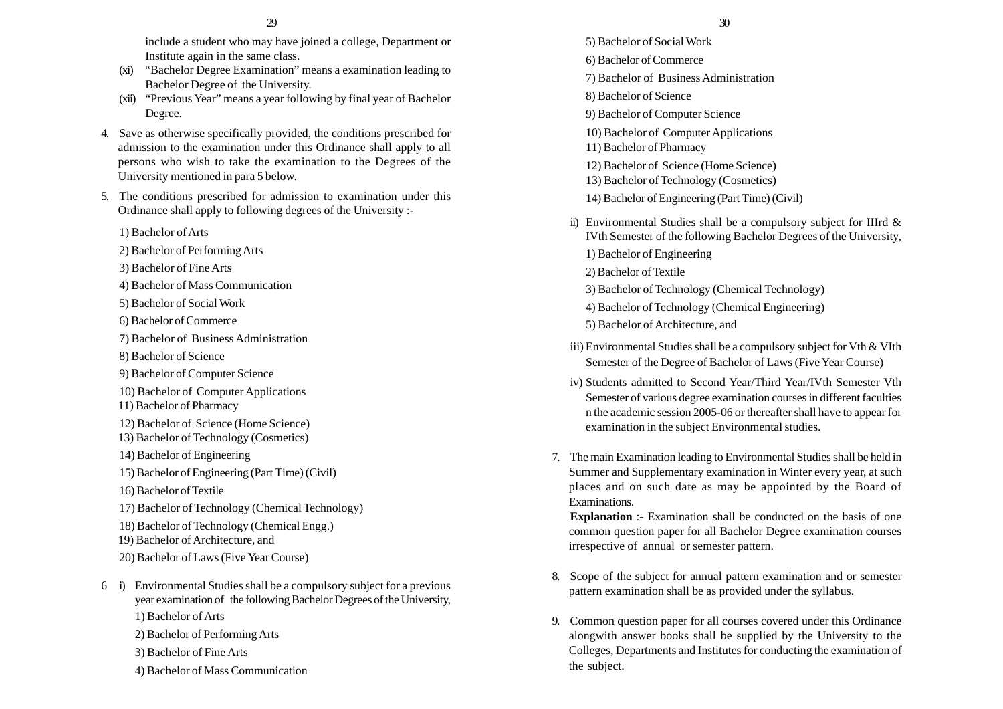include a student who may have joined a college, Department or Institute again in the same class.

- (xi) "Bachelor Degree Examination" means a examination leading to Bachelor Degree of the University.
- (xii) "Previous Year" means a year following by final year of Bachelor Degree.
- 4. Save as otherwise specifically provided, the conditions prescribed for admission to the examination under this Ordinance shall apply to all persons who wish to take the examination to the Degrees of the University mentioned in para 5 below.
- 5. The conditions prescribed for admission to examination under this Ordinance shall apply to following degrees of the University :-
	- 1) Bachelor of Arts
	- 2) Bachelor of Performing Arts
	- 3) Bachelor of Fine Arts
	- 4) Bachelor of Mass Communication
	- 5) Bachelor of Social Work
	- 6) Bachelor of Commerce
	- 7) Bachelor of Business Administration
	- 8) Bachelor of Science
	- 9) Bachelor of Computer Science
	- 10) Bachelor of Computer Applications
	- 11) Bachelor of Pharmacy
	- 12) Bachelor of Science (Home Science)
	- 13) Bachelor of Technology (Cosmetics)
	- 14) Bachelor of Engineering
	- 15) Bachelor of Engineering (Part Time) (Civil)
	- 16) Bachelor of Textile
	- 17) Bachelor of Technology (Chemical Technology)
	- 18) Bachelor of Technology (Chemical Engg.)
	- 19) Bachelor of Architecture, and
	- 20) Bachelor of Laws (Five Year Course)
- 6 i) Environmental Studies shall be a compulsory subject for a previous year examination of the following Bachelor Degrees of the University, 1) Bachelor of Arts
	- 2) Bachelor of Performing Arts
	- 3) Bachelor of Fine Arts
	- 4) Bachelor of Mass Communication
- 5) Bachelor of Social Work 6) Bachelor of Commerce 7) Bachelor of Business Administration 8) Bachelor of Science 9) Bachelor of Computer Science 10) Bachelor of Computer Applications 11) Bachelor of Pharmacy 12) Bachelor of Science (Home Science) 13) Bachelor of Technology (Cosmetics) 14) Bachelor of Engineering (Part Time) (Civil) ii) Environmental Studies shall be a compulsory subject for IIIrd & IVth Semester of the following Bachelor Degrees of the University, 1) Bachelor of Engineering 2) Bachelor of Textile 3) Bachelor of Technology (Chemical Technology) 4) Bachelor of Technology (Chemical Engineering) 5) Bachelor of Architecture, and  $29$  30
	- iii) Environmental Studies shall be a compulsory subject for Vth & VIth Semester of the Degree of Bachelor of Laws (Five Year Course)
	- iv) Students admitted to Second Year/Third Year/IVth Semester Vth Semester of various degree examination courses in different faculties n the academic session 2005-06 or thereafter shall have to appear for examination in the subject Environmental studies.
	- 7. The main Examination leading to Environmental Studies shall be held in Summer and Supplementary examination in Winter every year, at such places and on such date as may be appointed by the Board of Examinations.

**Explanation** :- Examination shall be conducted on the basis of one common question paper for all Bachelor Degree examination courses irrespective of annual or semester pattern.

- 8. Scope of the subject for annual pattern examination and or semester pattern examination shall be as provided under the syllabus.
- 9. Common question paper for all courses covered under this Ordinance alongwith answer books shall be supplied by the University to the Colleges, Departments and Institutes for conducting the examination of the subject.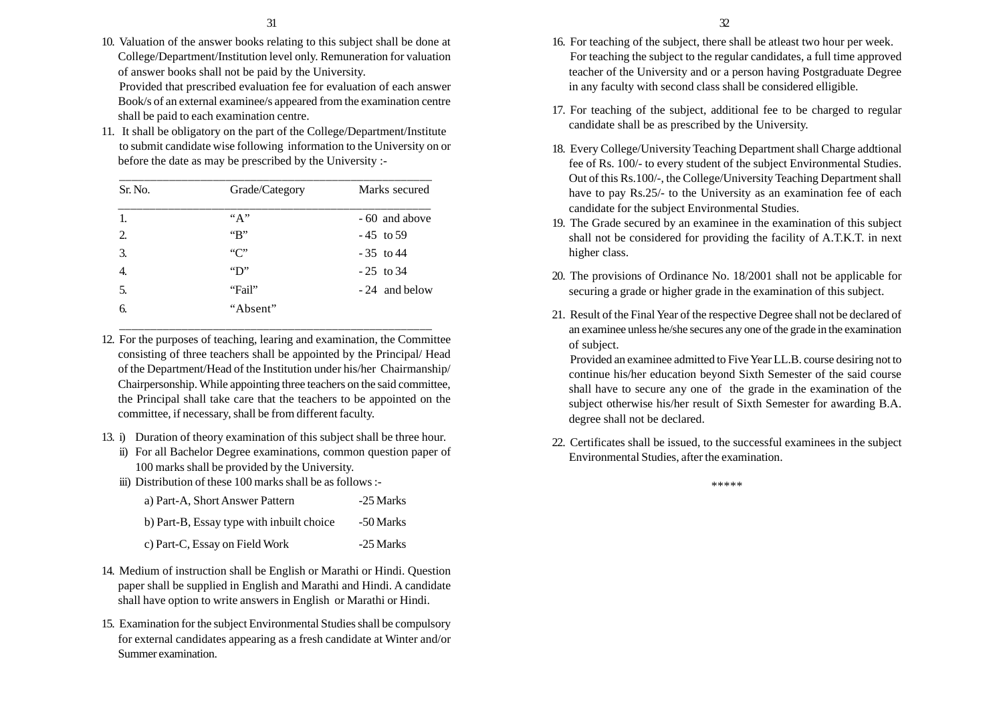- 
- 10. Valuation of the answer books relating to this subject shall be done at College/Department/Institution level only. Remuneration for valuation of answer books shall not be paid by the University. Provided that prescribed evaluation fee for evaluation of each answer Book/s of an external examinee/s appeared from the examination centre shall be paid to each examination centre.
- 11. It shall be obligatory on the part of the College/Department/Institute to submit candidate wise following information to the University on or before the date as may be prescribed by the University :-

| Sr. No. | Grade/Category        | Marks secured  |
|---------|-----------------------|----------------|
|         | ``A"                  | - 60 and above |
| 2.      | $\mathbf{B}$          | $-45$ to 59    |
| 3.      | "C"                   | $-35$ to 44    |
| 4.      | $\mathbf{Y}^{\prime}$ | $-25$ to 34    |
| 5.      | "Fail"                | - 24 and below |
| 6.      | "Absent"              |                |

12. For the purposes of teaching, learing and examination, the Committee consisting of three teachers shall be appointed by the Principal/ Head of the Department/Head of the Institution under his/her Chairmanship/ Chairpersonship. While appointing three teachers on the said committee, the Principal shall take care that the teachers to be appointed on the committee, if necessary, shall be from different faculty.

\_\_\_\_\_\_\_\_\_\_\_\_\_\_\_\_\_\_\_\_\_\_\_\_\_\_\_\_\_\_\_\_\_\_\_\_\_\_\_\_\_\_\_\_\_\_\_\_\_\_

- 13. i) Duration of theory examination of this subject shall be three hour.
	- ii) For all Bachelor Degree examinations, common question paper of 100 marks shall be provided by the University.
	- iii) Distribution of these 100 marks shall be as follows :-

| a) Part-A, Short Answer Pattern           | -25 Marks |
|-------------------------------------------|-----------|
| b) Part-B, Essay type with inbuilt choice | -50 Marks |
| c) Part-C, Essay on Field Work            | -25 Marks |

- 14. Medium of instruction shall be English or Marathi or Hindi. Question paper shall be supplied in English and Marathi and Hindi. A candidate shall have option to write answers in English or Marathi or Hindi.
- 15. Examination for the subject Environmental Studies shall be compulsory for external candidates appearing as a fresh candidate at Winter and/or Summer examination.
- 16. For teaching of the subject, there shall be atleast two hour per week. For teaching the subject to the regular candidates, a full time approved teacher of the University and or a person having Postgraduate Degree in any faculty with second class shall be considered elligible.
- 17. For teaching of the subject, additional fee to be charged to regular candidate shall be as prescribed by the University.
- 18. Every College/University Teaching Department shall Charge addtional fee of Rs. 100/- to every student of the subject Environmental Studies. Out of this Rs.100/-, the College/University Teaching Department shall have to pay Rs.25/- to the University as an examination fee of each candidate for the subject Environmental Studies.
- 19. The Grade secured by an examinee in the examination of this subject shall not be considered for providing the facility of A.T.K.T. in next higher class.
- 20. The provisions of Ordinance No. 18/2001 shall not be applicable for securing a grade or higher grade in the examination of this subject.
- 21. Result of the Final Year of the respective Degree shall not be declared of an examinee unless he/she secures any one of the grade in the examination of subject.

Provided an examinee admitted to Five Year LL.B. course desiring not to continue his/her education beyond Sixth Semester of the said course shall have to secure any one of the grade in the examination of the subject otherwise his/her result of Sixth Semester for awarding B.A. degree shall not be declared.

22. Certificates shall be issued, to the successful examinees in the subject Environmental Studies, after the examination.

\*\*\*\*\*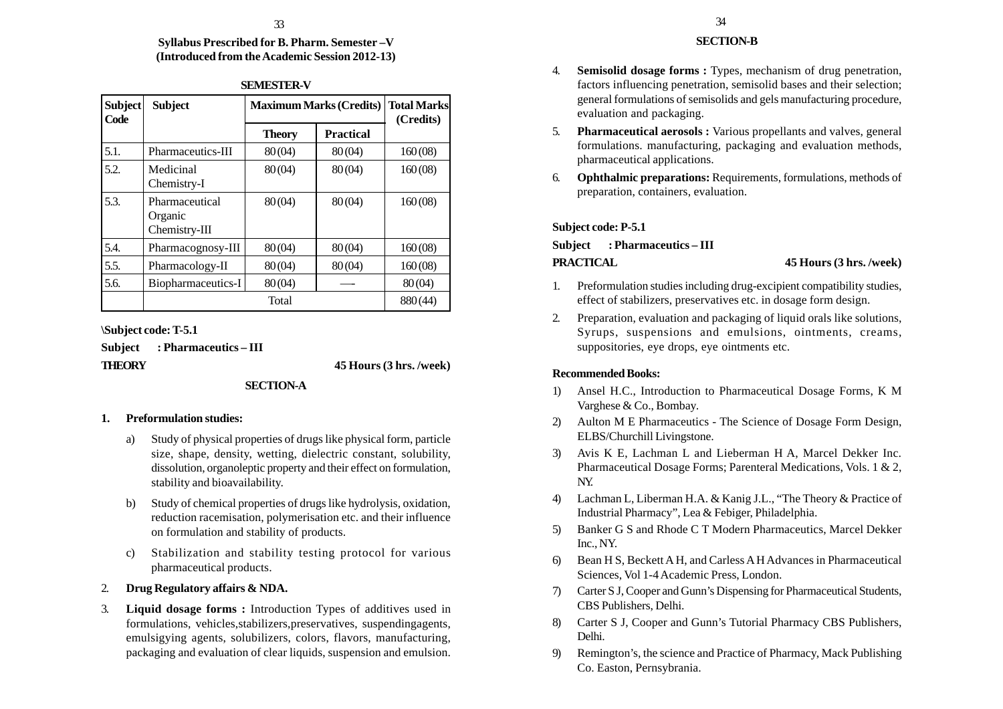### **Syllabus Prescribed for B. Pharm. Semester –V (Introduced from the Academic Session 2012-13)**

| Subject<br>Code | <b>Subject</b>                             | <b>Maximum Marks (Credits)</b> |                  | <b>Total Marks</b><br>(Credits) |
|-----------------|--------------------------------------------|--------------------------------|------------------|---------------------------------|
|                 |                                            | <b>Theory</b>                  | <b>Practical</b> |                                 |
| 5.1.            | Pharmaceutics-III                          | 80(04)                         | 80(04)           | 160(08)                         |
| 5.2.            | Medicinal<br>Chemistry-I                   | 80(04)                         | 80(04)           | 160(08)                         |
| 5.3.            | Pharmaceutical<br>Organic<br>Chemistry-III | 80(04)                         | 80(04)           | 160(08)                         |
| 5.4.            | Pharmacognosy-III                          | 80(04)                         | 80(04)           | 160(08)                         |
| 5.5.            | Pharmacology-II                            | 80(04)                         | 80(04)           | 160(08)                         |
| 5.6.            | Biopharmaceutics-I                         | 80(04)                         |                  | 80(04)                          |
|                 |                                            | Total                          |                  | 880(44)                         |

### **SEMESTER-V**

**\Subject code: T-5.1**

**Subject : Pharmaceutics – III**

**THEORY 45 Hours (3 hrs. /week)**

# **SECTION-A**

# **1. Preformulation studies:**

- a) Study of physical properties of drugs like physical form, particle size, shape, density, wetting, dielectric constant, solubility, dissolution, organoleptic property and their effect on formulation, stability and bioavailability.
- b) Study of chemical properties of drugs like hydrolysis, oxidation, reduction racemisation, polymerisation etc. and their influence on formulation and stability of products.
- c) Stabilization and stability testing protocol for various pharmaceutical products.
- 2. **Drug Regulatory affairs & NDA.**
- 3. **Liquid dosage forms :** Introduction Types of additives used in formulations, vehicles,stabilizers,preservatives, suspendingagents, emulsigying agents, solubilizers, colors, flavors, manufacturing, packaging and evaluation of clear liquids, suspension and emulsion.

# **SECTION-B**

- 4. **Semisolid dosage forms :** Types, mechanism of drug penetration, factors influencing penetration, semisolid bases and their selection; general formulations of semisolids and gels manufacturing procedure, evaluation and packaging.
- 5. **Pharmaceutical aerosols :** Various propellants and valves, general formulations. manufacturing, packaging and evaluation methods, pharmaceutical applications.
- 6. **Ophthalmic preparations:** Requirements, formulations, methods of preparation, containers, evaluation.

# **Subject code: P-5.1**

**Subject : Pharmaceutics – III**

### **PRACTICAL 45 Hours (3 hrs. /week)**

- 1. Preformulation studies including drug-excipient compatibility studies, effect of stabilizers, preservatives etc. in dosage form design.
- 2. Preparation, evaluation and packaging of liquid orals like solutions, Syrups, suspensions and emulsions, ointments, creams, suppositories, eye drops, eye ointments etc.

# **Recommended Books:**

- 1) Ansel H.C., Introduction to Pharmaceutical Dosage Forms, K M Varghese & Co., Bombay.
- 2) Aulton M E Pharmaceutics The Science of Dosage Form Design, ELBS/Churchill Livingstone.
- 3) Avis K E, Lachman L and Lieberman H A, Marcel Dekker Inc. Pharmaceutical Dosage Forms; Parenteral Medications, Vols. 1 & 2, NY.
- 4) Lachman L, Liberman H.A. & Kanig J.L., "The Theory & Practice of Industrial Pharmacy", Lea & Febiger, Philadelphia.
- 5) Banker G S and Rhode C T Modern Pharmaceutics, Marcel Dekker Inc., NY.
- 6) Bean H S, Beckett A H, and Carless A H Advances in Pharmaceutical Sciences, Vol 1-4 Academic Press, London.
- 7) Carter S J, Cooper and Gunn's Dispensing for Pharmaceutical Students, CBS Publishers, Delhi.
- 8) Carter S J, Cooper and Gunn's Tutorial Pharmacy CBS Publishers, Delhi.
- 9) Remington's, the science and Practice of Pharmacy, Mack Publishing Co. Easton, Pernsybrania.

 $33$   $34$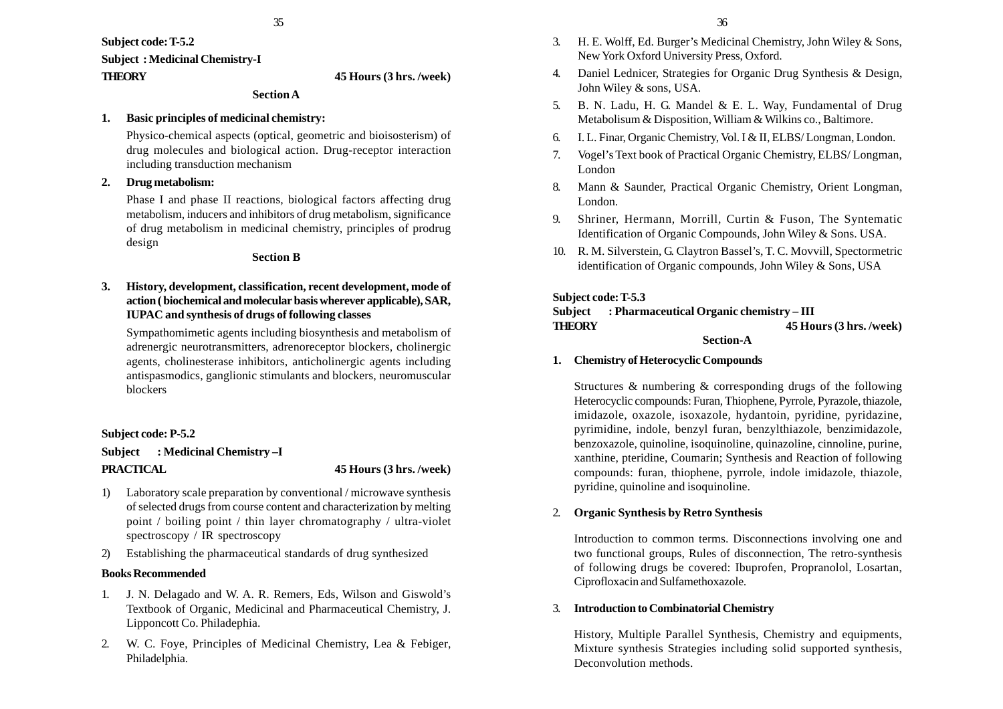35

**Subject code: T-5.2 Subject : Medicinal Chemistry-I**

#### **THEORY 45 Hours (3 hrs. /week)**

# **Section A**

#### **1. Basic principles of medicinal chemistry:**

Physico-chemical aspects (optical, geometric and bioisosterism) of drug molecules and biological action. Drug-receptor interaction including transduction mechanism

# **2. Drug metabolism:**

Phase I and phase II reactions, biological factors affecting drug metabolism, inducers and inhibitors of drug metabolism, significance of drug metabolism in medicinal chemistry, principles of prodrug design

#### **Section B**

**3. History, development, classification, recent development, mode of action ( biochemical and molecular basis wherever applicable), SAR, IUPAC and synthesis of drugs of following classes**

Sympathomimetic agents including biosynthesis and metabolism of adrenergic neurotransmitters, adrenoreceptor blockers, cholinergic agents, cholinesterase inhibitors, anticholinergic agents including antispasmodics, ganglionic stimulants and blockers, neuromuscular blockers

#### **Subject code: P-5.2**

**Subject : Medicinal Chemistry –I PRACTICAL 45 Hours (3 hrs. /week)**

- 1) Laboratory scale preparation by conventional / microwave synthesis of selected drugs from course content and characterization by melting point / boiling point / thin layer chromatography / ultra-violet spectroscopy / IR spectroscopy
- 2) Establishing the pharmaceutical standards of drug synthesized

#### **Books Recommended**

- 1. J. N. Delagado and W. A. R. Remers, Eds, Wilson and Giswold's Textbook of Organic, Medicinal and Pharmaceutical Chemistry, J. Lipponcott Co. Philadephia.
- 2. W. C. Foye, Principles of Medicinal Chemistry, Lea & Febiger, Philadelphia.
- 3. H. E. Wolff, Ed. Burger's Medicinal Chemistry, John Wiley & Sons, New York Oxford University Press, Oxford.
- 4. Daniel Lednicer, Strategies for Organic Drug Synthesis & Design, John Wiley & sons, USA.
- 5. B. N. Ladu, H. G. Mandel & E. L. Way, Fundamental of Drug Metabolisum & Disposition, William & Wilkins co., Baltimore.
- 6. I. L. Finar, Organic Chemistry, Vol. I & II, ELBS/ Longman, London.
- 7. Vogel's Text book of Practical Organic Chemistry, ELBS/ Longman, London
- 8. Mann & Saunder, Practical Organic Chemistry, Orient Longman, London.
- 9. Shriner, Hermann, Morrill, Curtin & Fuson, The Syntematic Identification of Organic Compounds, John Wiley & Sons. USA.
- 10. R. M. Silverstein, G. Claytron Bassel's, T. C. Movvill, Spectormetric identification of Organic compounds, John Wiley & Sons, USA

### **Subject code: T-5.3**

#### **Subject : Pharmaceutical Organic chemistry – III THEORY 45 Hours (3 hrs. /week) Section-A**

# **1. Chemistry of Heterocyclic Compounds**

Structures & numbering & corresponding drugs of the following Heterocyclic compounds: Furan, Thiophene, Pyrrole, Pyrazole, thiazole, imidazole, oxazole, isoxazole, hydantoin, pyridine, pyridazine, pyrimidine, indole, benzyl furan, benzylthiazole, benzimidazole, benzoxazole, quinoline, isoquinoline, quinazoline, cinnoline, purine, xanthine, pteridine, Coumarin; Synthesis and Reaction of following compounds: furan, thiophene, pyrrole, indole imidazole, thiazole, pyridine, quinoline and isoquinoline.

# 2. **Organic Synthesis by Retro Synthesis**

Introduction to common terms. Disconnections involving one and two functional groups, Rules of disconnection, The retro-synthesis of following drugs be covered: Ibuprofen, Propranolol, Losartan, Ciprofloxacin and Sulfamethoxazole.

#### 3. **Introduction to Combinatorial Chemistry**

History, Multiple Parallel Synthesis, Chemistry and equipments, Mixture synthesis Strategies including solid supported synthesis, Deconvolution methods.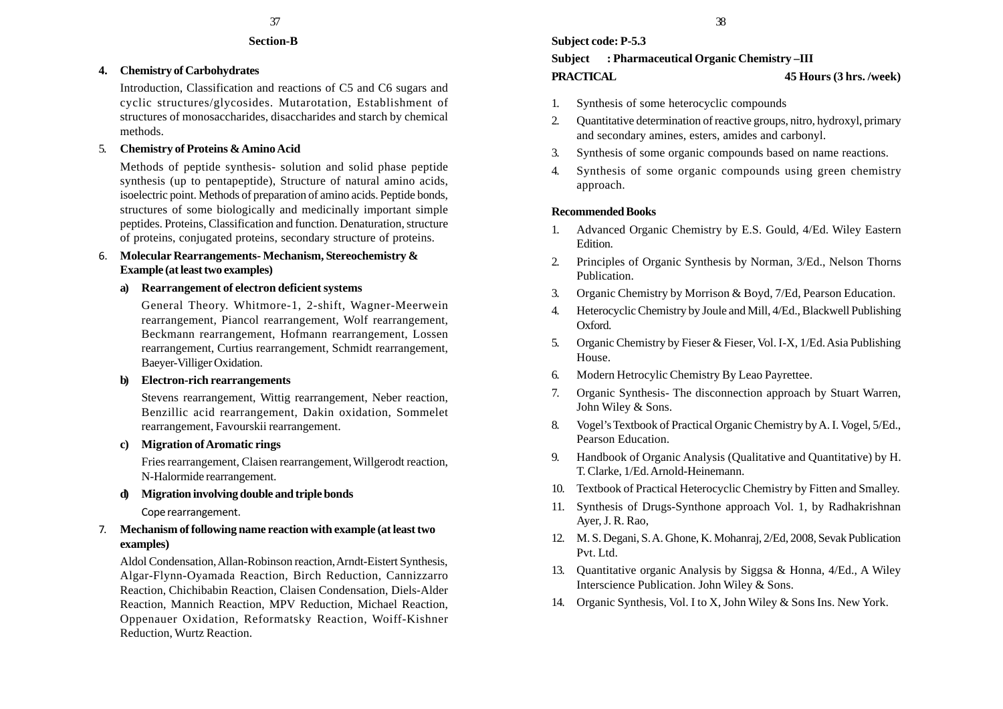### **Section-B**

# **4. Chemistry of Carbohydrates**

Introduction, Classification and reactions of C5 and C6 sugars and cyclic structures/glycosides. Mutarotation, Establishment of structures of monosaccharides, disaccharides and starch by chemical methods.

# 5. **Chemistry of Proteins & Amino Acid**

Methods of peptide synthesis- solution and solid phase peptide synthesis (up to pentapeptide), Structure of natural amino acids, isoelectric point. Methods of preparation of amino acids. Peptide bonds, structures of some biologically and medicinally important simple peptides. Proteins, Classification and function. Denaturation, structure of proteins, conjugated proteins, secondary structure of proteins.

# 6. **Molecular Rearrangements- Mechanism, Stereochemistry & Example (at least two examples)**

# **a) Rearrangement of electron deficient systems**

General Theory. Whitmore-1, 2-shift, Wagner-Meerwein rearrangement, Piancol rearrangement, Wolf rearrangement, Beckmann rearrangement, Hofmann rearrangement, Lossen rearrangement, Curtius rearrangement, Schmidt rearrangement, Baeyer-Villiger Oxidation.

# **b) Electron-rich rearrangements**

Stevens rearrangement, Wittig rearrangement, Neber reaction, Benzillic acid rearrangement, Dakin oxidation, Sommelet rearrangement, Favourskii rearrangement.

# **c) Migration of Aromatic rings**

Fries rearrangement, Claisen rearrangement, Willgerodt reaction, N-Halormide rearrangement.

# **d) Migration involving double and triple bonds**

Cope rearrangement.

# 7. **Mechanism of following name reaction with example (at least two examples)**

Aldol Condensation, Allan-Robinson reaction, Arndt-Eistert Synthesis, Algar-Flynn-Oyamada Reaction, Birch Reduction, Cannizzarro Reaction, Chichibabin Reaction, Claisen Condensation, Diels-Alder Reaction, Mannich Reaction, MPV Reduction, Michael Reaction, Oppenauer Oxidation, Reformatsky Reaction, Woiff-Kishner Reduction, Wurtz Reaction.

# **Subject : Pharmaceutical Organic Chemistry –III PRACTICAL 45 Hours (3 hrs. /week)**

- 1. Synthesis of some heterocyclic compounds
- 2. Quantitative determination of reactive groups, nitro, hydroxyl, primary and secondary amines, esters, amides and carbonyl.
- 3. Synthesis of some organic compounds based on name reactions.
- 4. Synthesis of some organic compounds using green chemistry approach.

# **Recommended Books**

- 1. Advanced Organic Chemistry by E.S. Gould, 4/Ed. Wiley Eastern Edition.
- 2. Principles of Organic Synthesis by Norman, 3/Ed., Nelson Thorns Publication.
- 3. Organic Chemistry by Morrison & Boyd, 7/Ed, Pearson Education.
- 4. Heterocyclic Chemistry by Joule and Mill, 4/Ed., Blackwell Publishing Oxford.
- 5. Organic Chemistry by Fieser & Fieser, Vol. I-X, 1/Ed. Asia Publishing House.
- 6. Modern Hetrocylic Chemistry By Leao Payrettee.
- 7. Organic Synthesis- The disconnection approach by Stuart Warren, John Wiley & Sons.
- 8. Vogel's Textbook of Practical Organic Chemistry by A. I. Vogel, 5/Ed., Pearson Education.
- 9. Handbook of Organic Analysis (Qualitative and Quantitative) by H. T. Clarke, 1/Ed. Arnold-Heinemann.
- 10. Textbook of Practical Heterocyclic Chemistry by Fitten and Smalley.
- 11. Synthesis of Drugs-Synthone approach Vol. 1, by Radhakrishnan Ayer, J. R. Rao,
- 12. M. S. Degani, S. A. Ghone, K. Mohanraj, 2/Ed, 2008, Sevak Publication Pvt. Ltd.
- 13. Quantitative organic Analysis by Siggsa & Honna, 4/Ed., A Wiley Interscience Publication. John Wiley & Sons.
- 14. Organic Synthesis, Vol. I to X, John Wiley & Sons Ins. New York.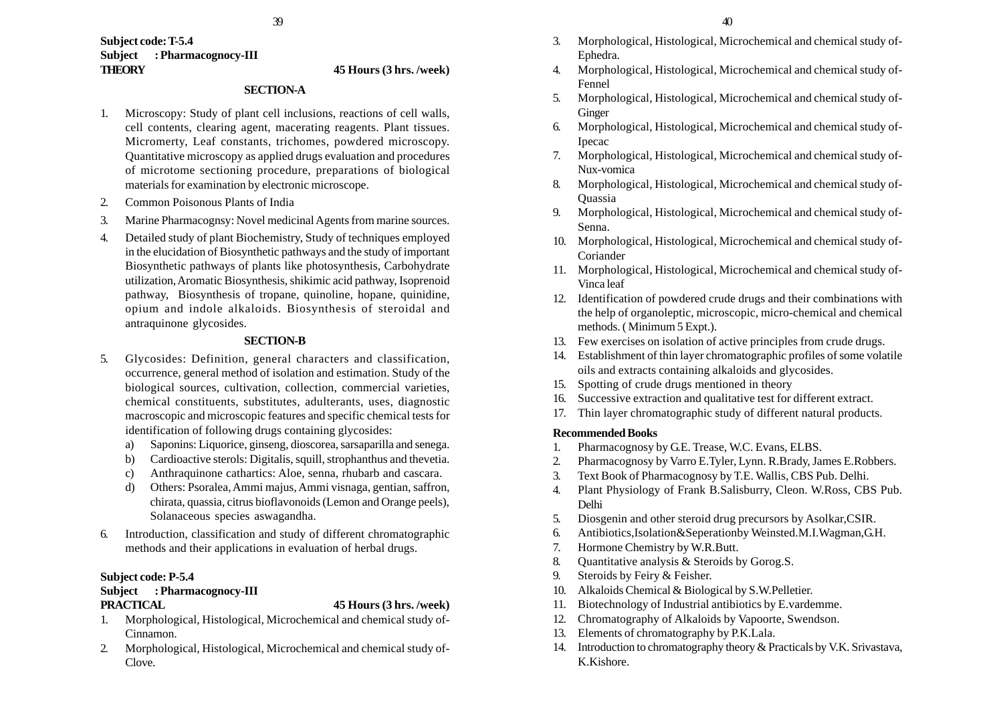#### **Subject code: T-5.4 Subject : Pharmacognocy-III THEORY 45 Hours (3 hrs. /week)**

#### **SECTION-A**

- 1. Microscopy: Study of plant cell inclusions, reactions of cell walls, cell contents, clearing agent, macerating reagents. Plant tissues. Micromerty, Leaf constants, trichomes, powdered microscopy. Quantitative microscopy as applied drugs evaluation and procedures of microtome sectioning procedure, preparations of biological materials for examination by electronic microscope.
- 2. Common Poisonous Plants of India
- 3. Marine Pharmacognsy: Novel medicinal Agents from marine sources.
- 4. Detailed study of plant Biochemistry, Study of techniques employed in the elucidation of Biosynthetic pathways and the study of important Biosynthetic pathways of plants like photosynthesis, Carbohydrate utilization, Aromatic Biosynthesis, shikimic acid pathway, Isoprenoid pathway, Biosynthesis of tropane, quinoline, hopane, quinidine, opium and indole alkaloids. Biosynthesis of steroidal and antraquinone glycosides.

### **SECTION-B**

- 5. Glycosides: Definition, general characters and classification, occurrence, general method of isolation and estimation. Study of the biological sources, cultivation, collection, commercial varieties, chemical constituents, substitutes, adulterants, uses, diagnostic macroscopic and microscopic features and specific chemical tests for identification of following drugs containing glycosides:
	- a) Saponins: Liquorice, ginseng, dioscorea, sarsaparilla and senega.
	- b) Cardioactive sterols: Digitalis, squill, strophanthus and thevetia.
	- c) Anthraquinone cathartics: Aloe, senna, rhubarb and cascara.
	- d) Others: Psoralea, Ammi majus, Ammi visnaga, gentian, saffron, chirata, quassia, citrus bioflavonoids (Lemon and Orange peels), Solanaceous species aswagandha.
- 6. Introduction, classification and study of different chromatographic methods and their applications in evaluation of herbal drugs.

# **Subject code: P-5.4**

# **Subject : Pharmacognocy-III**

# **PRACTICAL 45 Hours (3 hrs. /week)**

- 1. Morphological, Histological, Microchemical and chemical study of-Cinnamon.
- 2. Morphological, Histological, Microchemical and chemical study of-Clove.
- 3. Morphological, Histological, Microchemical and chemical study of-Ephedra.
- 4. Morphological, Histological, Microchemical and chemical study of-Fennel
- 5. Morphological, Histological, Microchemical and chemical study of-**Ginger**
- 6. Morphological, Histological, Microchemical and chemical study of-Ipecac
- 7. Morphological, Histological, Microchemical and chemical study of-Nux-vomica
- 8. Morphological, Histological, Microchemical and chemical study of-**Ouassia**
- 9. Morphological, Histological, Microchemical and chemical study of-Senna.
- 10. Morphological, Histological, Microchemical and chemical study of-Coriander
- 11. Morphological, Histological, Microchemical and chemical study of-Vinca leaf
- 12. Identification of powdered crude drugs and their combinations with the help of organoleptic, microscopic, micro-chemical and chemical methods. ( Minimum 5 Expt.).
- 13. Few exercises on isolation of active principles from crude drugs.
- 14. Establishment of thin layer chromatographic profiles of some volatile oils and extracts containing alkaloids and glycosides.
- 15. Spotting of crude drugs mentioned in theory
- 16. Successive extraction and qualitative test for different extract.
- 17. Thin layer chromatographic study of different natural products.

# **Recommended Books**

- 1. Pharmacognosy by G.E. Trease, W.C. Evans, ELBS.
- 2. Pharmacognosy by Varro E.Tyler, Lynn. R.Brady, James E.Robbers.
- 3. Text Book of Pharmacognosy by T.E. Wallis, CBS Pub. Delhi.
- 4. Plant Physiology of Frank B.Salisburry, Cleon. W.Ross, CBS Pub. Delhi
- 5. Diosgenin and other steroid drug precursors by Asolkar,CSIR.
- 6. Antibiotics,Isolation&Seperationby Weinsted.M.I.Wagman,G.H.
- 7. Hormone Chemistry by W.R.Butt.
- 8. Quantitative analysis & Steroids by Gorog.S.
- 9. Steroids by Feiry & Feisher.
- 10. Alkaloids Chemical & Biological by S.W.Pelletier.
- 11. Biotechnology of Industrial antibiotics by E.vardemme.
- 12. Chromatography of Alkaloids by Vapoorte, Swendson.
- 13. Elements of chromatography by P.K.Lala.
- 14. Introduction to chromatography theory & Practicals by V.K. Srivastava, K.Kishore.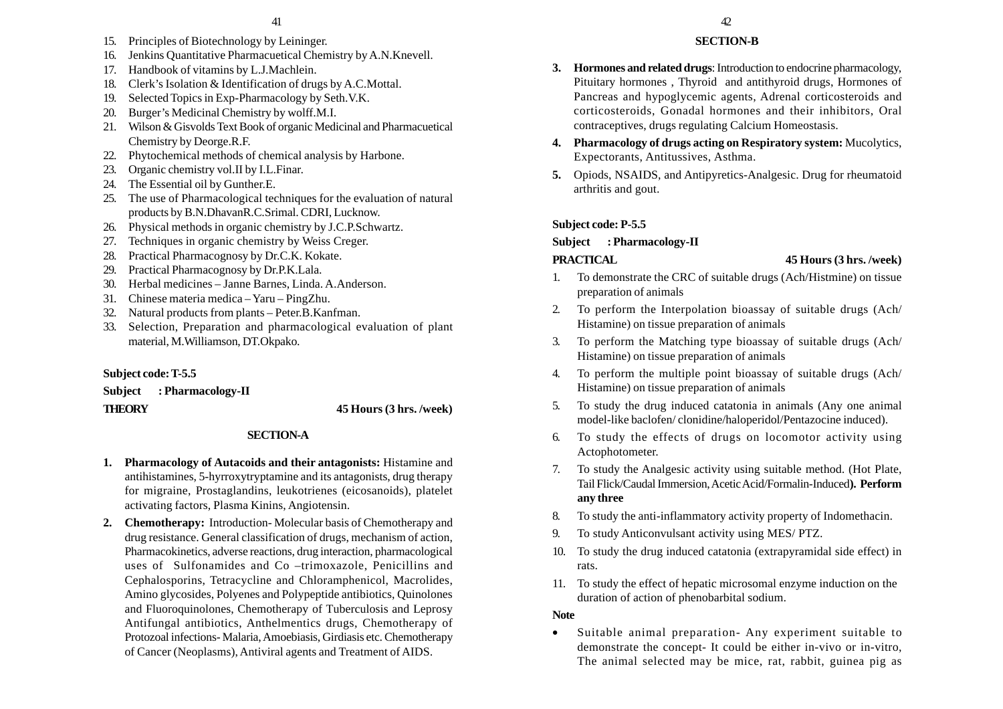- 15. Principles of Biotechnology by Leininger.
- 16. Jenkins Quantitative Pharmacuetical Chemistry by A.N.Knevell.
- 17. Handbook of vitamins by L.J.Machlein.
- 18. Clerk's Isolation & Identification of drugs by A.C.Mottal.
- 19. Selected Topics in Exp-Pharmacology by Seth.V.K.
- 20. Burger's Medicinal Chemistry by wolff.M.I.
- 21. Wilson & Gisvolds Text Book of organic Medicinal and Pharmacuetical Chemistry by Deorge.R.F.
- 22. Phytochemical methods of chemical analysis by Harbone.
- 23. Organic chemistry vol.II by I.L.Finar.
- 24. The Essential oil by Gunther.E.
- 25. The use of Pharmacological techniques for the evaluation of natural products by B.N.DhavanR.C.Srimal. CDRI, Lucknow.
- 26. Physical methods in organic chemistry by J.C.P.Schwartz.
- 27. Techniques in organic chemistry by Weiss Creger.
- 28. Practical Pharmacognosy by Dr.C.K. Kokate.
- 29. Practical Pharmacognosy by Dr.P.K.Lala.
- 30. Herbal medicines Janne Barnes, Linda. A.Anderson.
- 31. Chinese materia medica Yaru PingZhu.
- 32. Natural products from plants Peter.B.Kanfman.
- 33. Selection, Preparation and pharmacological evaluation of plant material, M.Williamson, DT.Okpako.

# **Subject code: T-5.5**

**Subject : Pharmacology-II THEORY 45 Hours (3 hrs. /week)**

# **SECTION-A**

- **1. Pharmacology of Autacoids and their antagonists:** Histamine and antihistamines, 5-hyrroxytryptamine and its antagonists, drug therapy for migraine, Prostaglandins, leukotrienes (eicosanoids), platelet activating factors, Plasma Kinins, Angiotensin.
- **2. Chemotherapy:** Introduction- Molecular basis of Chemotherapy and drug resistance. General classification of drugs, mechanism of action, Pharmacokinetics, adverse reactions, drug interaction, pharmacological uses of Sulfonamides and Co –trimoxazole, Penicillins and Cephalosporins, Tetracycline and Chloramphenicol, Macrolides, Amino glycosides, Polyenes and Polypeptide antibiotics, Quinolones and Fluoroquinolones, Chemotherapy of Tuberculosis and Leprosy Antifungal antibiotics, Anthelmentics drugs, Chemotherapy of Protozoal infections- Malaria, Amoebiasis, Girdiasis etc. Chemotherapy of Cancer (Neoplasms), Antiviral agents and Treatment of AIDS.

# **SECTION-B**

- **3. Hormones and related drugs**: Introduction to endocrine pharmacology, Pituitary hormones , Thyroid and antithyroid drugs, Hormones of Pancreas and hypoglycemic agents, Adrenal corticosteroids and corticosteroids, Gonadal hormones and their inhibitors, Oral contraceptives, drugs regulating Calcium Homeostasis.
- **4. Pharmacology of drugs acting on Respiratory system:** Mucolytics, Expectorants, Antitussives, Asthma.
- **5.** Opiods, NSAIDS, and Antipyretics-Analgesic. Drug for rheumatoid arthritis and gout.

# **Subject code: P-5.5**

#### **Subject : Pharmacology-II**

# **PRACTICAL 45 Hours (3 hrs. /week)**

- 1. To demonstrate the CRC of suitable drugs (Ach/Histmine) on tissue preparation of animals
- 2. To perform the Interpolation bioassay of suitable drugs (Ach/ Histamine) on tissue preparation of animals
- 3. To perform the Matching type bioassay of suitable drugs (Ach/ Histamine) on tissue preparation of animals
- 4. To perform the multiple point bioassay of suitable drugs (Ach/ Histamine) on tissue preparation of animals
- 5. To study the drug induced catatonia in animals (Any one animal model-like baclofen/ clonidine/haloperidol/Pentazocine induced).
- To study the effects of drugs on locomotor activity using Actophotometer.
- 7. To study the Analgesic activity using suitable method. (Hot Plate, Tail Flick/Caudal Immersion, Acetic Acid/Formalin-Induced**). Perform any three**
- 8. To study the anti-inflammatory activity property of Indomethacin.
- 9. To study Anticonvulsant activity using MES/ PTZ.
- 10. To study the drug induced catatonia (extrapyramidal side effect) in rats.
- 11. To study the effect of hepatic microsomal enzyme induction on the duration of action of phenobarbital sodium.

# **Note**

• Suitable animal preparation- Any experiment suitable to demonstrate the concept- It could be either in-vivo or in-vitro, The animal selected may be mice, rat, rabbit, guinea pig as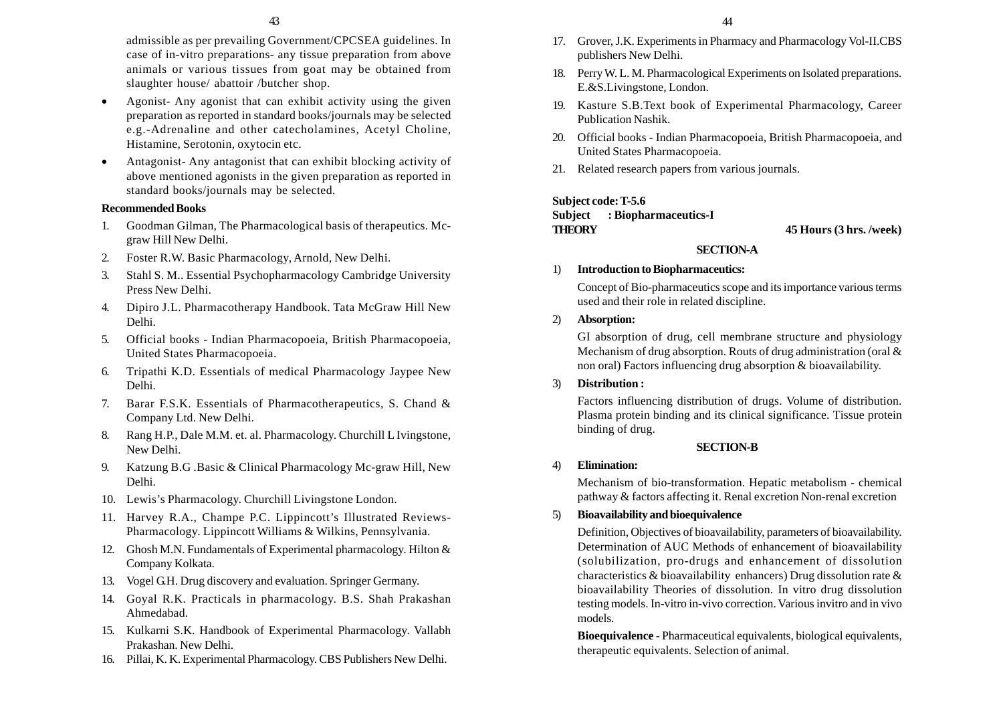admissible as per prevailing Government/CPCSEA guidelines. In case of in-vitro preparations- any tissue preparation from above animals or various tissues from goat may be obtained from slaughter house/ abattoir /butcher shop.

- • Agonist- Any agonist that can exhibit activity using the given preparation as reported in standard books/journals may be selected e.g.-Adrenaline and other catecholamines, Acetyl Choline, Histamine, Serotonin, oxytocin etc.
- • Antagonist- Any antagonist that can exhibit blocking activity of above mentioned agonists in the given preparation as reported in standard books/journals may be selected.

#### **Recommended Books**

- 1. Goodman Gilman, The Pharmacological basis of therapeutics. Mcgraw Hill New Delhi.
- 2. Foster R.W. Basic Pharmacology, Arnold, New Delhi.
- 3. Stahl S. M.. Essential Psychopharmacology Cambridge University Press New Delhi.
- 4. Dipiro J.L. Pharmacotherapy Handbook. Tata McGraw Hill New Delhi.
- 5. Official books Indian Pharmacopoeia, British Pharmacopoeia, United States Pharmacopoeia.
- 6. Tripathi K.D. Essentials of medical Pharmacology Jaypee New Delhi.
- 7. Barar F.S.K. Essentials of Pharmacotherapeutics, S. Chand & Company Ltd. New Delhi.
- 8. Rang H.P., Dale M.M. et. al. Pharmacology. Churchill L Ivingstone, New Delhi.
- 9. Katzung B.G .Basic & Clinical Pharmacology Mc-graw Hill, New Delhi.
- 10. Lewis's Pharmacology. Churchill Livingstone London.
- 11. Harvey R.A., Champe P.C. Lippincott's Illustrated Reviews-Pharmacology. Lippincott Williams & Wilkins, Pennsylvania.
- 12. Ghosh M.N. Fundamentals of Experimental pharmacology. Hilton & Company Kolkata.
- 13. Vogel G.H. Drug discovery and evaluation. Springer Germany.
- 14. Goyal R.K. Practicals in pharmacology. B.S. Shah Prakashan Ahmedabad.
- 15. Kulkarni S.K. Handbook of Experimental Pharmacology. Vallabh Prakashan. New Delhi.
- 16. Pillai, K. K. Experimental Pharmacology. CBS Publishers New Delhi.
- 17. Grover, J.K. Experiments in Pharmacy and Pharmacology Vol-II.CBS publishers New Delhi.
- 18. Perry W. L. M. Pharmacological Experiments on Isolated preparations. E.&S.Livingstone, London.
- 19. Kasture S.B.Text book of Experimental Pharmacology, Career Publication Nashik.
- 20. Official books Indian Pharmacopoeia, British Pharmacopoeia, and United States Pharmacopoeia.
- 21. Related research papers from various journals.

#### **Subject code: T-5.6**

### **Subject : Biopharmaceutics-I THEORY 45 Hours (3 hrs. /week)**

#### **SECTION-A**

#### 1) **Introduction to Biopharmaceutics:**

Concept of Bio-pharmaceutics scope and its importance various terms used and their role in related discipline.

#### 2) **Absorption:**

GI absorption of drug, cell membrane structure and physiology Mechanism of drug absorption. Routs of drug administration (oral & non oral) Factors influencing drug absorption & bioavailability.

#### 3) **Distribution :**

Factors influencing distribution of drugs. Volume of distribution. Plasma protein binding and its clinical significance. Tissue protein binding of drug.

# **SECTION-B**

#### 4) **Elimination:**

Mechanism of bio-transformation. Hepatic metabolism - chemical pathway & factors affecting it. Renal excretion Non-renal excretion

# 5) **Bioavailability and bioequivalence**

Definition, Objectives of bioavailability, parameters of bioavailability. Determination of AUC Methods of enhancement of bioavailability (solubilization, pro-drugs and enhancement of dissolution characteristics & bioavailability enhancers) Drug dissolution rate & bioavailability Theories of dissolution. In vitro drug dissolution testing models. In-vitro in-vivo correction. Various invitro and in vivo models.

**Bioequivalence** - Pharmaceutical equivalents, biological equivalents, therapeutic equivalents. Selection of animal.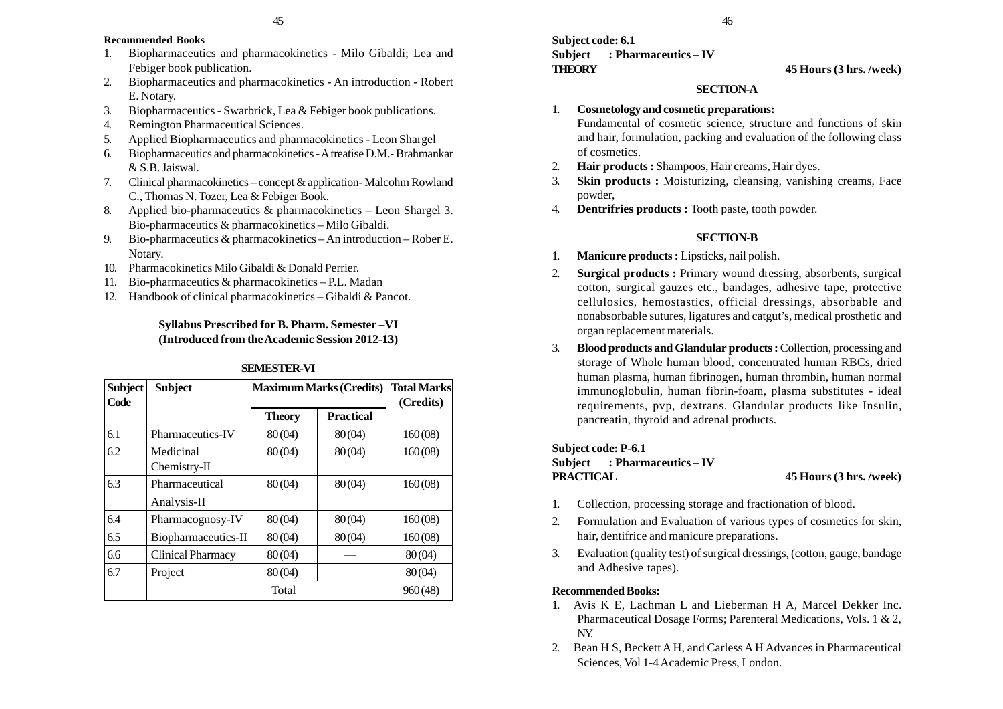#### **Recommended Books**

- 1. Biopharmaceutics and pharmacokinetics Milo Gibaldi; Lea and Febiger book publication.
- 2. Biopharmaceutics and pharmacokinetics An introduction Robert E. Notary.
- 3. Biopharmaceutics Swarbrick, Lea & Febiger book publications.
- 4. Remington Pharmaceutical Sciences.
- 5. Applied Biopharmaceutics and pharmacokinetics Leon Shargel
- 6. Biopharmaceutics and pharmacokinetics A treatise D.M.- Brahmankar & S.B. Jaiswal.
- 7. Clinical pharmacokinetics concept & application- Malcohm Rowland C., Thomas N. Tozer, Lea & Febiger Book.
- 8. Applied bio-pharmaceutics & pharmacokinetics Leon Shargel 3. Bio-pharmaceutics & pharmacokinetics – Milo Gibaldi.
- 9. Bio-pharmaceutics & pharmacokinetics An introduction Rober E. Notary.
- 10. Pharmacokinetics Milo Gibaldi & Donald Perrier.
- 11. Bio-pharmaceutics & pharmacokinetics P.L. Madan
- 12. Handbook of clinical pharmacokinetics Gibaldi & Pancot.

# **Syllabus Prescribed for B. Pharm. Semester –VI (Introduced from the Academic Session 2012-13)**

| <b>Subject</b><br>Code | <b>Subject</b>            | <b>Maximum Marks (Credits)</b> |                  | <b>Total Marks</b><br>(Credits) |
|------------------------|---------------------------|--------------------------------|------------------|---------------------------------|
|                        |                           | <b>Theory</b>                  | <b>Practical</b> |                                 |
| 6.1                    | Pharmaceutics-IV          | 80(04)                         | 80(04)           | 160(08)                         |
| 6.2                    | Medicinal<br>Chemistry-II | 80(04)                         | 80(04)           | 160(08)                         |
| 6.3                    | Pharmaceutical            | 80(04)                         | 80(04)           | 160(08)                         |
|                        | Analysis-II               |                                |                  |                                 |
| 6.4                    | Pharmacognosy-IV          | 80(04)                         | 80(04)           | 160(08)                         |
| 6.5                    | Biopharmaceutics-II       | 80(04)                         | 80(04)           | 160(08)                         |
| 6.6                    | Clinical Pharmacy         | 80(04)                         |                  | 80(04)                          |
| 6.7                    | Project                   | 80(04)                         |                  | 80(04)                          |
|                        |                           | Total                          |                  | 960(48)                         |

# **SEMESTER-VI**

# **Subject code: 6.1 Subject : Pharmaceutics – IV THEORY 45 Hours (3 hrs. /week)**

# **SECTION-A**

#### 1. **Cosmetology and cosmetic preparations:**

Fundamental of cosmetic science, structure and functions of skin and hair, formulation, packing and evaluation of the following class of cosmetics.

- 2. **Hair products :** Shampoos, Hair creams, Hair dyes.
- 3. **Skin products :** Moisturizing, cleansing, vanishing creams, Face powder,
- 4. **Dentrifries products :** Tooth paste, tooth powder.

#### **SECTION-B**

- 1. **Manicure products :** Lipsticks, nail polish.
- 2. **Surgical products :** Primary wound dressing, absorbents, surgical cotton, surgical gauzes etc., bandages, adhesive tape, protective cellulosics, hemostastics, official dressings, absorbable and nonabsorbable sutures, ligatures and catgut's, medical prosthetic and organ replacement materials.
- 3. **Blood products and Glandular products :** Collection, processing and storage of Whole human blood, concentrated human RBCs, dried human plasma, human fibrinogen, human thrombin, human normal immunoglobulin, human fibrin-foam, plasma substitutes - ideal requirements, pvp, dextrans. Glandular products like Insulin, pancreatin, thyroid and adrenal products.

#### **Subject code: P-6.1**

# **Subject : Pharmaceutics – IV PRACTICAL 45 Hours (3 hrs. /week)**

- 1. Collection, processing storage and fractionation of blood.
- 2. Formulation and Evaluation of various types of cosmetics for skin, hair, dentifrice and manicure preparations.
- 3. Evaluation (quality test) of surgical dressings, (cotton, gauge, bandage and Adhesive tapes).

#### **Recommended Books:**

- 1. Avis K E, Lachman L and Lieberman H A, Marcel Dekker Inc. Pharmaceutical Dosage Forms; Parenteral Medications, Vols. 1 & 2, NY.
- 2. Bean H S, Beckett A H, and Carless A H Advances in Pharmaceutical Sciences, Vol 1-4 Academic Press, London.

46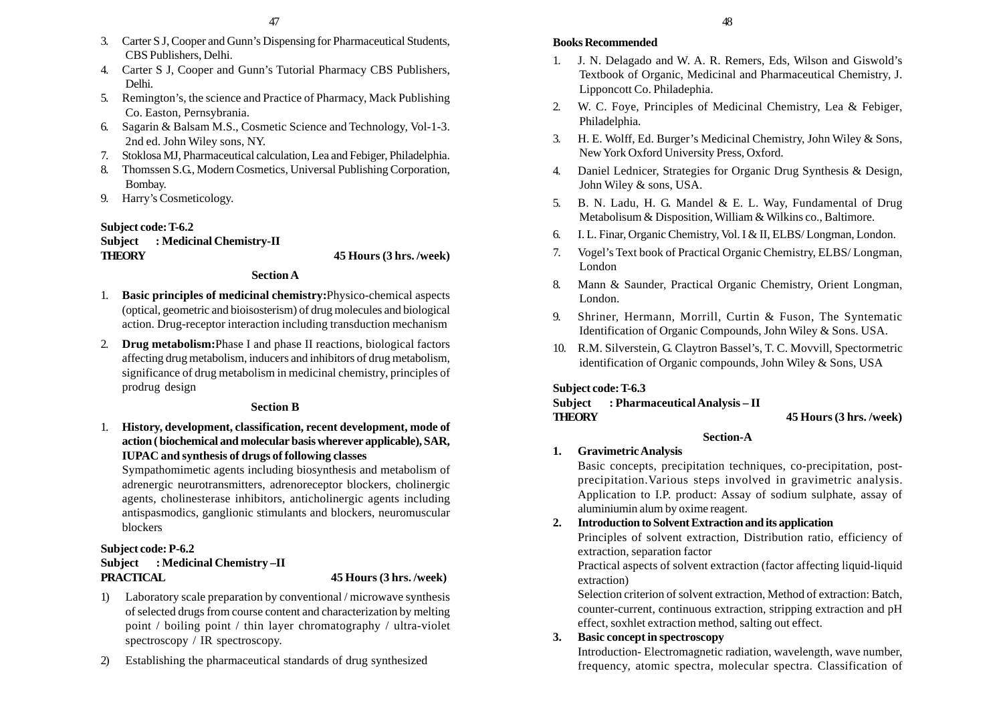- 3. Carter S J, Cooper and Gunn's Dispensing for Pharmaceutical Students, CBS Publishers, Delhi.
- 4. Carter S J, Cooper and Gunn's Tutorial Pharmacy CBS Publishers, Delhi.
- 5. Remington's, the science and Practice of Pharmacy, Mack Publishing Co. Easton, Pernsybrania.
- 6. Sagarin & Balsam M.S., Cosmetic Science and Technology, Vol-1-3. 2nd ed. John Wiley sons, NY.
- 7. Stoklosa MJ, Pharmaceutical calculation, Lea and Febiger, Philadelphia.
- 8. Thomssen S.G., Modern Cosmetics, Universal Publishing Corporation, Bombay.
- 9. Harry's Cosmeticology.

# **Subject code: T-6.2**

| <b>Subject</b> | : Medicinal Chemistry-II |
|----------------|--------------------------|
| <b>THEORY</b>  |                          |

**THEORY 45 Hours (3 hrs. /week)**

### **Section A**

- 1. **Basic principles of medicinal chemistry:**Physico-chemical aspects (optical, geometric and bioisosterism) of drug molecules and biological action. Drug-receptor interaction including transduction mechanism
- 2. **Drug metabolism:**Phase I and phase II reactions, biological factors affecting drug metabolism, inducers and inhibitors of drug metabolism, significance of drug metabolism in medicinal chemistry, principles of prodrug design

# **Section B**

1. **History, development, classification, recent development, mode of action ( biochemical and molecular basis wherever applicable), SAR, IUPAC and synthesis of drugs of following classes**

Sympathomimetic agents including biosynthesis and metabolism of adrenergic neurotransmitters, adrenoreceptor blockers, cholinergic agents, cholinesterase inhibitors, anticholinergic agents including antispasmodics, ganglionic stimulants and blockers, neuromuscular blockers

# **Subject code: P-6.2 Subject : Medicinal Chemistry –II PRACTICAL 45 Hours (3 hrs. /week)**

- 1) Laboratory scale preparation by conventional / microwave synthesis of selected drugs from course content and characterization by melting point / boiling point / thin layer chromatography / ultra-violet spectroscopy / IR spectroscopy.
- 2) Establishing the pharmaceutical standards of drug synthesized

# **Books Recommended**

- 1. J. N. Delagado and W. A. R. Remers, Eds, Wilson and Giswold's Textbook of Organic, Medicinal and Pharmaceutical Chemistry, J. Lipponcott Co. Philadephia.
- 2. W. C. Foye, Principles of Medicinal Chemistry, Lea & Febiger, Philadelphia.
- 3. H. E. Wolff, Ed. Burger's Medicinal Chemistry, John Wiley & Sons, New York Oxford University Press, Oxford.
- 4. Daniel Lednicer, Strategies for Organic Drug Synthesis & Design, John Wiley & sons, USA.
- 5. B. N. Ladu, H. G. Mandel & E. L. Way, Fundamental of Drug Metabolisum & Disposition, William & Wilkins co., Baltimore.
- 6. I. L. Finar, Organic Chemistry, Vol. I & II, ELBS/ Longman, London.
- 7. Vogel's Text book of Practical Organic Chemistry, ELBS/ Longman, London
- 8. Mann & Saunder, Practical Organic Chemistry, Orient Longman, London.
- 9. Shriner, Hermann, Morrill, Curtin & Fuson, The Syntematic Identification of Organic Compounds, John Wiley & Sons. USA.
- 10. R.M. Silverstein, G. Claytron Bassel's, T. C. Movvill, Spectormetric identification of Organic compounds, John Wiley & Sons, USA

# **Subject code: T-6.3**

# **Subject : Pharmaceutical Analysis – II THEORY 45 Hours (3 hrs. /week)**

# **Section-A**

# **1. Gravimetric Analysis**

Basic concepts, precipitation techniques, co-precipitation, postprecipitation.Various steps involved in gravimetric analysis. Application to I.P. product: Assay of sodium sulphate, assay of aluminiumin alum by oxime reagent.

# **2. Introduction to Solvent Extraction and its application**

Principles of solvent extraction, Distribution ratio, efficiency of extraction, separation factor

Practical aspects of solvent extraction (factor affecting liquid-liquid extraction)

Selection criterion of solvent extraction, Method of extraction: Batch, counter-current, continuous extraction, stripping extraction and pH effect, soxhlet extraction method, salting out effect.

# **3. Basic concept in spectroscopy**

Introduction- Electromagnetic radiation, wavelength, wave number, frequency, atomic spectra, molecular spectra. Classification of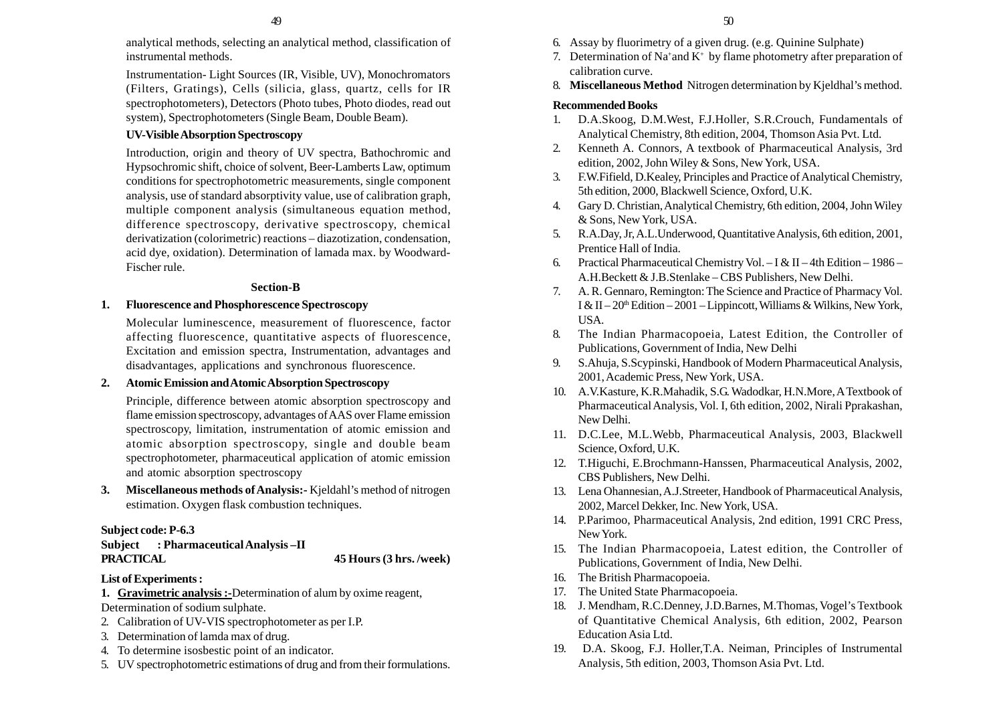analytical methods, selecting an analytical method, classification of instrumental methods.

Instrumentation- Light Sources (IR, Visible, UV), Monochromators (Filters, Gratings), Cells (silicia, glass, quartz, cells for IR spectrophotometers), Detectors (Photo tubes, Photo diodes, read out system), Spectrophotometers (Single Beam, Double Beam).

#### **UV-Visible Absorption Spectroscopy**

Introduction, origin and theory of UV spectra, Bathochromic and Hypsochromic shift, choice of solvent, Beer-Lamberts Law, optimum conditions for spectrophotometric measurements, single component analysis, use of standard absorptivity value, use of calibration graph, multiple component analysis (simultaneous equation method, difference spectroscopy, derivative spectroscopy, chemical derivatization (colorimetric) reactions – diazotization, condensation, acid dye, oxidation). Determination of lamada max. by Woodward-Fischer rule.

#### **Section-B**

#### **1. Fluorescence and Phosphorescence Spectroscopy**

Molecular luminescence, measurement of fluorescence, factor affecting fluorescence, quantitative aspects of fluorescence, Excitation and emission spectra, Instrumentation, advantages and disadvantages, applications and synchronous fluorescence.

# **2. Atomic Emission and Atomic Absorption Spectroscopy**

Principle, difference between atomic absorption spectroscopy and flame emission spectroscopy, advantages of AAS over Flame emission spectroscopy, limitation, instrumentation of atomic emission and atomic absorption spectroscopy, single and double beam spectrophotometer, pharmaceutical application of atomic emission and atomic absorption spectroscopy

**3. Miscellaneous methods of Analysis:-** Kjeldahl's method of nitrogen estimation. Oxygen flask combustion techniques.

#### **Subject code: P-6.3**

**Subject : Pharmaceutical Analysis –II PRACTICAL 45 Hours (3 hrs. /week)**

#### **List of Experiments :**

**1. Gravimetric analysis :-**Determination of alum by oxime reagent, Determination of sodium sulphate.

- 2. Calibration of UV-VIS spectrophotometer as per I.P.
- 3. Determination of lamda max of drug.
- 4. To determine isosbestic point of an indicator.
- 5. UV spectrophotometric estimations of drug and from their formulations.
- 6. Assay by fluorimetry of a given drug. (e.g. Quinine Sulphate)
- 7. Determination of Na<sup>+</sup>and K<sup>+</sup> by flame photometry after preparation of calibration curve.
- 8. **Miscellaneous Method** Nitrogen determination by Kjeldhal's method.

#### **Recommended Books**

- 1. D.A.Skoog, D.M.West, F.J.Holler, S.R.Crouch, Fundamentals of Analytical Chemistry, 8th edition, 2004, Thomson Asia Pvt. Ltd.
- 2. Kenneth A. Connors, A textbook of Pharmaceutical Analysis, 3rd edition, 2002, John Wiley & Sons, New York, USA.
- 3. F.W.Fifield, D.Kealey, Principles and Practice of Analytical Chemistry, 5th edition, 2000, Blackwell Science, Oxford, U.K.
- 4. Gary D. Christian, Analytical Chemistry, 6th edition, 2004, John Wiley & Sons, New York, USA.
- 5. R.A.Day, Jr, A.L.Underwood, Quantitative Analysis, 6th edition, 2001, Prentice Hall of India.
- 6. Practical Pharmaceutical Chemistry Vol. I & II 4th Edition 1986 A.H.Beckett & J.B.Stenlake – CBS Publishers, New Delhi.
- 7. A. R. Gennaro, Remington: The Science and Practice of Pharmacy Vol. I & II –  $20<sup>th</sup>$  Edition –  $2001$  – Lippincott, Williams & Wilkins, New York, USA.
- 8. The Indian Pharmacopoeia, Latest Edition, the Controller of Publications, Government of India, New Delhi
- 9. S.Ahuja, S.Scypinski, Handbook of Modern Pharmaceutical Analysis, 2001, Academic Press, New York, USA.
- 10. A.V.Kasture, K.R.Mahadik, S.G. Wadodkar, H.N.More, A Textbook of Pharmaceutical Analysis, Vol. I, 6th edition, 2002, Nirali Pprakashan, New Delhi.
- 11. D.C.Lee, M.L.Webb, Pharmaceutical Analysis, 2003, Blackwell Science, Oxford, U.K.
- 12. T.Higuchi, E.Brochmann-Hanssen, Pharmaceutical Analysis, 2002, CBS Publishers, New Delhi.
- 13. Lena Ohannesian, A.J.Streeter, Handbook of Pharmaceutical Analysis, 2002, Marcel Dekker, Inc. New York, USA.
- 14. P.Parimoo, Pharmaceutical Analysis, 2nd edition, 1991 CRC Press, New York.
- 15. The Indian Pharmacopoeia, Latest edition, the Controller of Publications, Government of India, New Delhi.
- 16. The British Pharmacopoeia.
- 17. The United State Pharmacopoeia.
- 18. J. Mendham, R.C.Denney, J.D.Barnes, M.Thomas, Vogel's Textbook of Quantitative Chemical Analysis, 6th edition, 2002, Pearson Education Asia Ltd.
- 19. D.A. Skoog, F.J. Holler,T.A. Neiman, Principles of Instrumental Analysis, 5th edition, 2003, Thomson Asia Pvt. Ltd.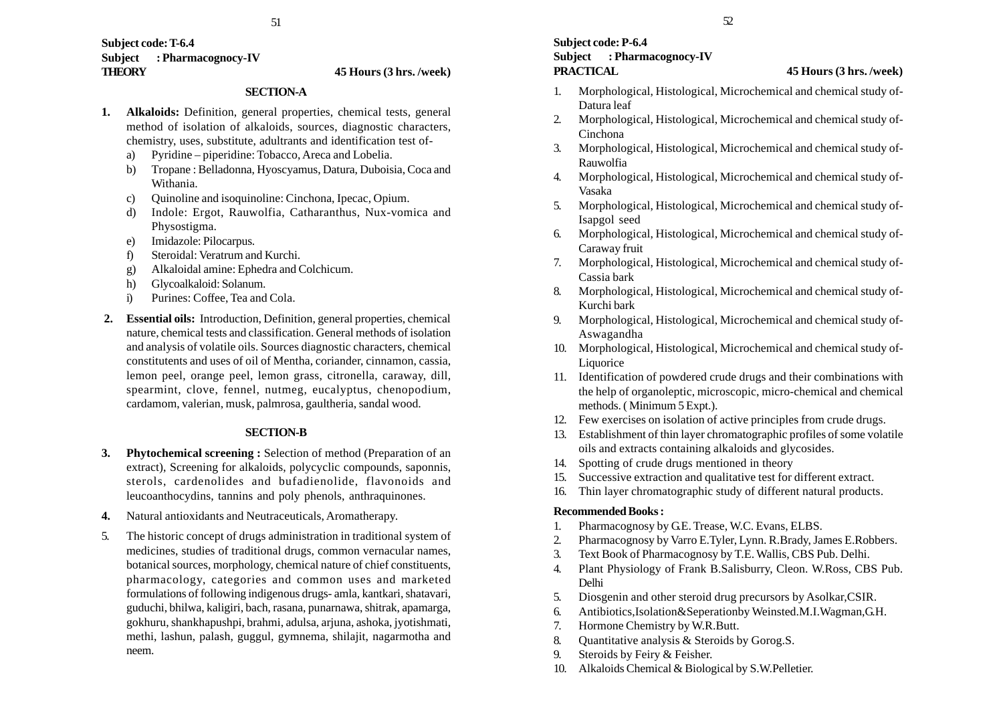#### **Subject code: T-6.4 Subject : Pharmacognocy-IV THEORY 45 Hours (3 hrs. /week)**

#### **SECTION-A**

- **1. Alkaloids:** Definition, general properties, chemical tests, general method of isolation of alkaloids, sources, diagnostic characters, chemistry, uses, substitute, adultrants and identification test of
	- a) Pyridine piperidine: Tobacco, Areca and Lobelia.
	- b) Tropane : Belladonna, Hyoscyamus, Datura, Duboisia, Coca and Withania.
	- c) Quinoline and isoquinoline: Cinchona, Ipecac, Opium.
	- d) Indole: Ergot, Rauwolfia, Catharanthus, Nux-vomica and Physostigma.
	- e) Imidazole: Pilocarpus.
	- f) Steroidal: Veratrum and Kurchi.
	- g) Alkaloidal amine: Ephedra and Colchicum.
	- h) Glycoalkaloid: Solanum.
	- i) Purines: Coffee, Tea and Cola.
- **2. Essential oils:** Introduction, Definition, general properties, chemical nature, chemical tests and classification. General methods of isolation and analysis of volatile oils. Sources diagnostic characters, chemical constitutents and uses of oil of Mentha, coriander, cinnamon, cassia, lemon peel, orange peel, lemon grass, citronella, caraway, dill, spearmint, clove, fennel, nutmeg, eucalyptus, chenopodium, cardamom, valerian, musk, palmrosa, gaultheria, sandal wood.

#### **SECTION-B**

- **3. Phytochemical screening :** Selection of method (Preparation of an extract), Screening for alkaloids, polycyclic compounds, saponnis, sterols, cardenolides and bufadienolide, flavonoids and leucoanthocydins, tannins and poly phenols, anthraquinones.
- **4.** Natural antioxidants and Neutraceuticals, Aromatherapy.
- 5. The historic concept of drugs administration in traditional system of medicines, studies of traditional drugs, common vernacular names, botanical sources, morphology, chemical nature of chief constituents, pharmacology, categories and common uses and marketed formulations of following indigenous drugs- amla, kantkari, shatavari, guduchi, bhilwa, kaligiri, bach, rasana, punarnawa, shitrak, apamarga, gokhuru, shankhapushpi, brahmi, adulsa, arjuna, ashoka, jyotishmati, methi, lashun, palash, guggul, gymnema, shilajit, nagarmotha and neem.

# **Subject code: P-6.4 Subject : Pharmacognocy-IV PRACTICAL 45 Hours (3 hrs. /week)**

- 1. Morphological, Histological, Microchemical and chemical study of-Datura leaf
- 2. Morphological, Histological, Microchemical and chemical study of-Cinchona
- 3. Morphological, Histological, Microchemical and chemical study of-Rauwolfia
- 4. Morphological, Histological, Microchemical and chemical study of-Vasaka
- 5. Morphological, Histological, Microchemical and chemical study of-Isapgol seed
- 6. Morphological, Histological, Microchemical and chemical study of-Caraway fruit
- 7. Morphological, Histological, Microchemical and chemical study of-Cassia bark
- 8. Morphological, Histological, Microchemical and chemical study of-Kurchi bark
- 9. Morphological, Histological, Microchemical and chemical study of-Aswagandha
- 10. Morphological, Histological, Microchemical and chemical study of-Liquorice
- 11. Identification of powdered crude drugs and their combinations with the help of organoleptic, microscopic, micro-chemical and chemical methods. ( Minimum 5 Expt.).
- 12. Few exercises on isolation of active principles from crude drugs.
- 13. Establishment of thin layer chromatographic profiles of some volatile oils and extracts containing alkaloids and glycosides.
- 14. Spotting of crude drugs mentioned in theory
- 15. Successive extraction and qualitative test for different extract.
- 16. Thin layer chromatographic study of different natural products.

#### **Recommended Books :**

- 1. Pharmacognosy by G.E. Trease, W.C. Evans, ELBS.
- 2. Pharmacognosy by Varro E.Tyler, Lynn. R.Brady, James E.Robbers.
- 3. Text Book of Pharmacognosy by T.E. Wallis, CBS Pub. Delhi.
- 4. Plant Physiology of Frank B.Salisburry, Cleon. W.Ross, CBS Pub. Delhi
- 5. Diosgenin and other steroid drug precursors by Asolkar,CSIR.
- 6. Antibiotics,Isolation&Seperationby Weinsted.M.I.Wagman,G.H.
- 7. Hormone Chemistry by W.R.Butt.
- 8. Quantitative analysis & Steroids by Gorog.S.
- 9. Steroids by Feiry & Feisher.
- 10. Alkaloids Chemical & Biological by S.W.Pelletier.

52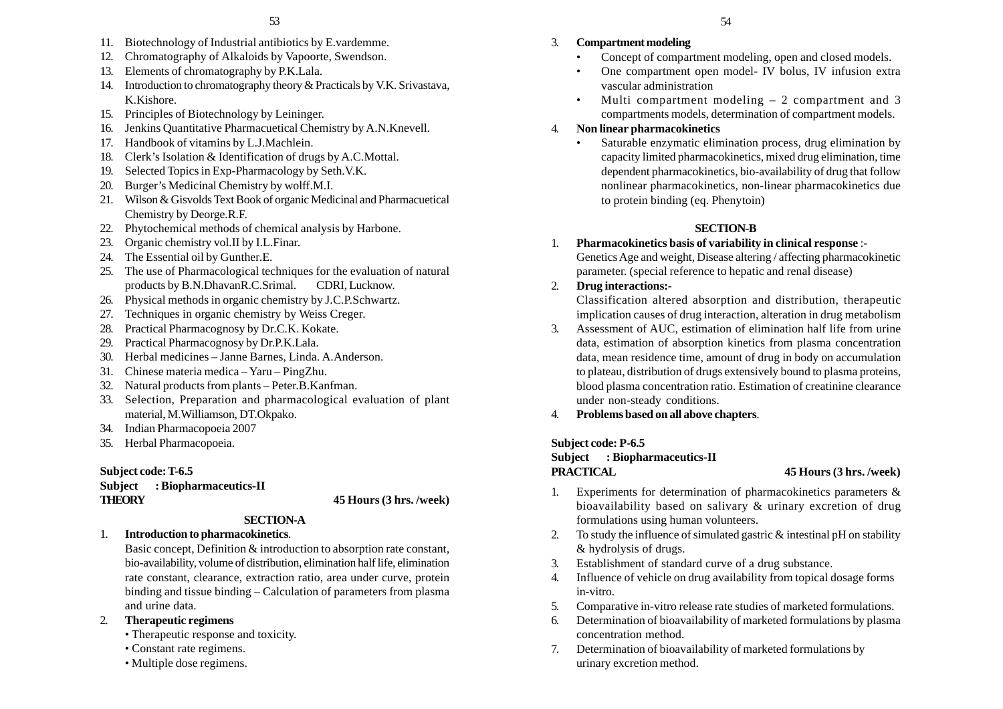- 11. Biotechnology of Industrial antibiotics by E.vardemme.
- 12. Chromatography of Alkaloids by Vapoorte, Swendson.
- 13. Elements of chromatography by P.K.Lala.
- 14. Introduction to chromatography theory & Practicals by V.K. Srivastava, K.Kishore.
- 15. Principles of Biotechnology by Leininger.
- 16. Jenkins Quantitative Pharmacuetical Chemistry by A.N.Knevell.
- 17. Handbook of vitamins by L.J.Machlein.
- 18. Clerk's Isolation & Identification of drugs by A.C.Mottal.
- 19. Selected Topics in Exp-Pharmacology by Seth.V.K.
- 20. Burger's Medicinal Chemistry by wolff.M.I.
- 21. Wilson & Gisvolds Text Book of organic Medicinal and Pharmacuetical Chemistry by Deorge.R.F.
- 22. Phytochemical methods of chemical analysis by Harbone.
- 23. Organic chemistry vol.II by I.L.Finar.
- 24. The Essential oil by Gunther.E.
- 25. The use of Pharmacological techniques for the evaluation of natural products by B.N.DhavanR.C.Srimal. CDRI, Lucknow.
- 26. Physical methods in organic chemistry by J.C.P.Schwartz.
- 27. Techniques in organic chemistry by Weiss Creger.
- 28. Practical Pharmacognosy by Dr.C.K. Kokate.
- 29. Practical Pharmacognosy by Dr.P.K.Lala.
- 30. Herbal medicines Janne Barnes, Linda. A.Anderson.
- 31. Chinese materia medica Yaru PingZhu.
- 32. Natural products from plants Peter.B.Kanfman.
- 33. Selection, Preparation and pharmacological evaluation of plant material, M.Williamson, DT.Okpako.
- 34. Indian Pharmacopoeia 2007
- 35. Herbal Pharmacopoeia.

#### **Subject code: T-6.5**

**Subject : Biopharmaceutics-II THEORY 45 Hours (3 hrs. /week)**

# **SECTION-A**

#### 1. **Introduction to pharmacokinetics**.

Basic concept, Definition & introduction to absorption rate constant, bio-availability, volume of distribution, elimination half life, elimination rate constant, clearance, extraction ratio, area under curve, protein binding and tissue binding – Calculation of parameters from plasma and urine data.

#### 2. **Therapeutic regimens**

- Therapeutic response and toxicity.
- Constant rate regimens.
- Multiple dose regimens.

#### 3. **Compartment modeling**

- •Concept of compartment modeling, open and closed models.
- • One compartment open model- IV bolus, IV infusion extra vascular administration
- • Multi compartment modeling – 2 compartment and 3 compartments models, determination of compartment models.

#### 4. **Non linear pharmacokinetics**

• Saturable enzymatic elimination process, drug elimination by capacity limited pharmacokinetics, mixed drug elimination, time dependent pharmacokinetics, bio-availability of drug that follow nonlinear pharmacokinetics, non-linear pharmacokinetics due to protein binding (eq. Phenytoin)

#### **SECTION-B**

1. **Pharmacokinetics basis of variability in clinical response** :- Genetics Age and weight, Disease altering / affecting pharmacokinetic parameter. (special reference to hepatic and renal disease)

#### 2. **Drug interactions:**-

Classification altered absorption and distribution, therapeutic implication causes of drug interaction, alteration in drug metabolism

- 3. Assessment of AUC, estimation of elimination half life from urine data, estimation of absorption kinetics from plasma concentration data, mean residence time, amount of drug in body on accumulation to plateau, distribution of drugs extensively bound to plasma proteins, blood plasma concentration ratio. Estimation of creatinine clearance under non-steady conditions.
- 4. **Problems based on all above chapters**.

#### **Subject code: P-6.5**

# **Subject : Biopharmaceutics-II PRACTICAL 45 Hours (3 hrs. /week)**

- 1. Experiments for determination of pharmacokinetics parameters & bioavailability based on salivary & urinary excretion of drug formulations using human volunteers.
- 2. To study the influence of simulated gastric & intestinal pH on stability & hydrolysis of drugs.
- 3. Establishment of standard curve of a drug substance.
- 4. Influence of vehicle on drug availability from topical dosage forms in-vitro.
- 5. Comparative in-vitro release rate studies of marketed formulations.
- 6. Determination of bioavailability of marketed formulations by plasma concentration method.
- 7. Determination of bioavailability of marketed formulations by urinary excretion method.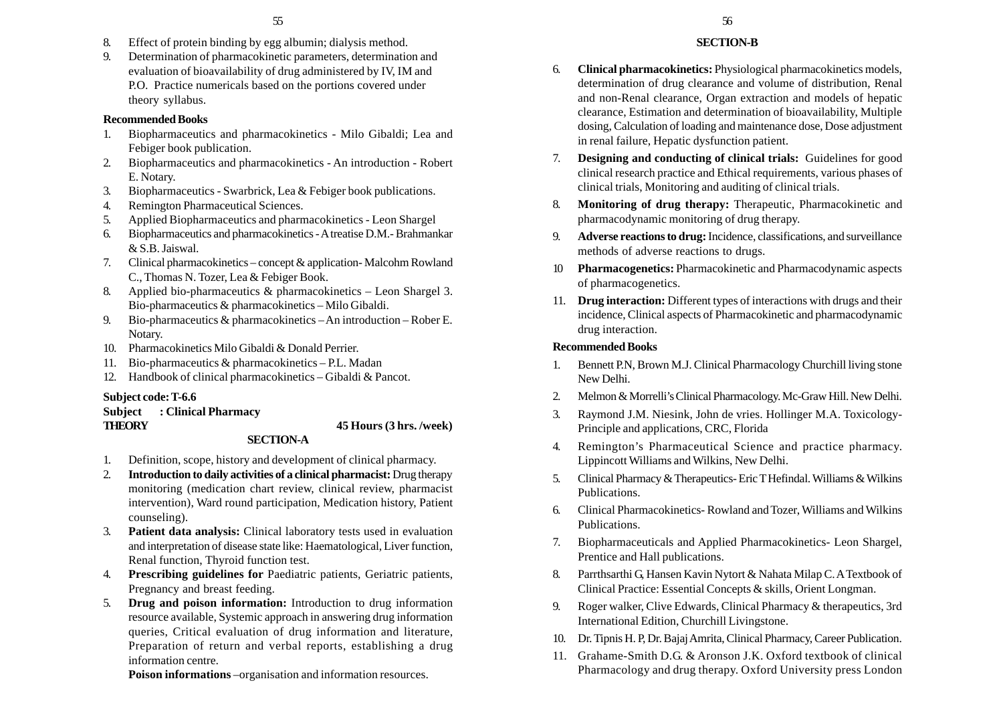- 8. Effect of protein binding by egg albumin; dialysis method.
- 9. Determination of pharmacokinetic parameters, determination and evaluation of bioavailability of drug administered by IV, IM and P.O. Practice numericals based on the portions covered under theory syllabus.

#### **Recommended Books**

- 1. Biopharmaceutics and pharmacokinetics Milo Gibaldi; Lea and Febiger book publication.
- 2. Biopharmaceutics and pharmacokinetics An introduction Robert E. Notary.
- 3. Biopharmaceutics Swarbrick, Lea & Febiger book publications.
- 4. Remington Pharmaceutical Sciences.
- 5. Applied Biopharmaceutics and pharmacokinetics Leon Shargel
- 6. Biopharmaceutics and pharmacokinetics A treatise D.M.- Brahmankar & S.B. Jaiswal.
- 7. Clinical pharmacokinetics concept & application- Malcohm Rowland C., Thomas N. Tozer, Lea & Febiger Book.
- 8. Applied bio-pharmaceutics & pharmacokinetics Leon Shargel 3. Bio-pharmaceutics & pharmacokinetics – Milo Gibaldi.
- 9. Bio-pharmaceutics & pharmacokinetics An introduction Rober E. Notary.
- 10. Pharmacokinetics Milo Gibaldi & Donald Perrier.
- 11. Bio-pharmaceutics & pharmacokinetics P.L. Madan
- 12. Handbook of clinical pharmacokinetics Gibaldi & Pancot.

#### **Subject code: T-6.6**

**Subject : Clinical Pharmacy**

#### **THEORY 45 Hours (3 hrs. /week)**

# **SECTION-A**

- 1. Definition, scope, history and development of clinical pharmacy.
- 2. **Introduction to daily activities of a clinical pharmacist:** Drug therapy monitoring (medication chart review, clinical review, pharmacist intervention), Ward round participation, Medication history, Patient counseling).
- 3. **Patient data analysis:** Clinical laboratory tests used in evaluation and interpretation of disease state like: Haematological, Liver function, Renal function, Thyroid function test.
- 4. **Prescribing guidelines for** Paediatric patients, Geriatric patients, Pregnancy and breast feeding.
- 5. **Drug and poison information:** Introduction to drug information resource available, Systemic approach in answering drug information queries, Critical evaluation of drug information and literature, Preparation of return and verbal reports, establishing a drug information centre.

**Poison informations** –organisation and information resources.

# **SECTION-B**

- 6. **Clinical pharmacokinetics:** Physiological pharmacokinetics models, determination of drug clearance and volume of distribution, Renal and non-Renal clearance, Organ extraction and models of hepatic clearance, Estimation and determination of bioavailability, Multiple dosing, Calculation of loading and maintenance dose, Dose adjustment in renal failure, Hepatic dysfunction patient.
- 7. **Designing and conducting of clinical trials:** Guidelines for good clinical research practice and Ethical requirements, various phases of clinical trials, Monitoring and auditing of clinical trials.
- 8. **Monitoring of drug therapy:** Therapeutic, Pharmacokinetic and pharmacodynamic monitoring of drug therapy.
- 9. **Adverse reactions to drug:** Incidence, classifications, and surveillance methods of adverse reactions to drugs.
- 10 **Pharmacogenetics:** Pharmacokinetic and Pharmacodynamic aspects of pharmacogenetics.
- 11. **Drug interaction:** Different types of interactions with drugs and their incidence, Clinical aspects of Pharmacokinetic and pharmacodynamic drug interaction.

#### **Recommended Books**

- 1. Bennett P.N, Brown M.J. Clinical Pharmacology Churchill living stone New Delhi.
- 2. Melmon & Morrelli's Clinical Pharmacology. Mc-Graw Hill. New Delhi.
- 3. Raymond J.M. Niesink, John de vries. Hollinger M.A. Toxicology-Principle and applications, CRC, Florida
- 4. Remington's Pharmaceutical Science and practice pharmacy. Lippincott Williams and Wilkins, New Delhi.
- 5. Clinical Pharmacy & Therapeutics- Eric T Hefindal. Williams & Wilkins Publications.
- 6. Clinical Pharmacokinetics- Rowland and Tozer, Williams and Wilkins Publications.
- 7. Biopharmaceuticals and Applied Pharmacokinetics- Leon Shargel, Prentice and Hall publications.
- 8. Parrthsarthi G, Hansen Kavin Nytort & Nahata Milap C. A Textbook of Clinical Practice: Essential Concepts & skills, Orient Longman.
- 9. Roger walker, Clive Edwards, Clinical Pharmacy & therapeutics, 3rd International Edition, Churchill Livingstone.
- 10. Dr. Tipnis H. P, Dr. Bajaj Amrita, Clinical Pharmacy, Career Publication.
- 11. Grahame-Smith D.G. & Aronson J.K. Oxford textbook of clinical Pharmacology and drug therapy. Oxford University press London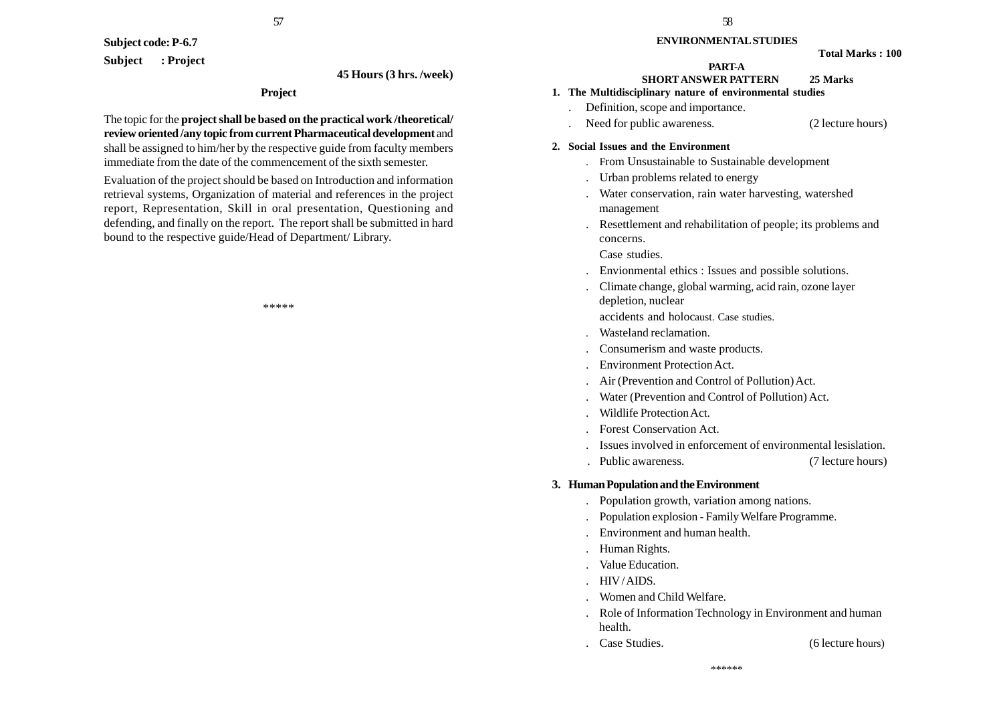57

**Subject code: P-6.7 Subject : Project**

#### **45 Hours (3 hrs. /week)**

#### **Project**

The topic for the **project shall be based on the practical work /theoretical/ review oriented /any topic from current Pharmaceutical development** and shall be assigned to him/her by the respective guide from faculty members immediate from the date of the commencement of the sixth semester.

Evaluation of the project should be based on Introduction and information retrieval systems, Organization of material and references in the project report, Representation, Skill in oral presentation, Questioning and defending, and finally on the report. The report shall be submitted in hard bound to the respective guide/Head of Department/ Library.

\*\*\*\*\*

#### **ENVIRONMENTAL STUDIES**

#### **PART-A**

# **SHORT ANSWER PATTERN 25 Marks**

# **1. The Multidisciplinary nature of environmental studies**

- . Definition, scope and importance.
- Need for public awareness. (2 lecture hours)

#### **2. Social Issues and the Environment**

- . From Unsustainable to Sustainable development
- . Urban problems related to energy
- . Water conservation, rain water harvesting, watershed management
- . Resettlement and rehabilitation of people; its problems and concerns.

Case studies.

- . Envionmental ethics : Issues and possible solutions.
- . Climate change, global warming, acid rain, ozone layer depletion, nuclear

accidents and holocaust. Case studies.

- . Wasteland reclamation.
- . Consumerism and waste products.
- . Environment Protection Act.
- . Air (Prevention and Control of Pollution) Act.
- . Water (Prevention and Control of Pollution) Act.
- . Wildlife Protection Act.
- . Forest Conservation Act.
- . Issues involved in enforcement of environmental lesislation.
- . Public awareness. (7 lecture hours)

#### **3. Human Population and the Environment**

- . Population growth, variation among nations.
- . Population explosion Family Welfare Programme.
- . Environment and human health.
- . Human Rights.
- . Value Education.
- . HIV / AIDS.
- . Women and Child Welfare.
- . Role of Information Technology in Environment and human health.
- . Case Studies. (6 lecture hours)

\*\*\*\*\*\*

**Total Marks : 100**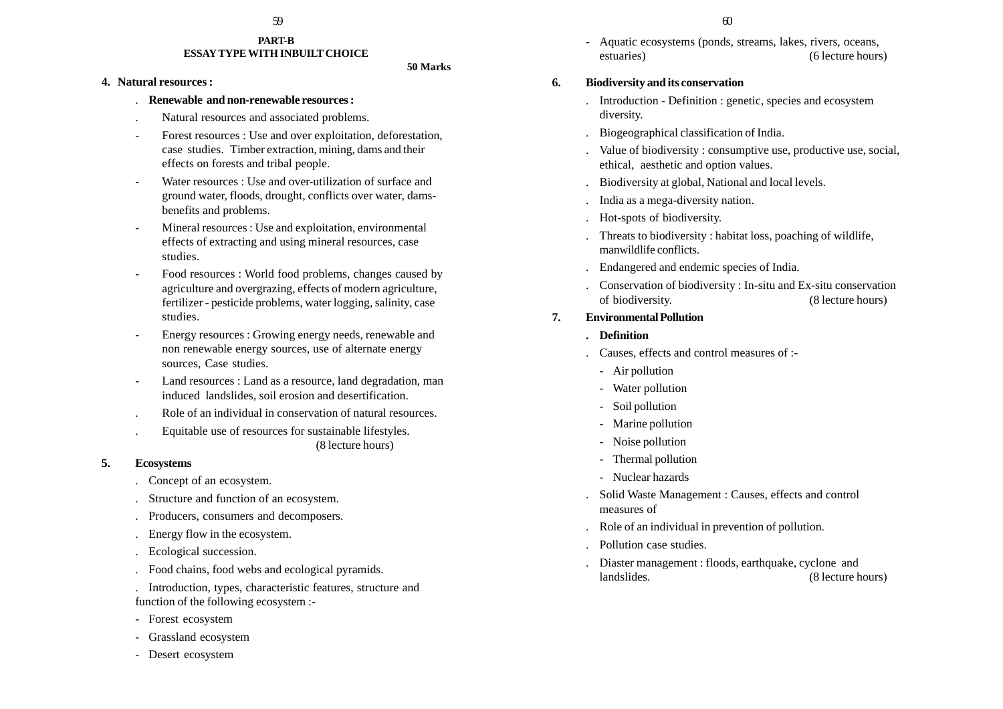#### **PART-B ESSAY TYPE WITH INBUILT CHOICE**

#### **50 Marks**

#### **4. Natural resources :**

#### . **Renewable and non-renewable resources :**

- . Natural resources and associated problems.
- Forest resources : Use and over exploitation, deforestation, case studies. Timber extraction, mining, dams and their effects on forests and tribal people.
- Water resources : Use and over-utilization of surface and ground water, floods, drought, conflicts over water, damsbenefits and problems.
- Mineral resources : Use and exploitation, environmental effects of extracting and using mineral resources, case studies.
- Food resources : World food problems, changes caused by agriculture and overgrazing, effects of modern agriculture, fertilizer - pesticide problems, water logging, salinity, case studies.
- Energy resources : Growing energy needs, renewable and non renewable energy sources, use of alternate energy sources, Case studies.
- Land resources : Land as a resource, land degradation, man induced landslides, soil erosion and desertification.
- . Role of an individual in conservation of natural resources.
- . Equitable use of resources for sustainable lifestyles. (8 lecture hours)

#### **5. Ecosystems**

- . Concept of an ecosystem.
- . Structure and function of an ecosystem.
- . Producers, consumers and decomposers.
- . Energy flow in the ecosystem.
- . Ecological succession.
- . Food chains, food webs and ecological pyramids.
- . Introduction, types, characteristic features, structure and function of the following ecosystem :-
- Forest ecosystem
- Grassland ecosystem
- Desert ecosystem
- $59$  60
	- Aquatic ecosystems (ponds, streams, lakes, rivers, oceans, estuaries) (6 lecture hours)

# **6. Biodiversity and its conservation**

- . Introduction Definition : genetic, species and ecosystem diversity.
- . Biogeographical classification of India.
- . Value of biodiversity : consumptive use, productive use, social, ethical, aesthetic and option values.
- . Biodiversity at global, National and local levels.
- . India as a mega-diversity nation.
- . Hot-spots of biodiversity.
- . Threats to biodiversity : habitat loss, poaching of wildlife, manwildlife conflicts.
- . Endangered and endemic species of India.
- . Conservation of biodiversity : In-situ and Ex-situ conservation of biodiversity. (8 lecture hours)

# **7. Environmental Pollution**

- **. Definition**
- . Causes, effects and control measures of :-
- Air pollution
- Water pollution
- Soil pollution
- Marine pollution
- Noise pollution
- Thermal pollution
- Nuclear hazards
- . Solid Waste Management : Causes, effects and control measures of
- . Role of an individual in prevention of pollution.
- . Pollution case studies.
- . Diaster management : floods, earthquake, cyclone and landslides. (8 lecture hours)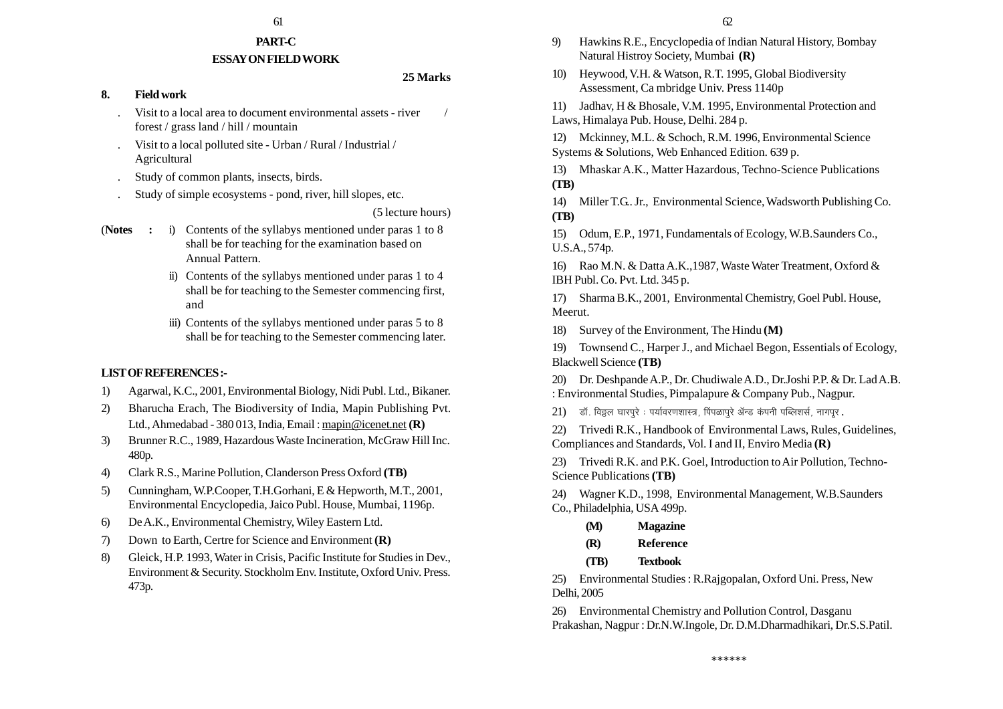#### 61 61

# **PART-C**

#### **ESSAY ON FIELD WORK**

# **25 Marks**

#### **8. Field work**

- Visit to a local area to document environmental assets river / forest / grass land / hill / mountain
- . Visit to a local polluted site Urban / Rural / Industrial / Agricultural
- . Study of common plants, insects, birds.
- . Study of simple ecosystems pond, river, hill slopes, etc.

#### (5 lecture hours)

- (**Notes :** i) Contents of the syllabys mentioned under paras 1 to 8 shall be for teaching for the examination based on Annual Pattern.
	- ii) Contents of the syllabys mentioned under paras 1 to 4 shall be for teaching to the Semester commencing first, and
	- iii) Contents of the syllabys mentioned under paras 5 to 8 shall be for teaching to the Semester commencing later.

# **LIST OF REFERENCES :-**

- 1) Agarwal, K.C., 2001, Environmental Biology, Nidi Publ. Ltd., Bikaner.
- 2) Bharucha Erach, The Biodiversity of India, Mapin Publishing Pvt. Ltd., Ahmedabad - 380 013, India, Email : mapin@icenet.net **(R)**
- 3) Brunner R.C., 1989, Hazardous Waste Incineration, McGraw Hill Inc. 480p.
- 4) Clark R.S., Marine Pollution, Clanderson Press Oxford **(TB)**
- 5) Cunningham, W.P.Cooper, T.H.Gorhani, E & Hepworth, M.T., 2001, Environmental Encyclopedia, Jaico Publ. House, Mumbai, 1196p.
- 6) De A.K., Environmental Chemistry, Wiley Eastern Ltd.
- 7) Down to Earth, Certre for Science and Environment **(R)**
- 8) Gleick, H.P. 1993, Water in Crisis, Pacific Institute for Studies in Dev., Environment & Security. Stockholm Env. Institute, Oxford Univ. Press. 473p.
- 9) Hawkins R.E., Encyclopedia of Indian Natural History, Bombay Natural Histroy Society, Mumbai **(R)**
- 10) Heywood, V.H. & Watson, R.T. 1995, Global Biodiversity Assessment, Ca mbridge Univ. Press 1140p
- 11) Jadhav, H & Bhosale, V.M. 1995, Environmental Protection and Laws, Himalaya Pub. House, Delhi. 284 p.
- 12) Mckinney, M.L. & Schoch, R.M. 1996, Environmental Science Systems & Solutions, Web Enhanced Edition. 639 p.
- 13) Mhaskar A.K., Matter Hazardous, Techno-Science Publications **(TB)**
- 14) Miller T.G.. Jr., Environmental Science, Wadsworth Publishing Co. **(TB)**
- 15) Odum, E.P., 1971, Fundamentals of Ecology, W.B.Saunders Co., U.S.A., 574p.
- 16) Rao M.N. & Datta A.K.,1987, Waste Water Treatment, Oxford & IBH Publ. Co. Pvt. Ltd. 345 p.
- 17) Sharma B.K., 2001, Environmental Chemistry, Goel Publ. House, Meerut.
- 18) Survey of the Environment, The Hindu **(M)**
- 19) Townsend C., Harper J., and Michael Begon, Essentials of Ecology, Blackwell Science **(TB)**
- 20) Dr. Deshpande A.P., Dr. Chudiwale A.D., Dr.Joshi P.P. & Dr. Lad A.B. : Environmental Studies, Pimpalapure & Company Pub., Nagpur.
- $21$ ) बॉ. विठ्ठल घारपूरे : पर्यावरणशास्त्र, पिंपळापूरे ॲन्ड कंपनी पब्लिशर्स, नागपूर.
- 22) Trivedi R.K., Handbook of Environmental Laws, Rules, Guidelines, Compliances and Standards, Vol. I and II, Enviro Media **(R)**
- 23) Trivedi R.K. and P.K. Goel, Introduction to Air Pollution, Techno-Science Publications **(TB)**
- 24) Wagner K.D., 1998, Environmental Management, W.B.Saunders Co., Philadelphia, USA 499p.
	- **(M) Magazine**
	- **(R) Reference**
	- **(TB) Textbook**

25) Environmental Studies : R.Rajgopalan, Oxford Uni. Press, New Delhi, 2005

26) Environmental Chemistry and Pollution Control, Dasganu Prakashan, Nagpur : Dr.N.W.Ingole, Dr. D.M.Dharmadhikari, Dr.S.S.Patil.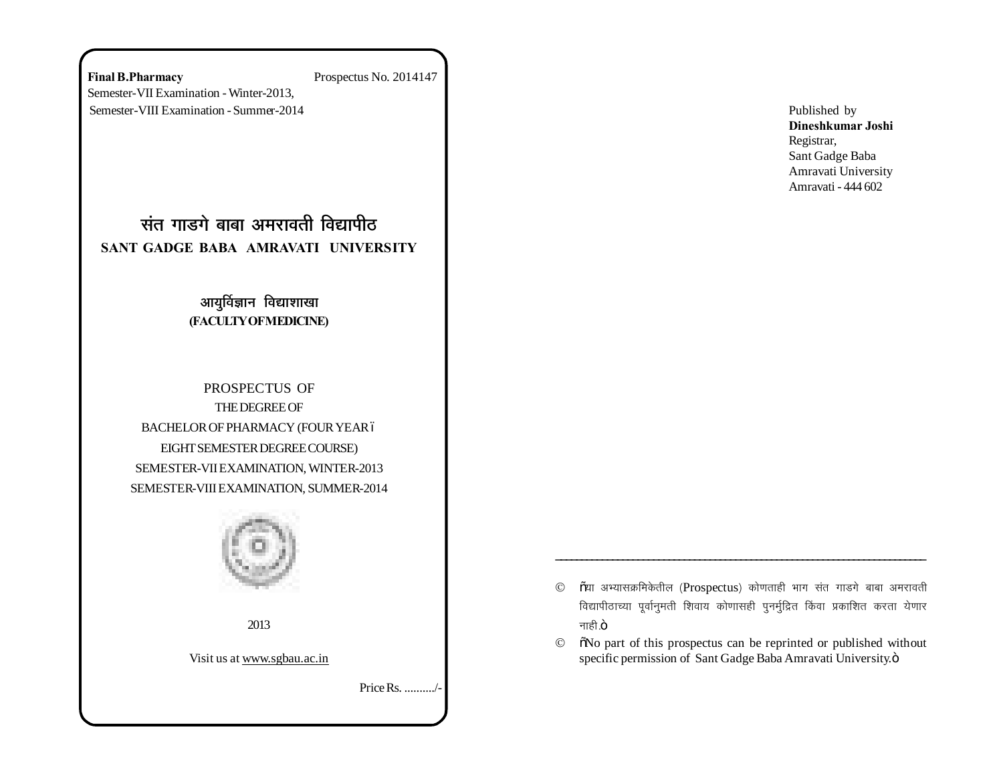**Final B.Pharmacy** Prospectus No. 2014147 Semester-VII Examination - Winter-2013, Semester-VIII Examination - Summer-2014

<u>संत गाडगे बाबा अमरावती विद्यापीठ</u> **SANT GADGE BABA AMRAVATI UNIVERSITY**

# आयुर्विज्ञान विद्याशाखा **(FACULTY OF MEDICINE)**

PROSPECTUS OF THE DEGREE OF BACHELOR OF PHARMACY (FOUR YEAR 6 EIGHT SEMESTER DEGREE COURSE) SEMESTER-VII EXAMINATION, WINTER-2013 SEMESTER-VIII EXAMINATION, SUMMER-2014



2013

Visit us at www.sgbau.ac.in

Price Rs. ........../-

Published by **Dineshkumar Joshi** Registrar, Sant Gadge Baba Amravati University Amravati - 444 602

 $\odot$   $\rm$   $\rm \tilde{o}$ या अभ्यासक्रमिकेतील (Prospectus) कोणताही भाग संत गाडगे बाबा अमरावती विद्यापीठाच्या पूर्वानुमती शिवाय कोणासही पुनर्मुद्रित किंवा प्रकाशित करता येणार नाही $.\ddot{o}$ 

\_\_\_\_\_\_\_\_\_\_\_\_\_\_\_\_\_\_\_\_\_\_\_\_\_\_\_\_\_\_\_\_\_\_\_\_\_\_\_\_\_\_\_\_\_\_\_\_\_\_\_\_\_\_\_\_\_\_\_\_\_\_\_\_\_\_\_\_\_\_\_\_

 $\circ$   $\circ$   $\circ$  No part of this prospectus can be reprinted or published without specific permission of Sant Gadge Baba Amravati University. $\ddot{o}$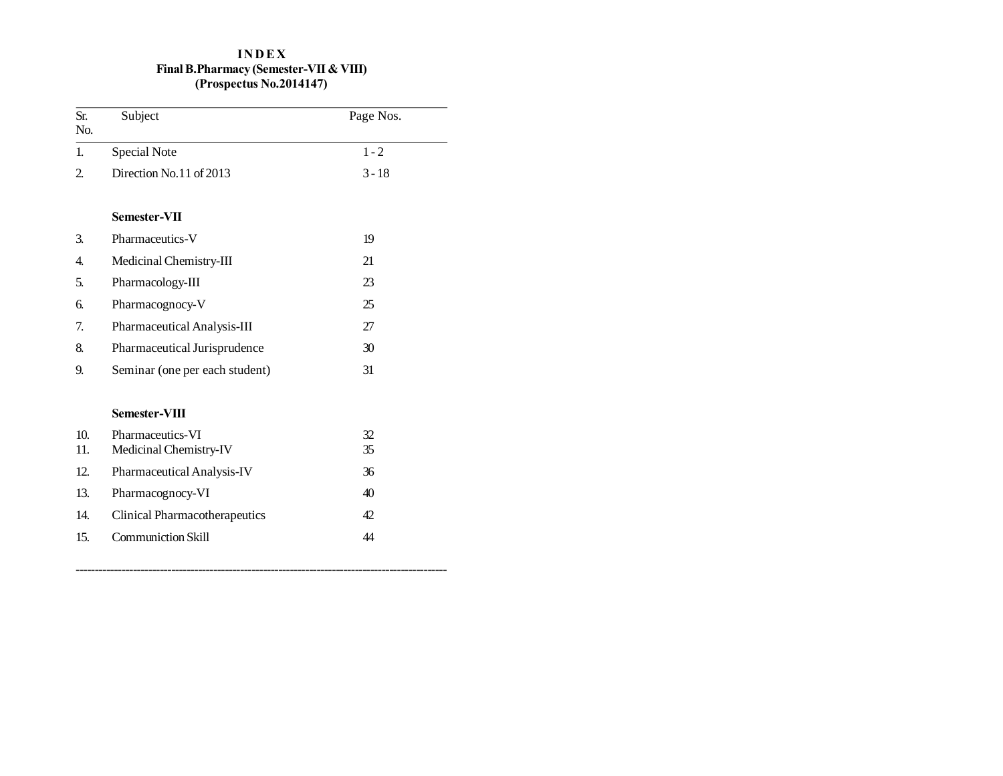# **I N D E X Final B.Pharmacy (Semester-VII & VIII) (Prospectus No.2014147)**

| Sr.<br>No.     | Subject                                    | Page Nos. |
|----------------|--------------------------------------------|-----------|
| $\mathbf{1}$ . | <b>Special Note</b>                        | $1 - 2$   |
| $\overline{2}$ | Direction No.11 of 2013                    | $3 - 18$  |
|                | Semester-VII                               |           |
| 3.             | Pharmaceutics-V                            | 19        |
| 4.             | Medicinal Chemistry-III                    | 21        |
| 5.             | Pharmacology-III                           | 23        |
| б.             | Pharmacognocy-V                            | 25        |
| 7.             | Pharmaceutical Analysis-III                | 27        |
| 8.             | Pharmaceutical Jurisprudence               | 30        |
| 9.             | Seminar (one per each student)             | 31        |
|                | Semester-VIII                              |           |
| 10.<br>11.     | Pharmaceutics-VI<br>Medicinal Chemistry-IV | 32<br>35  |
| 12.            | Pharmaceutical Analysis-IV                 | 36        |
| 13.            | Pharmacognocy-VI                           | 40        |
| 14.            | <b>Clinical Pharmacotherapeutics</b>       | 42        |
| 15.            | <b>Communiction Skill</b>                  | 44        |

-------------------------------------------------------------------------------------------------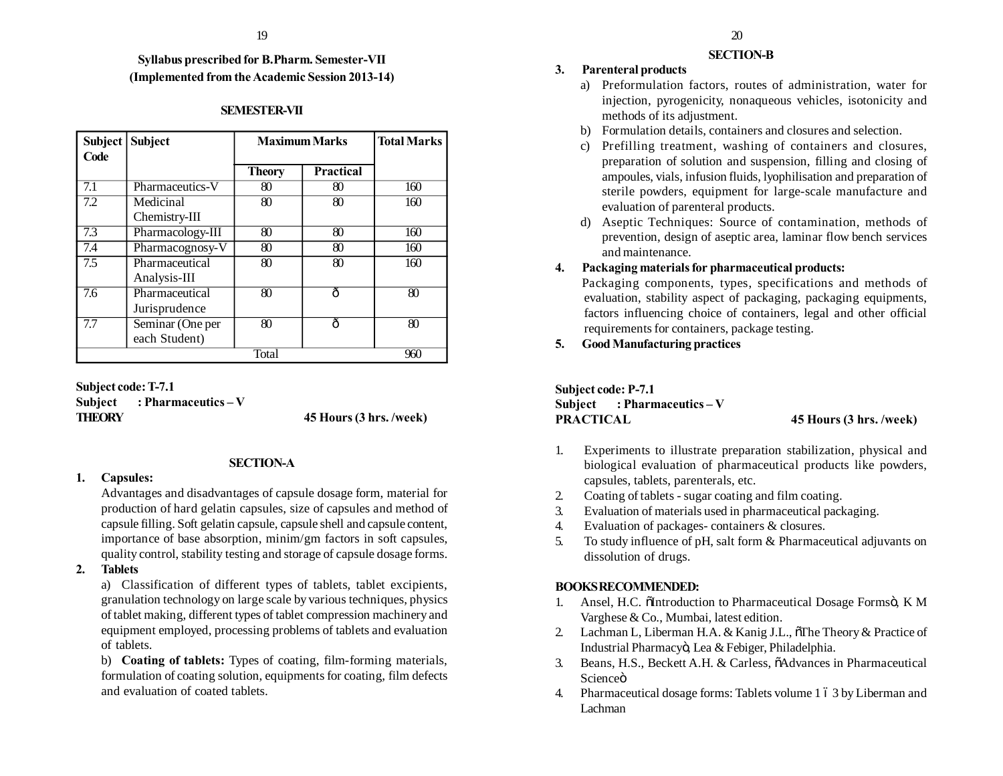# **Syllabus prescribed for B.Pharm. Semester-VII (Implemented from the Academic Session 2013-14)**

# **SEMESTER-VII**

| <b>Subject</b> | <b>Subject</b>   | <b>Maximum Marks</b> |                  | <b>Total Marks</b> |
|----------------|------------------|----------------------|------------------|--------------------|
| Code           |                  |                      |                  |                    |
|                |                  | <b>Theory</b>        | <b>Practical</b> |                    |
| 7.1            | Pharmaceutics-V  | 80                   | 80               | 160                |
| 7.2            | Medicinal        | 80                   | 80               | 160                |
|                | Chemistry-III    |                      |                  |                    |
| 7.3            | Pharmacology-III | 80                   | 80               | 160                |
| 7.4            | Pharmacognosy-V  | 80                   | 80               | 160                |
| 7.5            | Pharmaceutical   | 80                   | 80               | 160                |
|                | Analysis-III     |                      |                  |                    |
| 7.6            | Pharmaceutical   | 80                   | ô                | 80                 |
|                | Jurisprudence    |                      |                  |                    |
| 7.7            | Seminar (One per | 80                   | ô                | 80                 |
|                | each Student)    |                      |                  |                    |
| Total          |                  |                      | 960              |                    |

### **Subject code: T-7.1 Subject : Pharmaceutics – V THEORY 45 Hours (3 hrs. /week)**

### **SECTION-A**

### **1. Capsules:**

Advantages and disadvantages of capsule dosage form, material for production of hard gelatin capsules, size of capsules and method of capsule filling. Soft gelatin capsule, capsule shell and capsule content, importance of base absorption, minim/gm factors in soft capsules, quality control, stability testing and storage of capsule dosage forms.

# **2. Tablets**

a) Classification of different types of tablets, tablet excipients, granulation technology on large scale by various techniques, physics of tablet making, different types of tablet compression machinery and equipment employed, processing problems of tablets and evaluation of tablets.

b) **Coating of tablets:** Types of coating, film-forming materials, formulation of coating solution, equipments for coating, film defects and evaluation of coated tablets.

#### **SECTION-B**

# **3. Parenteral products**

- a) Preformulation factors, routes of administration, water for injection, pyrogenicity, nonaqueous vehicles, isotonicity and methods of its adjustment.
- b) Formulation details, containers and closures and selection.
- c) Prefilling treatment, washing of containers and closures, preparation of solution and suspension, filling and closing of ampoules, vials, infusion fluids, lyophilisation and preparation of sterile powders, equipment for large-scale manufacture and evaluation of parenteral products.
- d) Aseptic Techniques: Source of contamination, methods of prevention, design of aseptic area, laminar flow bench services and maintenance.

# **4. Packaging materials for pharmaceutical products:**

Packaging components, types, specifications and methods of evaluation, stability aspect of packaging, packaging equipments, factors influencing choice of containers, legal and other official requirements for containers, package testing.

**5. Good Manufacturing practices**

**Subject code: P-7.1 Subject : Pharmaceutics – V PRACTICAL 45 Hours (3 hrs. /week)**

- 1. Experiments to illustrate preparation stabilization, physical and biological evaluation of pharmaceutical products like powders, capsules, tablets, parenterals, etc.
- 2. Coating of tablets sugar coating and film coating.
- 3. Evaluation of materials used in pharmaceutical packaging.
- 4. Evaluation of packages- containers & closures.
- 5. To study influence of pH, salt form & Pharmaceutical adjuvants on dissolution of drugs.

# **BOOKS RECOMMENDED:**

- 1. Ansel, H.C. õIntroduction to Pharmaceutical Dosage Formsö, K M Varghese & Co., Mumbai, latest edition.
- 2. Lachman L, Liberman H.A.  $&$  Kanig J.L.,  $\delta$ The Theory  $&$  Practice of Industrial Pharmacyö, Lea & Febiger, Philadelphia.
- 3. Beans, H.S., Beckett A.H. & Carless,  $\delta$ Advances in Pharmaceutical Scienceö
- 4. Pharmaceutical dosage forms: Tablets volume 1 6 3 by Liberman and Lachman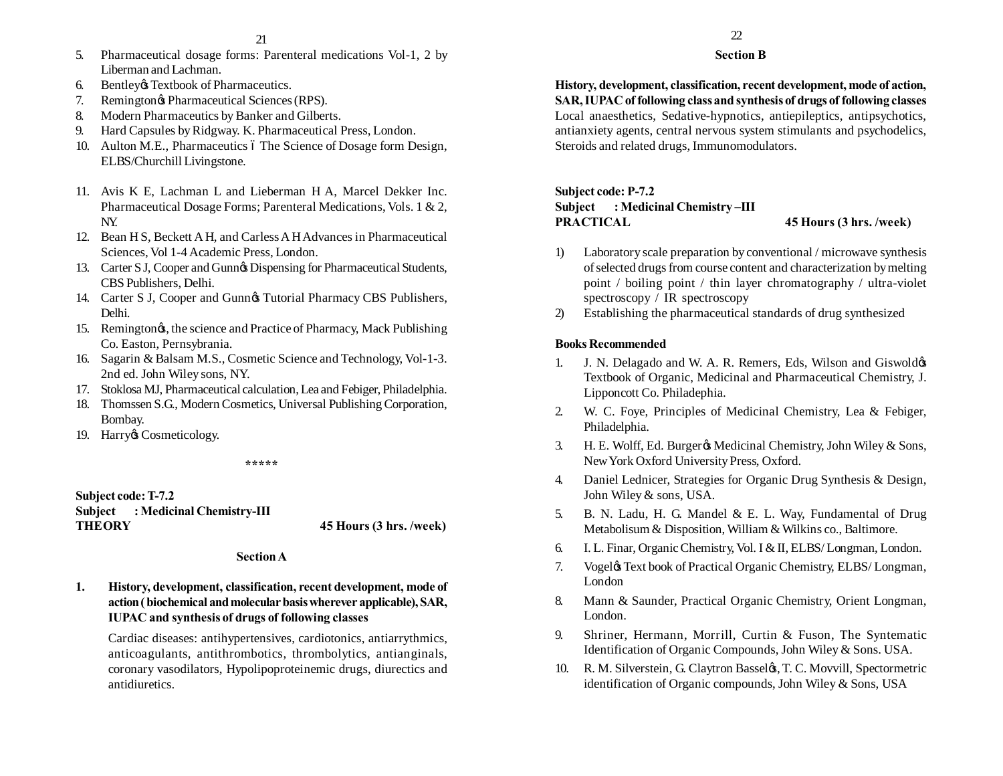- 5. Pharmaceutical dosage forms: Parenteral medications Vol-1, 2 by Liberman and Lachman.
- 6. Bentley & Textbook of Pharmaceutics.
- 7. Remingtongs Pharmaceutical Sciences (RPS).
- 8. Modern Pharmaceutics by Banker and Gilberts.
- 9. Hard Capsules by Ridgway. K. Pharmaceutical Press, London.
- 10. Aulton M.E., Pharmaceutics 6 The Science of Dosage form Design, ELBS/Churchill Livingstone.
- 11. Avis K E, Lachman L and Lieberman H A, Marcel Dekker Inc. Pharmaceutical Dosage Forms; Parenteral Medications, Vols. 1 & 2, NY.
- 12. Bean H S, Beckett A H, and Carless A H Advances in Pharmaceutical Sciences, Vol 1-4 Academic Press, London.
- 13. Carter S J, Cooper and Gunn's Dispensing for Pharmaceutical Students, CBS Publishers, Delhi.
- 14. Carter S J, Cooper and Gunn $\alpha$  Tutorial Pharmacy CBS Publishers, Delhi.
- 15. Remingtong, the science and Practice of Pharmacy, Mack Publishing Co. Easton, Pernsybrania.
- 16. Sagarin & Balsam M.S., Cosmetic Science and Technology, Vol-1-3. 2nd ed. John Wiley sons, NY.
- 17. Stoklosa MJ, Pharmaceutical calculation, Lea and Febiger, Philadelphia.
- 18. Thomssen S.G., Modern Cosmetics, Universal Publishing Corporation, Bombay.
- 19. Harry & Cosmeticology.

**\*\*\*\*\***

# **Subject code: T-7.2 Subject : Medicinal Chemistry-III THEORY 45 Hours (3 hrs. /week)**

#### **Section A**

**1. History, development, classification, recent development, mode of action ( biochemical and molecular basis wherever applicable), SAR, IUPAC and synthesis of drugs of following classes**

Cardiac diseases: antihypertensives, cardiotonics, antiarrythmics, anticoagulants, antithrombotics, thrombolytics, antianginals, coronary vasodilators, Hypolipoproteinemic drugs, diurectics and antidiuretics.

# 22

#### **Section B**

**History, development, classification, recent development, mode of action, SAR, IUPAC of following class and synthesis of drugs of following classes** Local anaesthetics, Sedative-hypnotics, antiepileptics, antipsychotics, antianxiety agents, central nervous system stimulants and psychodelics, Steroids and related drugs, Immunomodulators.

# **Subject code: P-7.2 Subject : Medicinal Chemistry –III PRACTICAL 45 Hours (3 hrs. /week)**

- 1) Laboratory scale preparation by conventional / microwave synthesis of selected drugs from course content and characterization by melting point / boiling point / thin layer chromatography / ultra-violet spectroscopy / IR spectroscopy
- 2) Establishing the pharmaceutical standards of drug synthesized

### **Books Recommended**

- 1. J. N. Delagado and W. A. R. Remers, Eds, Wilson and Giswold  $\phi$ Textbook of Organic, Medicinal and Pharmaceutical Chemistry, J. Lipponcott Co. Philadephia.
- 2. W. C. Foye, Principles of Medicinal Chemistry, Lea & Febiger, Philadelphia.
- 3. H. E. Wolff, Ed. Burger & Medicinal Chemistry, John Wiley & Sons, New York Oxford University Press, Oxford.
- 4. Daniel Lednicer, Strategies for Organic Drug Synthesis & Design, John Wiley & sons, USA.
- 5. B. N. Ladu, H. G. Mandel & E. L. Way, Fundamental of Drug Metabolisum & Disposition, William & Wilkins co., Baltimore.
- 6. I. L. Finar, Organic Chemistry, Vol. I & II, ELBS/ Longman, London.
- 7. Vogeløs Text book of Practical Organic Chemistry, ELBS/Longman, London
- 8. Mann & Saunder, Practical Organic Chemistry, Orient Longman, London.
- 9. Shriner, Hermann, Morrill, Curtin & Fuson, The Syntematic Identification of Organic Compounds, John Wiley & Sons. USA.
- 10. R. M. Silverstein, G. Claytron Basseløs, T. C. Movvill, Spectormetric identification of Organic compounds, John Wiley & Sons, USA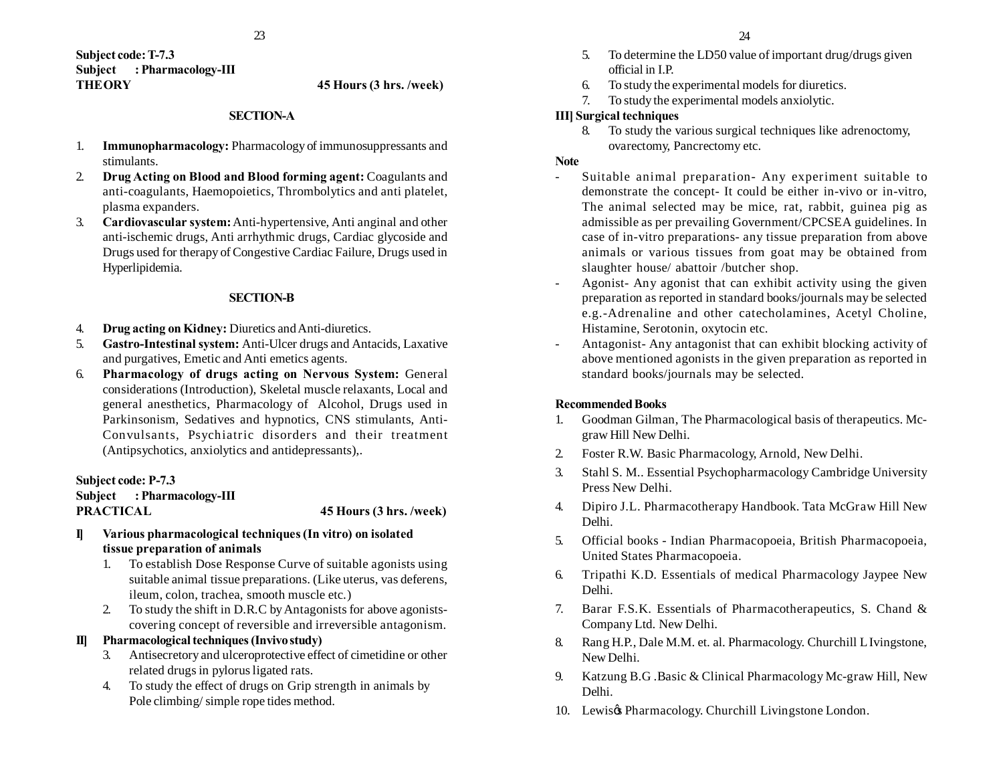**Subject code: T-7.3 Subject : Pharmacology-III THEORY 45 Hours (3 hrs. /week)**

#### **SECTION-A**

- 1. **Immunopharmacology:** Pharmacology of immunosuppressants and stimulants.
- 2. **Drug Acting on Blood and Blood forming agent:** Coagulants and anti-coagulants, Haemopoietics, Thrombolytics and anti platelet, plasma expanders.
- 3. **Cardiovascular system:** Anti-hypertensive, Anti anginal and other anti-ischemic drugs, Anti arrhythmic drugs, Cardiac glycoside and Drugs used for therapy of Congestive Cardiac Failure, Drugs used in Hyperlipidemia.

#### **SECTION-B**

- 4. **Drug acting on Kidney:** Diuretics and Anti-diuretics.
- 5. **Gastro-Intestinal system:** Anti-Ulcer drugs and Antacids, Laxative and purgatives, Emetic and Anti emetics agents.
- 6. **Pharmacology of drugs acting on Nervous System:** General considerations (Introduction), Skeletal muscle relaxants, Local and general anesthetics, Pharmacology of Alcohol, Drugs used in Parkinsonism, Sedatives and hypnotics, CNS stimulants, Anti-Convulsants, Psychiatric disorders and their treatment (Antipsychotics, anxiolytics and antidepressants),.

# **Subject code: P-7.3 Subject : Pharmacology-III PRACTICAL 45 Hours (3 hrs. /week)**

- **I] Various pharmacological techniques (In vitro) on isolated tissue preparation of animals**
	- 1. To establish Dose Response Curve of suitable agonists using suitable animal tissue preparations. (Like uterus, vas deferens, ileum, colon, trachea, smooth muscle etc.)
	- 2. To study the shift in D.R.C by Antagonists for above agonistscovering concept of reversible and irreversible antagonism.

#### **II] Pharmacological techniques (Invivo study)**

- 3. Antisecretory and ulceroprotective effect of cimetidine or other related drugs in pylorus ligated rats.
- 4. To study the effect of drugs on Grip strength in animals by Pole climbing/ simple rope tides method.
- 5. To determine the LD50 value of important drug/drugs given official in I.P.
- 6. To study the experimental models for diuretics.
- 7. To study the experimental models anxiolytic.

#### **III] Surgical techniques**

8. To study the various surgical techniques like adrenoctomy, ovarectomy, Pancrectomy etc.

#### **Note**

- Suitable animal preparation- Any experiment suitable to demonstrate the concept- It could be either in-vivo or in-vitro, The animal selected may be mice, rat, rabbit, guinea pig as admissible as per prevailing Government/CPCSEA guidelines. In case of in-vitro preparations- any tissue preparation from above animals or various tissues from goat may be obtained from slaughter house/ abattoir /butcher shop.
- Agonist- Any agonist that can exhibit activity using the given preparation as reported in standard books/journals may be selected e.g.-Adrenaline and other catecholamines, Acetyl Choline, Histamine, Serotonin, oxytocin etc.
- Antagonist- Any antagonist that can exhibit blocking activity of above mentioned agonists in the given preparation as reported in standard books/journals may be selected.

#### **Recommended Books**

- 1. Goodman Gilman, The Pharmacological basis of therapeutics. Mcgraw Hill New Delhi.
- 2. Foster R.W. Basic Pharmacology, Arnold, New Delhi.
- 3. Stahl S. M.. Essential Psychopharmacology Cambridge University Press New Delhi.
- 4. Dipiro J.L. Pharmacotherapy Handbook. Tata McGraw Hill New Delhi.
- 5. Official books Indian Pharmacopoeia, British Pharmacopoeia, United States Pharmacopoeia.
- 6. Tripathi K.D. Essentials of medical Pharmacology Jaypee New Delhi.
- 7. Barar F.S.K. Essentials of Pharmacotherapeutics, S. Chand & Company Ltd. New Delhi.
- 8. Rang H.P., Dale M.M. et. al. Pharmacology. Churchill L Ivingstone, New Delhi.
- 9. Katzung B.G .Basic & Clinical Pharmacology Mc-graw Hill, New Delhi.
- 10. Lewis $\alpha$  Pharmacology. Churchill Livingstone London.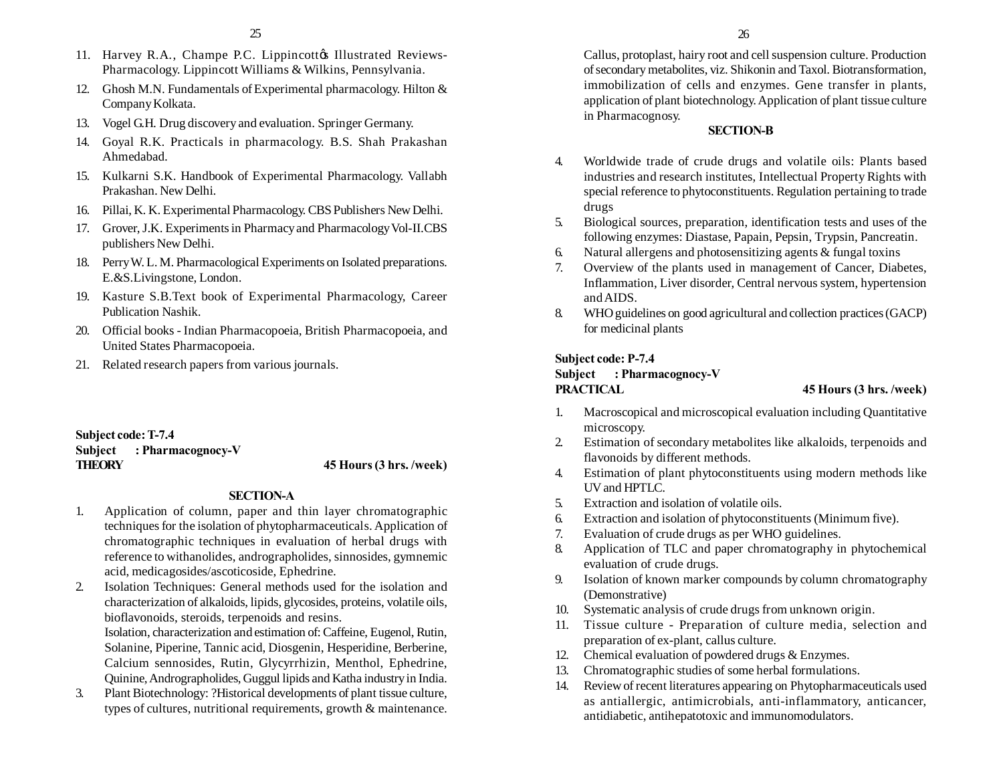- 11. Harvey R.A., Champe P.C. Lippincottos Illustrated Reviews-Pharmacology. Lippincott Williams & Wilkins, Pennsylvania.
- 12. Ghosh M.N. Fundamentals of Experimental pharmacology. Hilton & Company Kolkata.
- 13. Vogel G.H. Drug discovery and evaluation. Springer Germany.
- 14. Goyal R.K. Practicals in pharmacology. B.S. Shah Prakashan Ahmedabad.
- 15. Kulkarni S.K. Handbook of Experimental Pharmacology. Vallabh Prakashan. New Delhi.
- 16. Pillai, K. K. Experimental Pharmacology. CBS Publishers New Delhi.
- 17. Grover, J.K. Experiments in Pharmacy and Pharmacology Vol-II.CBS publishers New Delhi.
- 18. Perry W. L. M. Pharmacological Experiments on Isolated preparations. E.&S.Livingstone, London.
- 19. Kasture S.B.Text book of Experimental Pharmacology, Career Publication Nashik.
- 20. Official books Indian Pharmacopoeia, British Pharmacopoeia, and United States Pharmacopoeia.
- 21. Related research papers from various journals.

**Subject code: T-7.4 Subject : Pharmacognocy-V THEORY 45 Hours (3 hrs. /week)**

#### **SECTION-A**

- 1. Application of column, paper and thin layer chromatographic techniques for the isolation of phytopharmaceuticals. Application of chromatographic techniques in evaluation of herbal drugs with reference to withanolides, andrographolides, sinnosides, gymnemic acid, medicagosides/ascoticoside, Ephedrine.
- 2. Isolation Techniques: General methods used for the isolation and characterization of alkaloids, lipids, glycosides, proteins, volatile oils, bioflavonoids, steroids, terpenoids and resins.

Isolation, characterization and estimation of: Caffeine, Eugenol, Rutin, Solanine, Piperine, Tannic acid, Diosgenin, Hesperidine, Berberine, Calcium sennosides, Rutin, Glycyrrhizin, Menthol, Ephedrine, Quinine, Andrographolides, Guggul lipids and Katha industry in India.

3. Plant Biotechnology: ?Historical developments of plant tissue culture, types of cultures, nutritional requirements, growth & maintenance. Callus, protoplast, hairy root and cell suspension culture. Production of secondary metabolites, viz. Shikonin and Taxol. Biotransformation, immobilization of cells and enzymes. Gene transfer in plants, application of plant biotechnology. Application of plant tissue culture in Pharmacognosy.

# **SECTION-B**

- 4. Worldwide trade of crude drugs and volatile oils: Plants based industries and research institutes, Intellectual Property Rights with special reference to phytoconstituents. Regulation pertaining to trade drugs
- 5. Biological sources, preparation, identification tests and uses of the following enzymes: Diastase, Papain, Pepsin, Trypsin, Pancreatin.
- 6. Natural allergens and photosensitizing agents & fungal toxins
- 7. Overview of the plants used in management of Cancer, Diabetes, Inflammation, Liver disorder, Central nervous system, hypertension and AIDS.
- 8. WHO guidelines on good agricultural and collection practices (GACP) for medicinal plants

#### **Subject code: P-7.4**

# **Subject : Pharmacognocy-V PRACTICAL 45 Hours (3 hrs. /week)**

- 1. Macroscopical and microscopical evaluation including Quantitative microscopy.
- 2. Estimation of secondary metabolites like alkaloids, terpenoids and flavonoids by different methods.
- 4. Estimation of plant phytoconstituents using modern methods like UV and HPTLC.
- 5. Extraction and isolation of volatile oils.
- 6. Extraction and isolation of phytoconstituents (Minimum five).
- 7. Evaluation of crude drugs as per WHO guidelines.
- 8. Application of TLC and paper chromatography in phytochemical evaluation of crude drugs.
- 9. Isolation of known marker compounds by column chromatography (Demonstrative)
- 10. Systematic analysis of crude drugs from unknown origin.
- 11. Tissue culture Preparation of culture media, selection and preparation of ex-plant, callus culture.
- 12. Chemical evaluation of powdered drugs & Enzymes.
- 13. Chromatographic studies of some herbal formulations.
- 14. Review of recent literatures appearing on Phytopharmaceuticals used as antiallergic, antimicrobials, anti-inflammatory, anticancer, antidiabetic, antihepatotoxic and immunomodulators.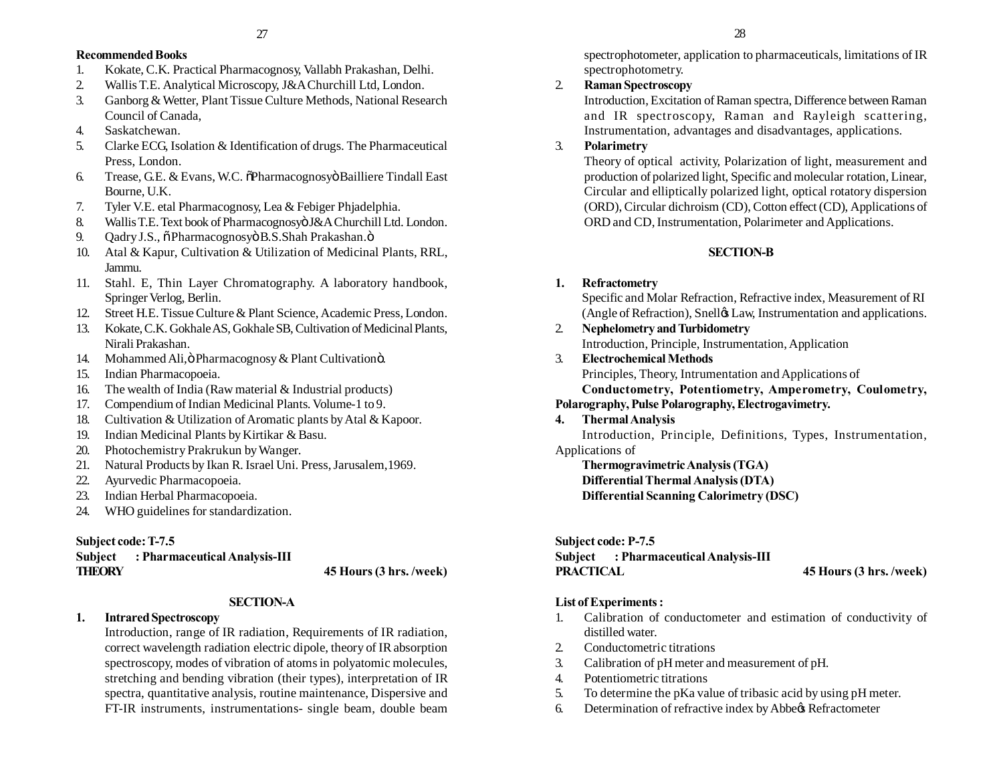# **Recommended Books**

- 1. Kokate, C.K. Practical Pharmacognosy, Vallabh Prakashan, Delhi.
- 2. Wallis T.E. Analytical Microscopy, J&A Churchill Ltd, London.
- 3. Ganborg & Wetter, Plant Tissue Culture Methods, National Research Council of Canada,
- 4. Saskatchewan.
- 5. Clarke ECG, Isolation & Identification of drugs. The Pharmaceutical Press, London.
- 6. Trease, G.E. & Evans, W.C.  $\delta$ Pharmacognosyö Bailliere Tindall East Bourne, U.K.
- 7. Tyler V.E. etal Pharmacognosy, Lea & Febiger Phjadelphia.
- 8. Wallis T.E. Text book of Pharmacognosyö J&A Churchill Ltd. London.
- 9. Qadry J.S.,  $\ddot{\text{o}}$  Pharmacognosyo B.S.Shah Prakashan.  $\ddot{\text{o}}$
- 10. Atal & Kapur, Cultivation & Utilization of Medicinal Plants, RRL, Jammu.
- 11. Stahl. E, Thin Layer Chromatography. A laboratory handbook, Springer Verlog, Berlin.
- 12. Street H.E. Tissue Culture & Plant Science, Academic Press, London.
- 13. Kokate, C.K. Gokhale AS, Gokhale SB, Cultivation of Medicinal Plants, Nirali Prakashan.
- 14. Mohammed Ali, ö Pharmacognosy & Plant Cultivationö.
- 15. Indian Pharmacopoeia.
- 16. The wealth of India (Raw material & Industrial products)
- 17. Compendium of Indian Medicinal Plants. Volume-1 to 9.
- 18. Cultivation & Utilization of Aromatic plants by Atal & Kapoor.
- 19. Indian Medicinal Plants by Kirtikar & Basu.
- 20. Photochemistry Prakrukun by Wanger.
- 21. Natural Products by Ikan R. Israel Uni. Press, Jarusalem,1969.
- 22. Ayurvedic Pharmacopoeia.
- 23. Indian Herbal Pharmacopoeia.
- 24. WHO guidelines for standardization.

# **Subject code: T-7.5**

# **Subject : Pharmaceutical Analysis-III THEORY 45 Hours (3 hrs. /week)**

# **SECTION-A**

# **1. Intrared Spectroscopy**

Introduction, range of IR radiation, Requirements of IR radiation, correct wavelength radiation electric dipole, theory of IR absorption spectroscopy, modes of vibration of atoms in polyatomic molecules, stretching and bending vibration (their types), interpretation of IR spectra, quantitative analysis, routine maintenance, Dispersive and FT-IR instruments, instrumentations- single beam, double beam

spectrophotometer, application to pharmaceuticals, limitations of IR spectrophotometry.

# 2. **Raman Spectroscopy**

Introduction, Excitation of Raman spectra, Difference between Raman and IR spectroscopy, Raman and Rayleigh scattering, Instrumentation, advantages and disadvantages, applications.

# 3. **Polarimetry**

Theory of optical activity, Polarization of light, measurement and production of polarized light, Specific and molecular rotation, Linear, Circular and elliptically polarized light, optical rotatory dispersion (ORD), Circular dichroism (CD), Cotton effect (CD), Applications of ORD and CD, Instrumentation, Polarimeter and Applications.

# **SECTION-B**

### **1. Refractometry**

Specific and Molar Refraction, Refractive index, Measurement of RI (Angle of Refraction), Snell $\alpha$  Law, Instrumentation and applications.

- 2. **Nephelometry and Turbidometry** Introduction, Principle, Instrumentation, Application
- 3. **Electrochemical Methods** Principles, Theory, Intrumentation and Applications of **Conductometry, Potentiometry, Amperometry, Coulometry,**

# **Polarography, Pulse Polarography, Electrogavimetry.**

# **4. Thermal Analysis**

Introduction, Principle, Definitions, Types, Instrumentation, Applications of

**Thermogravimetric Analysis (TGA) Differential Thermal Analysis (DTA) Differential Scanning Calorimetry (DSC)**

# **Subject code: P-7.5**

**Subject : Pharmaceutical Analysis-III PRACTICAL 45 Hours (3 hrs. /week)**

# **List of Experiments :**

- 1. Calibration of conductometer and estimation of conductivity of distilled water.
- 2. Conductometric titrations
- 3. Calibration of pH meter and measurement of pH.
- 4. Potentiometric titrations
- 5. To determine the pKa value of tribasic acid by using pH meter.
- 6. Determination of refractive index by Abbeys Refractometer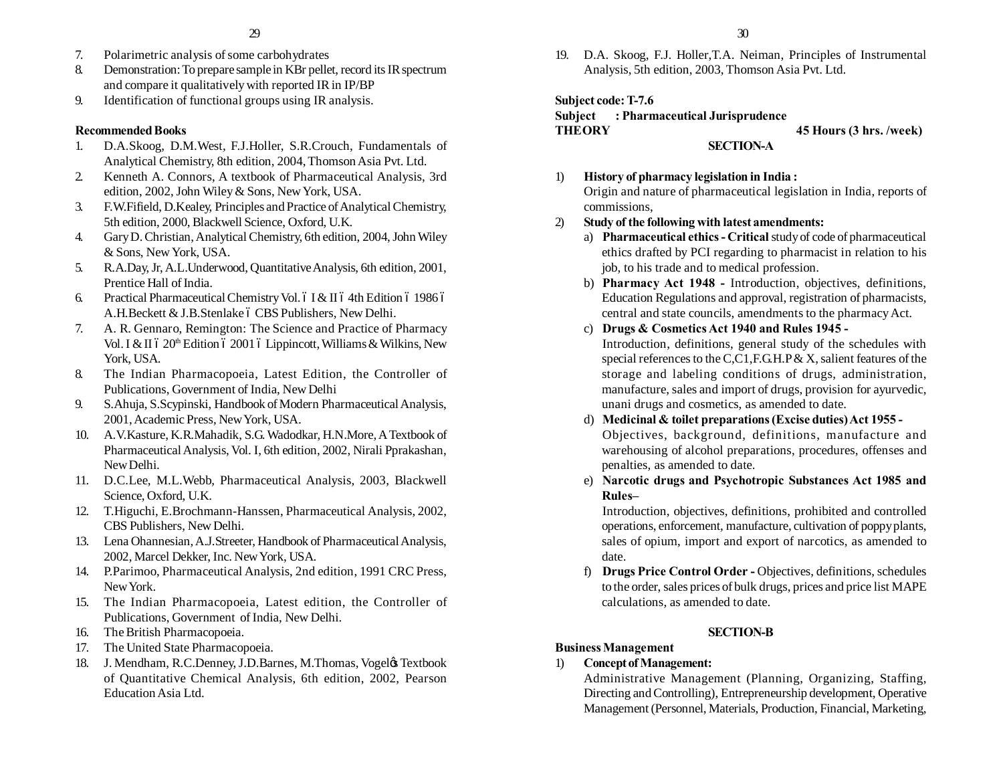- 7. Polarimetric analysis of some carbohydrates
- 8. Demonstration: To prepare sample in KBr pellet, record its IR spectrum and compare it qualitatively with reported IR in IP/BP
- 9. Identification of functional groups using IR analysis.

# **Recommended Books**

- 1. D.A.Skoog, D.M.West, F.J.Holler, S.R.Crouch, Fundamentals of Analytical Chemistry, 8th edition, 2004, Thomson Asia Pvt. Ltd.
- 2. Kenneth A. Connors, A textbook of Pharmaceutical Analysis, 3rd edition, 2002, John Wiley & Sons, New York, USA.
- 3. F.W.Fifield, D.Kealey, Principles and Practice of Analytical Chemistry, 5th edition, 2000, Blackwell Science, Oxford, U.K.
- 4. Gary D. Christian, Analytical Chemistry, 6th edition, 2004, John Wiley & Sons, New York, USA.
- 5. R.A.Day, Jr, A.L.Underwood, Quantitative Analysis, 6th edition, 2001, Prentice Hall of India.
- 6. Practical Pharmaceutical Chemistry Vol. 6 I & II 6 4th Edition 6 1986 6 A.H.Beckett & J.B.Stenlake 6 CBS Publishers, New Delhi.
- 7. A. R. Gennaro, Remington: The Science and Practice of Pharmacy Vol. I & II  $620<sup>th</sup>$  Edition  $62001$  6 Lippincott, Williams & Wilkins, New York, USA.
- 8. The Indian Pharmacopoeia, Latest Edition, the Controller of Publications, Government of India, New Delhi
- 9. S.Ahuja, S.Scypinski, Handbook of Modern Pharmaceutical Analysis, 2001, Academic Press, New York, USA.
- 10. A.V.Kasture, K.R.Mahadik, S.G. Wadodkar, H.N.More, A Textbook of Pharmaceutical Analysis, Vol. I, 6th edition, 2002, Nirali Pprakashan, New Delhi.
- 11. D.C.Lee, M.L.Webb, Pharmaceutical Analysis, 2003, Blackwell Science, Oxford, U.K.
- 12. T.Higuchi, E.Brochmann-Hanssen, Pharmaceutical Analysis, 2002, CBS Publishers, New Delhi.
- 13. Lena Ohannesian, A.J.Streeter, Handbook of Pharmaceutical Analysis, 2002, Marcel Dekker, Inc. New York, USA.
- 14. P.Parimoo, Pharmaceutical Analysis, 2nd edition, 1991 CRC Press, New York.
- 15. The Indian Pharmacopoeia, Latest edition, the Controller of Publications, Government of India, New Delhi.
- 16. The British Pharmacopoeia.
- 17. The United State Pharmacopoeia.
- 18. J. Mendham, R.C.Denney, J.D.Barnes, M.Thomas, Vogeløs Textbook of Quantitative Chemical Analysis, 6th edition, 2002, Pearson Education Asia Ltd.

19. D.A. Skoog, F.J. Holler,T.A. Neiman, Principles of Instrumental Analysis, 5th edition, 2003, Thomson Asia Pvt. Ltd.

**Subject code: T-7.6**

### **Subject : Pharmaceutical Jurisprudence THEORY 45 Hours (3 hrs. /week) SECTION-A**

1) **History of pharmacy legislation in India :** Origin and nature of pharmaceutical legislation in India, reports of commissions,

# 2) **Study of the following with latest amendments:**

- a) **Pharmaceutical ethics Critical** study of code of pharmaceutical ethics drafted by PCI regarding to pharmacist in relation to his job, to his trade and to medical profession.
- b) **Pharmacy Act 1948** Introduction, objectives, definitions, Education Regulations and approval, registration of pharmacists, central and state councils, amendments to the pharmacy Act.
- c) **Drugs & Cosmetics Act 1940 and Rules 1945 -** Introduction, definitions, general study of the schedules with special references to the C,C1,F.G.H.P & X, salient features of the storage and labeling conditions of drugs, administration, manufacture, sales and import of drugs, provision for ayurvedic, unani drugs and cosmetics, as amended to date.
- d) **Medicinal & toilet preparations (Excise duties) Act 1955 -** Objectives, background, definitions, manufacture and warehousing of alcohol preparations, procedures, offenses and penalties, as amended to date.
- e) **Narcotic drugs and Psychotropic Substances Act 1985 and Rules–**

Introduction, objectives, definitions, prohibited and controlled operations, enforcement, manufacture, cultivation of poppy plants, sales of opium, import and export of narcotics, as amended to date.

f) **Drugs Price Control Order -** Objectives, definitions, schedules to the order, sales prices of bulk drugs, prices and price list MAPE calculations, as amended to date.

# **SECTION-B**

# **Business Management**

# 1) **Concept of Management:**

Administrative Management (Planning, Organizing, Staffing, Directing and Controlling), Entrepreneurship development, Operative Management (Personnel, Materials, Production, Financial, Marketing,

30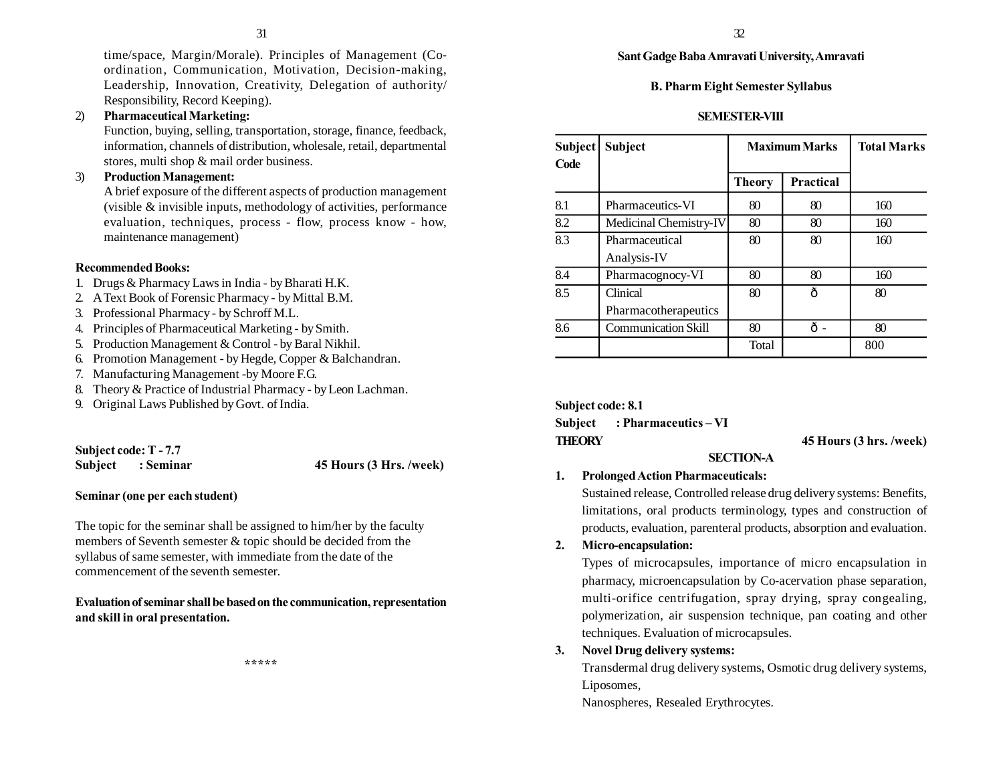time/space, Margin/Morale). Principles of Management (Coordination, Communication, Motivation, Decision-making, Leadership, Innovation, Creativity, Delegation of authority/ Responsibility, Record Keeping).

# 2) **Pharmaceutical Marketing:**

Function, buying, selling, transportation, storage, finance, feedback, information, channels of distribution, wholesale, retail, departmental stores, multi shop & mail order business.

# 3) **Production Management:**

A brief exposure of the different aspects of production management (visible & invisible inputs, methodology of activities, performance evaluation, techniques, process - flow, process know - how, maintenance management)

### **Recommended Books:**

- 1. Drugs & Pharmacy Laws in India by Bharati H.K.
- 2. A Text Book of Forensic Pharmacy by Mittal B.M.
- 3. Professional Pharmacy by Schroff M.L.
- 4. Principles of Pharmaceutical Marketing by Smith.
- 5. Production Management & Control by Baral Nikhil.
- 6. Promotion Management by Hegde, Copper & Balchandran.
- 7. Manufacturing Management -by Moore F.G.
- 8. Theory & Practice of Industrial Pharmacy by Leon Lachman.
- 9. Original Laws Published by Govt. of India.

# **Subject code: T - 7.7**

**Subject : Seminar 45 Hours (3 Hrs. /week)**

### **Seminar (one per each student)**

The topic for the seminar shall be assigned to him/her by the faculty members of Seventh semester & topic should be decided from the syllabus of same semester, with immediate from the date of the commencement of the seventh semester.

### **Evaluation of seminar shall be based on the communication, representation and skill in oral presentation.**

**\*\*\*\*\***

**Sant Gadge Baba Amravati University, Amravati**

#### **B. Pharm Eight Semester Syllabus**

#### **SEMESTER-VIII**

| Subject<br>Code | <b>Subject</b>                   | <b>Maximum Marks</b> |                  | <b>Total Marks</b> |
|-----------------|----------------------------------|----------------------|------------------|--------------------|
|                 |                                  | <b>Theory</b>        | <b>Practical</b> |                    |
| 8.1             | Pharmaceutics-VI                 | 80                   | 80               | 160                |
| 8.2             | Medicinal Chemistry-IV           | 80                   | 80               | 160                |
| 8.3             | Pharmaceutical<br>Analysis-IV    | 80                   | 80               | 160                |
| 8.4             | Pharmacognocy-VI                 | 80                   | 80               | 160                |
| 8.5             | Clinical<br>Pharmacotherapeutics | 80                   | ô                | 80                 |
| 8.6             | <b>Communication Skill</b>       | 80                   | ô-               | 80                 |
|                 |                                  | Total                |                  | 800                |

**Subject code: 8.1 Subject : Pharmaceutics – VI THEORY 45 Hours (3 hrs. /week)**

### **SECTION-A**

# **1. Prolonged Action Pharmaceuticals:**

Sustained release, Controlled release drug delivery systems: Benefits, limitations, oral products terminology, types and construction of products, evaluation, parenteral products, absorption and evaluation.

### **2. Micro-encapsulation:**

Types of microcapsules, importance of micro encapsulation in pharmacy, microencapsulation by Co-acervation phase separation, multi-orifice centrifugation, spray drying, spray congealing, polymerization, air suspension technique, pan coating and other techniques. Evaluation of microcapsules.

# **3. Novel Drug delivery systems:**

Transdermal drug delivery systems, Osmotic drug delivery systems, Liposomes,

Nanospheres, Resealed Erythrocytes.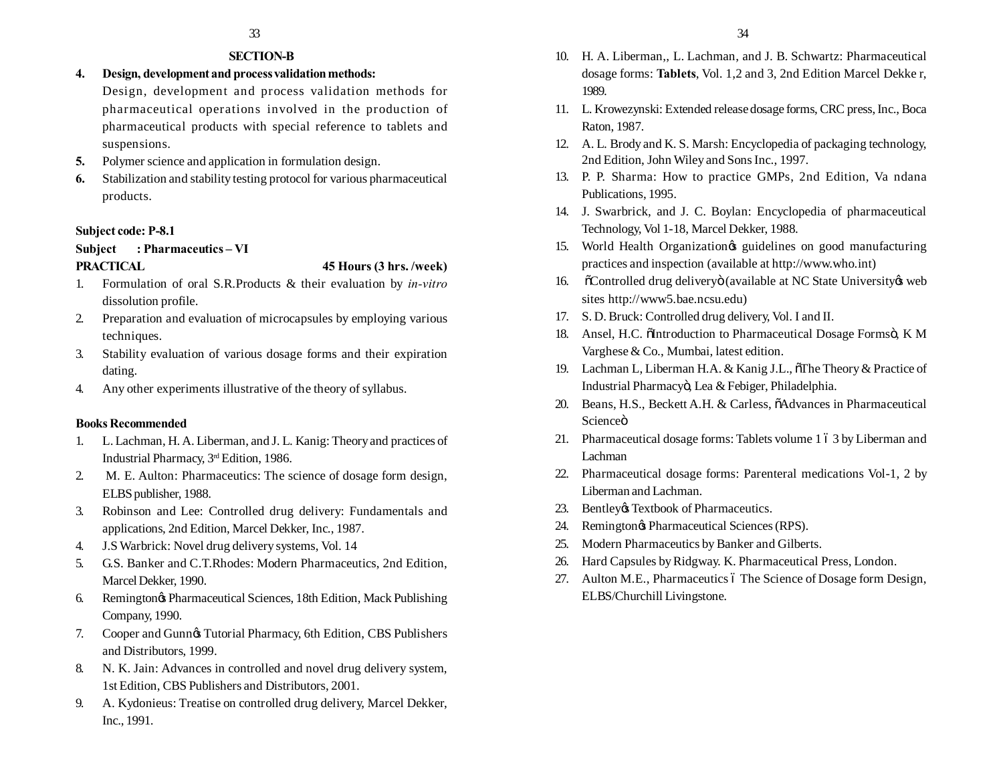# **SECTION-B**

# **4. Design, development and process validation methods:**

Design, development and process validation methods for pharmaceutical operations involved in the production of pharmaceutical products with special reference to tablets and suspensions.

- **5.** Polymer science and application in formulation design.
- **6.** Stabilization and stability testing protocol for various pharmaceutical products.

### **Subject code: P-8.1**

# **Subject : Pharmaceutics – VI**

#### **PRACTICAL 45 Hours (3 hrs. /week)**

- 1. Formulation of oral S.R.Products & their evaluation by *in-vitro* dissolution profile.
- 2. Preparation and evaluation of microcapsules by employing various techniques.
- 3. Stability evaluation of various dosage forms and their expiration dating.
- 4. Any other experiments illustrative of the theory of syllabus.

# **Books Recommended**

- 1. L. Lachman, H. A. Liberman, and J. L. Kanig: Theory and practices of Industrial Pharmacy, 3rd Edition, 1986.
- 2. M. E. Aulton: Pharmaceutics: The science of dosage form design, ELBS publisher, 1988.
- 3. Robinson and Lee: Controlled drug delivery: Fundamentals and applications, 2nd Edition, Marcel Dekker, Inc., 1987.
- 4. J.S Warbrick: Novel drug delivery systems, Vol. 14
- 5. G.S. Banker and C.T.Rhodes: Modern Pharmaceutics, 2nd Edition, Marcel Dekker, 1990.
- 6. Remington's Pharmaceutical Sciences, 18th Edition, Mack Publishing Company, 1990.
- 7. Cooper and Gunnøs Tutorial Pharmacy, 6th Edition, CBS Publishers and Distributors, 1999.
- 8. N. K. Jain: Advances in controlled and novel drug delivery system, 1st Edition, CBS Publishers and Distributors, 2001.
- 9. A. Kydonieus: Treatise on controlled drug delivery, Marcel Dekker, Inc., 1991.
- 10. H. A. Liberman,, L. Lachman, and J. B. Schwartz: Pharmaceutical dosage forms: **Tablets**, Vol. 1,2 and 3, 2nd Edition Marcel Dekke r, 1989.
- 11. L. Krowezynski: Extended release dosage forms, CRC press, Inc., Boca Raton, 1987.
- 12. A. L. Brody and K. S. Marsh: Encyclopedia of packaging technology, 2nd Edition, John Wiley and Sons Inc., 1997.
- 13. P. P. Sharma: How to practice GMPs, 2nd Edition, Va ndana Publications, 1995.
- 14. J. Swarbrick, and J. C. Boylan: Encyclopedia of pharmaceutical Technology, Vol 1-18, Marcel Dekker, 1988.
- 15. World Health Organization is guidelines on good manufacturing practices and inspection (available at http://www.who.int)
- 16. The Controlled drug delivery o (available at NC State University web sites http://www5.bae.ncsu.edu)
- 17. S. D. Bruck: Controlled drug delivery, Vol. I and II.
- 18. Ansel, H.C.  $\ddot{\text{ol}}$ ntroduction to Pharmaceutical Dosage Formsö, K M Varghese & Co., Mumbai, latest edition.
- 19. Lachman L, Liberman H.A. & Kanig J.L.,  $\delta$ The Theory & Practice of Industrial Pharmacyö, Lea & Febiger, Philadelphia.
- 20. Beans, H.S., Beckett A.H. & Carless,  $\tilde{o}$ Advances in Pharmaceutical Scienceö
- 21. Pharmaceutical dosage forms: Tablets volume 1 6 3 by Liberman and Lachman
- 22. Pharmaceutical dosage forms: Parenteral medications Vol-1, 2 by Liberman and Lachman.
- 23. Bentley & Textbook of Pharmaceutics.
- 24. Remington $\phi$  Pharmaceutical Sciences (RPS).
- 25. Modern Pharmaceutics by Banker and Gilberts.
- 26. Hard Capsules by Ridgway. K. Pharmaceutical Press, London.
- 27. Aulton M.E., Pharmaceutics ó The Science of Dosage form Design, ELBS/Churchill Livingstone.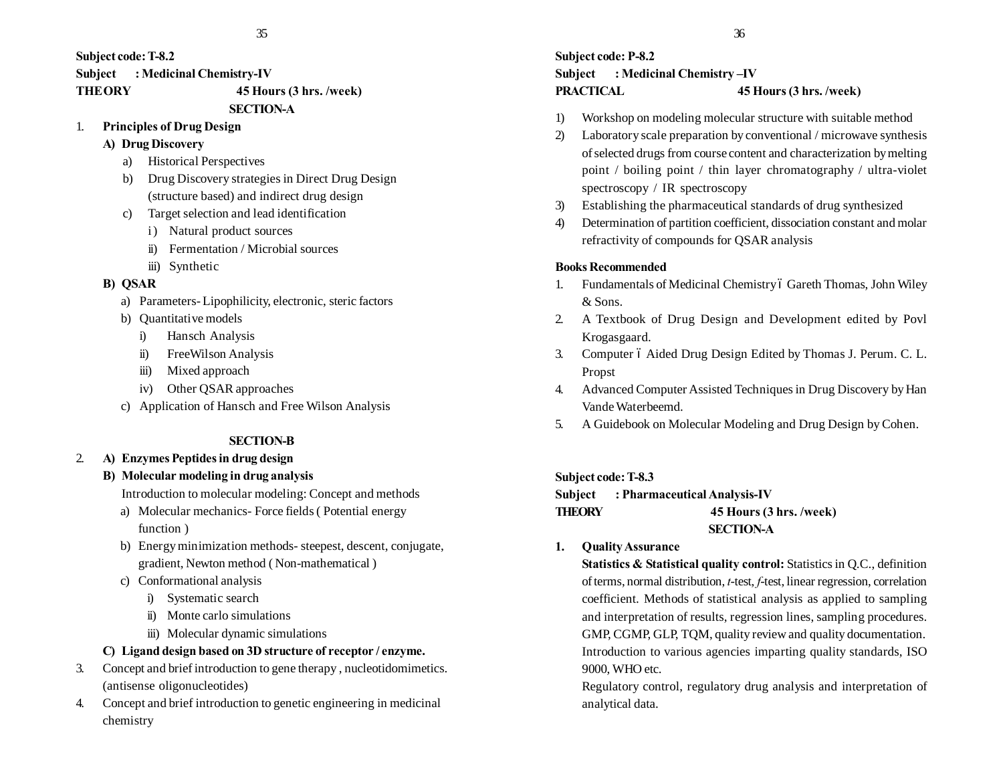**Subject code: T-8.2 Subject : Medicinal Chemistry-IV THEORY 45 Hours (3 hrs. /week)**

# **SECTION-A**

- 1. **Principles of Drug Design**
	- **A) Drug Discovery**
		- a) Historical Perspectives
		- b) Drug Discovery strategies in Direct Drug Design (structure based) and indirect drug design
		- c) Target selection and lead identification
			- i) Natural product sources
			- ii) Fermentation / Microbial sources
			- iii) Synthetic

# **B) QSAR**

- a) Parameters- Lipophilicity, electronic, steric factors
- b) Quantitative models
	- i) Hansch Analysis
	- ii) FreeWilson Analysis
	- iii) Mixed approach
	- iv) Other QSAR approaches
- c) Application of Hansch and Free Wilson Analysis

# **SECTION-B**

# 2. **A) Enzymes Peptides in drug design**

# **B) Molecular modeling in drug analysis**

Introduction to molecular modeling: Concept and methods

- a) Molecular mechanics- Force fields ( Potential energy function )
- b) Energy minimization methods- steepest, descent, conjugate, gradient, Newton method ( Non-mathematical )
- c) Conformational analysis
	- i) Systematic search
	- ii) Monte carlo simulations
	- iii) Molecular dynamic simulations

# **C) Ligand design based on 3D structure of receptor / enzyme.**

- 3. Concept and brief introduction to gene therapy , nucleotidomimetics. (antisense oligonucleotides)
- 4. Concept and brief introduction to genetic engineering in medicinal chemistry

# **Subject code: P-8.2 Subject : Medicinal Chemistry –IV PRACTICAL 45 Hours (3 hrs. /week)**

- 1) Workshop on modeling molecular structure with suitable method
- 2) Laboratory scale preparation by conventional / microwave synthesis of selected drugs from course content and characterization by melting point / boiling point / thin layer chromatography / ultra-violet spectroscopy / IR spectroscopy
- 3) Establishing the pharmaceutical standards of drug synthesized
- 4) Determination of partition coefficient, dissociation constant and molar refractivity of compounds for QSAR analysis

# **Books Recommended**

- 1. Fundamentals of Medicinal Chemistry ó Gareth Thomas, John Wiley & Sons.
- 2. A Textbook of Drug Design and Development edited by Povl Krogasgaard.
- 3. Computer 6 Aided Drug Design Edited by Thomas J. Perum. C. L. Propst
- 4. Advanced Computer Assisted Techniques in Drug Discovery by Han Vande Waterbeemd.
- 5. A Guidebook on Molecular Modeling and Drug Design by Cohen.

# **Subject code: T-8.3**

# **Subject : Pharmaceutical Analysis-IV THEORY 45 Hours (3 hrs. /week) SECTION-A**

**1. Quality Assurance**

**Statistics & Statistical quality control:** Statistics in Q.C., definition of terms, normal distribution, *t*-test, *f*-test, linear regression, correlation coefficient. Methods of statistical analysis as applied to sampling and interpretation of results, regression lines, sampling procedures. GMP, CGMP, GLP, TQM, quality review and quality documentation. Introduction to various agencies imparting quality standards, ISO 9000, WHO etc.

Regulatory control, regulatory drug analysis and interpretation of analytical data.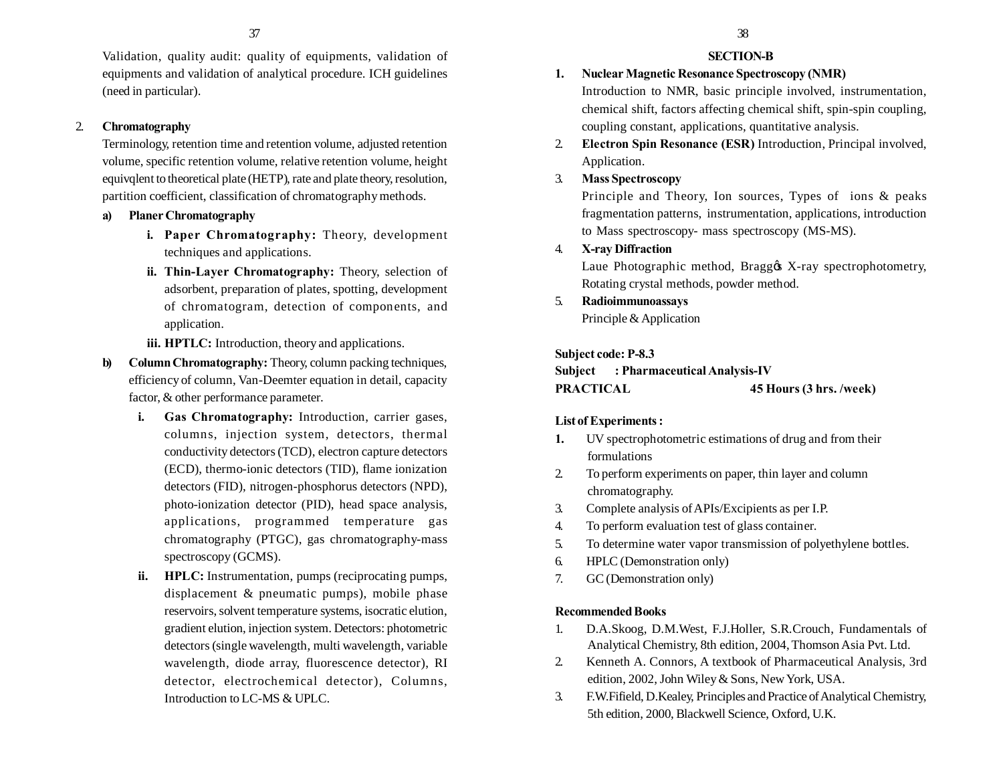Validation, quality audit: quality of equipments, validation of equipments and validation of analytical procedure. ICH guidelines (need in particular).

# 2. **Chromatography**

Terminology, retention time and retention volume, adjusted retention volume, specific retention volume, relative retention volume, height equivqlent to theoretical plate (HETP), rate and plate theory, resolution, partition coefficient, classification of chromatography methods.

## **a) Planer Chromatography**

- **i. Paper Chromatography:** Theory, development techniques and applications.
- **ii. Thin-Layer Chromatography:** Theory, selection of adsorbent, preparation of plates, spotting, development of chromatogram, detection of components, and application.

**iii. HPTLC:** Introduction, theory and applications.

- **b) Column Chromatography:** Theory, column packing techniques, efficiency of column, Van-Deemter equation in detail, capacity factor, & other performance parameter.
	- **i. Gas Chromatography:** Introduction, carrier gases, columns, injection system, detectors, thermal conductivity detectors (TCD), electron capture detectors (ECD), thermo-ionic detectors (TID), flame ionization detectors (FID), nitrogen-phosphorus detectors (NPD), photo-ionization detector (PID), head space analysis, applications, programmed temperature gas chromatography (PTGC), gas chromatography-mass spectroscopy (GCMS).
	- **ii. HPLC:** Instrumentation, pumps (reciprocating pumps, displacement & pneumatic pumps), mobile phase reservoirs, solvent temperature systems, isocratic elution, gradient elution, injection system. Detectors: photometric detectors (single wavelength, multi wavelength, variable wavelength, diode array, fluorescence detector), RI detector, electrochemical detector), Columns, Introduction to LC-MS & UPLC.

## **SECTION-B**

- **1. Nuclear Magnetic Resonance Spectroscopy (NMR)** Introduction to NMR, basic principle involved, instrumentation, chemical shift, factors affecting chemical shift, spin-spin coupling, coupling constant, applications, quantitative analysis.
- 2. **Electron Spin Resonance (ESR)** Introduction, Principal involved, Application.
- 3. **Mass Spectroscopy**

Principle and Theory, Ion sources, Types of ions & peaks fragmentation patterns, instrumentation, applications, introduction to Mass spectroscopy- mass spectroscopy (MS-MS).

4. **X-ray Diffraction**

Laue Photographic method, Braggos X-ray spectrophotometry, Rotating crystal methods, powder method.

5. **Radioimmunoassays**

Principle & Application

## **Subject code: P-8.3**

**Subject : Pharmaceutical Analysis-IV PRACTICAL 45 Hours (3 hrs. /week)**

# **List of Experiments :**

- **1.** UV spectrophotometric estimations of drug and from their formulations
- 2. To perform experiments on paper, thin layer and column chromatography.
- 3. Complete analysis of APIs/Excipients as per I.P.
- 4. To perform evaluation test of glass container.
- 5. To determine water vapor transmission of polyethylene bottles.
- 6. HPLC (Demonstration only)
- 7. GC (Demonstration only)

# **Recommended Books**

- 1. D.A.Skoog, D.M.West, F.J.Holler, S.R.Crouch, Fundamentals of Analytical Chemistry, 8th edition, 2004, Thomson Asia Pvt. Ltd.
- 2. Kenneth A. Connors, A textbook of Pharmaceutical Analysis, 3rd edition, 2002, John Wiley & Sons, New York, USA.
- 3. F.W.Fifield, D.Kealey, Principles and Practice of Analytical Chemistry, 5th edition, 2000, Blackwell Science, Oxford, U.K.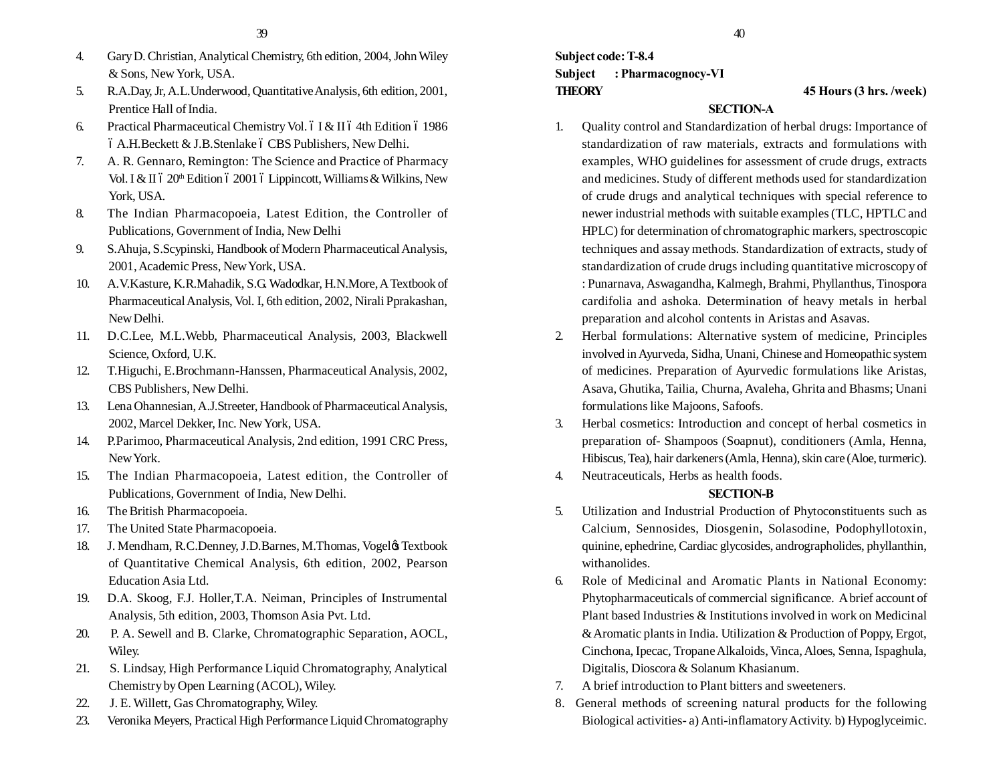- 4. Gary D. Christian, Analytical Chemistry, 6th edition, 2004, John Wiley & Sons, New York, USA.
- 5. R.A.Day, Jr, A.L.Underwood, Quantitative Analysis, 6th edition, 2001, Prentice Hall of India.
- 6. Practical Pharmaceutical Chemistry Vol.  $6$  I & II  $6$  4th Edition  $6$  1986  $6$  A.H. Beckett  $&$  J.B. Stenlake  $6$  CBS Publishers, New Delhi.
- 7. A. R. Gennaro, Remington: The Science and Practice of Pharmacy Vol. I & II 6 20<sup>th</sup> Edition 6 2001 6 Lippincott, Williams & Wilkins, New York, USA.
- 8. The Indian Pharmacopoeia, Latest Edition, the Controller of Publications, Government of India, New Delhi
- 9. S.Ahuja, S.Scypinski, Handbook of Modern Pharmaceutical Analysis, 2001, Academic Press, New York, USA.
- 10. A.V.Kasture, K.R.Mahadik, S.G. Wadodkar, H.N.More, A Textbook of Pharmaceutical Analysis, Vol. I, 6th edition, 2002, Nirali Pprakashan, New Delhi.
- 11. D.C.Lee, M.L.Webb, Pharmaceutical Analysis, 2003, Blackwell Science, Oxford, U.K.
- 12. T.Higuchi, E.Brochmann-Hanssen, Pharmaceutical Analysis, 2002, CBS Publishers, New Delhi.
- 13. Lena Ohannesian, A.J.Streeter, Handbook of Pharmaceutical Analysis, 2002, Marcel Dekker, Inc. New York, USA.
- 14. P.Parimoo, Pharmaceutical Analysis, 2nd edition, 1991 CRC Press, New York.
- 15. The Indian Pharmacopoeia, Latest edition, the Controller of Publications, Government of India, New Delhi.
- 16. The British Pharmacopoeia.
- 17. The United State Pharmacopoeia.
- 18. J. Mendham, R.C.Denney, J.D.Barnes, M.Thomas, Vogelø, Textbook of Quantitative Chemical Analysis, 6th edition, 2002, Pearson Education Asia Ltd.
- 19. D.A. Skoog, F.J. Holler,T.A. Neiman, Principles of Instrumental Analysis, 5th edition, 2003, Thomson Asia Pvt. Ltd.
- 20. P. A. Sewell and B. Clarke, Chromatographic Separation, AOCL, Wiley.
- 21. S. Lindsay, High Performance Liquid Chromatography, Analytical Chemistry by Open Learning (ACOL), Wiley.
- 22. J. E. Willett, Gas Chromatography, Wiley.
- 23. Veronika Meyers, Practical High Performance Liquid Chromatography

**Subject code: T-8.4 Subject : Pharmacognocy-VI THEORY 45 Hours (3 hrs. /week)**

## **SECTION-A**

- 1. Quality control and Standardization of herbal drugs: Importance of standardization of raw materials, extracts and formulations with examples, WHO guidelines for assessment of crude drugs, extracts and medicines. Study of different methods used for standardization of crude drugs and analytical techniques with special reference to newer industrial methods with suitable examples (TLC, HPTLC and HPLC) for determination of chromatographic markers, spectroscopic techniques and assay methods. Standardization of extracts, study of standardization of crude drugs including quantitative microscopy of : Punarnava, Aswagandha, Kalmegh, Brahmi, Phyllanthus, Tinospora cardifolia and ashoka. Determination of heavy metals in herbal preparation and alcohol contents in Aristas and Asavas.
- 2. Herbal formulations: Alternative system of medicine, Principles involved in Ayurveda, Sidha, Unani, Chinese and Homeopathic system of medicines. Preparation of Ayurvedic formulations like Aristas, Asava, Ghutika, Tailia, Churna, Avaleha, Ghrita and Bhasms; Unani formulations like Majoons, Safoofs.
- 3. Herbal cosmetics: Introduction and concept of herbal cosmetics in preparation of- Shampoos (Soapnut), conditioners (Amla, Henna, Hibiscus, Tea), hair darkeners (Amla, Henna), skin care (Aloe, turmeric).
- 4. Neutraceuticals, Herbs as health foods.

# **SECTION-B**

- 5. Utilization and Industrial Production of Phytoconstituents such as Calcium, Sennosides, Diosgenin, Solasodine, Podophyllotoxin, quinine, ephedrine, Cardiac glycosides, andrographolides, phyllanthin, withanolides.
- 6. Role of Medicinal and Aromatic Plants in National Economy: Phytopharmaceuticals of commercial significance. A brief account of Plant based Industries & Institutions involved in work on Medicinal & Aromatic plants in India. Utilization & Production of Poppy, Ergot, Cinchona, Ipecac, Tropane Alkaloids, Vinca, Aloes, Senna, Ispaghula, Digitalis, Dioscora & Solanum Khasianum.
- 7. A brief introduction to Plant bitters and sweeteners.
- 8. General methods of screening natural products for the following Biological activities- a) Anti-inflamatory Activity. b) Hypoglyceimic.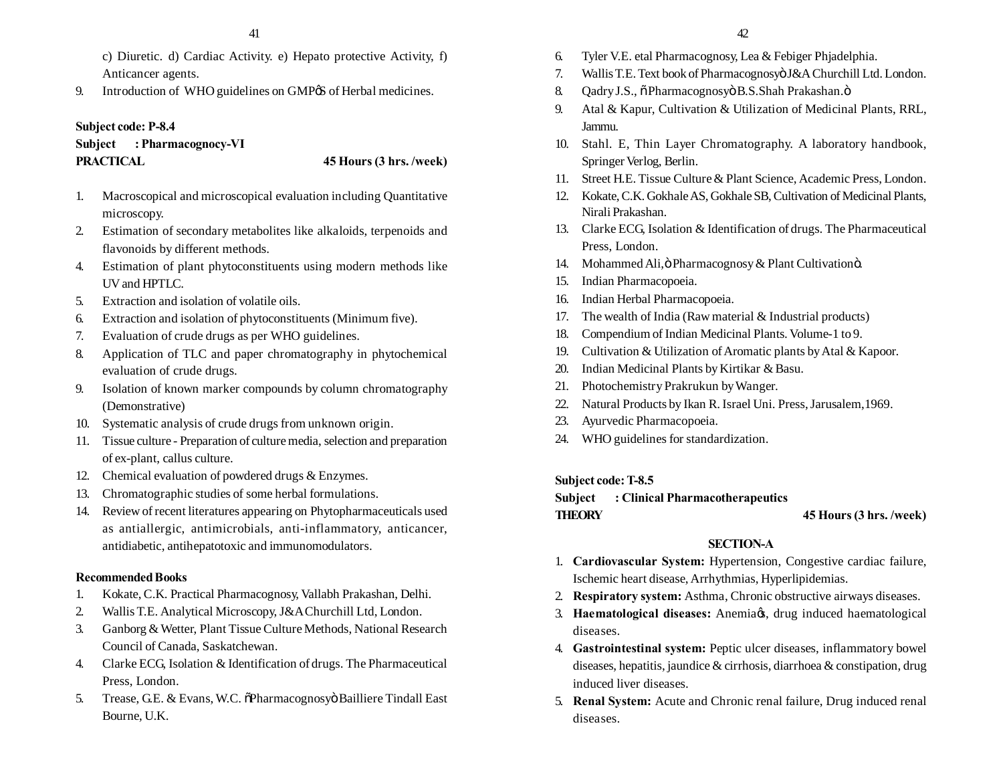- c) Diuretic. d) Cardiac Activity. e) Hepato protective Activity, f) Anticancer agents.
- 9. Introduction of WHO guidelines on GMP<sub>®</sub> of Herbal medicines.

#### **Subject code: P-8.4**

**Subject : Pharmacognocy-VI PRACTICAL 45 Hours (3 hrs. /week)**

- 1. Macroscopical and microscopical evaluation including Quantitative microscopy.
- 2. Estimation of secondary metabolites like alkaloids, terpenoids and flavonoids by different methods.
- 4. Estimation of plant phytoconstituents using modern methods like UV and HPTLC.
- 5. Extraction and isolation of volatile oils.
- 6. Extraction and isolation of phytoconstituents (Minimum five).
- 7. Evaluation of crude drugs as per WHO guidelines.
- 8. Application of TLC and paper chromatography in phytochemical evaluation of crude drugs.
- 9. Isolation of known marker compounds by column chromatography (Demonstrative)
- 10. Systematic analysis of crude drugs from unknown origin.
- 11. Tissue culture Preparation of culture media, selection and preparation of ex-plant, callus culture.
- 12. Chemical evaluation of powdered drugs & Enzymes.
- 13. Chromatographic studies of some herbal formulations.
- 14. Review of recent literatures appearing on Phytopharmaceuticals used as antiallergic, antimicrobials, anti-inflammatory, anticancer, antidiabetic, antihepatotoxic and immunomodulators.

#### **Recommended Books**

- 1. Kokate, C.K. Practical Pharmacognosy, Vallabh Prakashan, Delhi.
- 2. Wallis T.E. Analytical Microscopy, J&A Churchill Ltd, London.
- 3. Ganborg & Wetter, Plant Tissue Culture Methods, National Research Council of Canada, Saskatchewan.
- 4. Clarke ECG, Isolation & Identification of drugs. The Pharmaceutical Press, London.
- 5. Trease, G.E. & Evans, W.C.  $\delta$ Pharmacognosyo Bailliere Tindall East Bourne, U.K.
- 6. Tyler V.E. etal Pharmacognosy, Lea & Febiger Phjadelphia.
- 7. Wallis T.E. Text book of Pharmacognosyö J&A Churchill Ltd. London.
- 8. Qadry J.S.,  $\tilde{o}$  Pharmacognosyö B.S.Shah Prakashan. $\ddot{o}$
- 9. Atal & Kapur, Cultivation & Utilization of Medicinal Plants, RRL, Jammu.
- 10. Stahl. E, Thin Layer Chromatography. A laboratory handbook, Springer Verlog, Berlin.
- 11. Street H.E. Tissue Culture & Plant Science, Academic Press, London.
- 12. Kokate, C.K. Gokhale AS, Gokhale SB, Cultivation of Medicinal Plants, Nirali Prakashan.
- 13. Clarke ECG, Isolation & Identification of drugs. The Pharmaceutical Press, London.
- 14. Mohammed Ali, ö Pharmacognosy & Plant Cultivationö.
- 15. Indian Pharmacopoeia.
- 16. Indian Herbal Pharmacopoeia.
- 17. The wealth of India (Raw material & Industrial products)
- 18. Compendium of Indian Medicinal Plants. Volume-1 to 9.
- 19. Cultivation & Utilization of Aromatic plants by Atal & Kapoor.
- 20. Indian Medicinal Plants by Kirtikar & Basu.
- 21. Photochemistry Prakrukun by Wanger.
- 22. Natural Products by Ikan R. Israel Uni. Press, Jarusalem,1969.
- 23. Ayurvedic Pharmacopoeia.
- 24. WHO guidelines for standardization.

#### **Subject code: T-8.5**

## **Subject : Clinical Pharmacotherapeutics THEORY 45 Hours (3 hrs. /week)**

#### **SECTION-A**

- 1. **Cardiovascular System:** Hypertension, Congestive cardiac failure, Ischemic heart disease, Arrhythmias, Hyperlipidemias.
- 2. **Respiratory system:** Asthma, Chronic obstructive airways diseases.
- 3. **Haematological diseases:** Anemia $\alpha$ , drug induced haematological diseases.
- 4. **Gastrointestinal system:** Peptic ulcer diseases, inflammatory bowel diseases, hepatitis, jaundice & cirrhosis, diarrhoea & constipation, drug induced liver diseases.
- 5. **Renal System:** Acute and Chronic renal failure, Drug induced renal diseases.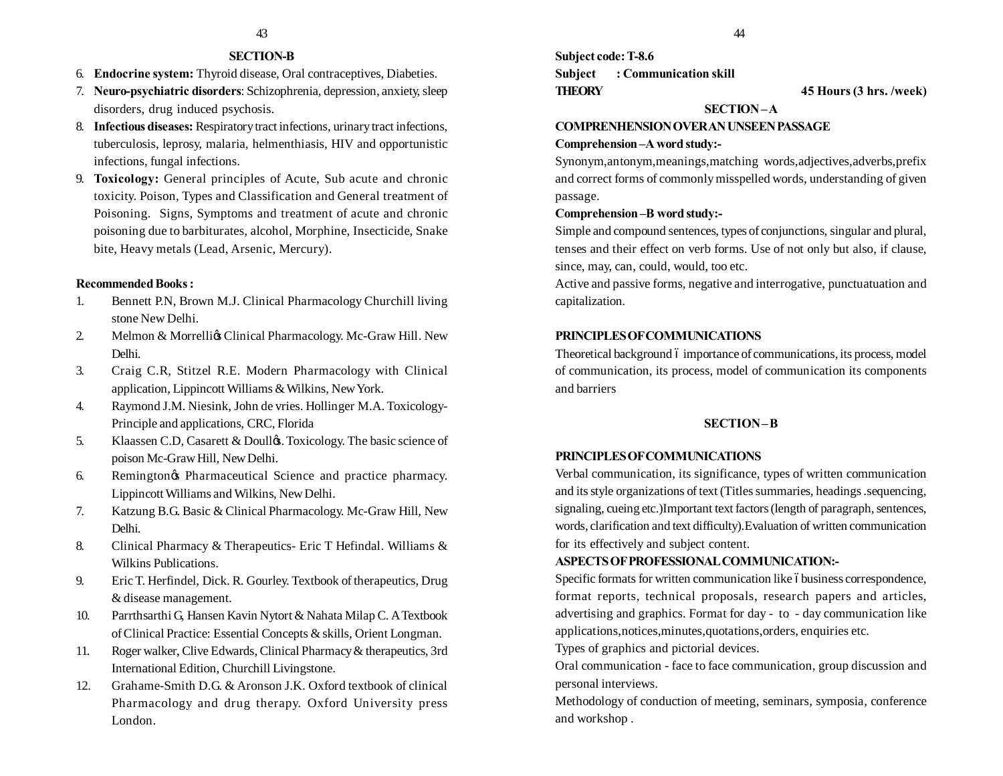#### **SECTION-B**

- 6. **Endocrine system:** Thyroid disease, Oral contraceptives, Diabeties.
- 7. **Neuro-psychiatric disorders**: Schizophrenia, depression, anxiety, sleep disorders, drug induced psychosis.
- 8. **Infectious diseases:** Respiratory tract infections, urinary tract infections, tuberculosis, leprosy, malaria, helmenthiasis, HIV and opportunistic infections, fungal infections.
- 9. **Toxicology:** General principles of Acute, Sub acute and chronic toxicity. Poison, Types and Classification and General treatment of Poisoning. Signs, Symptoms and treatment of acute and chronic poisoning due to barbiturates, alcohol, Morphine, Insecticide, Snake bite, Heavy metals (Lead, Arsenic, Mercury).

#### **Recommended Books :**

- 1. Bennett P.N, Brown M.J. Clinical Pharmacology Churchill living stone New Delhi.
- 2. Melmon & Morrelligs Clinical Pharmacology. Mc-Graw Hill. New Delhi.
- 3. Craig C.R, Stitzel R.E. Modern Pharmacology with Clinical application, Lippincott Williams & Wilkins, New York.
- 4. Raymond J.M. Niesink, John de vries. Hollinger M.A. Toxicology-Principle and applications, CRC, Florida
- 5. Klaassen C.D, Casarett & Doullo &. Toxicology. The basic science of poison Mc-Graw Hill, New Delhi.
- 6. Remington $\alpha$  Pharmaceutical Science and practice pharmacy. Lippincott Williams and Wilkins, New Delhi.
- 7. Katzung B.G. Basic & Clinical Pharmacology. Mc-Graw Hill, New Delhi.
- 8. Clinical Pharmacy & Therapeutics- Eric T Hefindal. Williams & Wilkins Publications.
- 9. Eric T. Herfindel, Dick. R. Gourley. Textbook of therapeutics, Drug & disease management.
- 10. Parrthsarthi G, Hansen Kavin Nytort & Nahata Milap C. A Textbook of Clinical Practice: Essential Concepts & skills, Orient Longman.
- 11. Roger walker, Clive Edwards, Clinical Pharmacy & therapeutics, 3rd International Edition, Churchill Livingstone.
- 12. Grahame-Smith D.G. & Aronson J.K. Oxford textbook of clinical Pharmacology and drug therapy. Oxford University press London.

**Subject code: T-8.6 Subject : Communication skill THEORY 45 Hours (3 hrs. /week)**

#### **SECTION – A**

#### **COMPRENHENSION OVER AN UNSEEN PASSAGE**

#### **Comprehension –A word study:-**

Synonym,antonym,meanings,matching words,adjectives,adverbs,prefix and correct forms of commonly misspelled words, understanding of given passage.

#### **Comprehension –B word study:-**

Simple and compound sentences, types of conjunctions, singular and plural, tenses and their effect on verb forms. Use of not only but also, if clause, since, may, can, could, would, too etc.

Active and passive forms, negative and interrogative, punctuatuation and capitalization.

#### **PRINCIPLES OF COMMUNICATIONS**

Theoretical background 6 importance of communications, its process, model of communication, its process, model of communication its components and barriers

#### **SECTION – B**

#### **PRINCIPLES OF COMMUNICATIONS**

Verbal communication, its significance, types of written communication and its style organizations of text (Titles summaries, headings .sequencing, signaling, cueing etc.)Important text factors (length of paragraph, sentences, words, clarification and text difficulty).Evaluation of written communication for its effectively and subject content.

#### **ASPECTS OF PROFESSIONAL COMMUNICATION:-**

Specific formats for written communication like óbusiness correspondence, format reports, technical proposals, research papers and articles, advertising and graphics. Format for day - to - day communication like applications,notices,minutes,quotations,orders, enquiries etc.

Types of graphics and pictorial devices.

Oral communication - face to face communication, group discussion and personal interviews.

Methodology of conduction of meeting, seminars, symposia, conference and workshop .